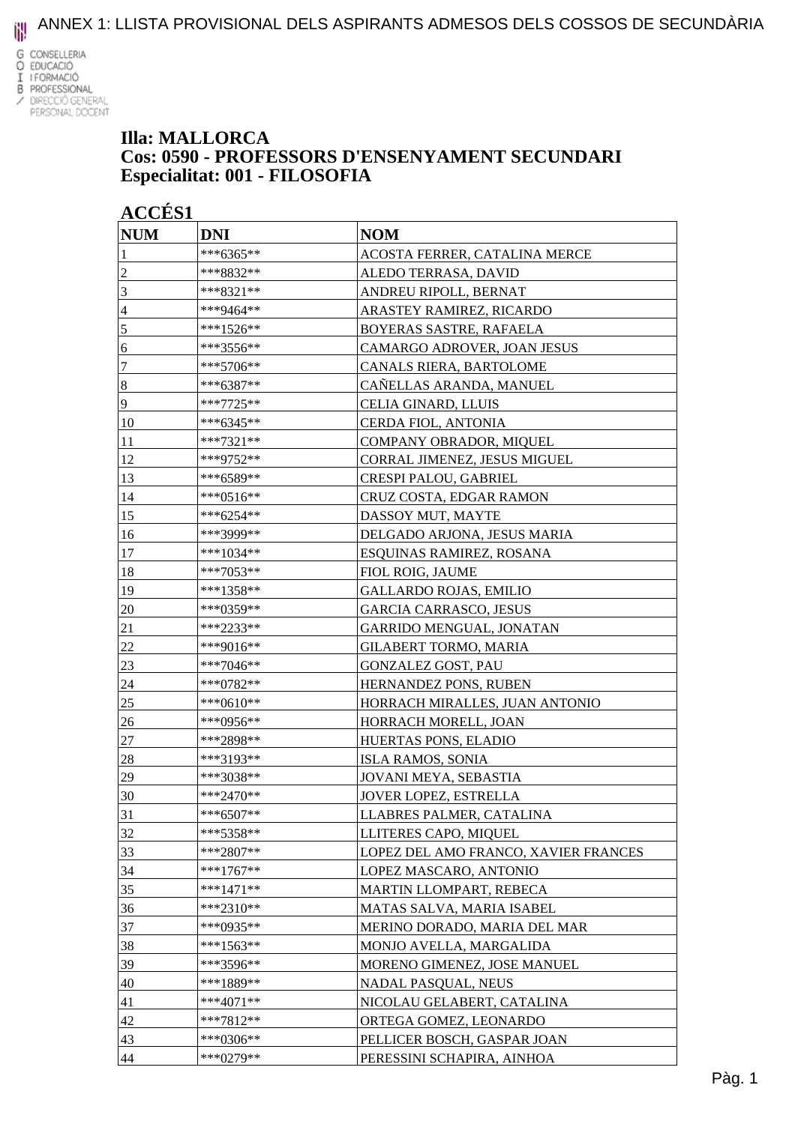

#### **Illa: MALLORCA Cos: 0590 - PROFESSORS D'ENSENYAMENT SECUNDARI Especialitat: 001 - FILOSOFIA**

| <b>ACCÉS 1</b> |             |                                      |
|----------------|-------------|--------------------------------------|
| <b>NUM</b>     | <b>DNI</b>  | <b>NOM</b>                           |
|                | ***6365**   | ACOSTA FERRER, CATALINA MERCE        |
| $\overline{c}$ | ***8832**   | ALEDO TERRASA, DAVID                 |
| 3              | ***8321**   | ANDREU RIPOLL, BERNAT                |
| 4              | ***9464**   | ARASTEY RAMIREZ, RICARDO             |
| $\sqrt{5}$     | ***1526**   | BOYERAS SASTRE, RAFAELA              |
| 6              | ***3556**   | CAMARGO ADROVER, JOAN JESUS          |
| $\tau$         | ***5706**   | CANALS RIERA, BARTOLOME              |
| $\bf 8$        | ***6387**   | CAÑELLAS ARANDA, MANUEL              |
| 9              | ***7725**   | CELIA GINARD, LLUIS                  |
| 10             | ***6345**   | CERDA FIOL, ANTONIA                  |
| 11             | ***7321**   | COMPANY OBRADOR, MIQUEL              |
| 12             | ***9752**   | CORRAL JIMENEZ, JESUS MIGUEL         |
| 13             | ***6589**   | CRESPI PALOU, GABRIEL                |
| 14             | ***0516**   | CRUZ COSTA, EDGAR RAMON              |
| 15             | ***6254**   | DASSOY MUT, MAYTE                    |
| 16             | ***3999**   | DELGADO ARJONA, JESUS MARIA          |
| 17             | ***1034**   | ESQUINAS RAMIREZ, ROSANA             |
| 18             | ***7053**   | FIOL ROIG, JAUME                     |
| 19             | ***1358**   | <b>GALLARDO ROJAS, EMILIO</b>        |
| 20             | ***0359**   | GARCIA CARRASCO, JESUS               |
| 21             | ***2233**   | GARRIDO MENGUAL, JONATAN             |
| 22             | ***9016**   | GILABERT TORMO, MARIA                |
| 23             | ***7046**   | <b>GONZALEZ GOST, PAU</b>            |
| 24             | ***0782**   | <b>HERNANDEZ PONS, RUBEN</b>         |
| 25             | ***0610**   | HORRACH MIRALLES, JUAN ANTONIO       |
| 26             | ***0956**   | HORRACH MORELL, JOAN                 |
| 27             | ***2898**   | HUERTAS PONS, ELADIO                 |
| 28             | ***3193**   | ISLA RAMOS, SONIA                    |
| 29             | ***3038**   | JOVANI MEYA, SEBASTIA                |
| 30             | $***2470**$ | <b>JOVER LOPEZ, ESTRELLA</b>         |
| 31             | ***6507**   | LLABRES PALMER, CATALINA             |
| 32             | ***5358**   | LLITERES CAPO, MIQUEL                |
| 33             | $***2807**$ | LOPEZ DEL AMO FRANCO, XAVIER FRANCES |
| 34             | ***1767**   | LOPEZ MASCARO, ANTONIO               |
| 35             | ***1471**   | MARTIN LLOMPART, REBECA              |
| 36             | ***2310**   | MATAS SALVA, MARIA ISABEL            |
| 37             | $***0935**$ | MERINO DORADO, MARIA DEL MAR         |
| 38             | ***1563**   | MONJO AVELLA, MARGALIDA              |
| 39             | ***3596**   | MORENO GIMENEZ, JOSE MANUEL          |
| 40             | ***1889**   | NADAL PASQUAL, NEUS                  |
| 41             | $***4071**$ | NICOLAU GELABERT, CATALINA           |
| 42             | ***7812**   | ORTEGA GOMEZ, LEONARDO               |
| 43             | ***0306**   | PELLICER BOSCH, GASPAR JOAN          |
| 44             | ***0279**   | PERESSINI SCHAPIRA, AINHOA           |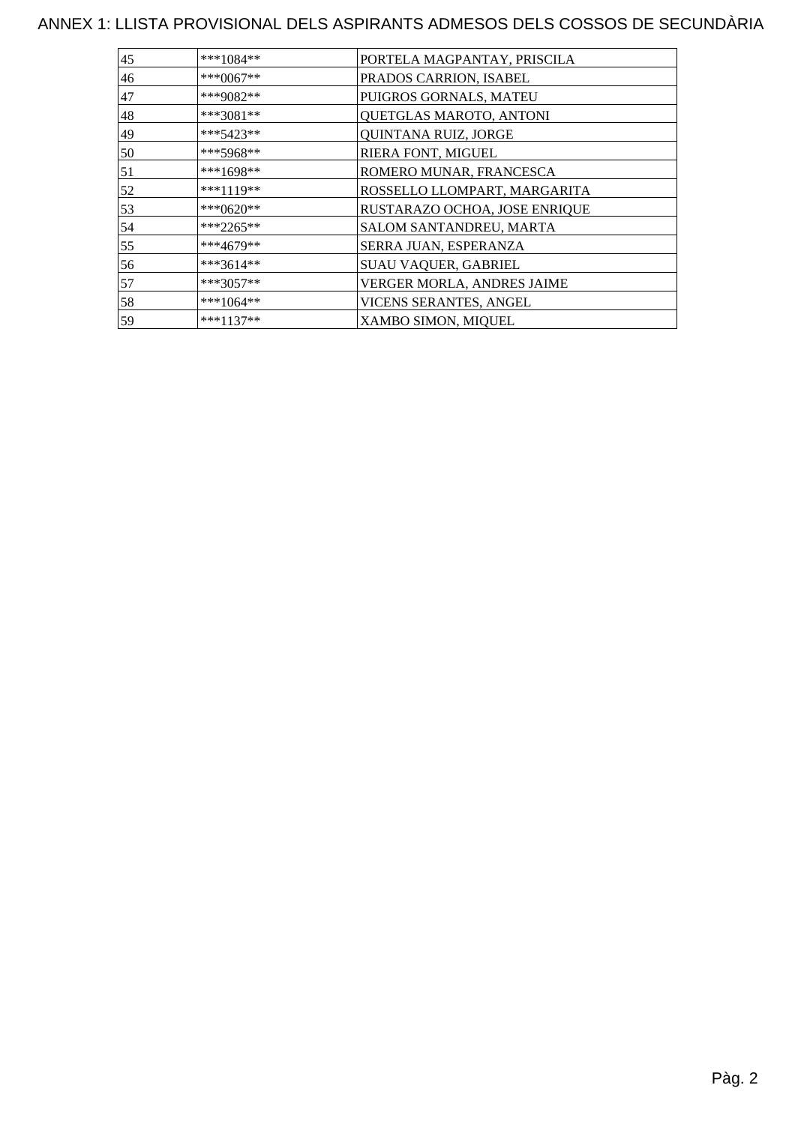| ***1084**   | PORTELA MAGPANTAY, PRISCILA   |
|-------------|-------------------------------|
| ***0067**   | PRADOS CARRION, ISABEL        |
| ***9082**   | PUIGROS GORNALS, MATEU        |
| $***3081**$ | QUETGLAS MAROTO, ANTONI       |
| ***5423**   | QUINTANA RUIZ, JORGE          |
| ***5968**   | RIERA FONT, MIGUEL            |
| $***1698**$ | ROMERO MUNAR, FRANCESCA       |
| ***1119**   | ROSSELLO LLOMPART, MARGARITA  |
| ***0620**   | RUSTARAZO OCHOA, JOSE ENRIQUE |
| ***2265**   | SALOM SANTANDREU, MARTA       |
| ***4679**   | SERRA JUAN, ESPERANZA         |
| ***3614**   | SUAU VAQUER, GABRIEL          |
| ***3057**   | VERGER MORLA, ANDRES JAIME    |
| ***1064**   | VICENS SERANTES, ANGEL        |
| $***1137**$ | XAMBO SIMON, MIQUEL           |
|             |                               |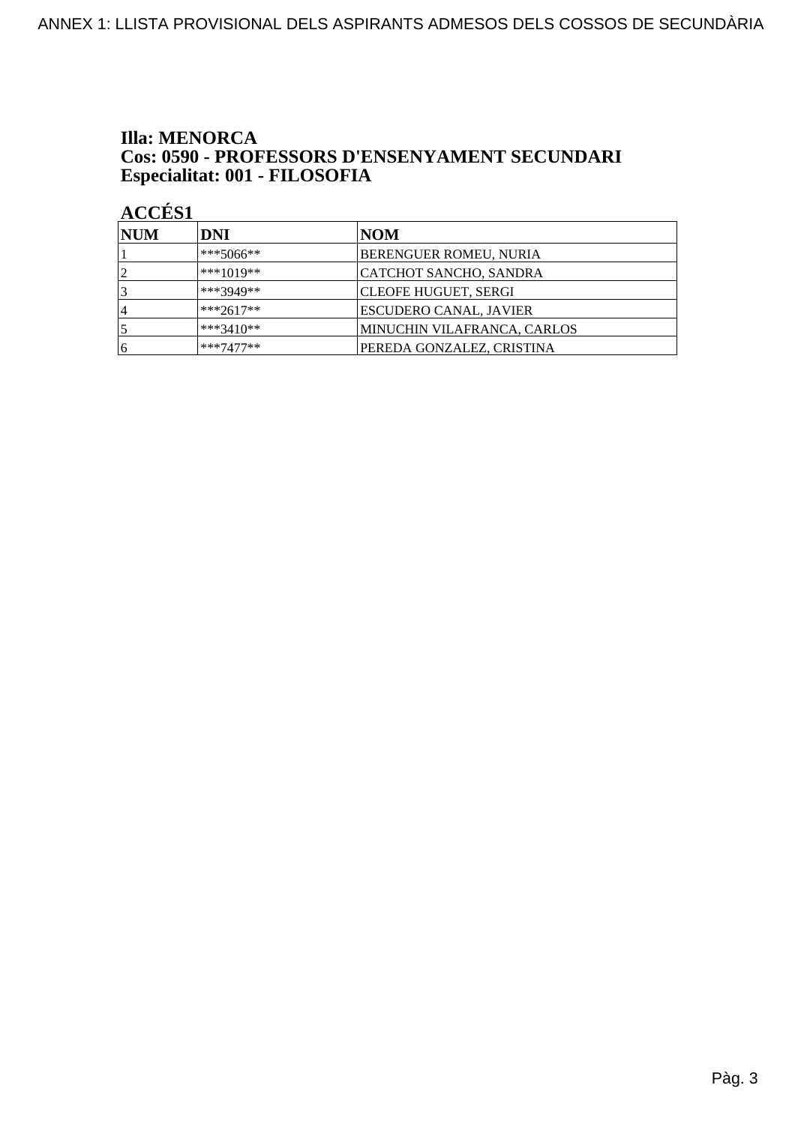### **Illa: MENORCA** Cos: 0590 - PROFESSORS D'ENSENYAMENT SECUNDARI Especialitat: 001 - FILOSOFIA

| <b>NUM</b>     | <b>DNI</b>  | NOM                           |
|----------------|-------------|-------------------------------|
|                | $***5066**$ | <b>BERENGUER ROMEU, NURIA</b> |
| $\overline{2}$ | $***1019**$ | CATCHOT SANCHO, SANDRA        |
|                | ***3949**   | CLEOFE HUGUET, SERGI          |
| ا 4            | $***2617**$ | ESCUDERO CANAL, JAVIER        |
|                | ***3410**   | MINUCHIN VILAFRANCA, CARLOS   |
| 16             | $***7477**$ | PEREDA GONZALEZ, CRISTINA     |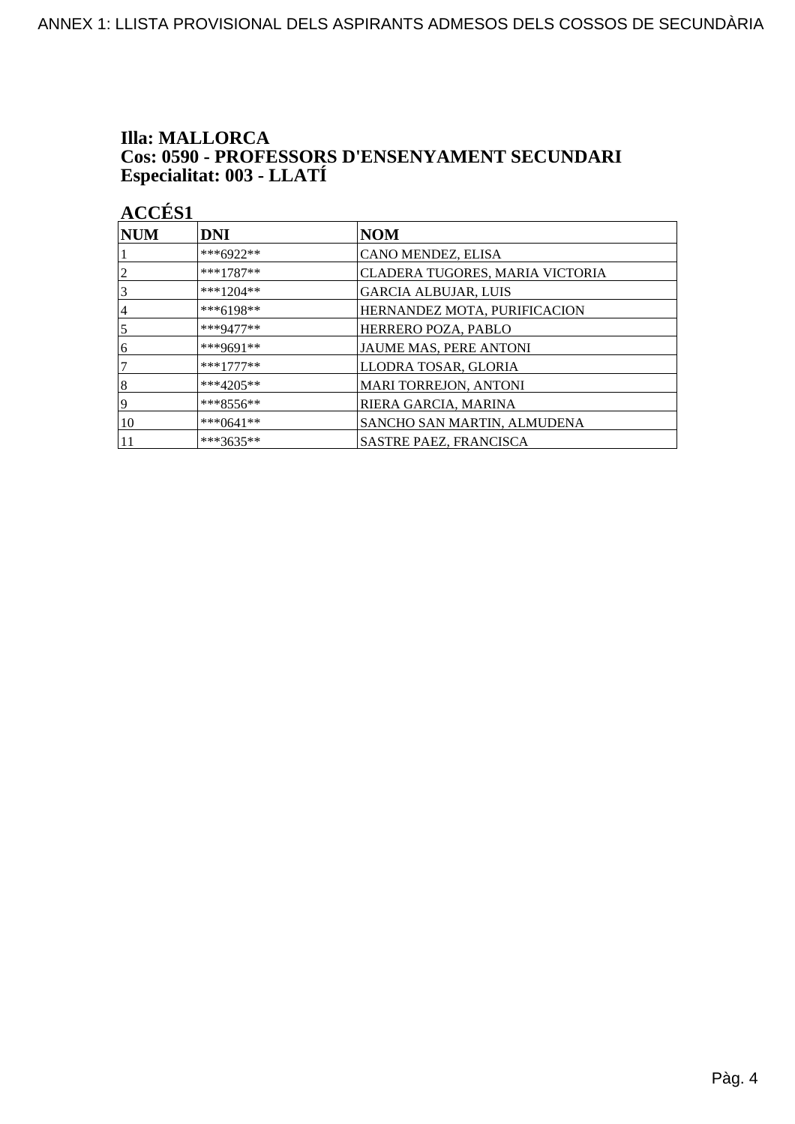## **Illa: MALLORCA Cos: 0590 - PROFESSORS D'ENSENYAMENT SECUNDARI<br>Especialitat: 003 - LLATÍ**

| <b>NUM</b>      | <b>DNI</b>   | <b>NOM</b>                      |
|-----------------|--------------|---------------------------------|
|                 | ***6922**    | CANO MENDEZ, ELISA              |
| $\overline{2}$  | $***1787**$  | CLADERA TUGORES, MARIA VICTORIA |
| $\vert 3 \vert$ | ***1204**    | <b>GARCIA ALBUJAR, LUIS</b>     |
| 4               | $***6198**$  | HERNANDEZ MOTA, PURIFICACION    |
| $\overline{5}$  | $***9477**$  | HERRERO POZA, PABLO             |
| 16              | ***9691**    | JAUME MAS, PERE ANTONI          |
| 17              | $***1777***$ | LLODRA TOSAR, GLORIA            |
| 8               | $***4205**$  | <b>MARI TORREJON, ANTONI</b>    |
| 19              | $***8556**$  | RIERA GARCIA, MARINA            |
| 10              | ***0641**    | SANCHO SAN MARTIN, ALMUDENA     |
| 11              | ***3635**    | SASTRE PAEZ, FRANCISCA          |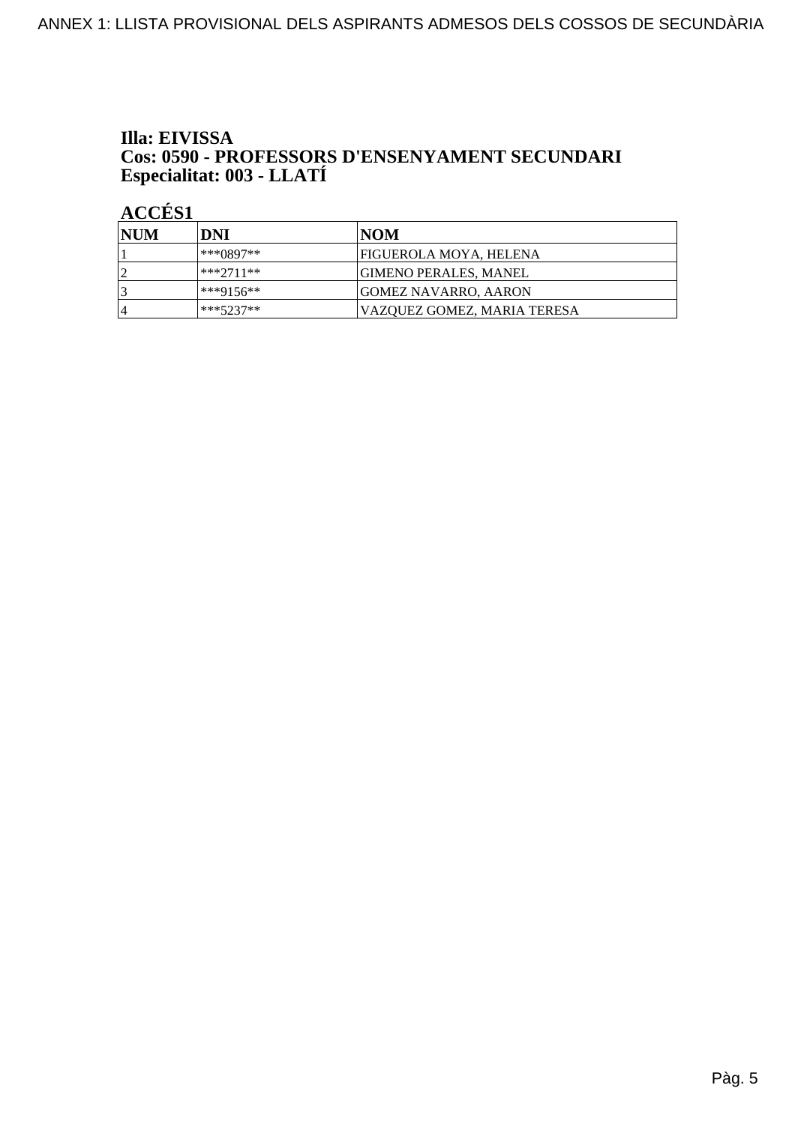## Illa: EIVISSA **Cos: 0590 - PROFESSORS D'ENSENYAMENT SECUNDARI<br>Especialitat: 003 - LLATÍ**

| <b>INUM</b> | DNI         | INOM                         |
|-------------|-------------|------------------------------|
|             | ***0897**   | FIGUEROLA MOYA, HELENA       |
| $\sqrt{ }$  | ***2711**   | <b>GIMENO PERALES, MANEL</b> |
|             | ***9156**   | <b>GOMEZ NAVARRO, AARON</b>  |
| 4           | $***5237**$ | VAZOUEZ GOMEZ. MARIA TERESA  |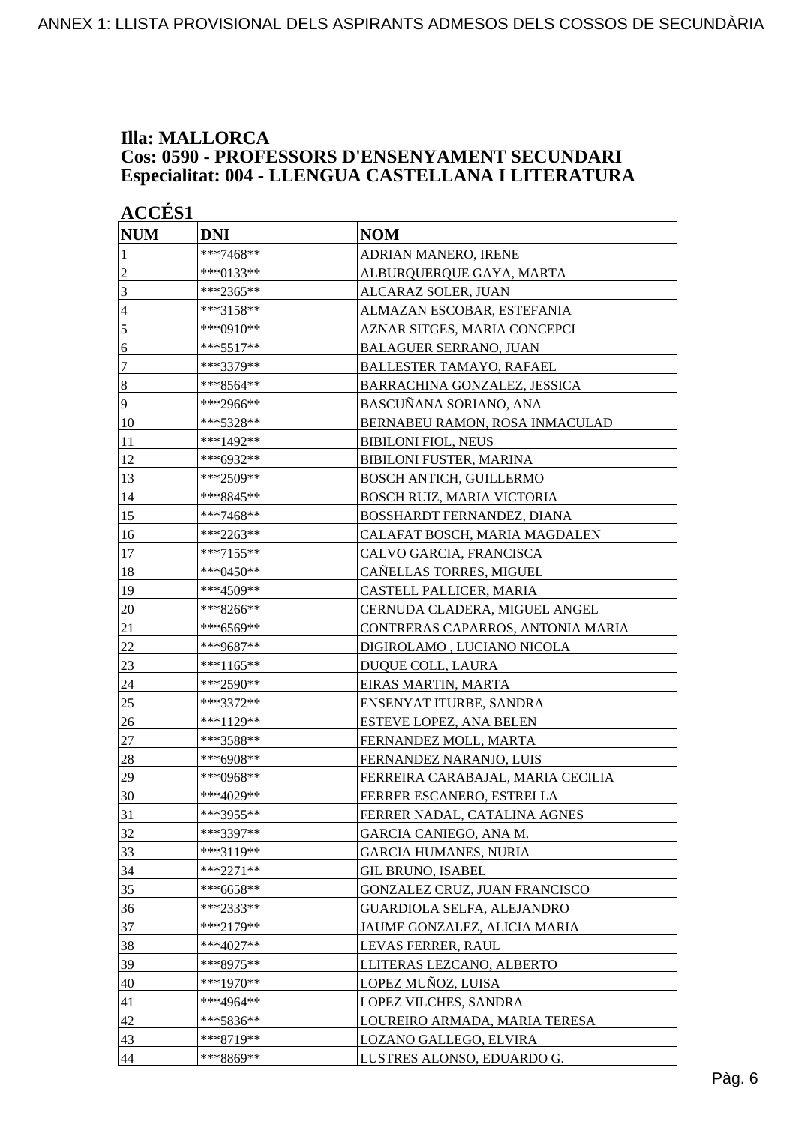### **Illa: MALLORCA Cos: 0590 - PROFESSORS D'ENSENYAMENT SECUNDARI Especialitat: 004 - LLENGUA CASTELLANA I LITERATURA**

| <b>ACCÉS 1</b> |            |                                   |
|----------------|------------|-----------------------------------|
| <b>NUM</b>     | <b>DNI</b> | <b>NOM</b>                        |
| 1              | ***7468**  | ADRIAN MANERO, IRENE              |
| $\overline{2}$ | ***0133**  | ALBURQUERQUE GAYA, MARTA          |
| 3              | ***2365**  | ALCARAZ SOLER, JUAN               |
| $\overline{4}$ | ***3158**  | ALMAZAN ESCOBAR, ESTEFANIA        |
| 5              | ***0910**  | AZNAR SITGES, MARIA CONCEPCI      |
| 6              | ***5517**  | <b>BALAGUER SERRANO, JUAN</b>     |
| 7              | ***3379**  | <b>BALLESTER TAMAYO, RAFAEL</b>   |
| $\,8\,$        | ***8564**  | BARRACHINA GONZALEZ, JESSICA      |
| 9              | ***2966**  | BASCUÑANA SORIANO, ANA            |
| 10             | ***5328**  | BERNABEU RAMON, ROSA INMACULAD    |
| 11             | ***1492**  | <b>BIBILONI FIOL, NEUS</b>        |
| 12             | ***6932**  | <b>BIBILONI FUSTER, MARINA</b>    |
| 13             | ***2509**  | <b>BOSCH ANTICH, GUILLERMO</b>    |
| 14             | ***8845**  | BOSCH RUIZ, MARIA VICTORIA        |
| 15             | ***7468**  | BOSSHARDT FERNANDEZ, DIANA        |
| 16             | ***2263**  | CALAFAT BOSCH, MARIA MAGDALEN     |
| 17             | ***7155**  | CALVO GARCIA, FRANCISCA           |
| 18             | ***0450**  | CAÑELLAS TORRES, MIGUEL           |
| 19             | ***4509**  | CASTELL PALLICER, MARIA           |
| 20             | ***8266**  | CERNUDA CLADERA, MIGUEL ANGEL     |
| 21             | ***6569**  | CONTRERAS CAPARROS, ANTONIA MARIA |
| 22             | ***9687**  | DIGIROLAMO, LUCIANO NICOLA        |
| 23             | ***1165**  | DUQUE COLL, LAURA                 |
| 24             | ***2590**  | EIRAS MARTIN, MARTA               |
| 25             | ***3372**  | ENSENYAT ITURBE, SANDRA           |
| 26             | ***1129**  | ESTEVE LOPEZ, ANA BELEN           |
| 27             | ***3588**  | FERNANDEZ MOLL, MARTA             |
| 28             | ***6908**  | FERNANDEZ NARANJO, LUIS           |
| 29             | ***0968**  | FERREIRA CARABAJAL, MARIA CECILIA |
| 30             | ***4029**  | FERRER ESCANERO, ESTRELLA         |
| 31             | ***3955**  | FERRER NADAL, CATALINA AGNES      |
| 32             | ***3397**  | GARCIA CANIEGO, ANA M.            |
| 33             | ***3119**  | <b>GARCIA HUMANES, NURIA</b>      |
| 34             | ***2271**  | <b>GIL BRUNO, ISABEL</b>          |
| 35             | ***6658**  | GONZALEZ CRUZ, JUAN FRANCISCO     |
| 36             | ***2333**  | GUARDIOLA SELFA, ALEJANDRO        |
| 37             | ***2179**  | JAUME GONZALEZ, ALICIA MARIA      |
| 38             | ***4027**  | LEVAS FERRER, RAUL                |
| 39             | ***8975**  | LLITERAS LEZCANO, ALBERTO         |
| 40             | ***1970**  | LOPEZ MUÑOZ, LUISA                |
| 41             | ***4964**  | LOPEZ VILCHES, SANDRA             |
| 42             | ***5836**  | LOUREIRO ARMADA, MARIA TERESA     |
| 43             | ***8719**  | LOZANO GALLEGO, ELVIRA            |
| 44             | ***8869**  | LUSTRES ALONSO, EDUARDO G.        |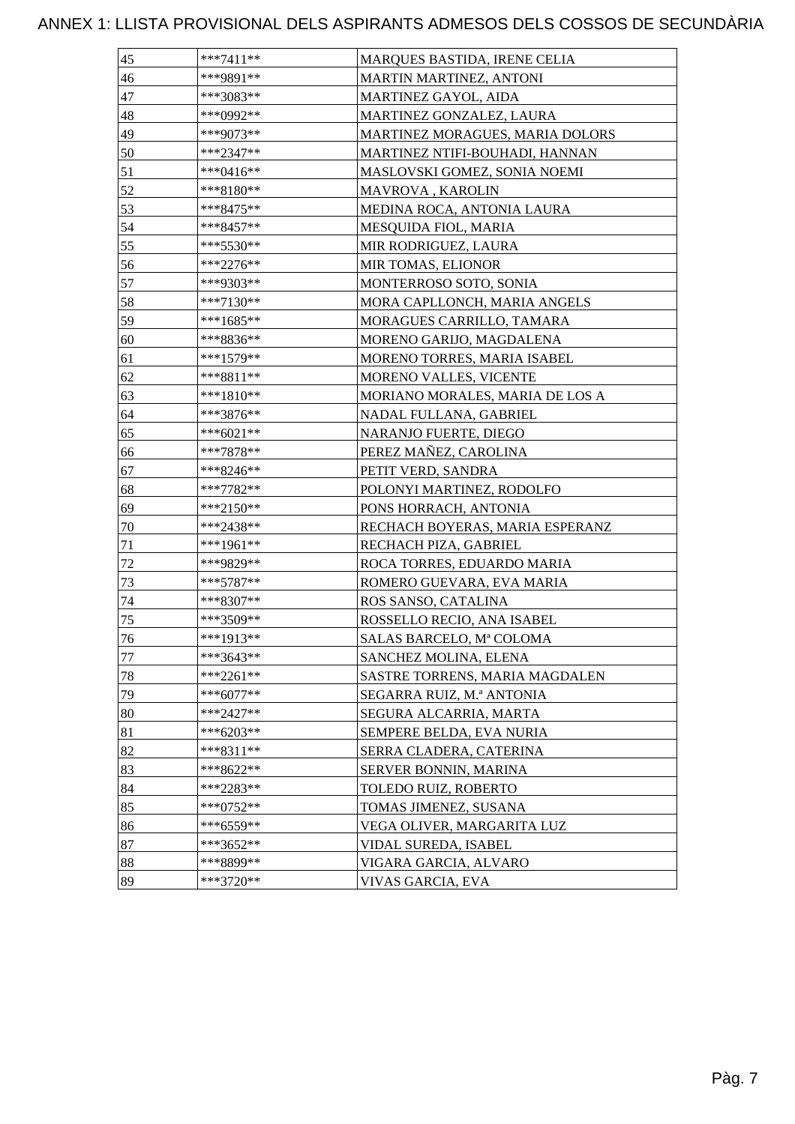| 45     | ***7411**   | <b>MARQUES BASTIDA, IRENE CELIA</b> |
|--------|-------------|-------------------------------------|
| 46     | ***9891**   | MARTIN MARTINEZ, ANTONI             |
| 47     | ***3083**   | MARTINEZ GAYOL, AIDA                |
| 48     | ***0992**   | MARTINEZ GONZALEZ, LAURA            |
| 49     | ***9073**   | MARTINEZ MORAGUES, MARIA DOLORS     |
| 50     | ***2347**   | MARTINEZ NTIFI-BOUHADI, HANNAN      |
| 51     | ***0416**   | MASLOVSKI GOMEZ, SONIA NOEMI        |
| 52     | ***8180**   | MAVROVA, KAROLIN                    |
| 53     | ***8475**   | MEDINA ROCA, ANTONIA LAURA          |
| 54     | ***8457**   | <b>MESQUIDA FIOL, MARIA</b>         |
| 55     | ***5530**   | MIR RODRIGUEZ, LAURA                |
| 56     | ***2276**   | MIR TOMAS, ELIONOR                  |
| 57     | ***9303**   | MONTERROSO SOTO, SONIA              |
| 58     | ***7130**   | MORA CAPLLONCH, MARIA ANGELS        |
| 59     | ***1685**   | MORAGUES CARRILLO, TAMARA           |
| 60     | ***8836**   | MORENO GARIJO, MAGDALENA            |
| 61     | ***1579**   | MORENO TORRES, MARIA ISABEL         |
| 62     | ***8811**   | MORENO VALLES, VICENTE              |
| 63     | ***1810**   | MORIANO MORALES, MARIA DE LOS A     |
| 64     | ***3876**   | NADAL FULLANA, GABRIEL              |
| 65     | ***6021**   | NARANJO FUERTE, DIEGO               |
| 66     | $***7878**$ | PEREZ MAÑEZ, CAROLINA               |
| 67     | ***8246**   | PETIT VERD, SANDRA                  |
| 68     | ***7782**   | POLONYI MARTINEZ, RODOLFO           |
| 69     | ***2150**   | PONS HORRACH, ANTONIA               |
| $70\,$ | ***2438**   | RECHACH BOYERAS, MARIA ESPERANZ     |
| 71     | ***1961**   | RECHACH PIZA, GABRIEL               |
| 72     | ***9829**   | ROCA TORRES, EDUARDO MARIA          |
| 73     | $***5787**$ | ROMERO GUEVARA, EVA MARIA           |
| 74     | ***8307**   | ROS SANSO, CATALINA                 |
| 75     | ***3509**   | ROSSELLO RECIO, ANA ISABEL          |
| 76     | ***1913**   | SALAS BARCELO, Mª COLOMA            |
| 77     | ***3643**   | SANCHEZ MOLINA, ELENA               |
| 78     | ***2261**   | SASTRE TORRENS, MARIA MAGDALEN      |
| 79     | ***6077**   | SEGARRA RUIZ, M.ª ANTONIA           |
| 80     | ***2427**   | SEGURA ALCARRIA, MARTA              |
| 81     | ***6203**   | SEMPERE BELDA, EVA NURIA            |
| 82     | ***8311**   | SERRA CLADERA, CATERINA             |
| 83     | ***8622**   | SERVER BONNIN, MARINA               |
| 84     | ***2283**   | TOLEDO RUIZ, ROBERTO                |
| 85     | $***0752**$ | TOMAS JIMENEZ, SUSANA               |
| 86     | ***6559**   | VEGA OLIVER, MARGARITA LUZ          |
| 87     | ***3652**   | VIDAL SUREDA, ISABEL                |
| 88     | ***8899**   | VIGARA GARCIA, ALVARO               |
| 89     | ***3720**   | VIVAS GARCIA, EVA                   |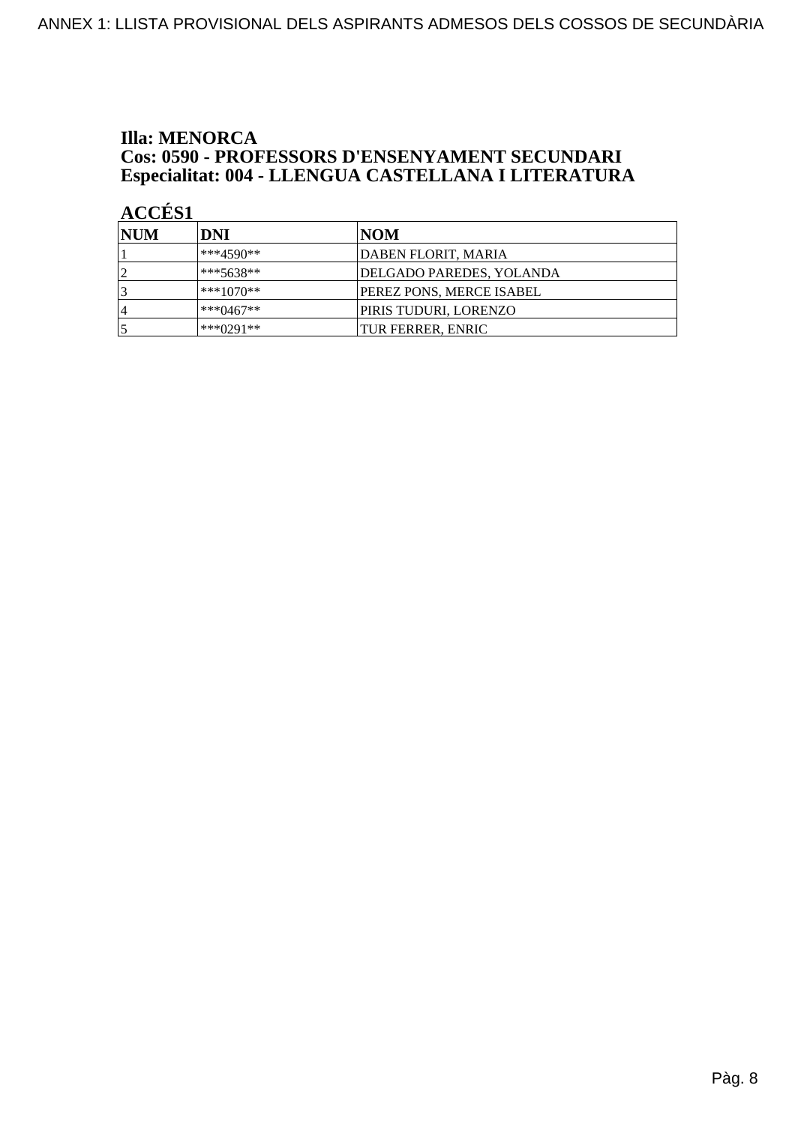### **Illa: MENORCA** Cos: 0590 - PROFESSORS D'ENSENYAMENT SECUNDARI Especialitat: 004 - LLENGUA CASTELLANA I LITERATURA

| <b>INUM</b>    | DNI         | NOM                      |
|----------------|-------------|--------------------------|
|                | ***4590**   | DABEN FLORIT, MARIA      |
|                | $***5638**$ | DELGADO PAREDES, YOLANDA |
|                | ***1070**   | PEREZ PONS, MERCE ISABEL |
| $\overline{4}$ | $***0467**$ | PIRIS TUDURI, LORENZO    |
|                | $***0291**$ | <b>TUR FERRER, ENRIC</b> |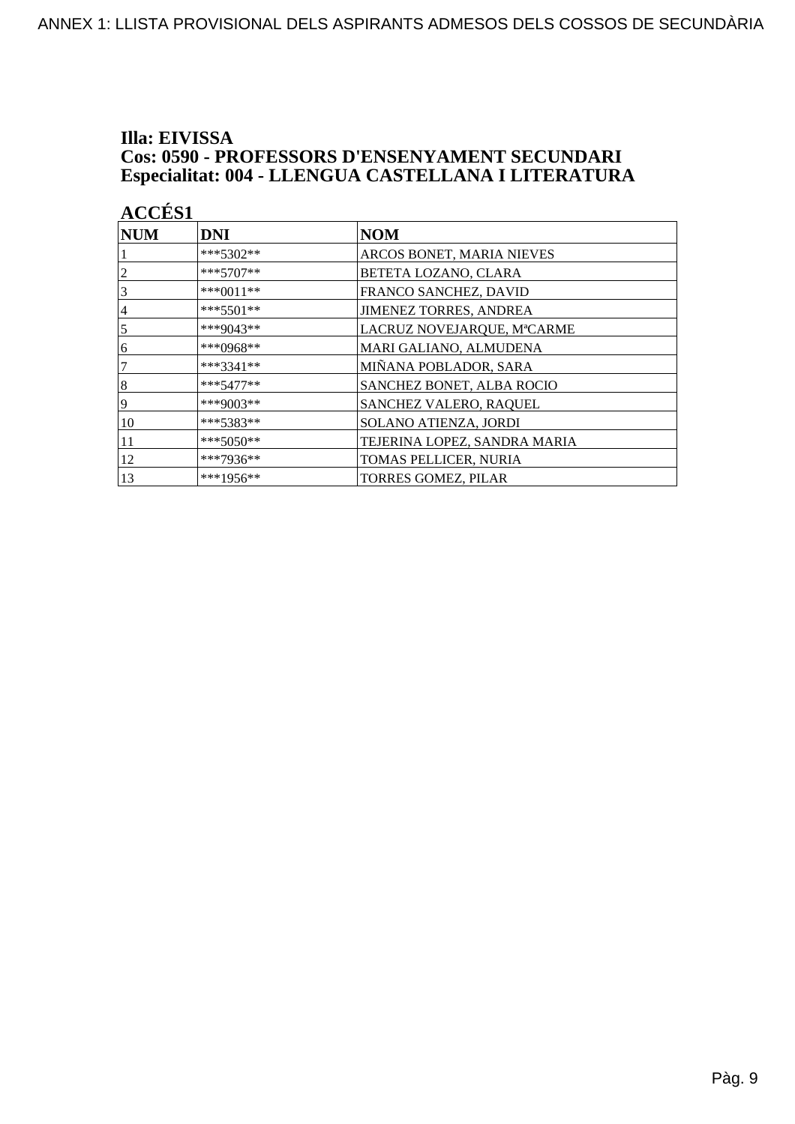### Illa: EIVISSA **Cos: 0590 - PROFESSORS D'ENSENYAMENT SECUNDARI** Especialitat: 004 - LLENGUA CASTELLANA I LITERATURA

| <b>ACCÉS 1</b> |             |                              |
|----------------|-------------|------------------------------|
| <b>NUM</b>     | DNI         | <b>NOM</b>                   |
|                | $***5302**$ | ARCOS BONET, MARIA NIEVES    |
| $\overline{2}$ | ***5707**   | BETETA LOZANO, CLARA         |
| 3              | ***0011**   | FRANCO SANCHEZ, DAVID        |
| $\overline{4}$ | ***5501**   | JIMENEZ TORRES, ANDREA       |
| 5              | $***9043**$ | LACRUZ NOVEJARQUE, MªCARME   |
| 6              | ***0968**   | MARI GALIANO, ALMUDENA       |
| 7              | ***3341**   | MIÑANA POBLADOR, SARA        |
| 8              | $***5477**$ | SANCHEZ BONET, ALBA ROCIO    |
| 9              | ***9003**   | SANCHEZ VALERO, RAQUEL       |
| 10             | ***5383**   | SOLANO ATIENZA, JORDI        |
| 11             | $***5050**$ | TEJERINA LOPEZ, SANDRA MARIA |
| 12             | ***7936**   | TOMAS PELLICER, NURIA        |
| 13             | $***1956**$ | <b>TORRES GOMEZ, PILAR</b>   |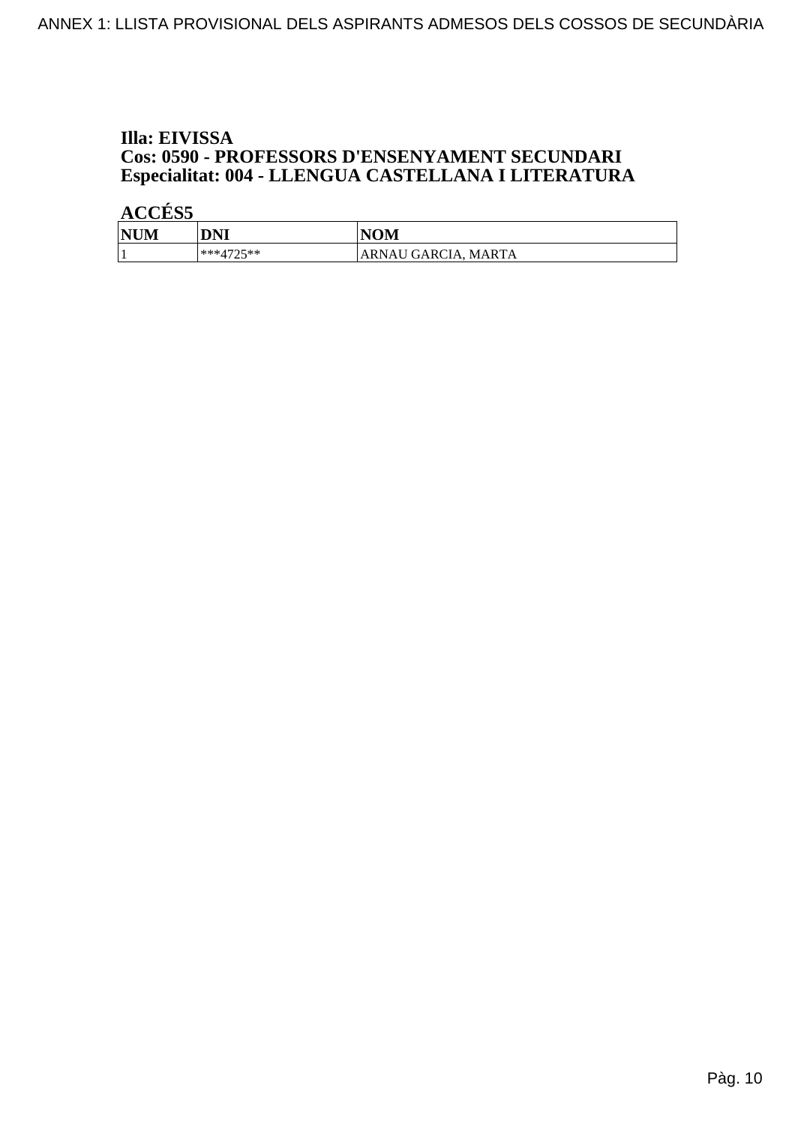### Illa: EIVISSA Cos: 0590 - PROFESSORS D'ENSENYAMENT SECUNDARI Especialitat: 004 - LLENGUA CASTELLANA I LITERATURA

| <b>NUM</b> | <b>DNI</b>            | <b>NOM</b>           |
|------------|-----------------------|----------------------|
|            | ***4725**<br><u>_</u> | 'ARNAU GARCIA, MARTA |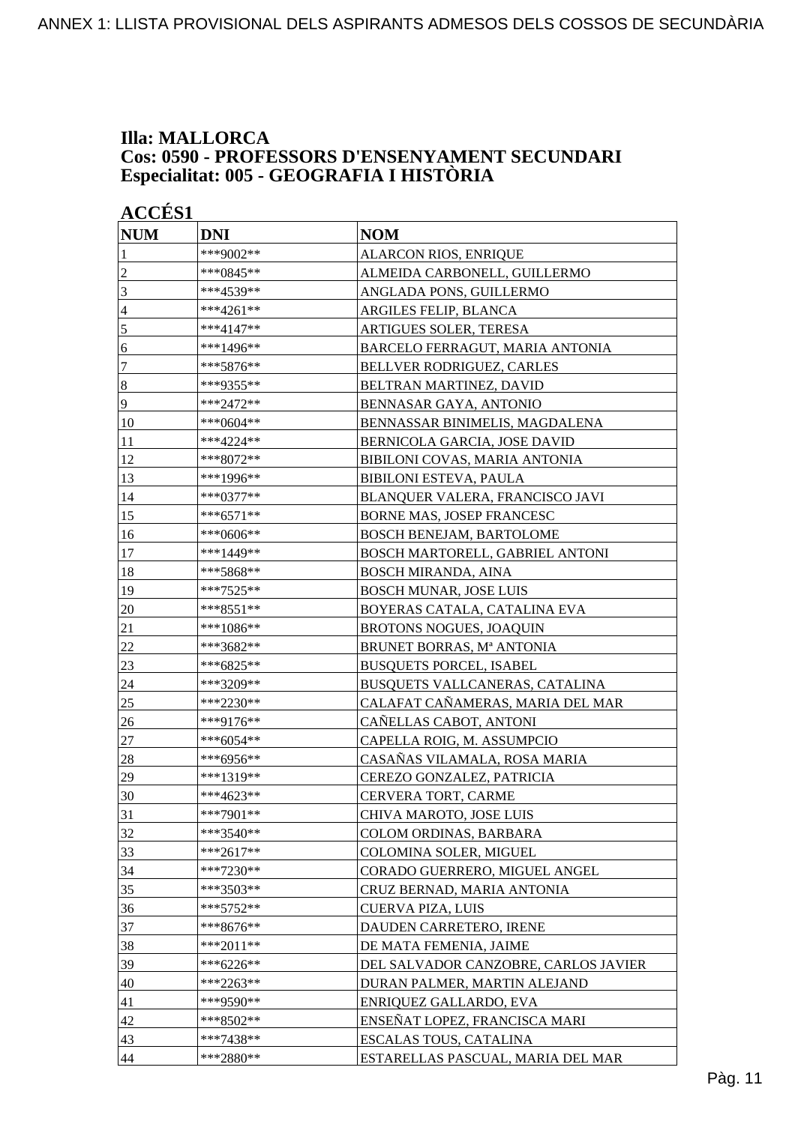### **Illa: MALLORCA Cos: 0590 - PROFESSORS D'ENSENYAMENT SECUNDARI Especialitat: 005 - GEOGRAFIA I HISTÒRIA**

| <b>ACCÉS 1</b>   |              |                                      |
|------------------|--------------|--------------------------------------|
| <b>NUM</b>       | <b>DNI</b>   | <b>NOM</b>                           |
| 1                | ***9002**    | ALARCON RIOS, ENRIQUE                |
| $\overline{c}$   | *** $0845**$ | ALMEIDA CARBONELL, GUILLERMO         |
| 3                | ***4539**    | ANGLADA PONS, GUILLERMO              |
| $\overline{4}$   | ***4261**    | ARGILES FELIP, BLANCA                |
| 5                | ***4147**    | ARTIGUES SOLER, TERESA               |
| 6                | ***1496**    | BARCELO FERRAGUT, MARIA ANTONIA      |
| $\boldsymbol{7}$ | ***5876**    | BELLVER RODRIGUEZ, CARLES            |
| $\boldsymbol{8}$ | ***9355**    | BELTRAN MARTINEZ, DAVID              |
| 9                | ***2472**    | BENNASAR GAYA, ANTONIO               |
| 10               | ***0604**    | BENNASSAR BINIMELIS, MAGDALENA       |
| 11               | ***4224**    | BERNICOLA GARCIA, JOSE DAVID         |
| 12               | ***8072**    | BIBILONI COVAS, MARIA ANTONIA        |
| 13               | ***1996**    | <b>BIBILONI ESTEVA, PAULA</b>        |
| 14               | ***0377**    | BLANQUER VALERA, FRANCISCO JAVI      |
| 15               | $***6571**$  | BORNE MAS, JOSEP FRANCESC            |
| 16               | ***0606**    | <b>BOSCH BENEJAM, BARTOLOME</b>      |
| 17               | ***1449**    | BOSCH MARTORELL, GABRIEL ANTONI      |
| 18               | ***5868**    | <b>BOSCH MIRANDA, AINA</b>           |
| 19               | ***7525**    | <b>BOSCH MUNAR, JOSE LUIS</b>        |
| 20               | ***8551**    | BOYERAS CATALA, CATALINA EVA         |
| 21               | $***1086**$  | <b>BROTONS NOGUES, JOAQUIN</b>       |
| 22               | ***3682**    | BRUNET BORRAS, Mª ANTONIA            |
| 23               | ***6825**    | <b>BUSQUETS PORCEL, ISABEL</b>       |
| 24               | ***3209**    | BUSQUETS VALLCANERAS, CATALINA       |
| 25               | ***2230**    | CALAFAT CAÑAMERAS, MARIA DEL MAR     |
| 26               | ***9176**    | CAÑELLAS CABOT, ANTONI               |
| 27               | ***6054**    | CAPELLA ROIG, M. ASSUMPCIO           |
| 28               | ***6956**    | CASAÑAS VILAMALA, ROSA MARIA         |
| 29               | ***1319**    | CEREZO GONZALEZ, PATRICIA            |
| 30               | ***4623**    | CERVERA TORT, CARME                  |
| 31               | ***7901**    | CHIVA MAROTO, JOSE LUIS              |
| 32               | $***3540**$  | COLOM ORDINAS, BARBARA               |
| 33               | ***2617**    | COLOMINA SOLER, MIGUEL               |
| 34               | ***7230**    | CORADO GUERRERO, MIGUEL ANGEL        |
| 35               | ***3503**    | CRUZ BERNAD, MARIA ANTONIA           |
| 36               | $***5752**$  | <b>CUERVA PIZA, LUIS</b>             |
| 37               | $***8676**$  | DAUDEN CARRETERO, IRENE              |
| 38               | ***2011**    | DE MATA FEMENIA, JAIME               |
| 39               | ***6226**    | DEL SALVADOR CANZOBRE, CARLOS JAVIER |
| 40               | ***2263**    | DURAN PALMER, MARTIN ALEJAND         |
| 41               | ***9590**    | ENRIQUEZ GALLARDO, EVA               |
| 42               | ***8502**    | ENSEÑAT LOPEZ, FRANCISCA MARI        |
| 43               | ***7438**    | ESCALAS TOUS, CATALINA               |
| 44               | ***2880**    | ESTARELLAS PASCUAL, MARIA DEL MAR    |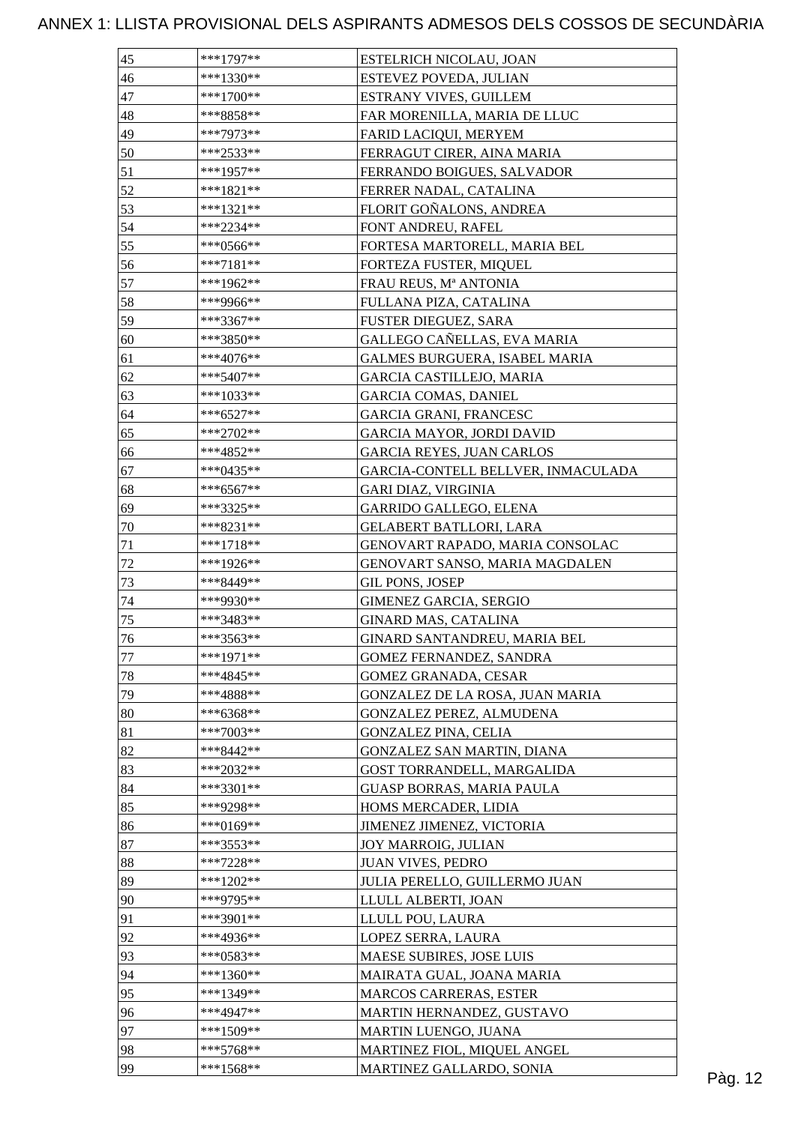| 46<br>***1330**<br>ESTEVEZ POVEDA, JULIAN<br>47<br>$***1700**$<br>ESTRANY VIVES, GUILLEM<br>48<br>***8858**<br>FAR MORENILLA, MARIA DE LLUC<br>49<br>***7973**<br>FARID LACIQUI, MERYEM<br>50<br>***2533**<br>FERRAGUT CIRER, AINA MARIA<br>51<br>***1957**<br>FERRANDO BOIGUES, SALVADOR<br>52<br>FERRER NADAL, CATALINA<br>***1821**<br>53<br>FLORIT GOÑALONS, ANDREA<br>***1321**<br>54<br>***2234**<br>FONT ANDREU, RAFEL<br>55<br>$***0566**$<br>FORTESA MARTORELL, MARIA BEL<br>56<br>***7181**<br>FORTEZA FUSTER, MIQUEL<br>57<br>***1962**<br>FRAU REUS, Mª ANTONIA<br>58<br>FULLANA PIZA, CATALINA<br>***9966**<br>59<br>***3367**<br>FUSTER DIEGUEZ, SARA<br>60<br>GALLEGO CAÑELLAS, EVA MARIA<br>$***3850**$<br>61<br><b>GALMES BURGUERA, ISABEL MARIA</b><br>***4076**<br>62<br>$***5407**$<br><b>GARCIA CASTILLEJO, MARIA</b><br>63<br>***1033**<br><b>GARCIA COMAS, DANIEL</b><br>64<br><b>GARCIA GRANI, FRANCESC</b><br>***6527**<br>65<br>***2702**<br><b>GARCIA MAYOR, JORDI DAVID</b><br>66<br>***4852**<br><b>GARCIA REYES, JUAN CARLOS</b><br>67<br>GARCIA-CONTELL BELLVER, INMACULADA<br>***0435**<br>68<br>***6567**<br>GARI DIAZ, VIRGINIA<br>69<br>***3325**<br>GARRIDO GALLEGO, ELENA<br>70<br><b>GELABERT BATLLORI, LARA</b><br>***8231**<br>71<br>$***1718**$<br>GENOVART RAPADO, MARIA CONSOLAC<br>$72\,$<br>***1926**<br>GENOVART SANSO, MARIA MAGDALEN<br>73<br>GIL PONS, JOSEP<br>***8449**<br>74<br>***9930**<br><b>GIMENEZ GARCIA, SERGIO</b><br>75<br>***3483**<br>GINARD MAS, CATALINA<br>76<br>GINARD SANTANDREU, MARIA BEL<br>***3563**<br>77<br>***1971**<br>GOMEZ FERNANDEZ, SANDRA<br>78<br>***4845**<br>GOMEZ GRANADA, CESAR<br>79<br>***4888**<br>GONZALEZ DE LA ROSA, JUAN MARIA<br>80<br>***6368**<br>GONZALEZ PEREZ, ALMUDENA<br>81<br>$***7003**$<br><b>GONZALEZ PINA, CELIA</b> |  |
|--------------------------------------------------------------------------------------------------------------------------------------------------------------------------------------------------------------------------------------------------------------------------------------------------------------------------------------------------------------------------------------------------------------------------------------------------------------------------------------------------------------------------------------------------------------------------------------------------------------------------------------------------------------------------------------------------------------------------------------------------------------------------------------------------------------------------------------------------------------------------------------------------------------------------------------------------------------------------------------------------------------------------------------------------------------------------------------------------------------------------------------------------------------------------------------------------------------------------------------------------------------------------------------------------------------------------------------------------------------------------------------------------------------------------------------------------------------------------------------------------------------------------------------------------------------------------------------------------------------------------------------------------------------------------------------------------------------------------------------------------------------------------------------------------------------------------------|--|
|                                                                                                                                                                                                                                                                                                                                                                                                                                                                                                                                                                                                                                                                                                                                                                                                                                                                                                                                                                                                                                                                                                                                                                                                                                                                                                                                                                                                                                                                                                                                                                                                                                                                                                                                                                                                                                |  |
|                                                                                                                                                                                                                                                                                                                                                                                                                                                                                                                                                                                                                                                                                                                                                                                                                                                                                                                                                                                                                                                                                                                                                                                                                                                                                                                                                                                                                                                                                                                                                                                                                                                                                                                                                                                                                                |  |
|                                                                                                                                                                                                                                                                                                                                                                                                                                                                                                                                                                                                                                                                                                                                                                                                                                                                                                                                                                                                                                                                                                                                                                                                                                                                                                                                                                                                                                                                                                                                                                                                                                                                                                                                                                                                                                |  |
|                                                                                                                                                                                                                                                                                                                                                                                                                                                                                                                                                                                                                                                                                                                                                                                                                                                                                                                                                                                                                                                                                                                                                                                                                                                                                                                                                                                                                                                                                                                                                                                                                                                                                                                                                                                                                                |  |
|                                                                                                                                                                                                                                                                                                                                                                                                                                                                                                                                                                                                                                                                                                                                                                                                                                                                                                                                                                                                                                                                                                                                                                                                                                                                                                                                                                                                                                                                                                                                                                                                                                                                                                                                                                                                                                |  |
|                                                                                                                                                                                                                                                                                                                                                                                                                                                                                                                                                                                                                                                                                                                                                                                                                                                                                                                                                                                                                                                                                                                                                                                                                                                                                                                                                                                                                                                                                                                                                                                                                                                                                                                                                                                                                                |  |
|                                                                                                                                                                                                                                                                                                                                                                                                                                                                                                                                                                                                                                                                                                                                                                                                                                                                                                                                                                                                                                                                                                                                                                                                                                                                                                                                                                                                                                                                                                                                                                                                                                                                                                                                                                                                                                |  |
|                                                                                                                                                                                                                                                                                                                                                                                                                                                                                                                                                                                                                                                                                                                                                                                                                                                                                                                                                                                                                                                                                                                                                                                                                                                                                                                                                                                                                                                                                                                                                                                                                                                                                                                                                                                                                                |  |
|                                                                                                                                                                                                                                                                                                                                                                                                                                                                                                                                                                                                                                                                                                                                                                                                                                                                                                                                                                                                                                                                                                                                                                                                                                                                                                                                                                                                                                                                                                                                                                                                                                                                                                                                                                                                                                |  |
|                                                                                                                                                                                                                                                                                                                                                                                                                                                                                                                                                                                                                                                                                                                                                                                                                                                                                                                                                                                                                                                                                                                                                                                                                                                                                                                                                                                                                                                                                                                                                                                                                                                                                                                                                                                                                                |  |
|                                                                                                                                                                                                                                                                                                                                                                                                                                                                                                                                                                                                                                                                                                                                                                                                                                                                                                                                                                                                                                                                                                                                                                                                                                                                                                                                                                                                                                                                                                                                                                                                                                                                                                                                                                                                                                |  |
|                                                                                                                                                                                                                                                                                                                                                                                                                                                                                                                                                                                                                                                                                                                                                                                                                                                                                                                                                                                                                                                                                                                                                                                                                                                                                                                                                                                                                                                                                                                                                                                                                                                                                                                                                                                                                                |  |
|                                                                                                                                                                                                                                                                                                                                                                                                                                                                                                                                                                                                                                                                                                                                                                                                                                                                                                                                                                                                                                                                                                                                                                                                                                                                                                                                                                                                                                                                                                                                                                                                                                                                                                                                                                                                                                |  |
|                                                                                                                                                                                                                                                                                                                                                                                                                                                                                                                                                                                                                                                                                                                                                                                                                                                                                                                                                                                                                                                                                                                                                                                                                                                                                                                                                                                                                                                                                                                                                                                                                                                                                                                                                                                                                                |  |
|                                                                                                                                                                                                                                                                                                                                                                                                                                                                                                                                                                                                                                                                                                                                                                                                                                                                                                                                                                                                                                                                                                                                                                                                                                                                                                                                                                                                                                                                                                                                                                                                                                                                                                                                                                                                                                |  |
|                                                                                                                                                                                                                                                                                                                                                                                                                                                                                                                                                                                                                                                                                                                                                                                                                                                                                                                                                                                                                                                                                                                                                                                                                                                                                                                                                                                                                                                                                                                                                                                                                                                                                                                                                                                                                                |  |
|                                                                                                                                                                                                                                                                                                                                                                                                                                                                                                                                                                                                                                                                                                                                                                                                                                                                                                                                                                                                                                                                                                                                                                                                                                                                                                                                                                                                                                                                                                                                                                                                                                                                                                                                                                                                                                |  |
|                                                                                                                                                                                                                                                                                                                                                                                                                                                                                                                                                                                                                                                                                                                                                                                                                                                                                                                                                                                                                                                                                                                                                                                                                                                                                                                                                                                                                                                                                                                                                                                                                                                                                                                                                                                                                                |  |
|                                                                                                                                                                                                                                                                                                                                                                                                                                                                                                                                                                                                                                                                                                                                                                                                                                                                                                                                                                                                                                                                                                                                                                                                                                                                                                                                                                                                                                                                                                                                                                                                                                                                                                                                                                                                                                |  |
|                                                                                                                                                                                                                                                                                                                                                                                                                                                                                                                                                                                                                                                                                                                                                                                                                                                                                                                                                                                                                                                                                                                                                                                                                                                                                                                                                                                                                                                                                                                                                                                                                                                                                                                                                                                                                                |  |
|                                                                                                                                                                                                                                                                                                                                                                                                                                                                                                                                                                                                                                                                                                                                                                                                                                                                                                                                                                                                                                                                                                                                                                                                                                                                                                                                                                                                                                                                                                                                                                                                                                                                                                                                                                                                                                |  |
|                                                                                                                                                                                                                                                                                                                                                                                                                                                                                                                                                                                                                                                                                                                                                                                                                                                                                                                                                                                                                                                                                                                                                                                                                                                                                                                                                                                                                                                                                                                                                                                                                                                                                                                                                                                                                                |  |
|                                                                                                                                                                                                                                                                                                                                                                                                                                                                                                                                                                                                                                                                                                                                                                                                                                                                                                                                                                                                                                                                                                                                                                                                                                                                                                                                                                                                                                                                                                                                                                                                                                                                                                                                                                                                                                |  |
|                                                                                                                                                                                                                                                                                                                                                                                                                                                                                                                                                                                                                                                                                                                                                                                                                                                                                                                                                                                                                                                                                                                                                                                                                                                                                                                                                                                                                                                                                                                                                                                                                                                                                                                                                                                                                                |  |
|                                                                                                                                                                                                                                                                                                                                                                                                                                                                                                                                                                                                                                                                                                                                                                                                                                                                                                                                                                                                                                                                                                                                                                                                                                                                                                                                                                                                                                                                                                                                                                                                                                                                                                                                                                                                                                |  |
|                                                                                                                                                                                                                                                                                                                                                                                                                                                                                                                                                                                                                                                                                                                                                                                                                                                                                                                                                                                                                                                                                                                                                                                                                                                                                                                                                                                                                                                                                                                                                                                                                                                                                                                                                                                                                                |  |
|                                                                                                                                                                                                                                                                                                                                                                                                                                                                                                                                                                                                                                                                                                                                                                                                                                                                                                                                                                                                                                                                                                                                                                                                                                                                                                                                                                                                                                                                                                                                                                                                                                                                                                                                                                                                                                |  |
|                                                                                                                                                                                                                                                                                                                                                                                                                                                                                                                                                                                                                                                                                                                                                                                                                                                                                                                                                                                                                                                                                                                                                                                                                                                                                                                                                                                                                                                                                                                                                                                                                                                                                                                                                                                                                                |  |
|                                                                                                                                                                                                                                                                                                                                                                                                                                                                                                                                                                                                                                                                                                                                                                                                                                                                                                                                                                                                                                                                                                                                                                                                                                                                                                                                                                                                                                                                                                                                                                                                                                                                                                                                                                                                                                |  |
|                                                                                                                                                                                                                                                                                                                                                                                                                                                                                                                                                                                                                                                                                                                                                                                                                                                                                                                                                                                                                                                                                                                                                                                                                                                                                                                                                                                                                                                                                                                                                                                                                                                                                                                                                                                                                                |  |
|                                                                                                                                                                                                                                                                                                                                                                                                                                                                                                                                                                                                                                                                                                                                                                                                                                                                                                                                                                                                                                                                                                                                                                                                                                                                                                                                                                                                                                                                                                                                                                                                                                                                                                                                                                                                                                |  |
|                                                                                                                                                                                                                                                                                                                                                                                                                                                                                                                                                                                                                                                                                                                                                                                                                                                                                                                                                                                                                                                                                                                                                                                                                                                                                                                                                                                                                                                                                                                                                                                                                                                                                                                                                                                                                                |  |
|                                                                                                                                                                                                                                                                                                                                                                                                                                                                                                                                                                                                                                                                                                                                                                                                                                                                                                                                                                                                                                                                                                                                                                                                                                                                                                                                                                                                                                                                                                                                                                                                                                                                                                                                                                                                                                |  |
|                                                                                                                                                                                                                                                                                                                                                                                                                                                                                                                                                                                                                                                                                                                                                                                                                                                                                                                                                                                                                                                                                                                                                                                                                                                                                                                                                                                                                                                                                                                                                                                                                                                                                                                                                                                                                                |  |
|                                                                                                                                                                                                                                                                                                                                                                                                                                                                                                                                                                                                                                                                                                                                                                                                                                                                                                                                                                                                                                                                                                                                                                                                                                                                                                                                                                                                                                                                                                                                                                                                                                                                                                                                                                                                                                |  |
|                                                                                                                                                                                                                                                                                                                                                                                                                                                                                                                                                                                                                                                                                                                                                                                                                                                                                                                                                                                                                                                                                                                                                                                                                                                                                                                                                                                                                                                                                                                                                                                                                                                                                                                                                                                                                                |  |
|                                                                                                                                                                                                                                                                                                                                                                                                                                                                                                                                                                                                                                                                                                                                                                                                                                                                                                                                                                                                                                                                                                                                                                                                                                                                                                                                                                                                                                                                                                                                                                                                                                                                                                                                                                                                                                |  |
| 82<br>***8442**<br>GONZALEZ SAN MARTIN, DIANA                                                                                                                                                                                                                                                                                                                                                                                                                                                                                                                                                                                                                                                                                                                                                                                                                                                                                                                                                                                                                                                                                                                                                                                                                                                                                                                                                                                                                                                                                                                                                                                                                                                                                                                                                                                  |  |
| 83<br>***2032**<br>GOST TORRANDELL, MARGALIDA                                                                                                                                                                                                                                                                                                                                                                                                                                                                                                                                                                                                                                                                                                                                                                                                                                                                                                                                                                                                                                                                                                                                                                                                                                                                                                                                                                                                                                                                                                                                                                                                                                                                                                                                                                                  |  |
| 84<br>$***3301**$<br><b>GUASP BORRAS, MARIA PAULA</b>                                                                                                                                                                                                                                                                                                                                                                                                                                                                                                                                                                                                                                                                                                                                                                                                                                                                                                                                                                                                                                                                                                                                                                                                                                                                                                                                                                                                                                                                                                                                                                                                                                                                                                                                                                          |  |
| 85<br>***9298**<br>HOMS MERCADER, LIDIA                                                                                                                                                                                                                                                                                                                                                                                                                                                                                                                                                                                                                                                                                                                                                                                                                                                                                                                                                                                                                                                                                                                                                                                                                                                                                                                                                                                                                                                                                                                                                                                                                                                                                                                                                                                        |  |
| 86<br>***0169**<br>JIMENEZ JIMENEZ, VICTORIA                                                                                                                                                                                                                                                                                                                                                                                                                                                                                                                                                                                                                                                                                                                                                                                                                                                                                                                                                                                                                                                                                                                                                                                                                                                                                                                                                                                                                                                                                                                                                                                                                                                                                                                                                                                   |  |
| 87<br>***3553**<br><b>JOY MARROIG, JULIAN</b>                                                                                                                                                                                                                                                                                                                                                                                                                                                                                                                                                                                                                                                                                                                                                                                                                                                                                                                                                                                                                                                                                                                                                                                                                                                                                                                                                                                                                                                                                                                                                                                                                                                                                                                                                                                  |  |
| 88<br>***7228**<br><b>JUAN VIVES, PEDRO</b>                                                                                                                                                                                                                                                                                                                                                                                                                                                                                                                                                                                                                                                                                                                                                                                                                                                                                                                                                                                                                                                                                                                                                                                                                                                                                                                                                                                                                                                                                                                                                                                                                                                                                                                                                                                    |  |
| 89<br>$***1202**$<br>JULIA PERELLO, GUILLERMO JUAN                                                                                                                                                                                                                                                                                                                                                                                                                                                                                                                                                                                                                                                                                                                                                                                                                                                                                                                                                                                                                                                                                                                                                                                                                                                                                                                                                                                                                                                                                                                                                                                                                                                                                                                                                                             |  |
| 90<br>***9795**<br>LLULL ALBERTI, JOAN                                                                                                                                                                                                                                                                                                                                                                                                                                                                                                                                                                                                                                                                                                                                                                                                                                                                                                                                                                                                                                                                                                                                                                                                                                                                                                                                                                                                                                                                                                                                                                                                                                                                                                                                                                                         |  |
| 91<br>***3901**<br>LLULL POU, LAURA                                                                                                                                                                                                                                                                                                                                                                                                                                                                                                                                                                                                                                                                                                                                                                                                                                                                                                                                                                                                                                                                                                                                                                                                                                                                                                                                                                                                                                                                                                                                                                                                                                                                                                                                                                                            |  |
| 92<br>***4936**<br>LOPEZ SERRA, LAURA                                                                                                                                                                                                                                                                                                                                                                                                                                                                                                                                                                                                                                                                                                                                                                                                                                                                                                                                                                                                                                                                                                                                                                                                                                                                                                                                                                                                                                                                                                                                                                                                                                                                                                                                                                                          |  |
| 93<br>$***0583**$<br>MAESE SUBIRES, JOSE LUIS                                                                                                                                                                                                                                                                                                                                                                                                                                                                                                                                                                                                                                                                                                                                                                                                                                                                                                                                                                                                                                                                                                                                                                                                                                                                                                                                                                                                                                                                                                                                                                                                                                                                                                                                                                                  |  |
| 94<br>***1360**<br>MAIRATA GUAL, JOANA MARIA                                                                                                                                                                                                                                                                                                                                                                                                                                                                                                                                                                                                                                                                                                                                                                                                                                                                                                                                                                                                                                                                                                                                                                                                                                                                                                                                                                                                                                                                                                                                                                                                                                                                                                                                                                                   |  |
| 95<br>***1349**<br>MARCOS CARRERAS, ESTER                                                                                                                                                                                                                                                                                                                                                                                                                                                                                                                                                                                                                                                                                                                                                                                                                                                                                                                                                                                                                                                                                                                                                                                                                                                                                                                                                                                                                                                                                                                                                                                                                                                                                                                                                                                      |  |
| ***4947**<br>96<br>MARTIN HERNANDEZ, GUSTAVO                                                                                                                                                                                                                                                                                                                                                                                                                                                                                                                                                                                                                                                                                                                                                                                                                                                                                                                                                                                                                                                                                                                                                                                                                                                                                                                                                                                                                                                                                                                                                                                                                                                                                                                                                                                   |  |
| 97<br>$***1509**$<br>MARTIN LUENGO, JUANA                                                                                                                                                                                                                                                                                                                                                                                                                                                                                                                                                                                                                                                                                                                                                                                                                                                                                                                                                                                                                                                                                                                                                                                                                                                                                                                                                                                                                                                                                                                                                                                                                                                                                                                                                                                      |  |
| 98<br>***5768**<br>MARTINEZ FIOL, MIQUEL ANGEL                                                                                                                                                                                                                                                                                                                                                                                                                                                                                                                                                                                                                                                                                                                                                                                                                                                                                                                                                                                                                                                                                                                                                                                                                                                                                                                                                                                                                                                                                                                                                                                                                                                                                                                                                                                 |  |
| 99<br>$***1568**$<br>MARTINEZ GALLARDO, SONIA                                                                                                                                                                                                                                                                                                                                                                                                                                                                                                                                                                                                                                                                                                                                                                                                                                                                                                                                                                                                                                                                                                                                                                                                                                                                                                                                                                                                                                                                                                                                                                                                                                                                                                                                                                                  |  |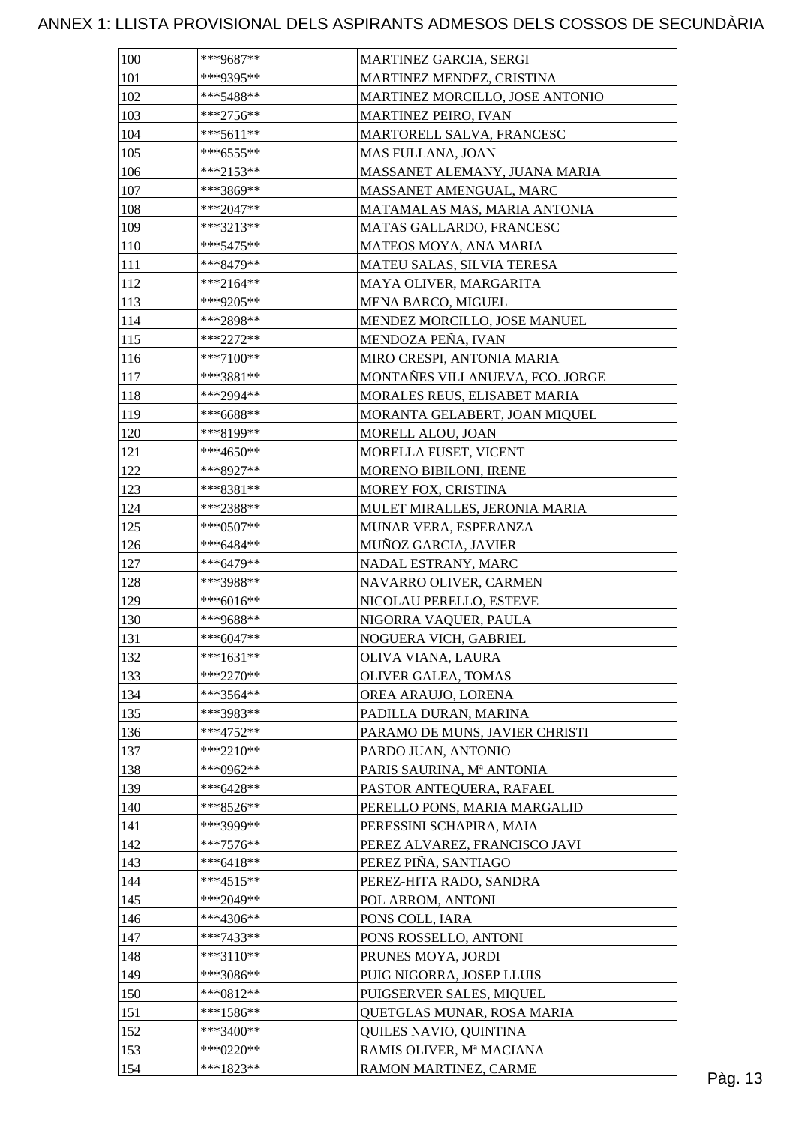| 100        | ***9687**   | MARTINEZ GARCIA, SERGI                                          |  |
|------------|-------------|-----------------------------------------------------------------|--|
| 101        | ***9395**   | MARTINEZ MENDEZ, CRISTINA                                       |  |
| 102        | ***5488**   | MARTINEZ MORCILLO, JOSE ANTONIO                                 |  |
| 103        | $***2756**$ | MARTINEZ PEIRO, IVAN                                            |  |
| 104        | ***5611**   | MARTORELL SALVA, FRANCESC                                       |  |
| 105        | ***6555**   | MAS FULLANA, JOAN                                               |  |
| 106        | $***2153**$ | MASSANET ALEMANY, JUANA MARIA                                   |  |
| 107        | ***3869**   | MASSANET AMENGUAL, MARC                                         |  |
| 108        | $***2047**$ | MATAMALAS MAS, MARIA ANTONIA                                    |  |
| 109        | $***3213**$ | MATAS GALLARDO, FRANCESC                                        |  |
| 110        | $***5475**$ | MATEOS MOYA, ANA MARIA                                          |  |
| 111        | ***8479**   | MATEU SALAS, SILVIA TERESA                                      |  |
| 112        | $***2164**$ | MAYA OLIVER, MARGARITA                                          |  |
| 113        | ***9205**   | MENA BARCO, MIGUEL                                              |  |
| 114        | ***2898**   | MENDEZ MORCILLO, JOSE MANUEL                                    |  |
| 115        | $***2272**$ | MENDOZA PEÑA, IVAN                                              |  |
| 116        | ***7100**   | MIRO CRESPI, ANTONIA MARIA                                      |  |
|            | $***3881**$ |                                                                 |  |
| 117        | ***2994**   | MONTAÑES VILLANUEVA, FCO. JORGE<br>MORALES REUS, ELISABET MARIA |  |
| 118        |             |                                                                 |  |
| 119        | ***6688**   | MORANTA GELABERT, JOAN MIQUEL<br>MORELL ALOU, JOAN              |  |
| <b>120</b> | ***8199**   |                                                                 |  |
| 121        | ***4650**   | MORELLA FUSET, VICENT                                           |  |
| 122        | ***8927**   | <b>MORENO BIBILONI, IRENE</b>                                   |  |
| 123        | ***8381**   | MOREY FOX, CRISTINA                                             |  |
| 124        | ***2388**   | MULET MIRALLES, JERONIA MARIA                                   |  |
| 125        | ***0507**   | MUNAR VERA, ESPERANZA                                           |  |
| 126        | ***6484**   | MUÑOZ GARCIA, JAVIER                                            |  |
| 127        | ***6479**   | NADAL ESTRANY, MARC                                             |  |
| 128        | ***3988**   | NAVARRO OLIVER, CARMEN                                          |  |
| 129        | ***6016**   | NICOLAU PERELLO, ESTEVE                                         |  |
| 130        | ***9688**   | NIGORRA VAQUER, PAULA                                           |  |
| 131        | $***6047**$ | NOGUERA VICH, GABRIEL                                           |  |
| 132        | $***1631**$ | OLIVA VIANA, LAURA                                              |  |
| 133        | $***2270**$ | OLIVER GALEA, TOMAS                                             |  |
| 134        | ***3564**   | OREA ARAUJO, LORENA                                             |  |
| 135        | ***3983**   | PADILLA DURAN, MARINA                                           |  |
| 136        | $***4752**$ | PARAMO DE MUNS, JAVIER CHRISTI                                  |  |
| 137        | ***2210**   | PARDO JUAN, ANTONIO                                             |  |
| 138        | ***0962**   | PARIS SAURINA, Mª ANTONIA                                       |  |
| 139        | $***6428**$ | PASTOR ANTEQUERA, RAFAEL                                        |  |
| 140        | ***8526**   | PERELLO PONS, MARIA MARGALID                                    |  |
| 141        | ***3999**   | PERESSINI SCHAPIRA, MAIA                                        |  |
| 142        | $***7576**$ | PEREZ ALVAREZ, FRANCISCO JAVI                                   |  |
| 143        | ***6418**   | PEREZ PIÑA, SANTIAGO                                            |  |
| 144        | ***4515**   | PEREZ-HITA RADO, SANDRA                                         |  |
| 145        | ***2049**   | POL ARROM, ANTONI                                               |  |
| 146        | ***4306**   | PONS COLL, IARA                                                 |  |
| 147        | $***7433**$ | PONS ROSSELLO, ANTONI                                           |  |
| 148        | ***3110**   | PRUNES MOYA, JORDI                                              |  |
| 149        | $***3086**$ | PUIG NIGORRA, JOSEP LLUIS                                       |  |
| 150        | ***0812**   | PUIGSERVER SALES, MIQUEL                                        |  |
| 151        | $***1586**$ | QUETGLAS MUNAR, ROSA MARIA                                      |  |
| 152        | ***3400**   | QUILES NAVIO, QUINTINA                                          |  |
| 153        | $***0220**$ | RAMIS OLIVER, Mª MACIANA                                        |  |
|            |             |                                                                 |  |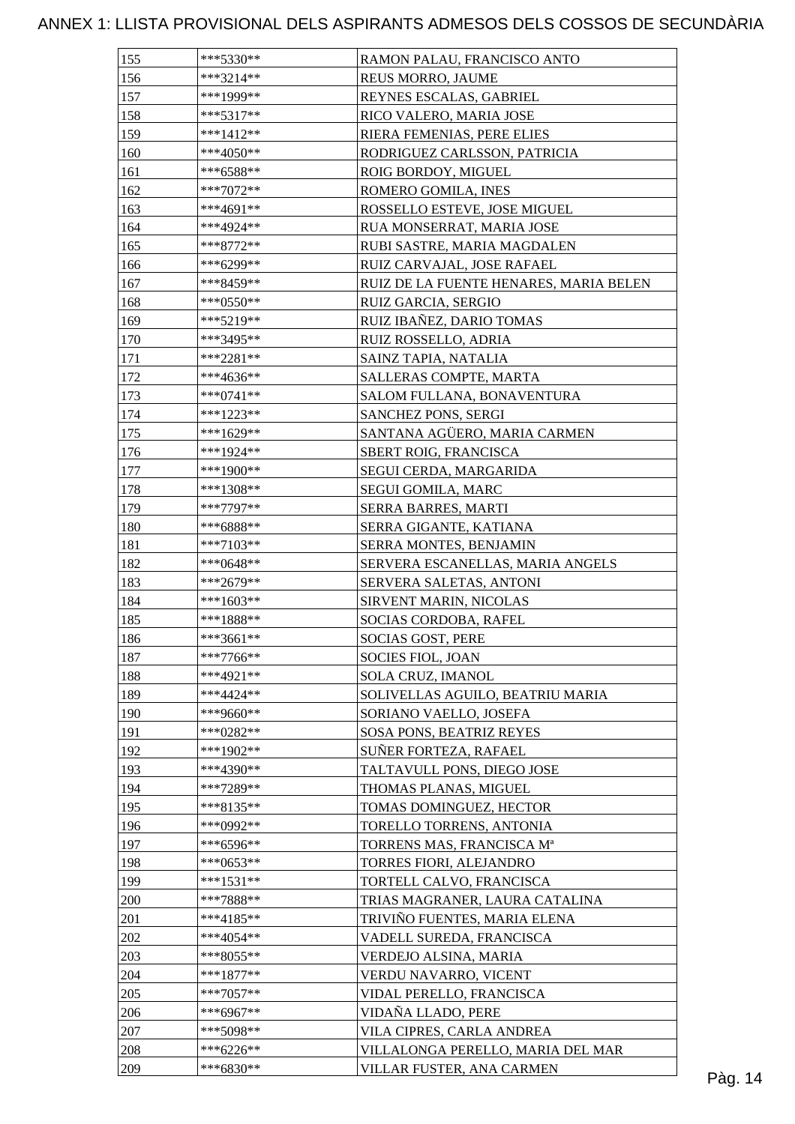| 155 | $***5330**$            | RAMON PALAU, FRANCISCO ANTO                                       |         |
|-----|------------------------|-------------------------------------------------------------------|---------|
| 156 | ***3214**              | REUS MORRO, JAUME                                                 |         |
| 157 | ***1999**              | REYNES ESCALAS, GABRIEL                                           |         |
| 158 | $***5317**$            | RICO VALERO, MARIA JOSE                                           |         |
| 159 | ***1412**              | RIERA FEMENIAS, PERE ELIES                                        |         |
| 160 | ***4050**              | RODRIGUEZ CARLSSON, PATRICIA                                      |         |
| 161 | $***6588**$            | ROIG BORDOY, MIGUEL                                               |         |
| 162 | ***7072**              | ROMERO GOMILA, INES                                               |         |
| 163 | ***4691**              | ROSSELLO ESTEVE, JOSE MIGUEL                                      |         |
| 164 | ***4924**              | RUA MONSERRAT, MARIA JOSE                                         |         |
| 165 | ***8772**              | RUBI SASTRE, MARIA MAGDALEN                                       |         |
| 166 | ***6299**              | RUIZ CARVAJAL, JOSE RAFAEL                                        |         |
| 167 | ***8459**              | RUIZ DE LA FUENTE HENARES, MARIA BELEN                            |         |
| 168 | ***0550**              | RUIZ GARCIA, SERGIO                                               |         |
| 169 | ***5219**              | RUIZ IBAÑEZ, DARIO TOMAS                                          |         |
| 170 | ***3495**              | <b>RUIZ ROSSELLO, ADRIA</b>                                       |         |
| 171 | ***2281**              | SAINZ TAPIA, NATALIA                                              |         |
| 172 | ***4636**              | SALLERAS COMPTE, MARTA                                            |         |
| 173 | $***0741**$            | SALOM FULLANA, BONAVENTURA                                        |         |
| 174 | ***1223**              | SANCHEZ PONS, SERGI                                               |         |
| 175 | ***1629**              | SANTANA AGÜERO, MARIA CARMEN                                      |         |
| 176 | $***1924**$            | SBERT ROIG, FRANCISCA                                             |         |
| 177 | ***1900**              | SEGUI CERDA, MARGARIDA                                            |         |
| 178 | ***1308**              | SEGUI GOMILA, MARC                                                |         |
| 179 | $***7797**$            | SERRA BARRES, MARTI                                               |         |
| 180 | ***6888**              | SERRA GIGANTE, KATIANA                                            |         |
| 181 | $***7103**$            |                                                                   |         |
| 182 | ***0648**              | <b>SERRA MONTES, BENJAMIN</b><br>SERVERA ESCANELLAS, MARIA ANGELS |         |
| 183 |                        |                                                                   |         |
| 184 | ***2679**<br>***1603** | SERVERA SALETAS, ANTONI                                           |         |
| 185 | $***1888**$            | <b>SIRVENT MARIN, NICOLAS</b><br>SOCIAS CORDOBA, RAFEL            |         |
| 186 | $***3661**$            | <b>SOCIAS GOST, PERE</b>                                          |         |
|     | ***7766**              |                                                                   |         |
| 187 |                        | SOCIES FIOL, JOAN                                                 |         |
| 188 | $***4921**$            | SOLA CRUZ, IMANOL                                                 |         |
| 189 | ***4424**              | SOLIVELLAS AGUILO, BEATRIU MARIA                                  |         |
| 190 | ***9660**              | SORIANO VAELLO, JOSEFA                                            |         |
| 191 | $***0282**$            | SOSA PONS, BEATRIZ REYES                                          |         |
| 192 | ***1902**              | SUÑER FORTEZA, RAFAEL                                             |         |
| 193 | ***4390**              | TALTAVULL PONS, DIEGO JOSE                                        |         |
| 194 | ***7289**              | THOMAS PLANAS, MIGUEL                                             |         |
| 195 | ***8135**              | TOMAS DOMINGUEZ, HECTOR                                           |         |
| 196 | ***0992**              | TORELLO TORRENS, ANTONIA                                          |         |
| 197 | $***6596**$            | TORRENS MAS, FRANCISCA Mª                                         |         |
| 198 | $***0653**$            | TORRES FIORI, ALEJANDRO                                           |         |
| 199 | $***1531**$            | TORTELL CALVO, FRANCISCA                                          |         |
| 200 | ***7888**              | TRIAS MAGRANER, LAURA CATALINA                                    |         |
| 201 | $***4185**$            | TRIVIÑO FUENTES, MARIA ELENA                                      |         |
| 202 | $***4054**$            | VADELL SUREDA, FRANCISCA                                          |         |
| 203 | ***8055**              | VERDEJO ALSINA, MARIA                                             |         |
| 204 | $***1877**$            | VERDU NAVARRO, VICENT                                             |         |
| 205 | $***7057**$            | VIDAL PERELLO, FRANCISCA                                          |         |
| 206 | ***6967**              | VIDAÑA LLADO, PERE                                                |         |
| 207 | ***5098**              | VILA CIPRES, CARLA ANDREA                                         |         |
| 208 | ***6226**              | VILLALONGA PERELLO, MARIA DEL MAR                                 |         |
| 209 | ***6830**              | VILLAR FUSTER, ANA CARMEN                                         | Pàg. 14 |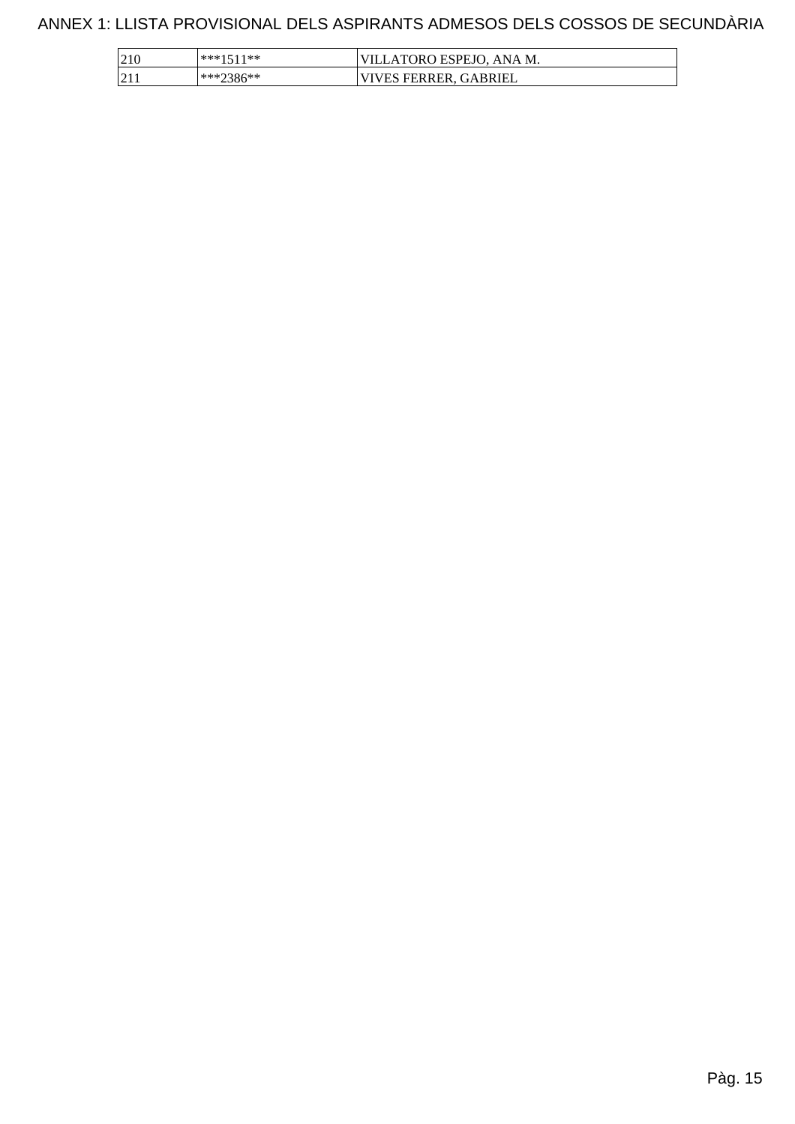| 210                    | ***1511** | VILLATORO ESPEJO, ANA M. |
|------------------------|-----------|--------------------------|
| $\sqrt{21}$<br>الداكرا | ***2386** | 'VIVES FERRER, GABRIEL   |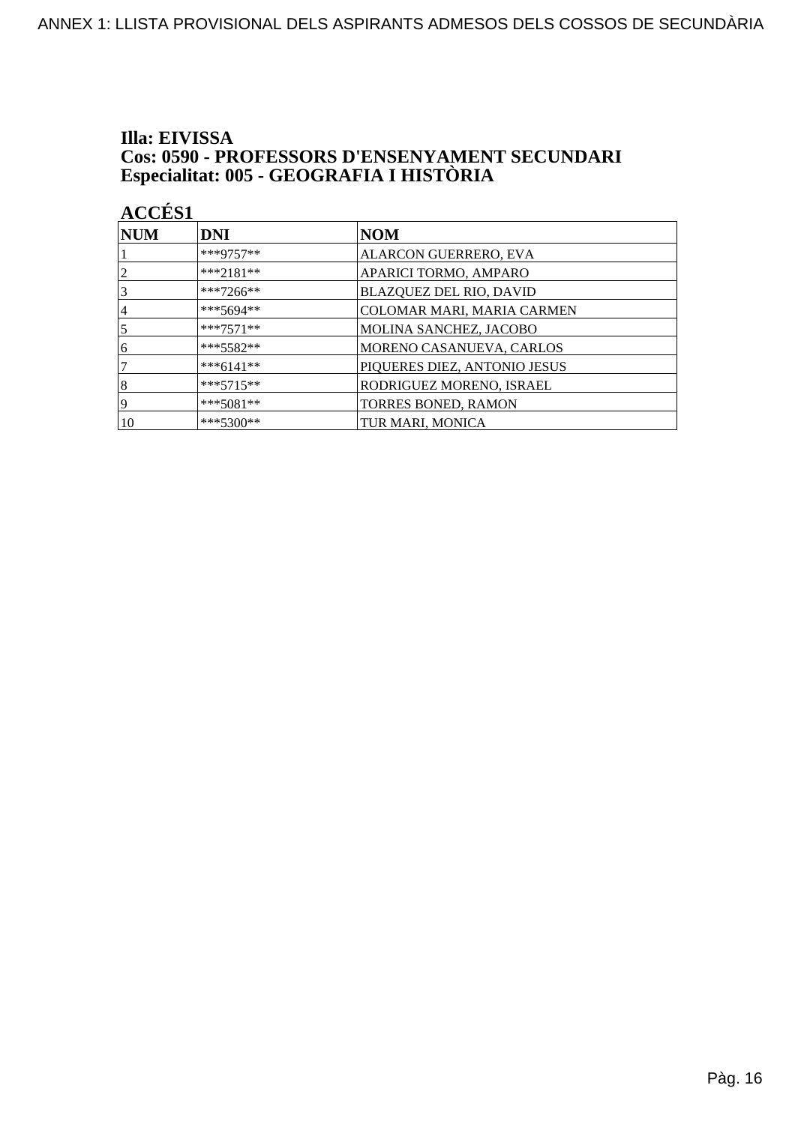## Illa: EIVISSA **Cos: 0590 - PROFESSORS D'ENSENYAMENT SECUNDARI<br>Especialitat: 005 - GEOGRAFIA I HISTÒRIA**

| <b>ACCÉS 1</b>   |             |                              |
|------------------|-------------|------------------------------|
| $\bf NUM$        | <b>DNI</b>  | NOM                          |
|                  | $***9757**$ | ALARCON GUERRERO, EVA        |
| 2                | ***2181**   | APARICI TORMO, AMPARO        |
| 3                | ***7266**   | BLAZQUEZ DEL RIO, DAVID      |
| 4                | ***5694**   | COLOMAR MARI, MARIA CARMEN   |
| 5                | $***7571**$ | MOLINA SANCHEZ, JACOBO       |
| 6                | $***5582**$ | MORENO CASANUEVA, CARLOS     |
| 7                | $***6141**$ | PIQUERES DIEZ, ANTONIO JESUS |
| $\boldsymbol{8}$ | $***5715**$ | RODRIGUEZ MORENO, ISRAEL     |
| 9                | $***5081**$ | TORRES BONED, RAMON          |
| 10               | $***5300**$ | TUR MARI, MONICA             |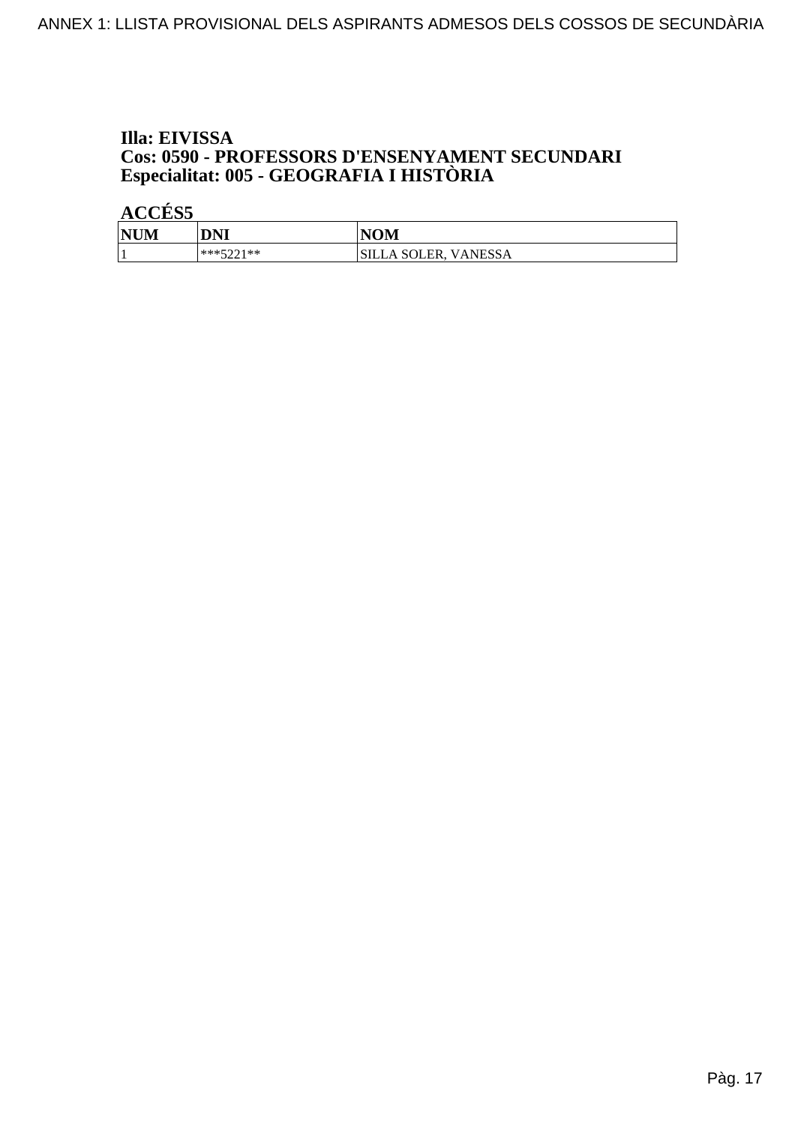## Illa: EIVISSA **Cos: 0590 - PROFESSORS D'ENSENYAMENT SECUNDARI<br>Especialitat: 005 - GEOGRAFIA I HISTÒRIA**

| <b>NUM</b> | DNI              | <b>NOM</b>              |
|------------|------------------|-------------------------|
|            | ***5001**<br>--- | VANESSA<br>SILLA SOLER. |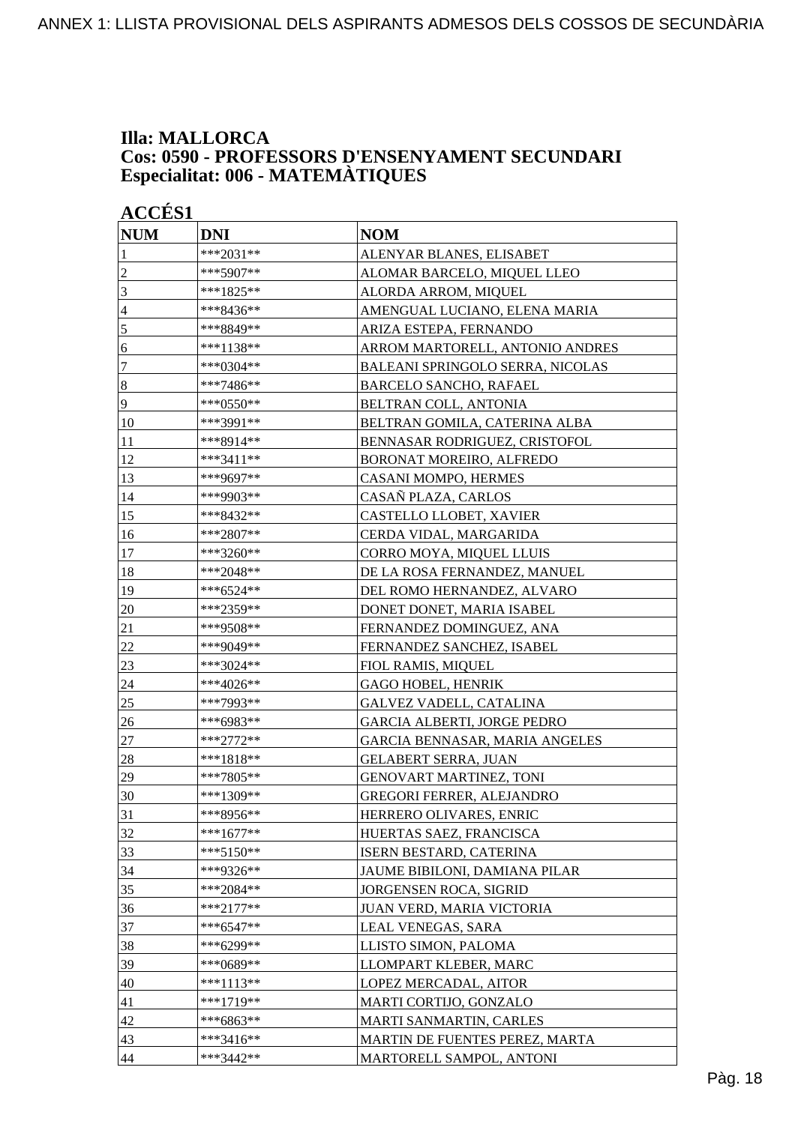### **Illa: MALLORCA Cos: 0590 - PROFESSORS D'ENSENYAMENT SECUNDARI Especialitat: 006 - MATEMÀTIQUES**

| <b>ACCÉS 1</b>   |             |                                         |  |
|------------------|-------------|-----------------------------------------|--|
| <b>NUM</b>       | <b>DNI</b>  | <b>NOM</b>                              |  |
| 1                | ***2031**   | ALENYAR BLANES, ELISABET                |  |
| $\overline{2}$   | ***5907**   | ALOMAR BARCELO, MIQUEL LLEO             |  |
| 3                | ***1825**   | ALORDA ARROM, MIQUEL                    |  |
| $\overline{4}$   | ***8436**   | AMENGUAL LUCIANO, ELENA MARIA           |  |
| 5                | ***8849**   | ARIZA ESTEPA, FERNANDO                  |  |
| 6                | ***1138**   | ARROM MARTORELL, ANTONIO ANDRES         |  |
| $\overline{7}$   | ***0304**   | <b>BALEANI SPRINGOLO SERRA, NICOLAS</b> |  |
| $\boldsymbol{8}$ | ***7486**   | <b>BARCELO SANCHO, RAFAEL</b>           |  |
| $\overline{9}$   | ***0550**   | BELTRAN COLL, ANTONIA                   |  |
| 10               | ***3991**   | BELTRAN GOMILA, CATERINA ALBA           |  |
| 11               | ***8914**   | BENNASAR RODRIGUEZ, CRISTOFOL           |  |
| 12               | ***3411**   | BORONAT MOREIRO, ALFREDO                |  |
| 13               | ***9697**   | CASANI MOMPO, HERMES                    |  |
| 14               | ***9903**   | CASAÑ PLAZA, CARLOS                     |  |
| 15               | ***8432**   | CASTELLO LLOBET, XAVIER                 |  |
| 16               | ***2807**   | CERDA VIDAL, MARGARIDA                  |  |
| 17               | ***3260**   | CORRO MOYA, MIQUEL LLUIS                |  |
| 18               | ***2048**   | DE LA ROSA FERNANDEZ, MANUEL            |  |
| 19               | ***6524**   | DEL ROMO HERNANDEZ, ALVARO              |  |
| 20               | ***2359**   | DONET DONET, MARIA ISABEL               |  |
| 21               | ***9508**   | FERNANDEZ DOMINGUEZ, ANA                |  |
| 22               | ***9049**   | FERNANDEZ SANCHEZ, ISABEL               |  |
| 23               | ***3024**   | FIOL RAMIS, MIQUEL                      |  |
| 24               | ***4026**   | <b>GAGO HOBEL, HENRIK</b>               |  |
| 25               | ***7993**   | <b>GALVEZ VADELL, CATALINA</b>          |  |
| 26               | ***6983**   | <b>GARCIA ALBERTI, JORGE PEDRO</b>      |  |
| 27               | ***2772**   | GARCIA BENNASAR, MARIA ANGELES          |  |
| 28               | $***1818**$ | <b>GELABERT SERRA, JUAN</b>             |  |
| 29               | ***7805**   | <b>GENOVART MARTINEZ, TONI</b>          |  |
| 30               | ***1309**   | <b>GREGORI FERRER, ALEJANDRO</b>        |  |
| 31               | ***8956**   | HERRERO OLIVARES, ENRIC                 |  |
| 32               | $***1677**$ | HUERTAS SAEZ, FRANCISCA                 |  |
| 33               | ***5150**   | ISERN BESTARD, CATERINA                 |  |
| 34               | ***9326**   | JAUME BIBILONI, DAMIANA PILAR           |  |
| 35               | ***2084**   | JORGENSEN ROCA, SIGRID                  |  |
| 36               | ***2177**   | JUAN VERD, MARIA VICTORIA               |  |
| 37               | ***6547**   | LEAL VENEGAS, SARA                      |  |
| 38               | ***6299**   | LLISTO SIMON, PALOMA                    |  |
| 39               | ***0689**   | LLOMPART KLEBER, MARC                   |  |
| 40               | ***1113**   | LOPEZ MERCADAL, AITOR                   |  |
| 41               | ***1719**   | MARTI CORTIJO, GONZALO                  |  |
| 42               | ***6863**   | MARTI SANMARTIN, CARLES                 |  |
| 43               | ***3416**   | MARTIN DE FUENTES PEREZ, MARTA          |  |
| 44               | ***3442**   | MARTORELL SAMPOL, ANTONI                |  |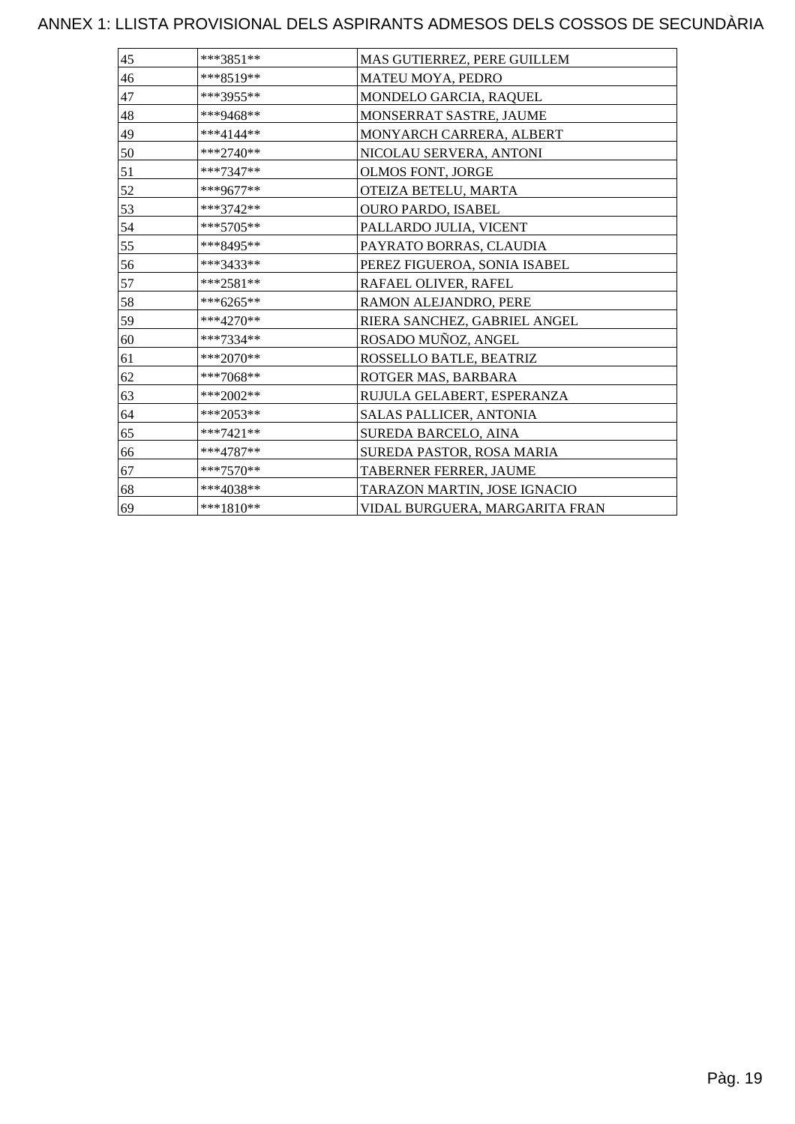| 45 | ***3851**   | MAS GUTIERREZ, PERE GUILLEM    |
|----|-------------|--------------------------------|
| 46 | ***8519**   | MATEU MOYA, PEDRO              |
| 47 | ***3955**   | MONDELO GARCIA, RAQUEL         |
| 48 | ***9468**   | MONSERRAT SASTRE, JAUME        |
| 49 | ***4144**   | MONYARCH CARRERA, ALBERT       |
| 50 | ***2740**   | NICOLAU SERVERA, ANTONI        |
| 51 | ***7347**   | OLMOS FONT, JORGE              |
| 52 | ***9677**   | OTEIZA BETELU, MARTA           |
| 53 | ***3742**   | <b>OURO PARDO, ISABEL</b>      |
| 54 | ***5705**   | PALLARDO JULIA, VICENT         |
| 55 | ***8495**   | PAYRATO BORRAS, CLAUDIA        |
| 56 | ***3433**   | PEREZ FIGUEROA, SONIA ISABEL   |
| 57 | ***2581**   | RAFAEL OLIVER, RAFEL           |
| 58 | $***6265**$ | RAMON ALEJANDRO, PERE          |
| 59 | ***4270**   | RIERA SANCHEZ, GABRIEL ANGEL   |
| 60 | ***7334**   | ROSADO MUÑOZ, ANGEL            |
| 61 | ***2070**   | ROSSELLO BATLE, BEATRIZ        |
| 62 | ***7068**   | ROTGER MAS, BARBARA            |
| 63 | $***2002**$ | RUJULA GELABERT, ESPERANZA     |
| 64 | $***2053**$ | SALAS PALLICER, ANTONIA        |
| 65 | $***7421**$ | SUREDA BARCELO, AINA           |
| 66 | ***4787**   | SUREDA PASTOR, ROSA MARIA      |
| 67 | $***7570**$ | TABERNER FERRER, JAUME         |
| 68 | ***4038**   | TARAZON MARTIN, JOSE IGNACIO   |
| 69 | ***1810**   | VIDAL BURGUERA, MARGARITA FRAN |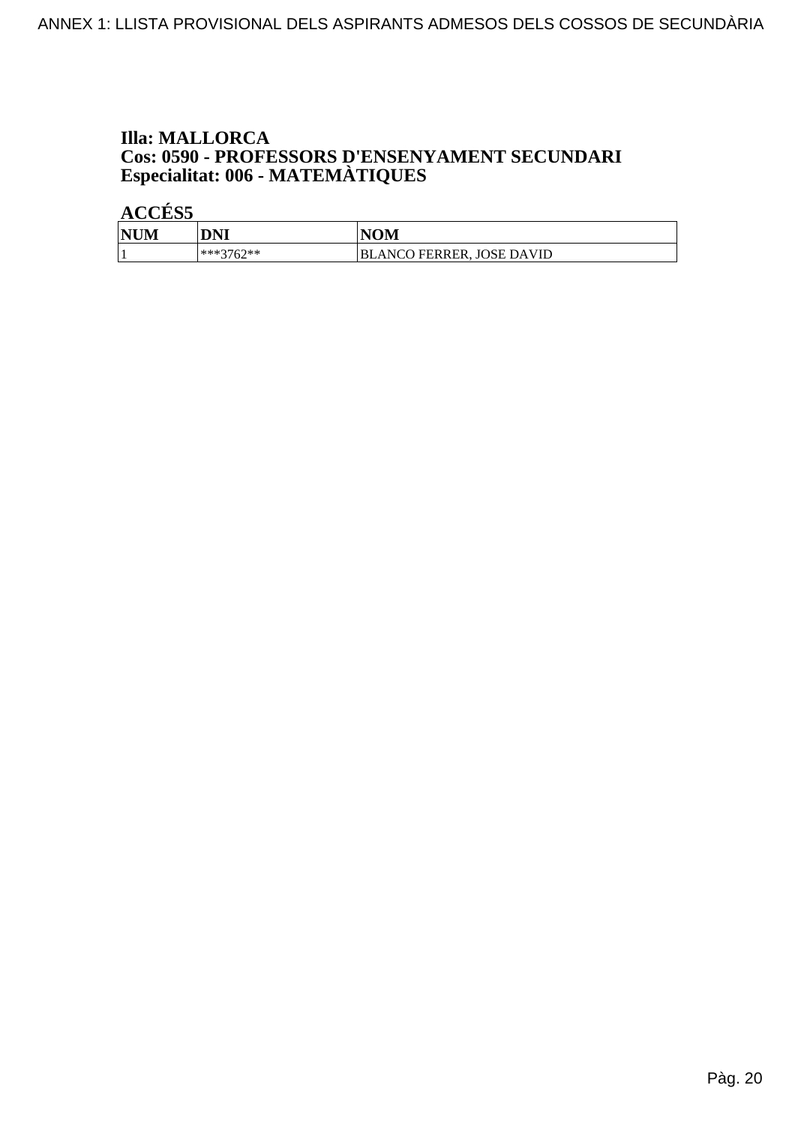## **Illa: MALLORCA Cos: 0590 - PROFESSORS D'ENSENYAMENT SECUNDARI<br>Especialitat: 006 - MATEMÀTIQUES**

| <b>NUM</b> | DNI         | <b>NOM</b>                       |
|------------|-------------|----------------------------------|
|            | $***3762**$ | <b>BLANCO FERRER, JOSE DAVID</b> |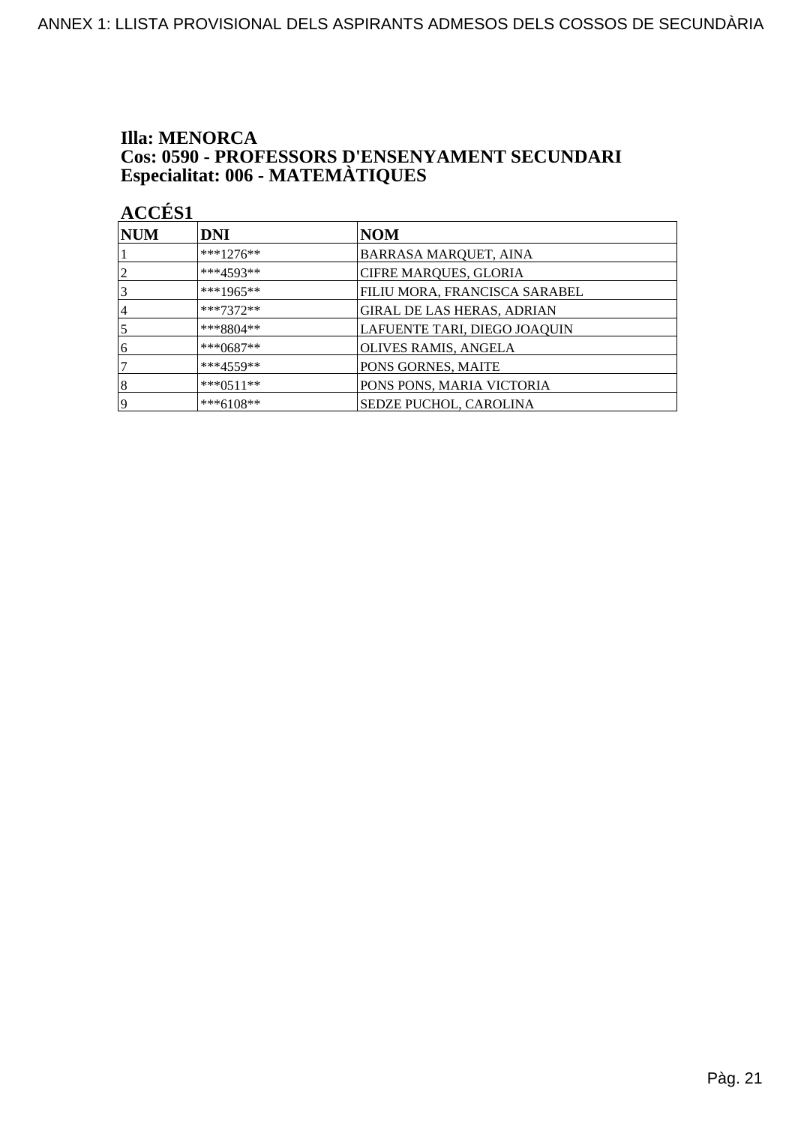# **Illa: MENORCA Cos: 0590 - PROFESSORS D'ENSENYAMENT SECUNDARI<br>Especialitat: 006 - MATEMÀTIQUES**

| <b>NUM</b>     | <b>DNI</b>  | NOM                               |
|----------------|-------------|-----------------------------------|
|                | ***1276**   | <b>BARRASA MARQUET, AINA</b>      |
| $\overline{2}$ | $***4593**$ | <b>CIFRE MARQUES, GLORIA</b>      |
| 3              | ***1965**   | FILIU MORA, FRANCISCA SARABEL     |
| 4              | $***7372**$ | <b>GIRAL DE LAS HERAS, ADRIAN</b> |
| 5              | $***8804**$ | LAFUENTE TARI, DIEGO JOAQUIN      |
| 6              | ***0687**   | OLIVES RAMIS, ANGELA              |
| 7              | $***4559**$ | PONS GORNES, MAITE                |
| 8              | $***0511**$ | PONS PONS, MARIA VICTORIA         |
| 19             | ***6108**   | <b>SEDZE PUCHOL, CAROLINA</b>     |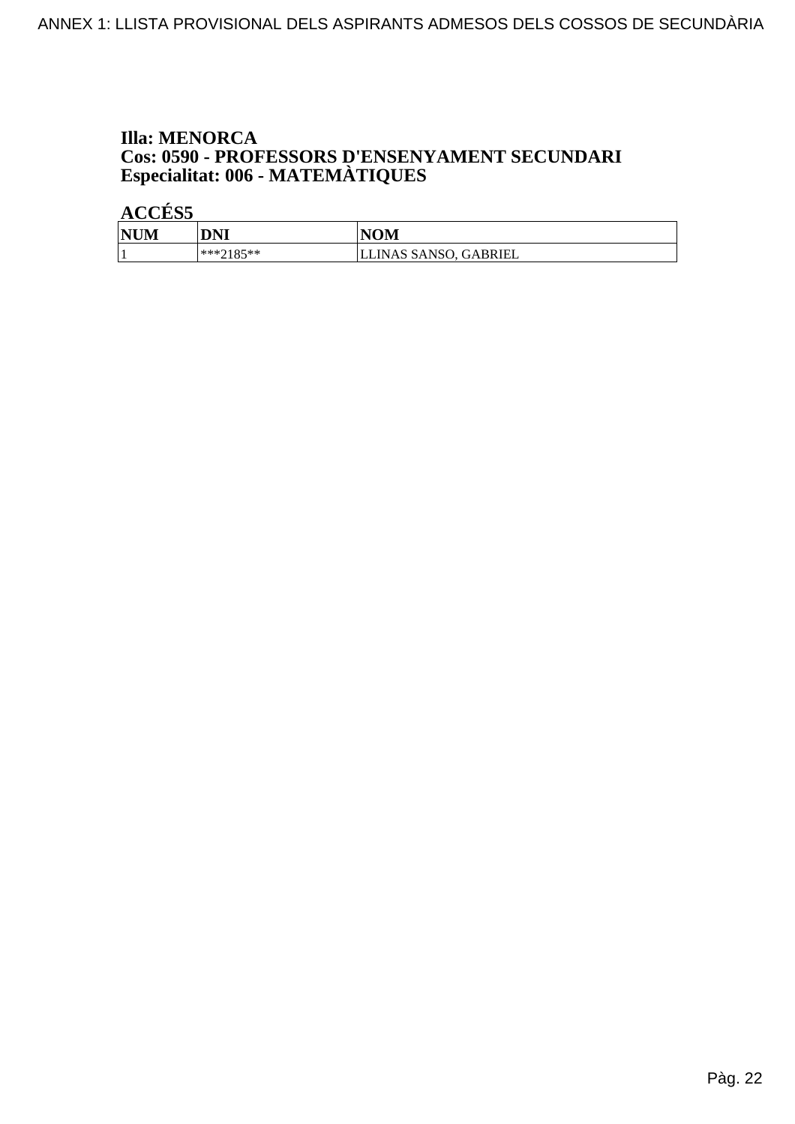# **Illa: MENORCA Cos: 0590 - PROFESSORS D'ENSENYAMENT SECUNDARI<br>Especialitat: 006 - MATEMÀTIQUES**

| <b>NUM</b> | DNI       | <b>NOM</b>            |
|------------|-----------|-----------------------|
|            | ***7185** | LLINAS SANSO, GABRIEL |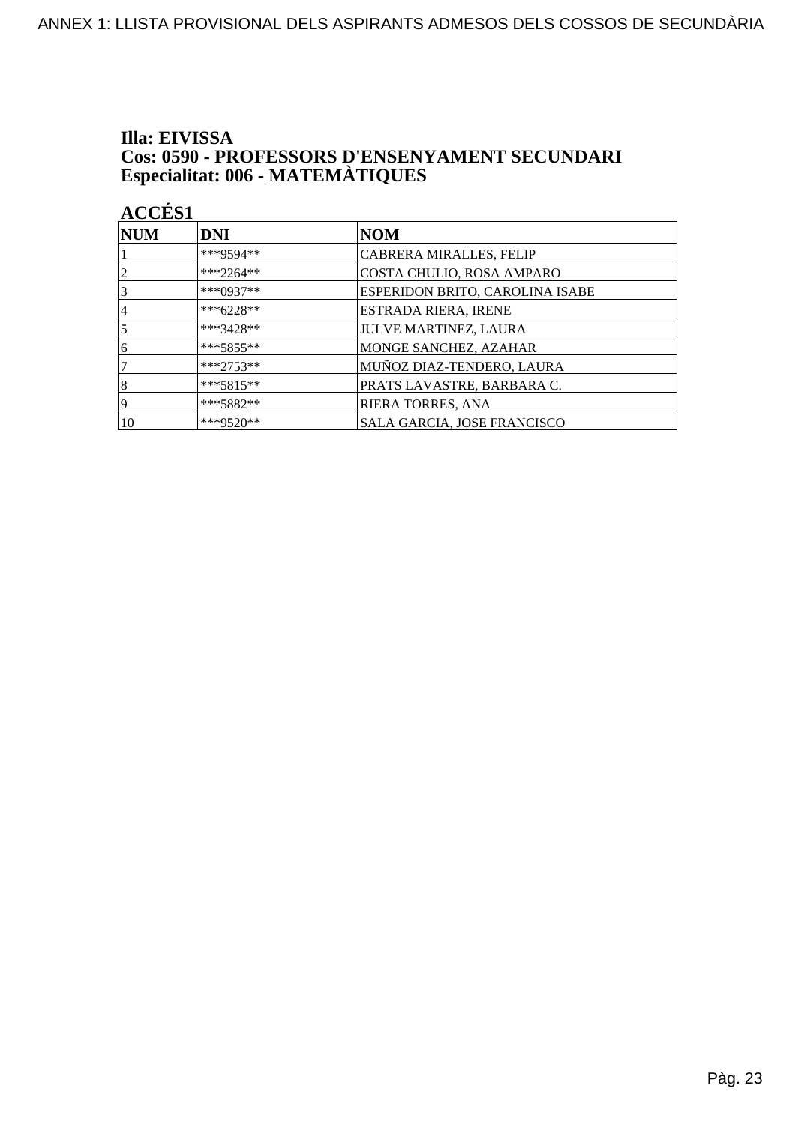#### Illa: EIVISSA **Cos: 0590 - PROFESSORS D'ENSENYAMENT SECUNDARI** Especialitat: 006 - MATEMÀTIQUES

ACCÉS<sub>1</sub> **NUM DNI NOM** \*\*\*9594\*\* CABRERA MIRALLES, FELIP 1  $***2264**$  $\overline{2}$ COSTA CHULIO, ROSA AMPARO  $\overline{3}$ \*\*\*0937\*\* ESPERIDON BRITO, CAROLINA ISABE  $\overline{4}$ \*\*\*6228\*\* ESTRADA RIERA, IRENE  $\overline{5}$ \*\*\*3428\*\* **JULVE MARTINEZ, LAURA**  $\overline{6}$ \*\*\*5855\*\* MONGE SANCHEZ, AZAHAR  $\overline{7}$ \*\*\*2753\*\* MUÑOZ DIAZ-TENDERO, LAURA  $\overline{8}$ \*\*\*5815\*\* PRATS LAVASTRE, BARBARA C.  $\overline{9}$ \*\*\*5882\*\* RIERA TORRES, ANA  $|10\rangle$ \*\*\*9520\*\* SALA GARCIA, JOSE FRANCISCO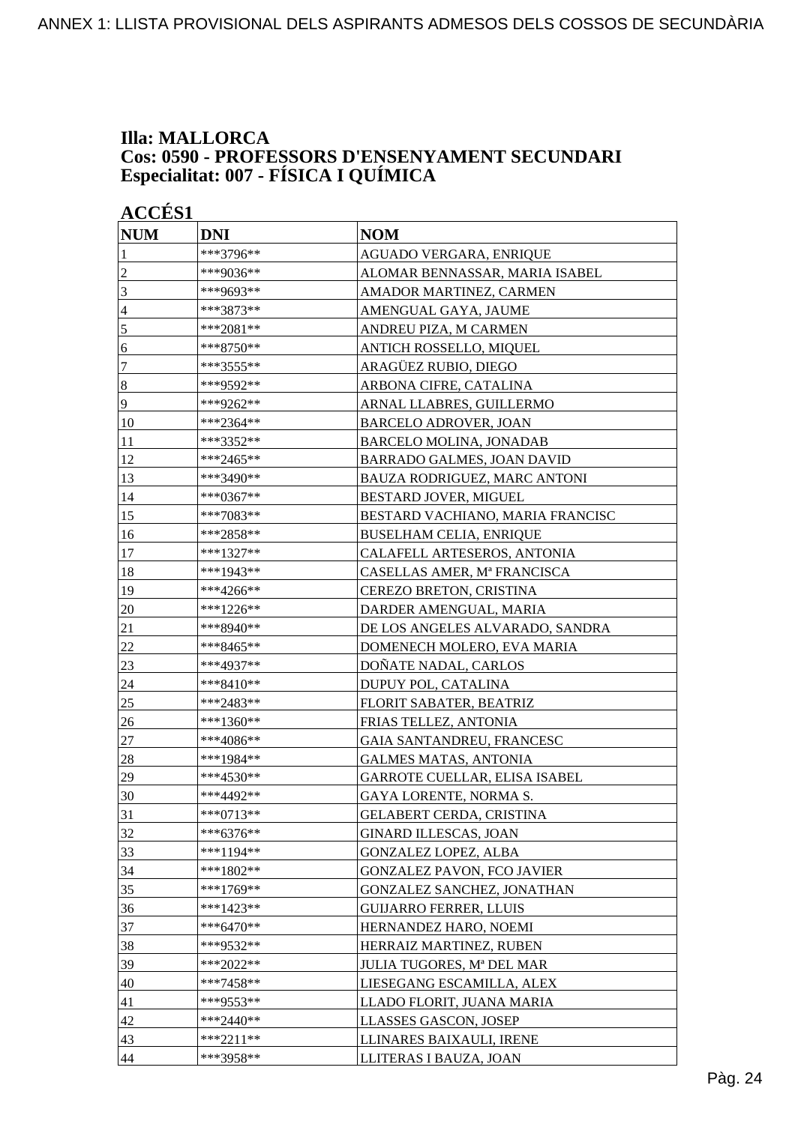### **Illa: MALLORCA Cos: 0590 - PROFESSORS D'ENSENYAMENT SECUNDARI Especialitat: 007 - FÍSICA I QUÍMICA**

| <b>ACCÉS 1</b> |             |                                   |  |
|----------------|-------------|-----------------------------------|--|
| <b>NUM</b>     | <b>DNI</b>  | <b>NOM</b>                        |  |
| 1              | ***3796**   | AGUADO VERGARA, ENRIQUE           |  |
| $\overline{c}$ | ***9036**   | ALOMAR BENNASSAR, MARIA ISABEL    |  |
| 3              | ***9693**   | AMADOR MARTINEZ, CARMEN           |  |
| $\overline{4}$ | ***3873**   | AMENGUAL GAYA, JAUME              |  |
| 5              | ***2081**   | ANDREU PIZA, M CARMEN             |  |
| 6              | ***8750**   | ANTICH ROSSELLO, MIQUEL           |  |
| $\tau$         | ***3555**   | ARAGÜEZ RUBIO, DIEGO              |  |
| $\sqrt{8}$     | ***9592**   | ARBONA CIFRE, CATALINA            |  |
| $\overline{9}$ | ***9262**   | ARNAL LLABRES, GUILLERMO          |  |
| 10             | ***2364**   | <b>BARCELO ADROVER, JOAN</b>      |  |
| 11             | ***3352**   | <b>BARCELO MOLINA, JONADAB</b>    |  |
| 12             | ***2465**   | BARRADO GALMES, JOAN DAVID        |  |
| 13             | ***3490**   | BAUZA RODRIGUEZ, MARC ANTONI      |  |
| 14             | ***0367**   | BESTARD JOVER, MIGUEL             |  |
| 15             | ***7083**   | BESTARD VACHIANO, MARIA FRANCISC  |  |
| 16             | ***2858**   | <b>BUSELHAM CELIA, ENRIQUE</b>    |  |
| 17             | ***1327**   | CALAFELL ARTESEROS, ANTONIA       |  |
| 18             | ***1943**   | CASELLAS AMER, Mª FRANCISCA       |  |
| 19             | ***4266**   | <b>CEREZO BRETON, CRISTINA</b>    |  |
| 20             | ***1226**   | DARDER AMENGUAL, MARIA            |  |
| 21             | ***8940**   | DE LOS ANGELES ALVARADO, SANDRA   |  |
| 22             | ***8465**   | DOMENECH MOLERO, EVA MARIA        |  |
| 23             | ***4937**   | DOÑATE NADAL, CARLOS              |  |
| 24             | ***8410**   | DUPUY POL, CATALINA               |  |
| <u>25</u>      | ***2483**   | FLORIT SABATER, BEATRIZ           |  |
| 26             | ***1360**   | FRIAS TELLEZ, ANTONIA             |  |
| 27             | ***4086**   | GAIA SANTANDREU, FRANCESC         |  |
| 28             | ***1984**   | <b>GALMES MATAS, ANTONIA</b>      |  |
| 29             | ***4530**   | GARROTE CUELLAR, ELISA ISABEL     |  |
| 30             | ***4492**   | GAYA LORENTE, NORMA S.            |  |
| 31             | ***0713**   | <b>GELABERT CERDA, CRISTINA</b>   |  |
| 32             | $***6376**$ | <b>GINARD ILLESCAS, JOAN</b>      |  |
| 33             | ***1194**   | <b>GONZALEZ LOPEZ, ALBA</b>       |  |
| 34             | ***1802**   | <b>GONZALEZ PAVON, FCO JAVIER</b> |  |
| 35             | ***1769**   | GONZALEZ SANCHEZ, JONATHAN        |  |
| 36             | ***1423**   | <b>GUIJARRO FERRER, LLUIS</b>     |  |
| 37             | ***6470**   | HERNANDEZ HARO, NOEMI             |  |
| 38             | ***9532**   | HERRAIZ MARTINEZ, RUBEN           |  |
| 39             | ***2022**   | JULIA TUGORES, Mª DEL MAR         |  |
| 40             | ***7458**   | LIESEGANG ESCAMILLA, ALEX         |  |
| 41             | ***9553**   | LLADO FLORIT, JUANA MARIA         |  |
| 42             | ***2440**   | LLASSES GASCON, JOSEP             |  |
| 43             | ***2211**   | LLINARES BAIXAULI, IRENE          |  |
| 44             | ***3958**   | LLITERAS I BAUZA, JOAN            |  |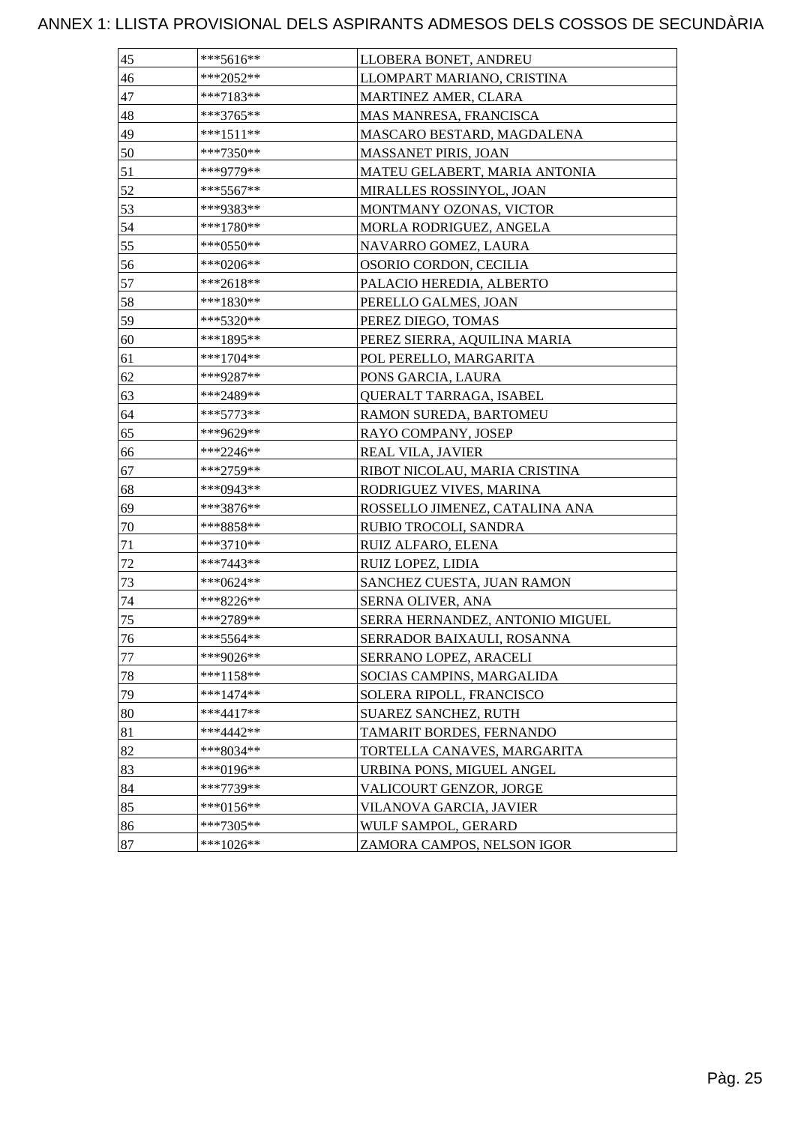| 45     | $***5616**$ | LLOBERA BONET, ANDREU           |
|--------|-------------|---------------------------------|
| 46     | ***2052**   | LLOMPART MARIANO, CRISTINA      |
| 47     | ***7183**   | <b>MARTINEZ AMER, CLARA</b>     |
| 48     | ***3765**   | MAS MANRESA, FRANCISCA          |
| 49     | ***1511**   | MASCARO BESTARD, MAGDALENA      |
| 50     | ***7350**   | MASSANET PIRIS, JOAN            |
| 51     | ***9779**   | MATEU GELABERT, MARIA ANTONIA   |
| 52     | $***5567**$ | MIRALLES ROSSINYOL, JOAN        |
| 53     | ***9383**   | MONTMANY OZONAS, VICTOR         |
| 54     | ***1780**   | MORLA RODRIGUEZ, ANGELA         |
| 55     | ***0550**   | NAVARRO GOMEZ, LAURA            |
| 56     | ***0206**   | OSORIO CORDON, CECILIA          |
| 57     | ***2618**   | PALACIO HEREDIA, ALBERTO        |
| 58     | ***1830**   | PERELLO GALMES, JOAN            |
| 59     | ***5320**   | PEREZ DIEGO, TOMAS              |
| 60     | ***1895**   | PEREZ SIERRA, AQUILINA MARIA    |
| 61     | ***1704**   | POL PERELLO, MARGARITA          |
| 62     | ***9287**   | PONS GARCIA, LAURA              |
| 63     | ***2489**   | QUERALT TARRAGA, ISABEL         |
| 64     | $***5773**$ | RAMON SUREDA, BARTOMEU          |
| 65     | ***9629**   | RAYO COMPANY, JOSEP             |
| 66     | ***2246**   | <b>REAL VILA, JAVIER</b>        |
| 67     | ***2759**   | RIBOT NICOLAU, MARIA CRISTINA   |
| 68     | ***0943**   | RODRIGUEZ VIVES, MARINA         |
| 69     | ***3876**   | ROSSELLO JIMENEZ, CATALINA ANA  |
| 70     | ***8858**   | RUBIO TROCOLI, SANDRA           |
| 71     | ***3710**   | RUIZ ALFARO, ELENA              |
| 72     | ***7443**   | RUIZ LOPEZ, LIDIA               |
| 73     | ***0624**   | SANCHEZ CUESTA, JUAN RAMON      |
| 74     | ***8226**   | SERNA OLIVER, ANA               |
| $75\,$ | ***2789**   | SERRA HERNANDEZ, ANTONIO MIGUEL |
| 76     | $***5564**$ | SERRADOR BAIXAULI, ROSANNA      |
| 77     | ***9026**   | SERRANO LOPEZ, ARACELI          |
| 78     | $***1158**$ | SOCIAS CAMPINS, MARGALIDA       |
| 79     | $***1474**$ | SOLERA RIPOLL, FRANCISCO        |
| 80     | $***4417**$ | <b>SUAREZ SANCHEZ, RUTH</b>     |
| 81     | ***4442**   | TAMARIT BORDES, FERNANDO        |
| 82     | ***8034**   | TORTELLA CANAVES, MARGARITA     |
| 83     | ***0196**   | URBINA PONS, MIGUEL ANGEL       |
| 84     | ***7739**   | VALICOURT GENZOR, JORGE         |
| 85     | ***0156**   | VILANOVA GARCIA, JAVIER         |
| 86     | ***7305**   | WULF SAMPOL, GERARD             |
| 87     | ***1026**   | ZAMORA CAMPOS, NELSON IGOR      |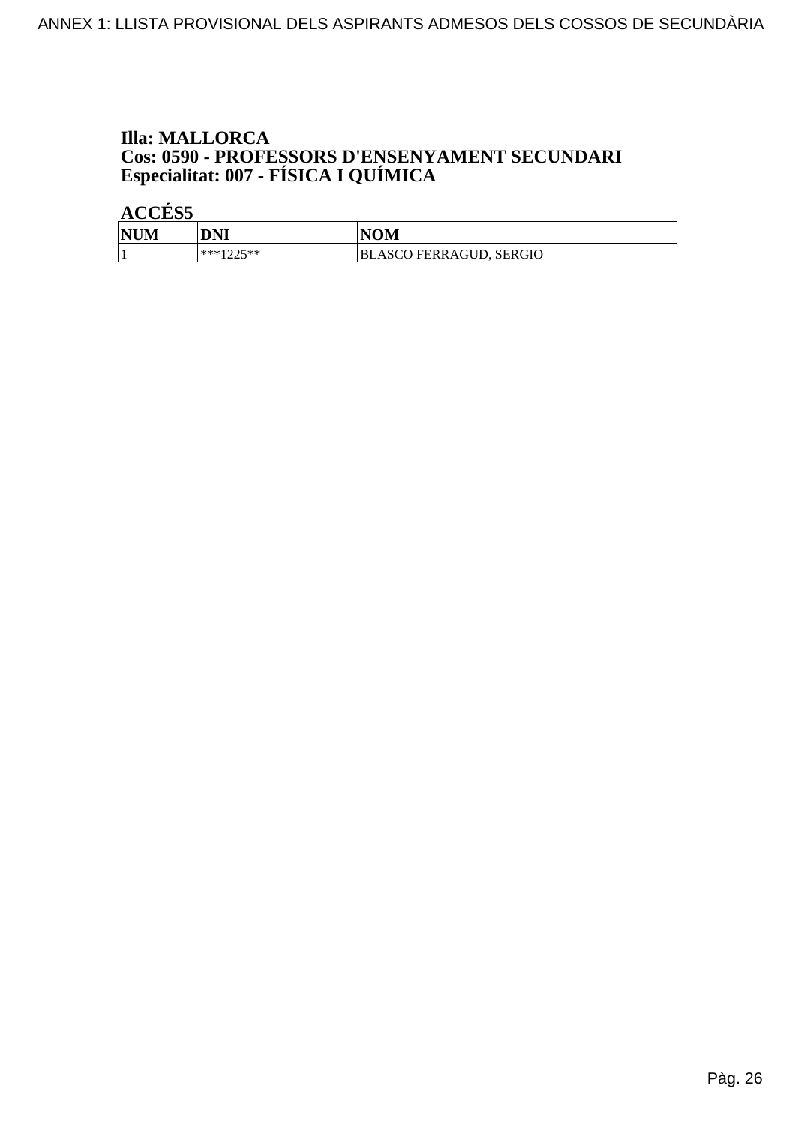## **Illa: MALLORCA Cos: 0590 - PROFESSORS D'ENSENYAMENT SECUNDARI<br>Especialitat: 007 - FÍSICA I QUÍMICA**

| <b>NUM</b> | DNI       | <b>NOM</b>                     |
|------------|-----------|--------------------------------|
|            | ***1つつ<** | <b>BLASCO FERRAGUD, SERGIO</b> |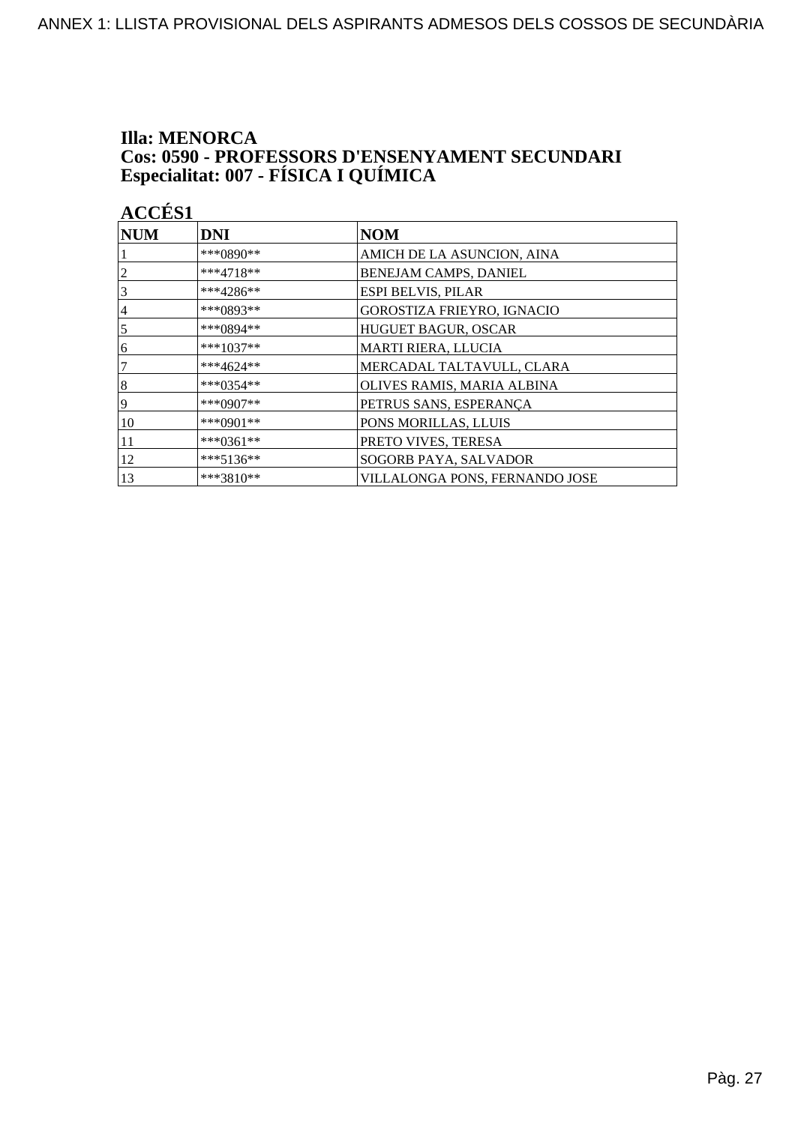## **Illa: MENORCA Cos: 0590 - PROFESSORS D'ENSENYAMENT SECUNDARI<br>Especialitat: 007 - FÍSICA I QUÍMICA**

| <b>ACCÉS 1</b> |             |                                |
|----------------|-------------|--------------------------------|
| <b>NUM</b>     | <b>DNI</b>  | <b>NOM</b>                     |
|                | ***0890**   | AMICH DE LA ASUNCION, AINA     |
| 2              | ***4718**   | BENEJAM CAMPS, DANIEL          |
| 3              | ***4286**   | ESPI BELVIS, PILAR             |
| 4              | ***0893**   | GOROSTIZA FRIEYRO, IGNACIO     |
| 5              | ***0894**   | HUGUET BAGUR, OSCAR            |
| 6              | $***1037**$ | MARTI RIERA, LLUCIA            |
| 7              | ***4624**   | MERCADAL TALTAVULL, CLARA      |
| 8              | ***0354**   | OLIVES RAMIS, MARIA ALBINA     |
| 9              | ***0907**   | PETRUS SANS, ESPERANÇA         |
| 10             | ***0901**   | PONS MORILLAS, LLUIS           |
| 11             | ***0361**   | PRETO VIVES, TERESA            |
| 12             | ***5136**   | SOGORB PAYA, SALVADOR          |
| 13             | $***3810**$ | VILLALONGA PONS, FERNANDO JOSE |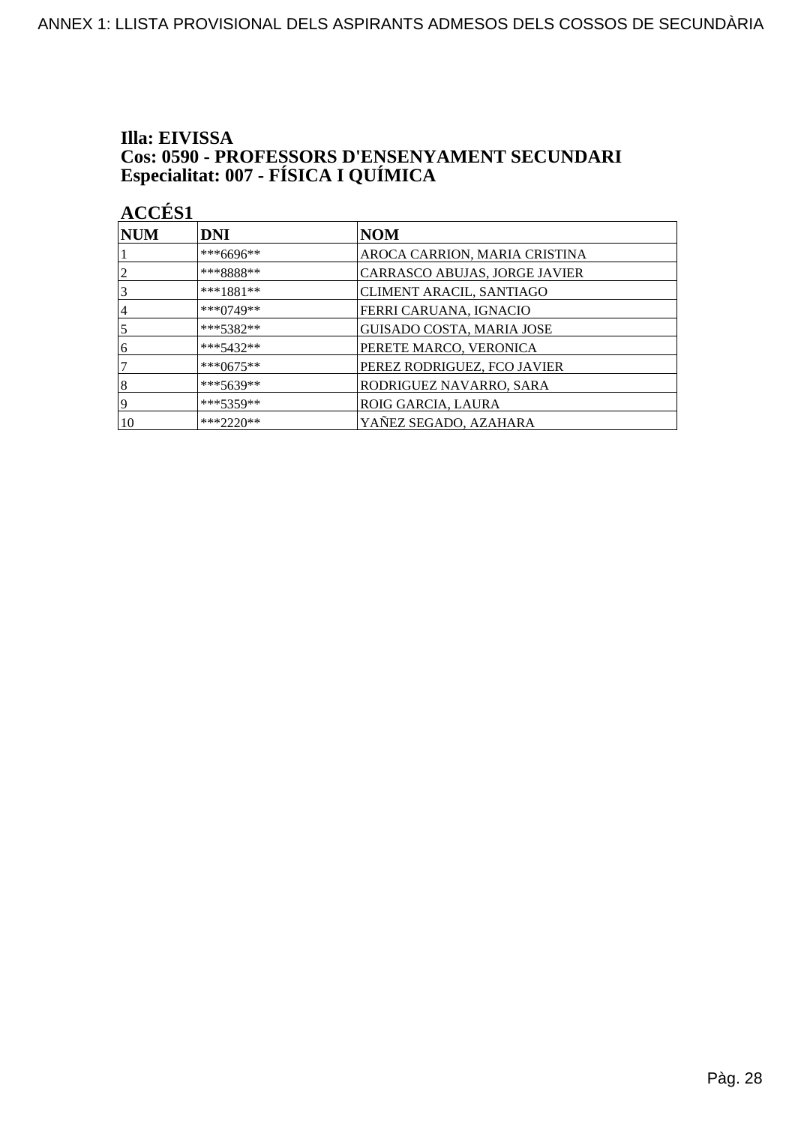## Illa: EIVISSA **Cos: 0590 - PROFESSORS D'ENSENYAMENT SECUNDARI<br>Especialitat: 007 - FÍSICA I QUÍMICA**

| <b>NUM</b>     | <b>DNI</b>  | <b>NOM</b>                       |
|----------------|-------------|----------------------------------|
|                | ***6696**   | AROCA CARRION, MARIA CRISTINA    |
| $\overline{2}$ | ***8888**   | CARRASCO ABUJAS, JORGE JAVIER    |
| $\overline{3}$ | $***1881**$ | CLIMENT ARACIL, SANTIAGO         |
| 14             | $***0749**$ | FERRI CARUANA, IGNACIO           |
| $\overline{5}$ | ***5382**   | <b>GUISADO COSTA, MARIA JOSE</b> |
| 16             | $***5432**$ | PERETE MARCO, VERONICA           |
| 7              | $***0675**$ | PEREZ RODRIGUEZ, FCO JAVIER      |
| $\vert 8$      | $***5639**$ | RODRIGUEZ NAVARRO, SARA          |
| 19             | $***5359**$ | ROIG GARCIA, LAURA               |
| 10             | $***2220**$ | YAÑEZ SEGADO, AZAHARA            |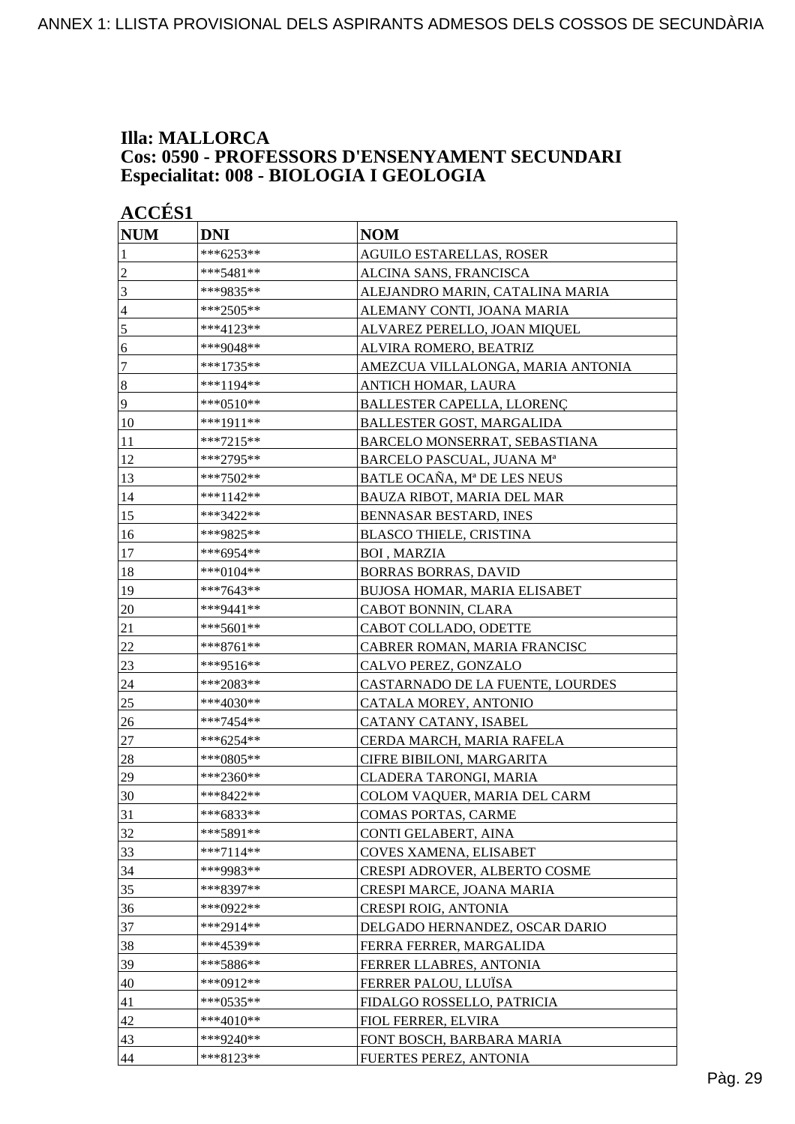### **Illa: MALLORCA Cos: 0590 - PROFESSORS D'ENSENYAMENT SECUNDARI Especialitat: 008 - BIOLOGIA I GEOLOGIA**

| <b>ACCÉS 1</b> |             |                                   |
|----------------|-------------|-----------------------------------|
| <b>NUM</b>     | <b>DNI</b>  | <b>NOM</b>                        |
| 1              | ***6253**   | <b>AGUILO ESTARELLAS, ROSER</b>   |
| $\overline{c}$ | ***5481**   | ALCINA SANS, FRANCISCA            |
| 3              | ***9835**   | ALEJANDRO MARIN, CATALINA MARIA   |
| $\overline{4}$ | ***2505**   | ALEMANY CONTI, JOANA MARIA        |
| 5              | ***4123**   | ALVAREZ PERELLO, JOAN MIQUEL      |
| 6              | ***9048**   | ALVIRA ROMERO, BEATRIZ            |
| 7              | ***1735**   | AMEZCUA VILLALONGA, MARIA ANTONIA |
| $\bf 8$        | ***1194**   | ANTICH HOMAR, LAURA               |
| 9              | ***0510**   | BALLESTER CAPELLA, LLORENÇ        |
| 10             | ***1911**   | BALLESTER GOST, MARGALIDA         |
| 11             | ***7215**   | BARCELO MONSERRAT, SEBASTIANA     |
| 12             | ***2795**   | BARCELO PASCUAL, JUANA Mª         |
| 13             | ***7502**   | BATLE OCAÑA, Mª DE LES NEUS       |
| 14             | ***1142**   | BAUZA RIBOT, MARIA DEL MAR        |
| 15             | ***3422**   | BENNASAR BESTARD, INES            |
| 16             | ***9825**   | <b>BLASCO THIELE, CRISTINA</b>    |
| 17             | ***6954**   | <b>BOI, MARZIA</b>                |
| 18             | ***0104**   | <b>BORRAS BORRAS, DAVID</b>       |
| 19             | ***7643**   | BUJOSA HOMAR, MARIA ELISABET      |
| 20             | ***9441**   | CABOT BONNIN, CLARA               |
| 21             | ***5601**   | CABOT COLLADO, ODETTE             |
| 22             | ***8761**   | CABRER ROMAN, MARIA FRANCISC      |
| 23             | ***9516**   | CALVO PEREZ, GONZALO              |
| 24             | ***2083**   | CASTARNADO DE LA FUENTE, LOURDES  |
| 25             | ***4030**   | CATALA MOREY, ANTONIO             |
| 26             | ***7454**   | CATANY CATANY, ISABEL             |
| $27\,$         | ***6254**   | CERDA MARCH, MARIA RAFELA         |
| 28             | $***0805**$ | CIFRE BIBILONI, MARGARITA         |
| 29             | ***2360**   | CLADERA TARONGI, MARIA            |
| 30             | ***8422**   | COLOM VAQUER, MARIA DEL CARM      |
| 31             | ***6833**   | <b>COMAS PORTAS, CARME</b>        |
| 32             | ***5891**   | CONTI GELABERT, AINA              |
| 33             | ***7114**   | COVES XAMENA, ELISABET            |
| 34             | ***9983**   | CRESPI ADROVER, ALBERTO COSME     |
| 35             | ***8397**   | CRESPI MARCE, JOANA MARIA         |
| 36             | ***0922**   | CRESPI ROIG, ANTONIA              |
| 37             | ***2914**   | DELGADO HERNANDEZ, OSCAR DARIO    |
| 38             | ***4539**   | FERRA FERRER, MARGALIDA           |
| 39             | ***5886**   | FERRER LLABRES, ANTONIA           |
| 40             | ***0912**   | FERRER PALOU, LLUÏSA              |
| 41             | ***0535**   | FIDALGO ROSSELLO, PATRICIA        |
| 42             | ***4010**   | FIOL FERRER, ELVIRA               |
| 43             | ***9240**   | FONT BOSCH, BARBARA MARIA         |
| 44             | ***8123**   | FUERTES PEREZ, ANTONIA            |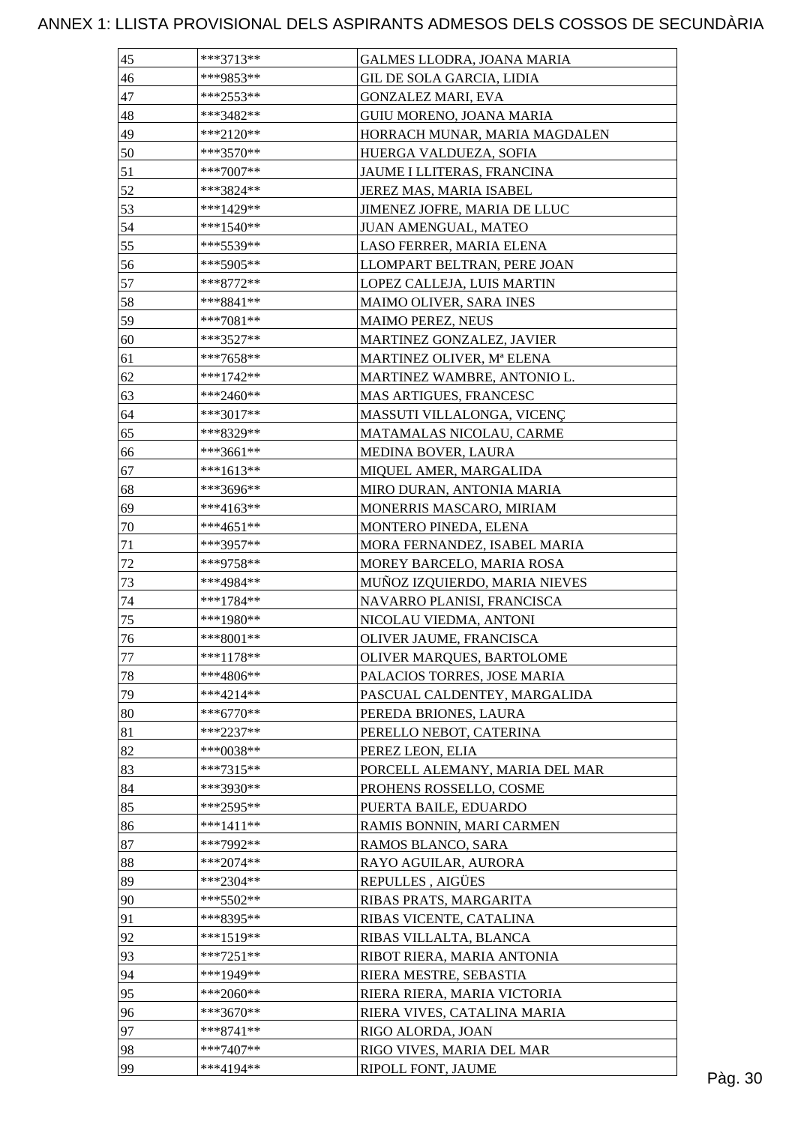| 45 | $***3713**$ | GALMES LLODRA, JOANA MARIA     |  |
|----|-------------|--------------------------------|--|
| 46 | ***9853**   | GIL DE SOLA GARCIA, LIDIA      |  |
| 47 | ***2553**   | <b>GONZALEZ MARI, EVA</b>      |  |
| 48 | ***3482**   | GUIU MORENO, JOANA MARIA       |  |
| 49 | $***2120**$ | HORRACH MUNAR, MARIA MAGDALEN  |  |
| 50 | ***3570**   | HUERGA VALDUEZA, SOFIA         |  |
| 51 | $***7007**$ | JAUME I LLITERAS, FRANCINA     |  |
| 52 | ***3824**   | JEREZ MAS, MARIA ISABEL        |  |
| 53 | ***1429**   | JIMENEZ JOFRE, MARIA DE LLUC   |  |
| 54 | ***1540**   | JUAN AMENGUAL, MATEO           |  |
| 55 | ***5539**   | LASO FERRER, MARIA ELENA       |  |
| 56 | ***5905**   | LLOMPART BELTRAN, PERE JOAN    |  |
| 57 | ***8772**   | LOPEZ CALLEJA, LUIS MARTIN     |  |
| 58 | $***8841**$ | MAIMO OLIVER, SARA INES        |  |
| 59 | ***7081**   | MAIMO PEREZ, NEUS              |  |
| 60 | $***3527**$ | MARTINEZ GONZALEZ, JAVIER      |  |
| 61 | $***7658**$ | MARTINEZ OLIVER, Mª ELENA      |  |
| 62 | ***1742**   | MARTINEZ WAMBRE, ANTONIO L.    |  |
| 63 | ***2460**   | MAS ARTIGUES, FRANCESC         |  |
| 64 | $***3017**$ | MASSUTI VILLALONGA, VICENÇ     |  |
| 65 | ***8329**   | MATAMALAS NICOLAU, CARME       |  |
| 66 | ***3661**   | MEDINA BOVER, LAURA            |  |
|    |             |                                |  |
| 67 | $***1613**$ | MIQUEL AMER, MARGALIDA         |  |
| 68 | ***3696**   | MIRO DURAN, ANTONIA MARIA      |  |
| 69 | $***4163**$ | MONERRIS MASCARO, MIRIAM       |  |
| 70 | $***4651**$ | MONTERO PINEDA, ELENA          |  |
| 71 | ***3957**   | MORA FERNANDEZ, ISABEL MARIA   |  |
| 72 | ***9758**   | MOREY BARCELO, MARIA ROSA      |  |
| 73 | ***4984**   | MUÑOZ IZQUIERDO, MARIA NIEVES  |  |
| 74 | ***1784**   | NAVARRO PLANISI, FRANCISCA     |  |
| 75 | $***1980**$ | NICOLAU VIEDMA, ANTONI         |  |
| 76 | $***8001**$ | OLIVER JAUME, FRANCISCA        |  |
| 77 | ***1178**   | OLIVER MARQUES, BARTOLOME      |  |
| 78 | ***4806**   | PALACIOS TORRES, JOSE MARIA    |  |
| 79 | $***4214**$ | PASCUAL CALDENTEY, MARGALIDA   |  |
| 80 | $***6770**$ | PEREDA BRIONES, LAURA          |  |
| 81 | ***2237**   | PERELLO NEBOT, CATERINA        |  |
| 82 | ***0038**   | PEREZ LEON, ELIA               |  |
| 83 | $***7315**$ | PORCELL ALEMANY, MARIA DEL MAR |  |
| 84 | ***3930**   | PROHENS ROSSELLO, COSME        |  |
| 85 | ***2595**   | PUERTA BAILE, EDUARDO          |  |
| 86 | $***1411**$ | RAMIS BONNIN, MARI CARMEN      |  |
| 87 | ***7992**   | RAMOS BLANCO, SARA             |  |
| 88 | $***2074**$ | RAYO AGUILAR, AURORA           |  |
| 89 | $***2304**$ | REPULLES, AIGÜES               |  |
| 90 | ***5502**   | RIBAS PRATS, MARGARITA         |  |
| 91 | ***8395**   | RIBAS VICENTE, CATALINA        |  |
| 92 | ***1519**   | RIBAS VILLALTA, BLANCA         |  |
| 93 | $***7251**$ | RIBOT RIERA, MARIA ANTONIA     |  |
| 94 | ***1949**   | RIERA MESTRE, SEBASTIA         |  |
| 95 | ***2060**   | RIERA RIERA, MARIA VICTORIA    |  |
| 96 | ***3670**   | RIERA VIVES, CATALINA MARIA    |  |
| 97 | $***8741**$ | RIGO ALORDA, JOAN              |  |
| 98 | ***7407**   | RIGO VIVES, MARIA DEL MAR      |  |
| 99 | ***4194**   | RIPOLL FONT, JAUME             |  |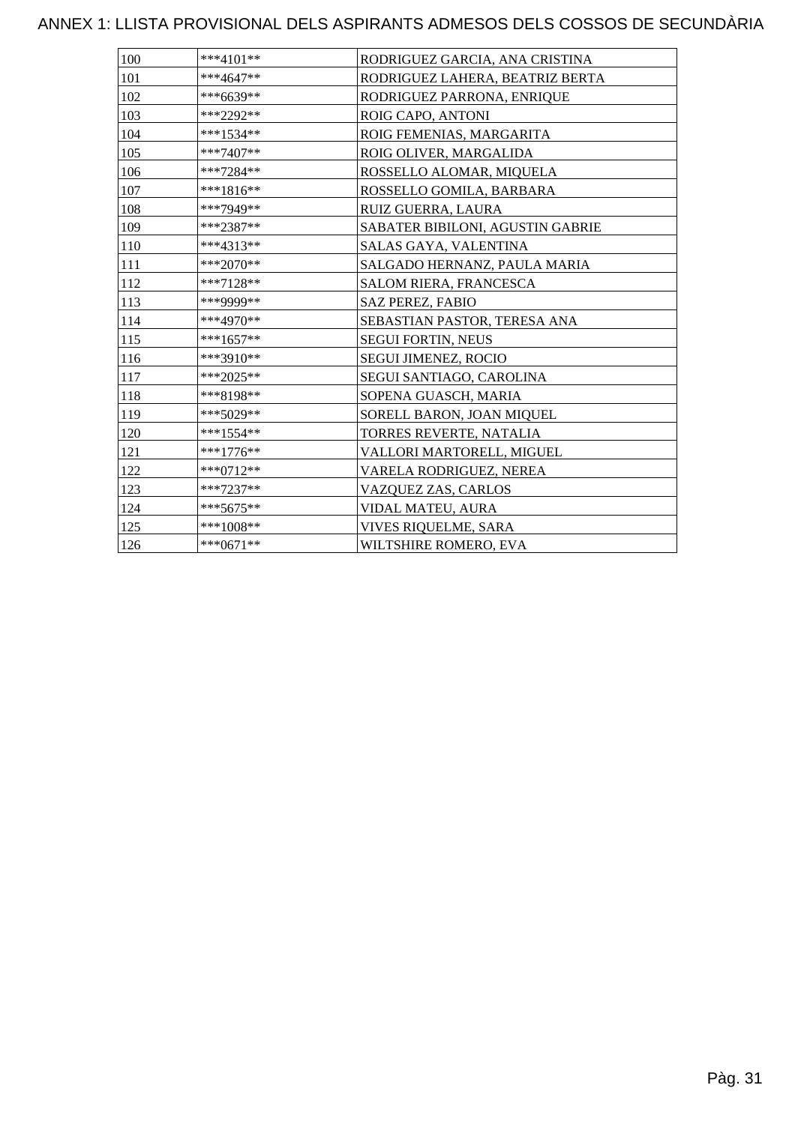| 100 | $***4101**$ | RODRIGUEZ GARCIA, ANA CRISTINA   |
|-----|-------------|----------------------------------|
| 101 | ***4647**   | RODRIGUEZ LAHERA, BEATRIZ BERTA  |
| 102 | ***6639**   | RODRIGUEZ PARRONA, ENRIQUE       |
| 103 | ***2292**   | ROIG CAPO, ANTONI                |
| 104 | ***1534**   | ROIG FEMENIAS, MARGARITA         |
| 105 | ***7407**   | ROIG OLIVER, MARGALIDA           |
| 106 | ***7284**   | ROSSELLO ALOMAR, MIQUELA         |
| 107 | ***1816**   | ROSSELLO GOMILA, BARBARA         |
| 108 | ***7949**   | RUIZ GUERRA, LAURA               |
| 109 | ***2387**   | SABATER BIBILONI, AGUSTIN GABRIE |
| 110 | ***4313**   | SALAS GAYA, VALENTINA            |
| 111 | ***2070**   | SALGADO HERNANZ, PAULA MARIA     |
| 112 | ***7128**   | SALOM RIERA, FRANCESCA           |
| 113 | ***9999**   | <b>SAZ PEREZ, FABIO</b>          |
| 114 | ***4970**   | SEBASTIAN PASTOR, TERESA ANA     |
| 115 | ***1657**   | <b>SEGUI FORTIN, NEUS</b>        |
| 116 | ***3910**   | <b>SEGUI JIMENEZ, ROCIO</b>      |
| 117 | ***2025**   | SEGUI SANTIAGO, CAROLINA         |
| 118 | ***8198**   | SOPENA GUASCH, MARIA             |
| 119 | ***5029**   | SORELL BARON, JOAN MIQUEL        |
| 120 | ***1554**   | TORRES REVERTE, NATALIA          |
| 121 | ***1776**   | VALLORI MARTORELL, MIGUEL        |
| 122 | ***0712**   | VARELA RODRIGUEZ, NEREA          |
| 123 | ***7237**   | VAZQUEZ ZAS, CARLOS              |
| 124 | $***5675**$ | VIDAL MATEU, AURA                |
| 125 | ***1008**   | VIVES RIQUELME, SARA             |
| 126 | $***0671**$ | WILTSHIRE ROMERO, EVA            |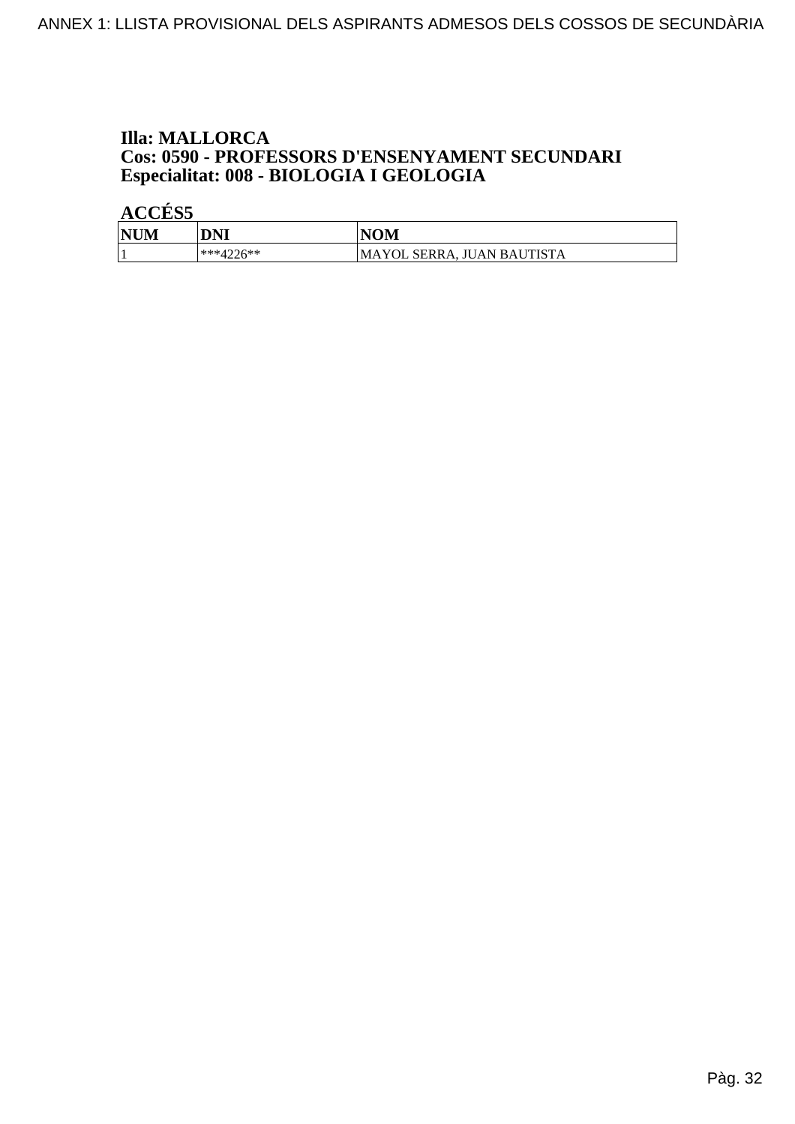## **Illa: MALLORCA Cos: 0590 - PROFESSORS D'ENSENYAMENT SECUNDARI<br>Especialitat: 008 - BIOLOGIA I GEOLOGIA**

| <b>NUM</b><br>M | DNI               | <b>NOM</b>                 |
|-----------------|-------------------|----------------------------|
|                 | ***4226**<br>┱∠∠∪ | MAYOL SERRA, JUAN BAUTISTA |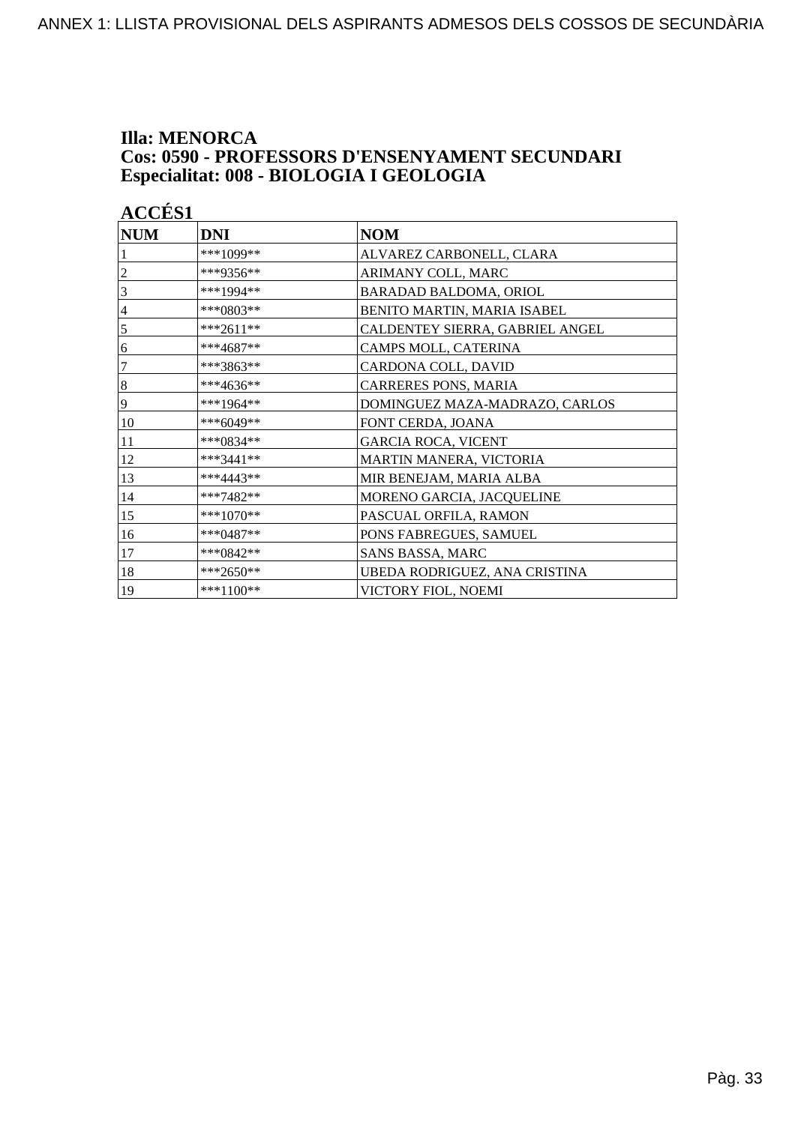### **Illa: MENORCA** Cos: 0590 - PROFESSORS D'ENSENYAMENT SECUNDARI Especialitat: 008 - BIOLOGIA I GEOLOGIA

| <b>ACCÉS 1</b> |             |                                 |
|----------------|-------------|---------------------------------|
| <b>NUM</b>     | <b>DNI</b>  | <b>NOM</b>                      |
|                | ***1099**   | ALVAREZ CARBONELL, CLARA        |
| 2              | ***9356**   | ARIMANY COLL, MARC              |
| 3              | ***1994**   | BARADAD BALDOMA, ORIOL          |
| 4              | ***0803**   | BENITO MARTIN, MARIA ISABEL     |
| 5              | ***2611**   | CALDENTEY SIERRA, GABRIEL ANGEL |
| 6              | $***4687**$ | CAMPS MOLL, CATERINA            |
| 7              | ***3863**   | CARDONA COLL, DAVID             |
| $\,8\,$        | ***4636**   | CARRERES PONS, MARIA            |
| 9              | ***1964**   | DOMINGUEZ MAZA-MADRAZO, CARLOS  |
| 10             | $***6049**$ | FONT CERDA, JOANA               |
| 11             | ***0834**   | <b>GARCIA ROCA, VICENT</b>      |
| 12             | ***3441**   | MARTIN MANERA, VICTORIA         |
| 13             | ***4443**   | MIR BENEJAM, MARIA ALBA         |
| 14             | ***7482**   | MORENO GARCIA, JACQUELINE       |
| 15             | ***1070**   | PASCUAL ORFILA, RAMON           |
| 16             | ***0487**   | PONS FABREGUES, SAMUEL          |
| 17             | ***0842**   | SANS BASSA, MARC                |
| 18             | ***2650**   | UBEDA RODRIGUEZ, ANA CRISTINA   |
| 19             | ***1100**   | VICTORY FIOL, NOEMI             |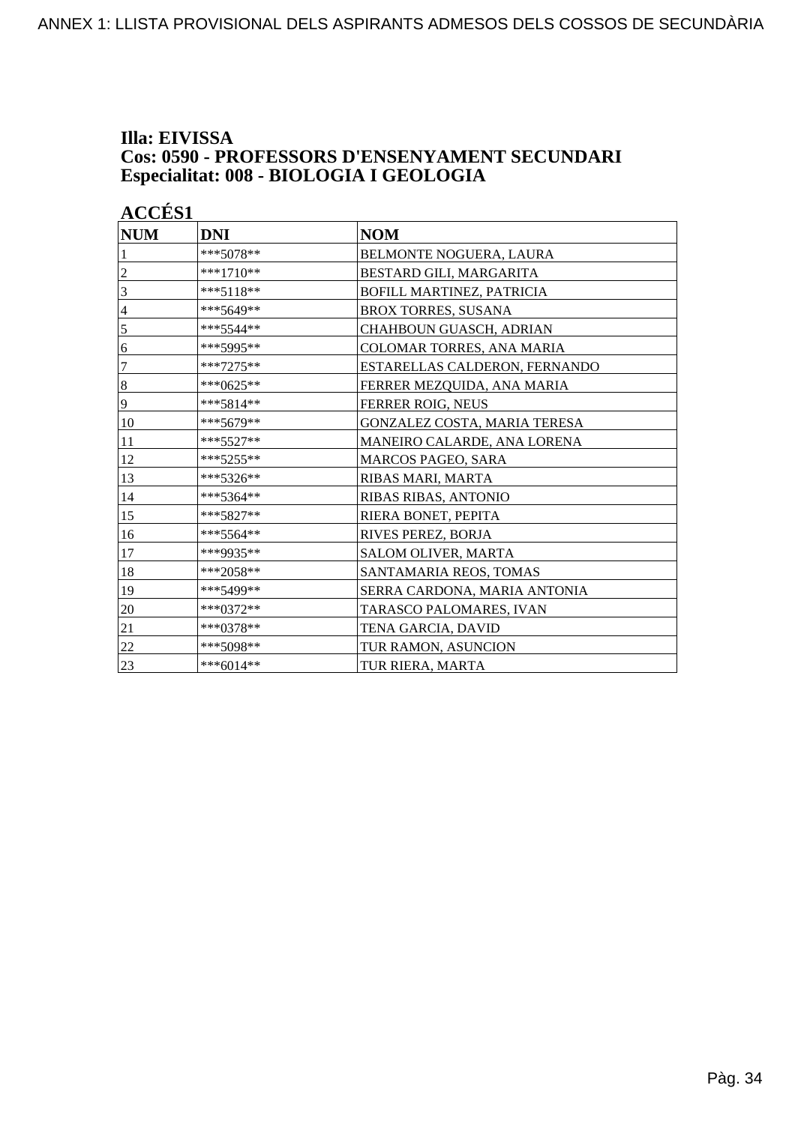### Illa: EIVISSA **Cos: 0590 - PROFESSORS D'ENSENYAMENT SECUNDARI** Especialitat: 008 - BIOLOGIA I GEOLOGIA

| <b>ACCÉS 1</b>   |            |                               |
|------------------|------------|-------------------------------|
| <b>NUM</b>       | <b>DNI</b> | <b>NOM</b>                    |
|                  | ***5078**  | BELMONTE NOGUERA, LAURA       |
| 2                | ***1710**  | BESTARD GILI, MARGARITA       |
| 3                | ***5118**  | BOFILL MARTINEZ, PATRICIA     |
| $\overline{4}$   | ***5649**  | <b>BROX TORRES, SUSANA</b>    |
| 5                | ***5544**  | CHAHBOUN GUASCH, ADRIAN       |
| 6                | ***5995**  | COLOMAR TORRES, ANA MARIA     |
| $\boldsymbol{7}$ | ***7275**  | ESTARELLAS CALDERON, FERNANDO |
| $\,8\,$          | ***0625**  | FERRER MEZQUIDA, ANA MARIA    |
| 9                | ***5814**  | FERRER ROIG, NEUS             |
| 10               | ***5679**  | GONZALEZ COSTA, MARIA TERESA  |
| 11               | *** 5527** | MANEIRO CALARDE, ANA LORENA   |
| 12               | ***5255**  | <b>MARCOS PAGEO, SARA</b>     |
| 13               | ***5326**  | RIBAS MARI, MARTA             |
| 14               | ***5364**  | RIBAS RIBAS, ANTONIO          |
| 15               | ***5827**  | RIERA BONET, PEPITA           |
| 16               | ***5564**  | RIVES PEREZ, BORJA            |
| 17               | ***9935**  | SALOM OLIVER, MARTA           |
| 18               | ***2058**  | SANTAMARIA REOS, TOMAS        |
| 19               | ***5499**  | SERRA CARDONA, MARIA ANTONIA  |
| 20               | ***0372**  | TARASCO PALOMARES, IVAN       |
| 21               | ***0378**  | TENA GARCIA, DAVID            |
| 22               | ***5098**  | TUR RAMON, ASUNCION           |
| 23               | ***6014**  | TUR RIERA, MARTA              |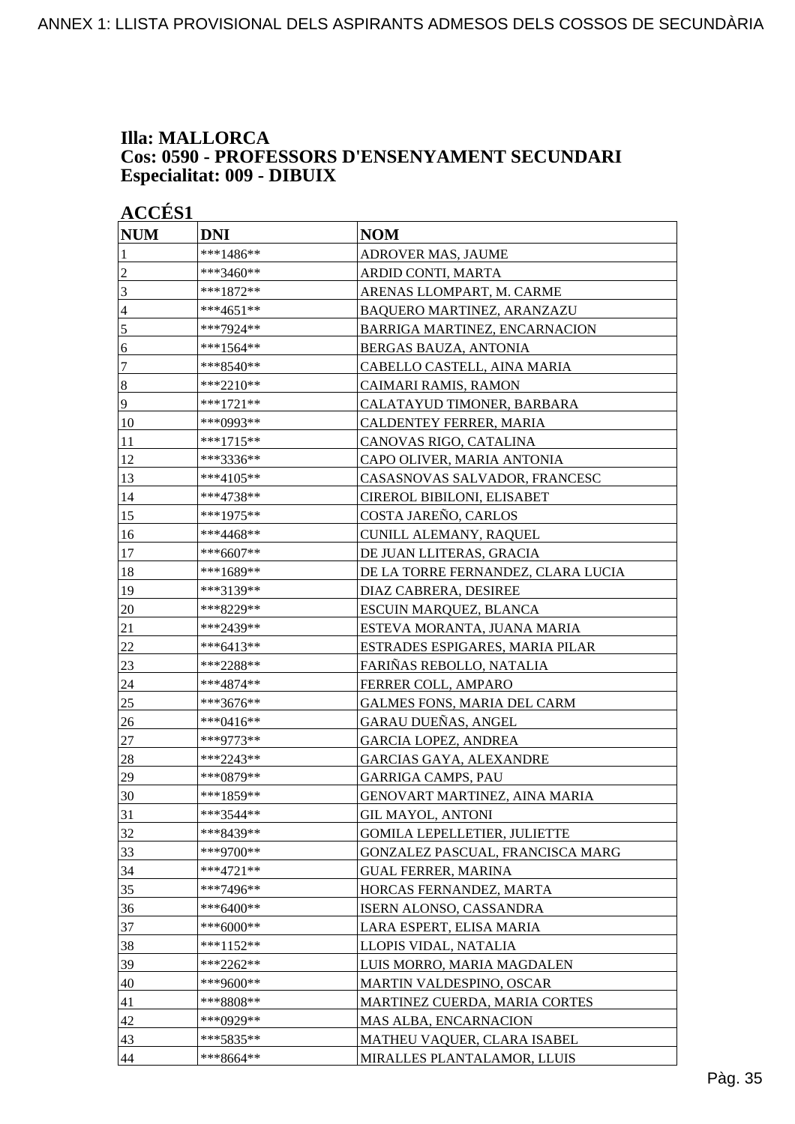### **Illa: MALLORCA Cos: 0590 - PROFESSORS D'ENSENYAMENT SECUNDARI Especialitat: 009 - DIBUIX**

|                  | <b>ACCÉS 1</b> |                                     |  |
|------------------|----------------|-------------------------------------|--|
| <b>NUM</b>       | <b>DNI</b>     | <b>NOM</b>                          |  |
| 1                | ***1486**      | ADROVER MAS, JAUME                  |  |
| $\overline{c}$   | ***3460**      | ARDID CONTI, MARTA                  |  |
| 3                | ***1872**      | ARENAS LLOMPART, M. CARME           |  |
| $\overline{4}$   | ***4651**      | BAQUERO MARTINEZ, ARANZAZU          |  |
| 5                | ***7924**      | BARRIGA MARTINEZ, ENCARNACION       |  |
| 6                | $***1564**$    | BERGAS BAUZA, ANTONIA               |  |
| $\tau$           | ***8540**      | CABELLO CASTELL, AINA MARIA         |  |
| $\boldsymbol{8}$ | ***2210**      | CAIMARI RAMIS, RAMON                |  |
| $\overline{9}$   | ***1721**      | CALATAYUD TIMONER, BARBARA          |  |
| 10               | ***0993**      | CALDENTEY FERRER, MARIA             |  |
| 11               | ***1715**      | CANOVAS RIGO, CATALINA              |  |
| 12               | ***3336**      | CAPO OLIVER, MARIA ANTONIA          |  |
| 13               | ***4105**      | CASASNOVAS SALVADOR, FRANCESC       |  |
| 14               | ***4738**      | CIREROL BIBILONI, ELISABET          |  |
| 15               | ***1975**      | COSTA JAREÑO, CARLOS                |  |
| 16               | ***4468**      | CUNILL ALEMANY, RAQUEL              |  |
| 17               | ***6607**      | DE JUAN LLITERAS, GRACIA            |  |
| 18               | ***1689**      | DE LA TORRE FERNANDEZ, CLARA LUCIA  |  |
| 19               | ***3139**      | DIAZ CABRERA, DESIREE               |  |
| 20               | ***8229**      | ESCUIN MARQUEZ, BLANCA              |  |
| 21               | ***2439**      | ESTEVA MORANTA, JUANA MARIA         |  |
| 22               | ***6413**      | ESTRADES ESPIGARES, MARIA PILAR     |  |
| 23               | ***2288**      | FARIÑAS REBOLLO, NATALIA            |  |
| 24               | ***4874**      | FERRER COLL, AMPARO                 |  |
| 25               | ***3676**      | <b>GALMES FONS, MARIA DEL CARM</b>  |  |
| 26               | ***0416**      | GARAU DUEÑAS, ANGEL                 |  |
| 27               | ***9773**      | <b>GARCIA LOPEZ, ANDREA</b>         |  |
| 28               | ***2243**      | <b>GARCIAS GAYA, ALEXANDRE</b>      |  |
| 29               | ***0879**      | <b>GARRIGA CAMPS, PAU</b>           |  |
| 30               | ***1859**      | GENOVART MARTINEZ, AINA MARIA       |  |
| 31               | ***3544**      | <b>GIL MAYOL, ANTONI</b>            |  |
| 32               | ***8439**      | <b>GOMILA LEPELLETIER, JULIETTE</b> |  |
| 33               | $***9700**$    | GONZALEZ PASCUAL, FRANCISCA MARG    |  |
| 34               | ***4721**      | <b>GUAL FERRER, MARINA</b>          |  |
| 35               | ***7496**      | HORCAS FERNANDEZ, MARTA             |  |
| 36               | ***6400**      | ISERN ALONSO, CASSANDRA             |  |
| 37               | ***6000**      | LARA ESPERT, ELISA MARIA            |  |
| 38               | ***1152**      | LLOPIS VIDAL, NATALIA               |  |
| 39               | ***2262**      | LUIS MORRO, MARIA MAGDALEN          |  |
| 40               | ***9600**      | MARTIN VALDESPINO, OSCAR            |  |
| 41               | ***8808**      | MARTINEZ CUERDA, MARIA CORTES       |  |
| 42               | ***0929**      | MAS ALBA, ENCARNACION               |  |
| 43               | ***5835**      | MATHEU VAQUER, CLARA ISABEL         |  |
| 44               | ***8664**      | MIRALLES PLANTALAMOR, LLUIS         |  |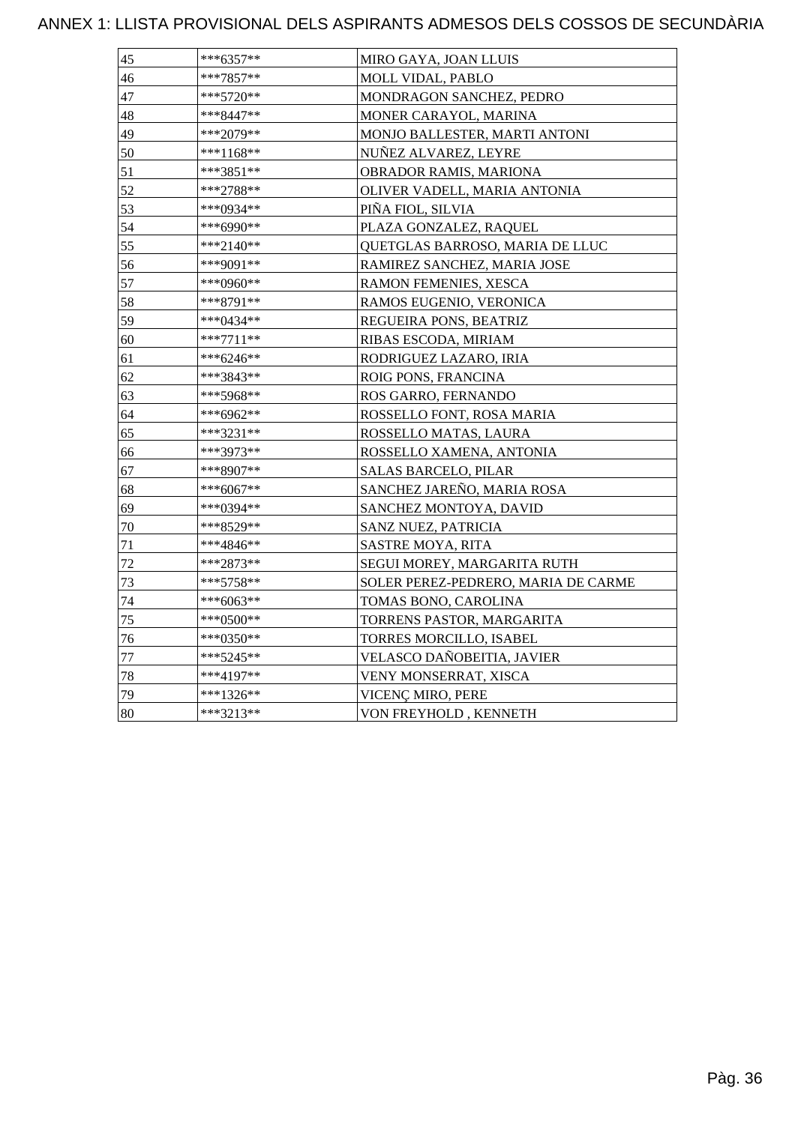| 45 | ***6357**    | MIRO GAYA, JOAN LLUIS               |
|----|--------------|-------------------------------------|
| 46 | ***7857**    | MOLL VIDAL, PABLO                   |
| 47 | ***5720**    | MONDRAGON SANCHEZ, PEDRO            |
| 48 | ***8447**    | MONER CARAYOL, MARINA               |
| 49 | ***2079**    | MONJO BALLESTER, MARTI ANTONI       |
| 50 | ***1168**    | NUÑEZ ALVAREZ, LEYRE                |
| 51 | ***3851**    | OBRADOR RAMIS, MARIONA              |
| 52 | ***2788**    | OLIVER VADELL, MARIA ANTONIA        |
| 53 | ***0934**    | PIÑA FIOL, SILVIA                   |
| 54 | ***6990**    | PLAZA GONZALEZ, RAQUEL              |
| 55 | ***2140**    | QUETGLAS BARROSO, MARIA DE LLUC     |
| 56 | ***9091**    | RAMIREZ SANCHEZ, MARIA JOSE         |
| 57 | ***0960**    | RAMON FEMENIES, XESCA               |
| 58 | ***8791**    | RAMOS EUGENIO, VERONICA             |
| 59 | *** $0434**$ | REGUEIRA PONS, BEATRIZ              |
| 60 | $***7711**$  | RIBAS ESCODA, MIRIAM                |
| 61 | ***6246**    | RODRIGUEZ LAZARO, IRIA              |
| 62 | ***3843**    | ROIG PONS, FRANCINA                 |
| 63 | ***5968**    | ROS GARRO, FERNANDO                 |
| 64 | ***6962**    | ROSSELLO FONT, ROSA MARIA           |
| 65 | ***3231**    | ROSSELLO MATAS, LAURA               |
| 66 | ***3973**    | ROSSELLO XAMENA, ANTONIA            |
| 67 | ***8907**    | <b>SALAS BARCELO, PILAR</b>         |
| 68 | ***6067**    | SANCHEZ JAREÑO, MARIA ROSA          |
| 69 | ***0394**    | SANCHEZ MONTOYA, DAVID              |
| 70 | ***8529**    | <b>SANZ NUEZ, PATRICIA</b>          |
| 71 | ***4846**    | SASTRE MOYA, RITA                   |
| 72 | ***2873**    | SEGUI MOREY, MARGARITA RUTH         |
| 73 | ***5758**    | SOLER PEREZ-PEDRERO, MARIA DE CARME |
| 74 | $***6063**$  | TOMAS BONO, CAROLINA                |
| 75 | ***0500**    | TORRENS PASTOR, MARGARITA           |
| 76 | ***0350**    | TORRES MORCILLO, ISABEL             |
| 77 | ***5245**    | VELASCO DAÑOBEITIA, JAVIER          |
| 78 | ***4197**    | VENY MONSERRAT, XISCA               |
| 79 | ***1326**    | VICENÇ MIRO, PERE                   |
| 80 | ***3213**    | VON FREYHOLD, KENNETH               |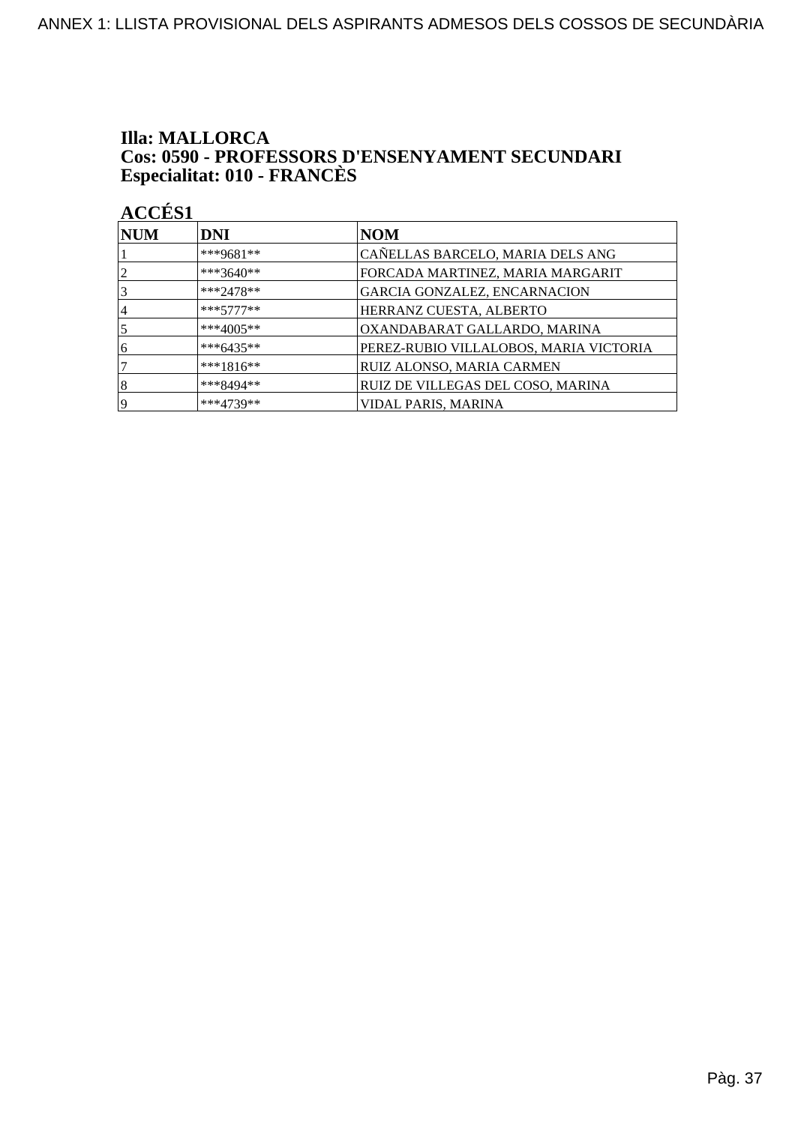## **Illa: MALLORCA Cos: 0590 - PROFESSORS D'ENSENYAMENT SECUNDARI<br>Especialitat: 010 - FRANCÈS**

| NUM            | <b>DNI</b>   | <b>NOM</b>                             |
|----------------|--------------|----------------------------------------|
|                | ***9681**    | CAÑELLAS BARCELO, MARIA DELS ANG       |
| $\overline{2}$ | ***3640**    | FORCADA MARTINEZ, MARIA MARGARIT       |
| 3              | $***2478**$  | GARCIA GONZALEZ, ENCARNACION           |
| 4              | $***5777***$ | HERRANZ CUESTA, ALBERTO                |
| 5              | ***4005**    | OXANDABARAT GALLARDO, MARINA           |
| 6              | ***6435**    | PEREZ-RUBIO VILLALOBOS, MARIA VICTORIA |
|                | $***1816**$  | RUIZ ALONSO, MARIA CARMEN              |
| 8              | ***8494**    | RUIZ DE VILLEGAS DEL COSO, MARINA      |
| 19             | ***4739**    | <b>VIDAL PARIS, MARINA</b>             |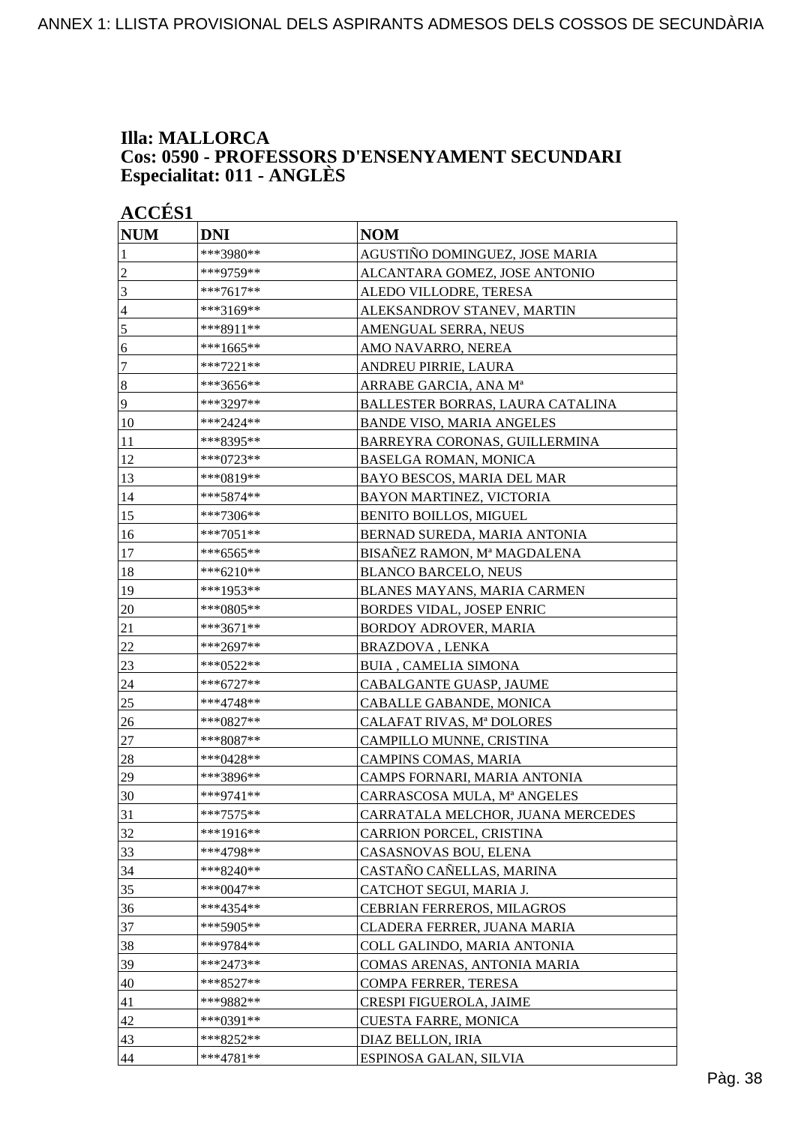### **Illa: MALLORCA Cos: 0590 - PROFESSORS D'ENSENYAMENT SECUNDARI Especialitat: 011 - ANGLÈS**

| <b>ACCÉS 1</b>  |             |                                   |
|-----------------|-------------|-----------------------------------|
| <b>NUM</b>      | DNI         | <b>NOM</b>                        |
| 1               | ***3980**   | AGUSTIÑO DOMINGUEZ, JOSE MARIA    |
| $\overline{c}$  | ***9759**   | ALCANTARA GOMEZ, JOSE ANTONIO     |
| 3               | ***7617**   | ALEDO VILLODRE, TERESA            |
| $\overline{4}$  | ***3169**   | ALEKSANDROV STANEV, MARTIN        |
| 5               | ***8911**   | AMENGUAL SERRA, NEUS              |
| 6               | ***1665**   | AMO NAVARRO, NEREA                |
| $\tau$          | ***7221**   | ANDREU PIRRIE, LAURA              |
| $\vert 8$       | ***3656**   | ARRABE GARCIA, ANA Mª             |
| $\overline{9}$  | ***3297**   | BALLESTER BORRAS, LAURA CATALINA  |
| 10              | ***2424**   | <b>BANDE VISO, MARIA ANGELES</b>  |
| 11              | ***8395**   | BARREYRA CORONAS, GUILLERMINA     |
| 12              | $***0723**$ | <b>BASELGA ROMAN, MONICA</b>      |
| $\overline{13}$ | ***0819**   | BAYO BESCOS, MARIA DEL MAR        |
| 14              | ***5874**   | <b>BAYON MARTINEZ, VICTORIA</b>   |
| 15              | ***7306**   | <b>BENITO BOILLOS, MIGUEL</b>     |
| 16              | ***7051**   | BERNAD SUREDA, MARIA ANTONIA      |
| 17              | ***6565**   | BISAÑEZ RAMON, Mª MAGDALENA       |
| 18              | ***6210**   | <b>BLANCO BARCELO, NEUS</b>       |
| 19              | ***1953**   | BLANES MAYANS, MARIA CARMEN       |
| 20              | ***0805**   | <b>BORDES VIDAL, JOSEP ENRIC</b>  |
| 21              | ***3671**   | BORDOY ADROVER, MARIA             |
| $22\,$          | ***2697**   | BRAZDOVA, LENKA                   |
| 23              | ***0522**   | <b>BUIA, CAMELIA SIMONA</b>       |
| 24              | ***6727**   | CABALGANTE GUASP, JAUME           |
| 25              | ***4748**   | CABALLE GABANDE, MONICA           |
| 26              | ***0827**   | CALAFAT RIVAS, Mª DOLORES         |
| 27              | ***8087**   | CAMPILLO MUNNE, CRISTINA          |
| 28              | ***0428**   | CAMPINS COMAS, MARIA              |
| 29              | ***3896**   | CAMPS FORNARI, MARIA ANTONIA      |
| 30              | ***9741**   | CARRASCOSA MULA, Mª ANGELES       |
| 31              | ***7575**   | CARRATALA MELCHOR, JUANA MERCEDES |
| 32              | ***1916**   | CARRION PORCEL, CRISTINA          |
| 33              | ***4798**   | CASASNOVAS BOU, ELENA             |
| 34              | ***8240**   | CASTAÑO CAÑELLAS, MARINA          |
| 35              | ***0047**   | CATCHOT SEGUI, MARIA J.           |
| 36              | ***4354**   | CEBRIAN FERREROS, MILAGROS        |
| 37              | $***5905**$ | CLADERA FERRER, JUANA MARIA       |
| 38              | ***9784**   | COLL GALINDO, MARIA ANTONIA       |
| 39              | ***2473**   | COMAS ARENAS, ANTONIA MARIA       |
| 40              | ***8527**   | COMPA FERRER, TERESA              |
| 41              | ***9882**   | CRESPI FIGUEROLA, JAIME           |
| 42              | ***0391**   | CUESTA FARRE, MONICA              |
| 43              | ***8252**   | DIAZ BELLON, IRIA                 |
| 44              | ***4781**   | ESPINOSA GALAN, SILVIA            |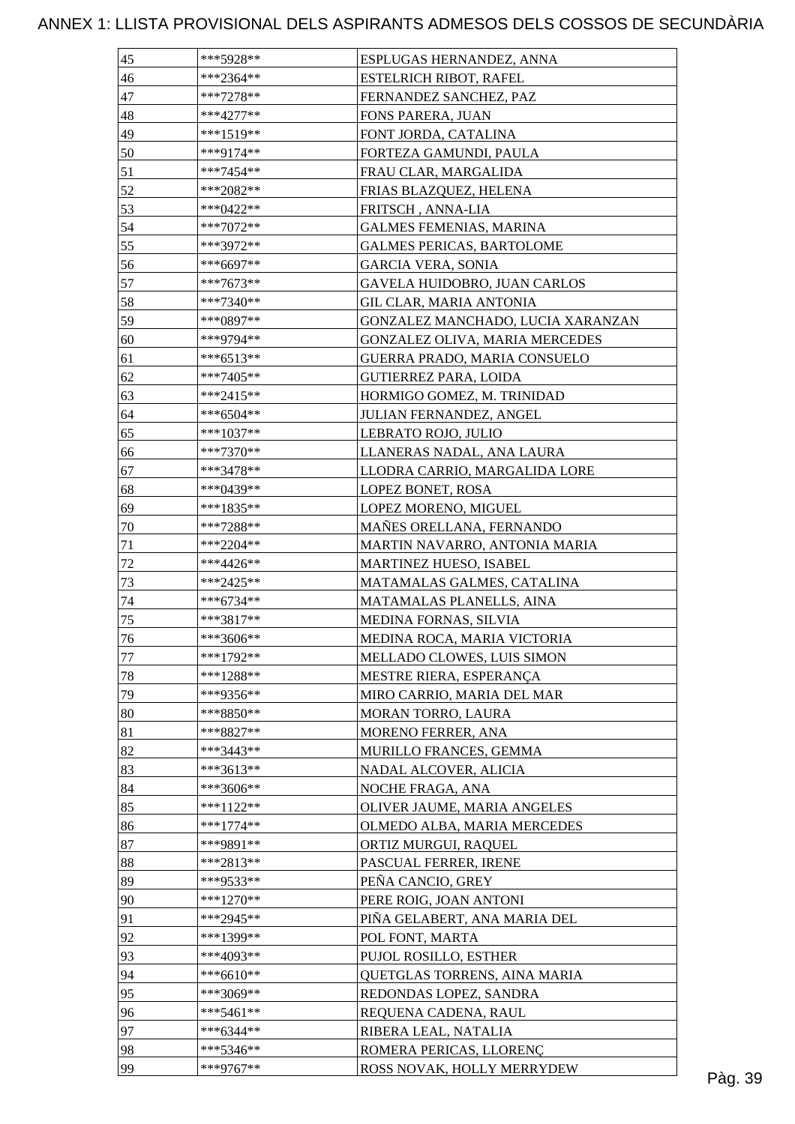| 45     | ***5928**   | ESPLUGAS HERNANDEZ, ANNA          |         |
|--------|-------------|-----------------------------------|---------|
| 46     | ***2364**   | <b>ESTELRICH RIBOT, RAFEL</b>     |         |
| 47     | $***7278**$ | FERNANDEZ SANCHEZ, PAZ            |         |
| 48     | $***4277**$ | FONS PARERA, JUAN                 |         |
| 49     | ***1519**   | FONT JORDA, CATALINA              |         |
| 50     | ***9174**   | FORTEZA GAMUNDI, PAULA            |         |
| 51     | $***7454**$ | FRAU CLAR, MARGALIDA              |         |
| 52     | ***2082**   | FRIAS BLAZQUEZ, HELENA            |         |
| 53     | ***0422**   | FRITSCH, ANNA-LIA                 |         |
| 54     | $***7072**$ | <b>GALMES FEMENIAS, MARINA</b>    |         |
| 55     | ***3972**   | <b>GALMES PERICAS, BARTOLOME</b>  |         |
| 56     | ***6697**   | <b>GARCIA VERA, SONIA</b>         |         |
| 57     | ***7673**   | GAVELA HUIDOBRO, JUAN CARLOS      |         |
| 58     | ***7340**   | GIL CLAR, MARIA ANTONIA           |         |
| 59     | ***0897**   | GONZALEZ MANCHADO, LUCIA XARANZAN |         |
| 60     | ***9794**   | GONZALEZ OLIVA, MARIA MERCEDES    |         |
| 61     | ***6513**   | GUERRA PRADO, MARIA CONSUELO      |         |
| 62     | ***7405**   | <b>GUTIERREZ PARA, LOIDA</b>      |         |
| 63     | ***2415**   | HORMIGO GOMEZ, M. TRINIDAD        |         |
|        |             |                                   |         |
| 64     | ***6504**   | JULIAN FERNANDEZ, ANGEL           |         |
| 65     | ***1037**   | LEBRATO ROJO, JULIO               |         |
| 66     | $***7370**$ | LLANERAS NADAL, ANA LAURA         |         |
| 67     | ***3478**   | LLODRA CARRIO, MARGALIDA LORE     |         |
| 68     | ***0439**   | LOPEZ BONET, ROSA                 |         |
| 69     | ***1835**   | LOPEZ MORENO, MIGUEL              |         |
| 70     | $***7288**$ | MAÑES ORELLANA, FERNANDO          |         |
| 71     | ***2204**   | MARTIN NAVARRO, ANTONIA MARIA     |         |
| $72\,$ | ***4426**   | MARTINEZ HUESO, ISABEL            |         |
| 73     | $***2425**$ | MATAMALAS GALMES, CATALINA        |         |
| 74     | ***6734**   | MATAMALAS PLANELLS, AINA          |         |
| 75     | ***3817**   | MEDINA FORNAS, SILVIA             |         |
| 76     | ***3606**   | MEDINA ROCA, MARIA VICTORIA       |         |
| 77     | ***1792**   | MELLADO CLOWES, LUIS SIMON        |         |
| 78     | $***1288**$ | MESTRE RIERA, ESPERANÇA           |         |
| 79     | ***9356**   | MIRO CARRIO, MARIA DEL MAR        |         |
| 80     | $***8850**$ | MORAN TORRO, LAURA                |         |
| 81     | ***8827**   | MORENO FERRER, ANA                |         |
| 82     | ***3443**   | MURILLO FRANCES, GEMMA            |         |
| 83     | ***3613**   | NADAL ALCOVER, ALICIA             |         |
| 84     | ***3606**   | NOCHE FRAGA, ANA                  |         |
| 85     | $***1122**$ | OLIVER JAUME, MARIA ANGELES       |         |
| 86     | $***1774**$ | OLMEDO ALBA, MARIA MERCEDES       |         |
| 87     | ***9891**   | ORTIZ MURGUI, RAQUEL              |         |
| 88     | ***2813**   | PASCUAL FERRER, IRENE             |         |
| 89     | ***9533**   | PEÑA CANCIO, GREY                 |         |
| 90     | ***1270**   | PERE ROIG, JOAN ANTONI            |         |
| 91     | ***2945**   | PIÑA GELABERT, ANA MARIA DEL      |         |
| 92     | ***1399**   | POL FONT, MARTA                   |         |
| 93     | ***4093**   | PUJOL ROSILLO, ESTHER             |         |
| 94     | $***6610**$ | QUETGLAS TORRENS, AINA MARIA      |         |
| 95     | ***3069**   | REDONDAS LOPEZ, SANDRA            |         |
| 96     | $***5461**$ | REQUENA CADENA, RAUL              |         |
| 97     | $***6344**$ | RIBERA LEAL, NATALIA              |         |
| 98     | ***5346**   | ROMERA PERICAS, LLORENÇ           |         |
| 99     | ***9767**   | ROSS NOVAK, HOLLY MERRYDEW        |         |
|        |             |                                   | Pàg. 39 |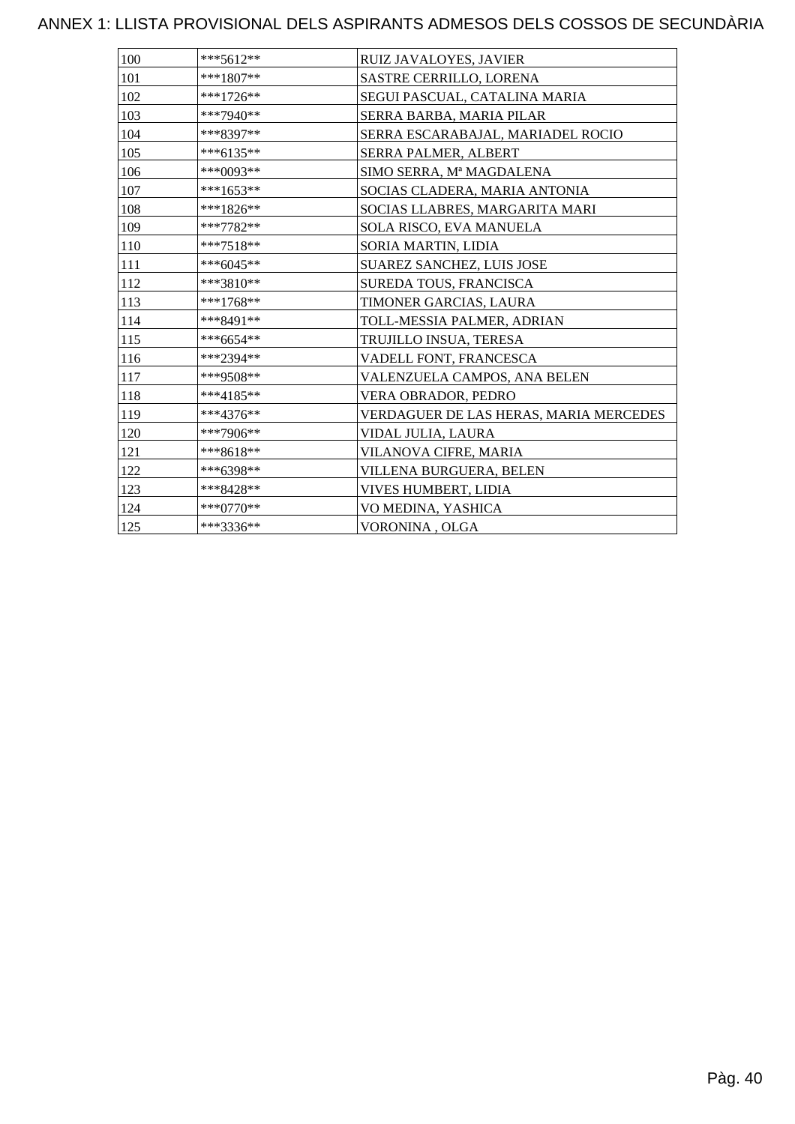| 100 | $***5612**$ | RUIZ JAVALOYES, JAVIER                 |
|-----|-------------|----------------------------------------|
| 101 | $***1807**$ | SASTRE CERRILLO, LORENA                |
| 102 | ***1726**   | SEGUI PASCUAL, CATALINA MARIA          |
| 103 | ***7940**   | SERRA BARBA, MARIA PILAR               |
| 104 | ***8397**   | SERRA ESCARABAJAL, MARIADEL ROCIO      |
| 105 | ***6135**   | <b>SERRA PALMER, ALBERT</b>            |
| 106 | ***0093**   | SIMO SERRA, Mª MAGDALENA               |
| 107 | ***1653**   | SOCIAS CLADERA, MARIA ANTONIA          |
| 108 | ***1826**   | SOCIAS LLABRES, MARGARITA MARI         |
| 109 | ***7782**   | SOLA RISCO, EVA MANUELA                |
| 110 | $***7518**$ | SORIA MARTIN, LIDIA                    |
| 111 | ***6045**   | <b>SUAREZ SANCHEZ, LUIS JOSE</b>       |
| 112 | ***3810**   | SUREDA TOUS, FRANCISCA                 |
| 113 | $***1768**$ | TIMONER GARCIAS, LAURA                 |
| 114 | ***8491**   | TOLL-MESSIA PALMER, ADRIAN             |
| 115 | $***6654**$ | TRUJILLO INSUA, TERESA                 |
| 116 | ***2394**   | VADELL FONT, FRANCESCA                 |
| 117 | ***9508**   | VALENZUELA CAMPOS, ANA BELEN           |
| 118 | ***4185**   | VERA OBRADOR, PEDRO                    |
| 119 | ***4376**   | VERDAGUER DE LAS HERAS, MARIA MERCEDES |
| 120 | ***7906**   | VIDAL JULIA, LAURA                     |
| 121 | ***8618**   | VILANOVA CIFRE, MARIA                  |
| 122 | ***6398**   | VILLENA BURGUERA, BELEN                |
| 123 | ***8428**   | VIVES HUMBERT, LIDIA                   |
| 124 | ***0770**   | VO MEDINA, YASHICA                     |
| 125 | ***3336**   | VORONINA, OLGA                         |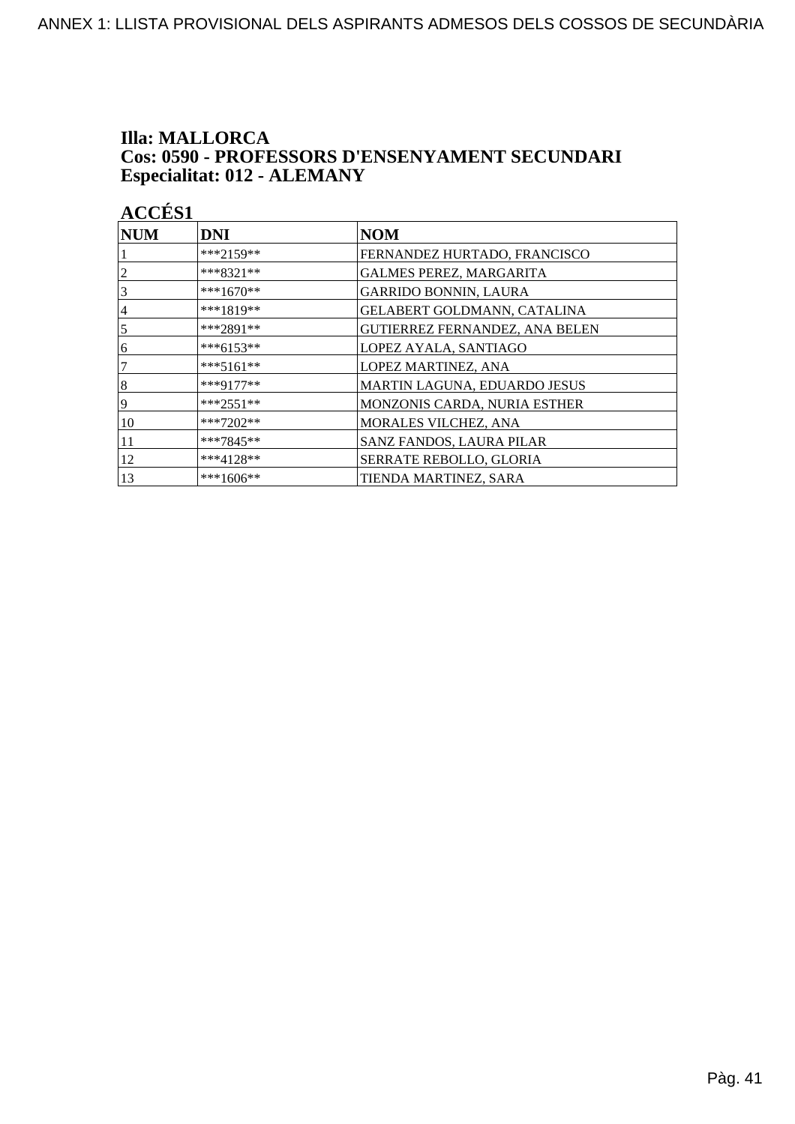### **Illa: MALLORCA** Cos: 0590 - PROFESSORS D'ENSENYAMENT SECUNDARI Especialitat: 012 - ALEMANY

| <b>ACCÉS 1</b> |             |                                       |
|----------------|-------------|---------------------------------------|
| <b>NUM</b>     | <b>DNI</b>  | <b>NOM</b>                            |
|                | ***2159**   | FERNANDEZ HURTADO, FRANCISCO          |
| 2              | $***8321**$ | <b>GALMES PEREZ, MARGARITA</b>        |
| 3              | ***1670**   | <b>GARRIDO BONNIN, LAURA</b>          |
| 4              | ***1819**   | GELABERT GOLDMANN, CATALINA           |
| 5              | ***2891**   | <b>GUTIERREZ FERNANDEZ, ANA BELEN</b> |
| 6              | ***6153**   | LOPEZ AYALA, SANTIAGO                 |
| 7              | ***5161**   | LOPEZ MARTINEZ, ANA                   |
| 8              | $***9177**$ | MARTIN LAGUNA, EDUARDO JESUS          |
| 9              | ***2551**   | MONZONIS CARDA, NURIA ESTHER          |
| 10             | ***7202**   | MORALES VILCHEZ, ANA                  |
| 11             | ***7845**   | SANZ FANDOS, LAURA PILAR              |
| 12             | $***4128**$ | SERRATE REBOLLO, GLORIA               |
| 13             | ***1606**   | TIENDA MARTINEZ, SARA                 |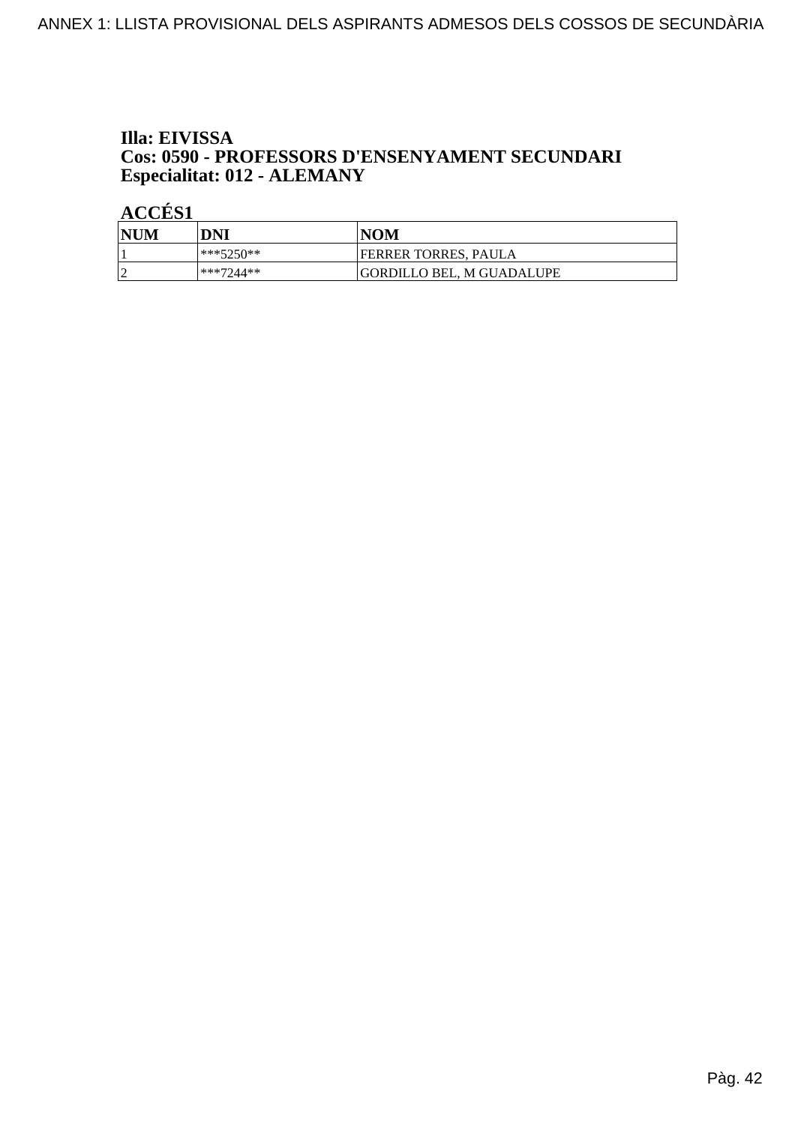### Illa: EIVISSA Cos: 0590 - PROFESSORS D'ENSENYAMENT SECUNDARI Especialitat: 012 - ALEMANY

| <b>NUM</b> | DNI       | <b>NOM</b>                |
|------------|-----------|---------------------------|
|            | ***5250** | FERRER TORRES, PAULA      |
| $\sqrt{ }$ | ***7244** | GORDILLO BEL. M GUADALUPE |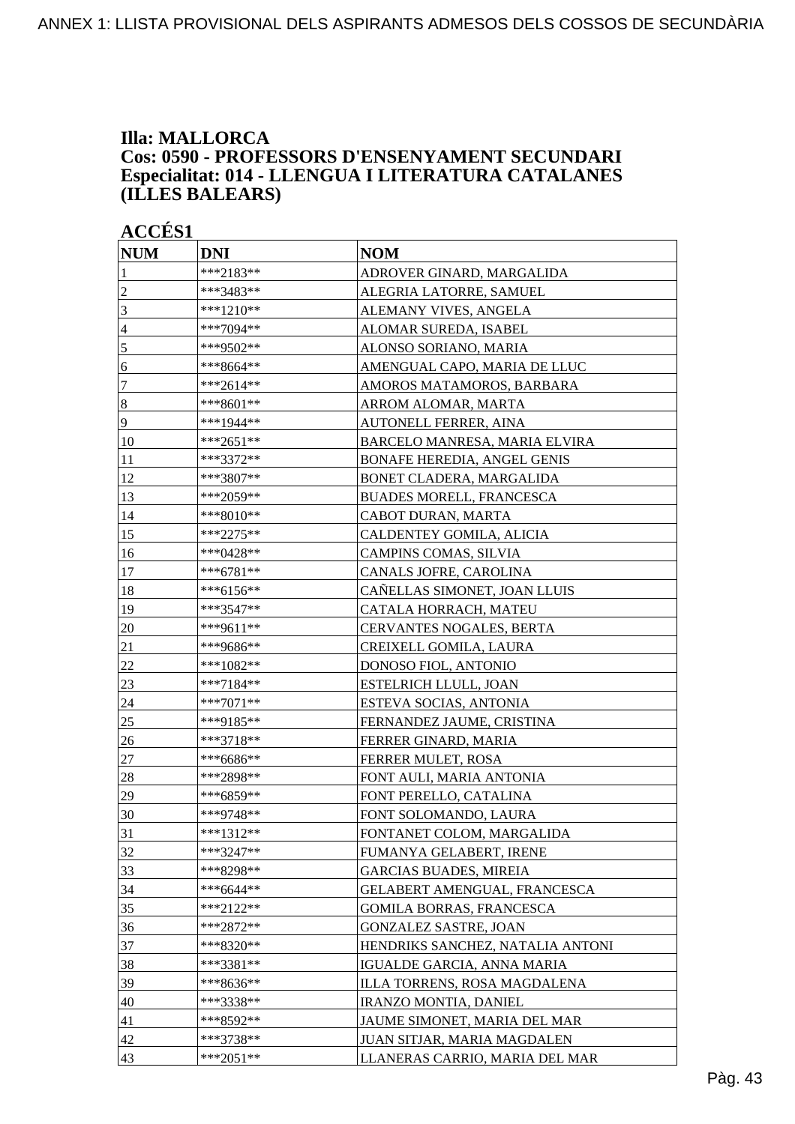### **Illa: MALLORCA Cos: 0590 - PROFESSORS D'ENSENYAMENT SECUNDARI Especialitat: 014 - LLENGUA I LITERATURA CATALANES (ILLES BALEARS)**

| <b>NUM</b>       | <b>DNI</b>  | <b>NOM</b>                         |
|------------------|-------------|------------------------------------|
| 1                | ***2183**   | ADROVER GINARD, MARGALIDA          |
| $\sqrt{2}$       | ***3483**   | ALEGRIA LATORRE, SAMUEL            |
| 3                | ***1210**   | ALEMANY VIVES, ANGELA              |
| $\overline{4}$   | ***7094**   | ALOMAR SUREDA, ISABEL              |
| 5                | ***9502**   | ALONSO SORIANO, MARIA              |
| 6                | ***8664**   | AMENGUAL CAPO, MARIA DE LLUC       |
| $\boldsymbol{7}$ | ***2614**   | AMOROS MATAMOROS, BARBARA          |
| $\vert 8$        | ***8601**   | ARROM ALOMAR, MARTA                |
| $\overline{9}$   | ***1944**   | AUTONELL FERRER, AINA              |
| 10               | ***2651**   | BARCELO MANRESA, MARIA ELVIRA      |
| 11               | ***3372**   | <b>BONAFE HEREDIA, ANGEL GENIS</b> |
| 12               | ***3807**   | BONET CLADERA, MARGALIDA           |
| 13               | ***2059**   | <b>BUADES MORELL, FRANCESCA</b>    |
| 14               | ***8010**   | CABOT DURAN, MARTA                 |
| 15               | ***2275**   | CALDENTEY GOMILA, ALICIA           |
| 16               | ***0428**   | CAMPINS COMAS, SILVIA              |
| 17               | ***6781**   | CANALS JOFRE, CAROLINA             |
| 18               | ***6156**   | CAÑELLAS SIMONET, JOAN LLUIS       |
| 19               | ***3547**   | CATALA HORRACH, MATEU              |
| 20               | ***9611**   | CERVANTES NOGALES, BERTA           |
| 21               | ***9686**   | CREIXELL GOMILA, LAURA             |
| 22               | $***1082**$ | DONOSO FIOL, ANTONIO               |
| 23               | ***7184**   | ESTELRICH LLULL, JOAN              |
| 24               | ***7071**   | ESTEVA SOCIAS, ANTONIA             |
| 25               | ***9185**   | FERNANDEZ JAUME, CRISTINA          |
| 26               | ***3718**   | FERRER GINARD, MARIA               |
| 27               | ***6686**   | FERRER MULET, ROSA                 |
| 28               | ***2898**   | FONT AULI, MARIA ANTONIA           |
| 29               | ***6859**   | FONT PERELLO, CATALINA             |
| $\frac{30}{5}$   | ***9748**   | FONT SOLOMANDO, LAURA              |
| 31               | $***1312**$ | FONTANET COLOM, MARGALIDA          |
| 32               | ***3247**   | FUMANYA GELABERT, IRENE            |
| 33               | ***8298**   | <b>GARCIAS BUADES, MIREIA</b>      |
| 34               | ***6644**   | GELABERT AMENGUAL, FRANCESCA       |
| 35               | ***2122**   | <b>GOMILA BORRAS, FRANCESCA</b>    |
| 36               | $***2872**$ | <b>GONZALEZ SASTRE, JOAN</b>       |
| 37               | $***8320**$ | HENDRIKS SANCHEZ, NATALIA ANTONI   |
| 38               | ***3381**   | IGUALDE GARCIA, ANNA MARIA         |
| 39               | ***8636**   | ILLA TORRENS, ROSA MAGDALENA       |
| 40               | ***3338**   | <b>IRANZO MONTIA, DANIEL</b>       |
| 41               | ***8592**   | JAUME SIMONET, MARIA DEL MAR       |
| 42               | ***3738**   | JUAN SITJAR, MARIA MAGDALEN        |
| 43               | ***2051**   | LLANERAS CARRIO, MARIA DEL MAR     |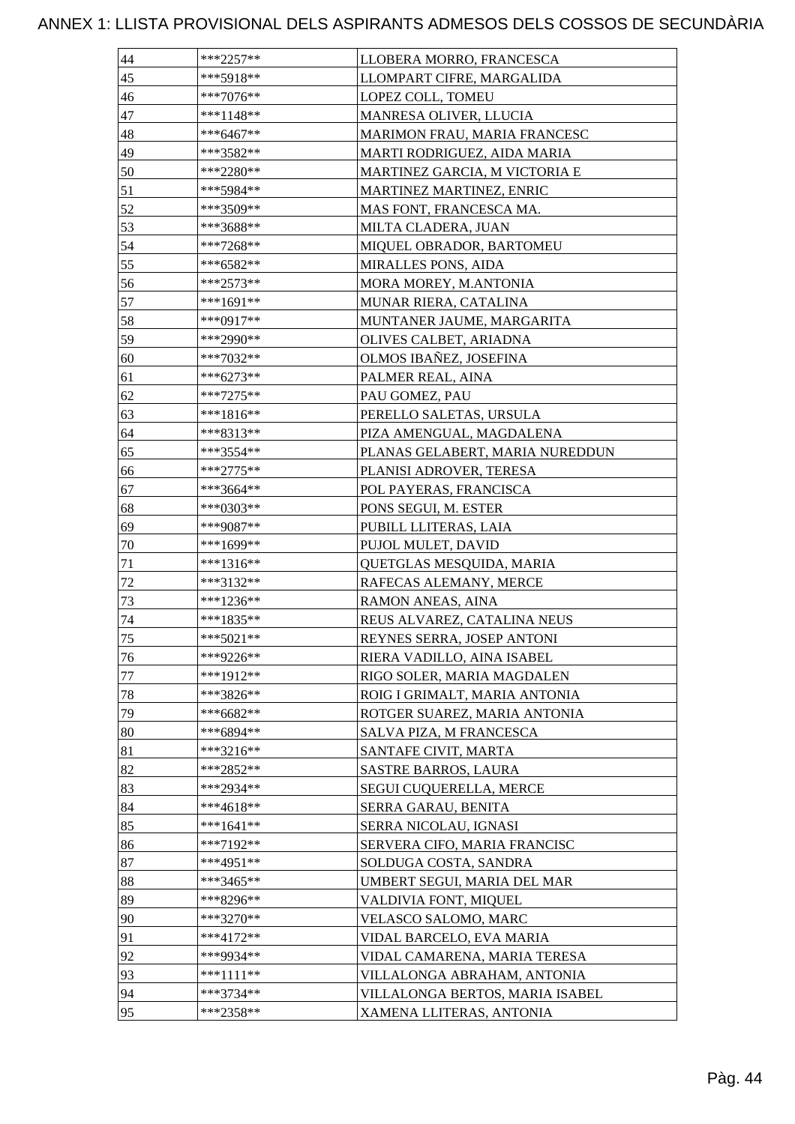| 44 | ***2257**   | LLOBERA MORRO, FRANCESCA        |
|----|-------------|---------------------------------|
| 45 | ***5918**   | LLOMPART CIFRE, MARGALIDA       |
| 46 | ***7076**   | <b>LOPEZ COLL. TOMEU</b>        |
| 47 | ***1148**   | MANRESA OLIVER, LLUCIA          |
| 48 | ***6467**   | MARIMON FRAU, MARIA FRANCESC    |
| 49 | ***3582**   | MARTI RODRIGUEZ, AIDA MARIA     |
| 50 | ***2280**   | MARTINEZ GARCIA, M VICTORIA E   |
| 51 | ***5984**   | MARTINEZ MARTINEZ, ENRIC        |
| 52 | ***3509**   | MAS FONT, FRANCESCA MA.         |
| 53 | ***3688**   | MILTA CLADERA, JUAN             |
| 54 | ***7268**   | MIQUEL OBRADOR, BARTOMEU        |
| 55 | ***6582**   | MIRALLES PONS, AIDA             |
| 56 | $***2573**$ | MORA MOREY, M.ANTONIA           |
| 57 | ***1691**   | MUNAR RIERA, CATALINA           |
| 58 | ***0917**   | MUNTANER JAUME, MARGARITA       |
| 59 | ***2990**   | OLIVES CALBET, ARIADNA          |
| 60 | ***7032**   | OLMOS IBAÑEZ, JOSEFINA          |
| 61 | ***6273**   | PALMER REAL, AINA               |
| 62 | $***7275**$ | PAU GOMEZ, PAU                  |
| 63 | ***1816**   | PERELLO SALETAS, URSULA         |
| 64 | ***8313**   | PIZA AMENGUAL, MAGDALENA        |
| 65 | ***3554**   | PLANAS GELABERT, MARIA NUREDDUN |
| 66 | ***2775**   | PLANISI ADROVER, TERESA         |
| 67 | ***3664**   | POL PAYERAS, FRANCISCA          |
| 68 | ***0303**   | PONS SEGUI, M. ESTER            |
| 69 | ***9087**   | PUBILL LLITERAS, LAIA           |
| 70 | ***1699**   | PUJOL MULET, DAVID              |
| 71 | ***1316**   | QUETGLAS MESQUIDA, MARIA        |
| 72 | ***3132**   | RAFECAS ALEMANY, MERCE          |
| 73 | ***1236**   | <b>RAMON ANEAS, AINA</b>        |
| 74 | ***1835**   | REUS ALVAREZ, CATALINA NEUS     |
| 75 | ***5021**   | REYNES SERRA, JOSEP ANTONI      |
| 76 | ***9226**   | RIERA VADILLO, AINA ISABEL      |
| 77 | ***1912**   | RIGO SOLER, MARIA MAGDALEN      |
| 78 | ***3826**   | ROIG I GRIMALT, MARIA ANTONIA   |
| 79 | ***6682**   | ROTGER SUAREZ, MARIA ANTONIA    |
| 80 | ***6894**   | SALVA PIZA, M FRANCESCA         |
| 81 | ***3216**   | SANTAFE CIVIT, MARTA            |
| 82 | ***2852**   | <b>SASTRE BARROS, LAURA</b>     |
| 83 | ***2934**   | SEGUI CUQUERELLA, MERCE         |
| 84 | ***4618**   | SERRA GARAU, BENITA             |
| 85 | $***1641**$ | SERRA NICOLAU, IGNASI           |
| 86 | ***7192**   | SERVERA CIFO, MARIA FRANCISC    |
| 87 | ***4951**   | SOLDUGA COSTA, SANDRA           |
| 88 | ***3465**   | UMBERT SEGUI, MARIA DEL MAR     |
| 89 | ***8296**   | VALDIVIA FONT, MIQUEL           |
| 90 | ***3270**   | VELASCO SALOMO, MARC            |
| 91 | ***4172**   | VIDAL BARCELO, EVA MARIA        |
| 92 | ***9934**   | VIDAL CAMARENA, MARIA TERESA    |
| 93 | ***1111**   | VILLALONGA ABRAHAM, ANTONIA     |
| 94 | ***3734**   | VILLALONGA BERTOS, MARIA ISABEL |
| 95 | ***2358**   | XAMENA LLITERAS, ANTONIA        |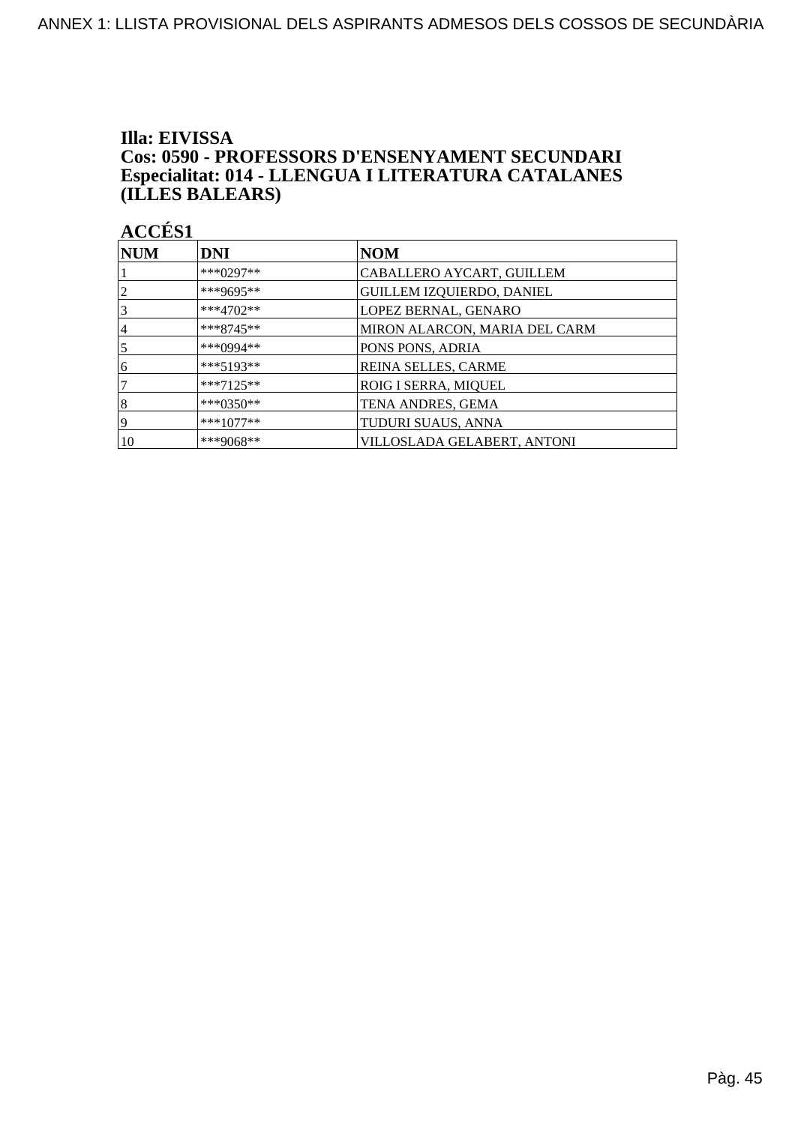### Illa: EIVISSA Cos: 0590 - PROFESSORS D'ENSENYAMENT SECUNDARI Especialitat: 014 - LLENGUA I LITERATURA CATALANES (ILLES BALEARS)

| NUM            | <b>DNI</b>  | <b>NOM</b>                       |
|----------------|-------------|----------------------------------|
|                | $***0297**$ | CABALLERO AYCART, GUILLEM        |
| $\overline{2}$ | ***9695**   | <b>GUILLEM IZQUIERDO, DANIEL</b> |
| 3              | ***4702**   | LOPEZ BERNAL, GENARO             |
| 14             | $***8745**$ | MIRON ALARCON, MARIA DEL CARM    |
| $\overline{5}$ | ***0994**   | PONS PONS, ADRIA                 |
| 6              | $***5193**$ | REINA SELLES, CARME              |
| 17             | $***7125**$ | ROIG I SERRA, MIQUEL             |
| 8              | $***0350**$ | TENA ANDRES, GEMA                |
| 19             | $***1077**$ | TUDURI SUAUS, ANNA               |
| 10             | ***9068**   | VILLOSLADA GELABERT, ANTONI      |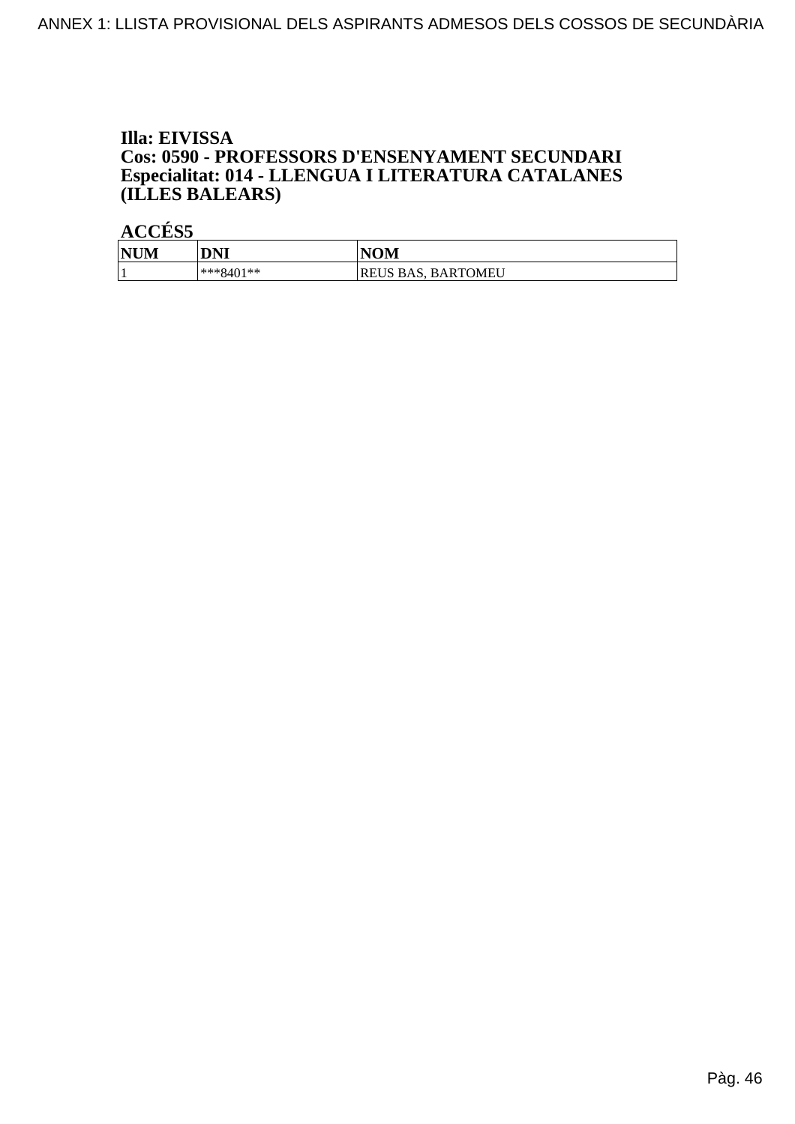### Illa: EIVISSA Cos: 0590 - PROFESSORS D'ENSENYAMENT SECUNDARI Especialitat: 014 - LLENGUA I LITERATURA CATALANES (ILLES BALEARS)

| <b>NUM</b> | <b>DNI</b>  | <b>NOM</b>                   |
|------------|-------------|------------------------------|
|            | $***8401**$ | <b>BARTOMEU</b><br>REUS BAS. |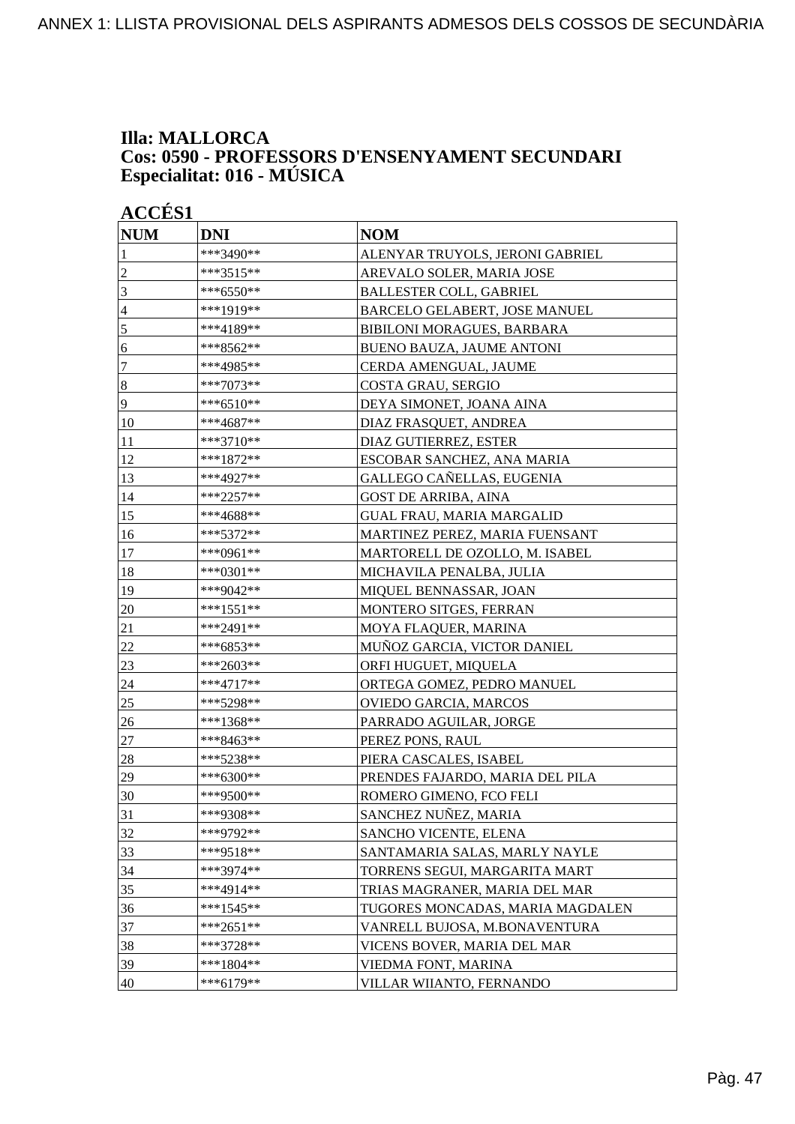### **Illa: MALLORCA Cos: 0590 - PROFESSORS D'ENSENYAMENT SECUNDARI Especialitat: 016 - MÚSICA**

| <b>ACCÉS 1</b>   |             |                                  |
|------------------|-------------|----------------------------------|
| <b>NUM</b>       | <b>DNI</b>  | <b>NOM</b>                       |
| 1                | ***3490**   | ALENYAR TRUYOLS, JERONI GABRIEL  |
| $\overline{2}$   | ***3515**   | AREVALO SOLER, MARIA JOSE        |
| 3                | ***6550**   | <b>BALLESTER COLL, GABRIEL</b>   |
| $\overline{4}$   | ***1919**   | BARCELO GELABERT, JOSE MANUEL    |
| 5                | ***4189**   | BIBILONI MORAGUES, BARBARA       |
| 6                | ***8562**   | <b>BUENO BAUZA, JAUME ANTONI</b> |
| $\overline{7}$   | ***4985**   | CERDA AMENGUAL, JAUME            |
| $\boldsymbol{8}$ | ***7073**   | COSTA GRAU, SERGIO               |
| 9                | ***6510**   | DEYA SIMONET, JOANA AINA         |
| 10               | ***4687**   | DIAZ FRASQUET, ANDREA            |
| 11               | ***3710**   | DIAZ GUTIERREZ, ESTER            |
| 12               | ***1872**   | ESCOBAR SANCHEZ, ANA MARIA       |
| 13               | ***4927**   | GALLEGO CAÑELLAS, EUGENIA        |
| 14               | ***2257**   | <b>GOST DE ARRIBA, AINA</b>      |
| 15               | ***4688**   | <b>GUAL FRAU, MARIA MARGALID</b> |
| 16               | ***5372**   | MARTINEZ PEREZ, MARIA FUENSANT   |
| 17               | ***0961**   | MARTORELL DE OZOLLO, M. ISABEL   |
| 18               | ***0301**   | MICHAVILA PENALBA, JULIA         |
| 19               | ***9042**   | MIQUEL BENNASSAR, JOAN           |
| 20               | ***1551**   | MONTERO SITGES, FERRAN           |
| 21               | ***2491**   | MOYA FLAQUER, MARINA             |
| 22               | ***6853**   | MUÑOZ GARCIA, VICTOR DANIEL      |
| 23               | ***2603**   | ORFI HUGUET, MIQUELA             |
| 24               | $***4717**$ | ORTEGA GOMEZ, PEDRO MANUEL       |
| 25               | ***5298**   | OVIEDO GARCIA, MARCOS            |
| 26               | ***1368**   | PARRADO AGUILAR, JORGE           |
| 27               | ***8463**   | PEREZ PONS, RAUL                 |
| 28               | ***5238**   | PIERA CASCALES, ISABEL           |
| 29               | ***6300**   | PRENDES FAJARDO, MARIA DEL PILA  |
| 30               | ***9500**   | ROMERO GIMENO, FCO FELI          |
| 31               | ***9308**   | SANCHEZ NUÑEZ, MARIA             |
| 32               | ***9792**   | SANCHO VICENTE, ELENA            |
| 33               | ***9518**   | SANTAMARIA SALAS, MARLY NAYLE    |
| 34               | ***3974**   | TORRENS SEGUI, MARGARITA MART    |
| 35               | ***4914**   | TRIAS MAGRANER, MARIA DEL MAR    |
| 36               | $***1545**$ | TUGORES MONCADAS, MARIA MAGDALEN |
| 37               | ***2651**   | VANRELL BUJOSA, M.BONAVENTURA    |
| 38               | ***3728**   | VICENS BOVER, MARIA DEL MAR      |
| 39               | ***1804**   | VIEDMA FONT, MARINA              |
| 40               | ***6179**   | VILLAR WIIANTO, FERNANDO         |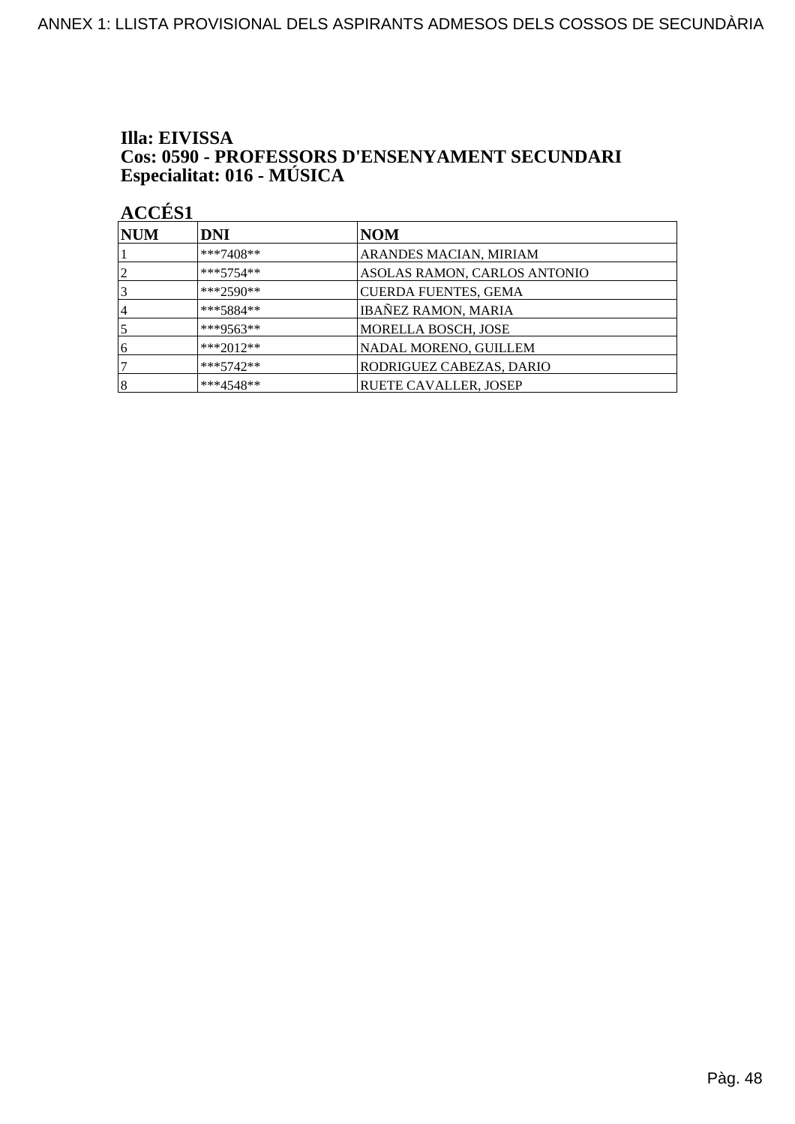## Illa: EIVISSA **Cos: 0590 - PROFESSORS D'ENSENYAMENT SECUNDARI<br>Especialitat: 016 - MÚSICA**

| <b>NUM</b> | DNI         | NOM                          |
|------------|-------------|------------------------------|
|            | $***7408**$ | ARANDES MACIAN, MIRIAM       |
| 12         | $***5754**$ | ASOLAS RAMON, CARLOS ANTONIO |
| 3          | ***2590**   | <b>CUERDA FUENTES, GEMA</b>  |
| 4          | $***5884**$ | <b>IBAÑEZ RAMON, MARIA</b>   |
|            | ***9563**   | MORELLA BOSCH, JOSE          |
| 6          | ***2012**   | NADAL MORENO, GUILLEM        |
|            | $***5742**$ | RODRIGUEZ CABEZAS, DARIO     |
| $\vert 8$  | $***4548**$ | <b>RUETE CAVALLER, JOSEP</b> |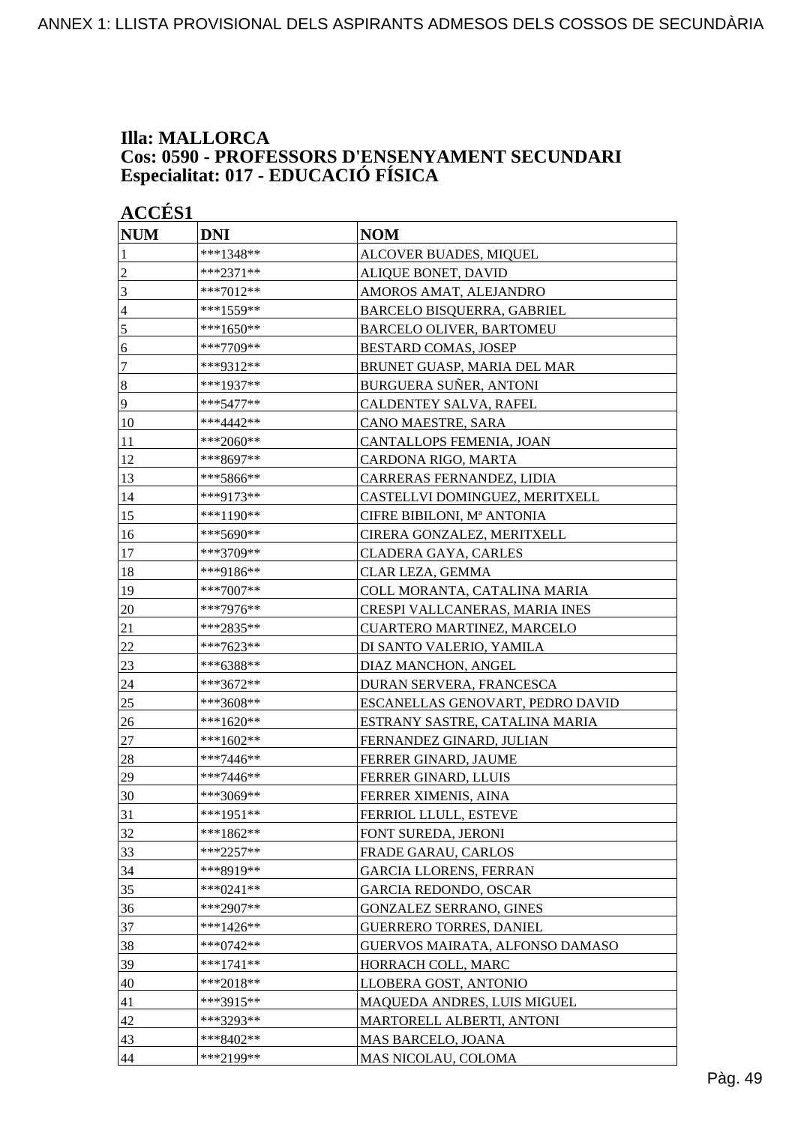### **Illa: MALLORCA Cos: 0590 - PROFESSORS D'ENSENYAMENT SECUNDARI Especialitat: 017 - EDUCACIÓ FÍSICA**

| <b>ACCÉS 1</b>   |             |                                   |
|------------------|-------------|-----------------------------------|
| <b>NUM</b>       | <b>DNI</b>  | <b>NOM</b>                        |
| 1                | ***1348**   | ALCOVER BUADES, MIQUEL            |
| $\overline{2}$   | $***2371**$ | ALIQUE BONET, DAVID               |
| 3                | ***7012**   | AMOROS AMAT, ALEJANDRO            |
| $\overline{4}$   | ***1559**   | BARCELO BISQUERRA, GABRIEL        |
| 5                | ***1650**   | <b>BARCELO OLIVER, BARTOMEU</b>   |
| 6                | ***7709**   | <b>BESTARD COMAS, JOSEP</b>       |
| $\boldsymbol{7}$ | ***9312**   | BRUNET GUASP, MARIA DEL MAR       |
| $\bf 8$          | ***1937**   | BURGUERA SUÑER, ANTONI            |
| 9                | ***5477**   | CALDENTEY SALVA, RAFEL            |
| 10               | ***4442**   | CANO MAESTRE, SARA                |
| 11               | ***2060**   | CANTALLOPS FEMENIA, JOAN          |
| 12               | ***8697**   | CARDONA RIGO, MARTA               |
| 13               | ***5866**   | CARRERAS FERNANDEZ, LIDIA         |
| 14               | ***9173**   | CASTELLVI DOMINGUEZ, MERITXELL    |
| 15               | ***1190**   | CIFRE BIBILONI, Mª ANTONIA        |
| 16               | ***5690**   | CIRERA GONZALEZ, MERITXELL        |
| 17               | ***3709**   | CLADERA GAYA, CARLES              |
| 18               | ***9186**   | CLAR LEZA, GEMMA                  |
| 19               | ***7007**   | COLL MORANTA, CATALINA MARIA      |
| 20               | ***7976**   | CRESPI VALLCANERAS, MARIA INES    |
| 21               | ***2835**   | <b>CUARTERO MARTINEZ, MARCELO</b> |
| 22               | ***7623**   | DI SANTO VALERIO, YAMILA          |
| 23               | ***6388**   | DIAZ MANCHON, ANGEL               |
| 24               | ***3672**   | DURAN SERVERA, FRANCESCA          |
| 25               | ***3608**   | ESCANELLAS GENOVART, PEDRO DAVID  |
| 26               | ***1620**   | ESTRANY SASTRE, CATALINA MARIA    |
| 27               | ***1602**   | FERNANDEZ GINARD, JULIAN          |
| 28               | ***7446**   | FERRER GINARD, JAUME              |
| 29               | ***7446**   | FERRER GINARD, LLUIS              |
| 30               | ***3069**   | FERRER XIMENIS, AINA              |
| 31               | ***1951**   | <b>FERRIOL LLULL, ESTEVE</b>      |
| 32               | ***1862**   | FONT SUREDA, JERONI               |
| 33               | ***2257**   | FRADE GARAU, CARLOS               |
| 34               | ***8919**   | <b>GARCIA LLORENS, FERRAN</b>     |
| 35               | ***0241**   | GARCIA REDONDO, OSCAR             |
| 36               | $***2907**$ | <b>GONZALEZ SERRANO, GINES</b>    |
| 37               | ***1426**   | <b>GUERRERO TORRES, DANIEL</b>    |
| 38               | $***0742**$ | GUERVOS MAIRATA, ALFONSO DAMASO   |
| 39               | ***1741**   | HORRACH COLL, MARC                |
| 40               | ***2018**   | LLOBERA GOST, ANTONIO             |
| 41               | ***3915**   | MAQUEDA ANDRES, LUIS MIGUEL       |
| 42               | ***3293**   | MARTORELL ALBERTI, ANTONI         |
| 43               | ***8402**   | MAS BARCELO, JOANA                |
| 44               | ***2199**   | MAS NICOLAU, COLOMA               |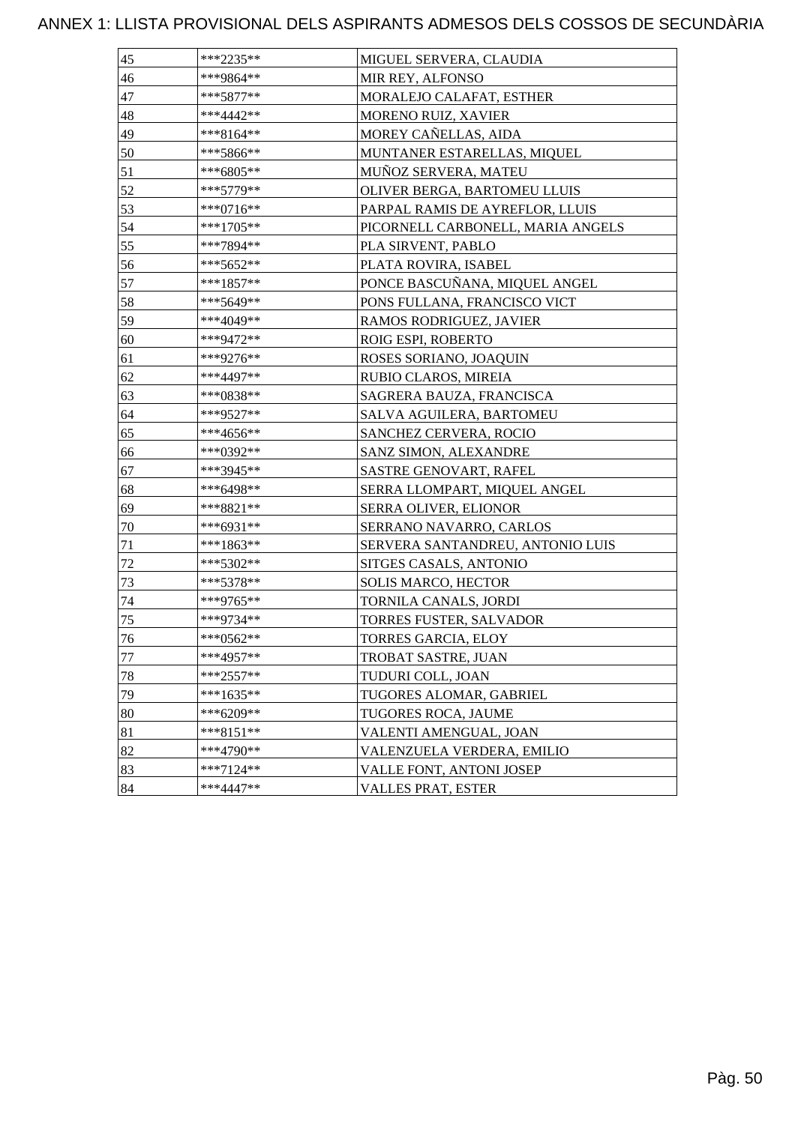| 45 | ***2235**    | MIGUEL SERVERA, CLAUDIA           |
|----|--------------|-----------------------------------|
| 46 | ***9864**    | MIR REY, ALFONSO                  |
| 47 | $***5877**$  | MORALEJO CALAFAT, ESTHER          |
| 48 | ***4442**    | MORENO RUIZ, XAVIER               |
| 49 | ***8164**    | MOREY CAÑELLAS, AIDA              |
| 50 | $***5866***$ | MUNTANER ESTARELLAS, MIQUEL       |
| 51 | ***6805**    | MUÑOZ SERVERA, MATEU              |
| 52 | ***5779**    | OLIVER BERGA, BARTOMEU LLUIS      |
| 53 | ***0716**    | PARPAL RAMIS DE AYREFLOR, LLUIS   |
| 54 | ***1705**    | PICORNELL CARBONELL, MARIA ANGELS |
| 55 | ***7894**    | PLA SIRVENT, PABLO                |
| 56 | ***5652**    | PLATA ROVIRA, ISABEL              |
| 57 | ***1857**    | PONCE BASCUÑANA, MIQUEL ANGEL     |
| 58 | ***5649**    | PONS FULLANA, FRANCISCO VICT      |
| 59 | ***4049**    | RAMOS RODRIGUEZ, JAVIER           |
| 60 | ***9472**    | ROIG ESPI, ROBERTO                |
| 61 | ***9276**    | ROSES SORIANO, JOAQUIN            |
| 62 | ***4497**    | RUBIO CLAROS, MIREIA              |
| 63 | ***0838**    | SAGRERA BAUZA, FRANCISCA          |
| 64 | ***9527**    | SALVA AGUILERA, BARTOMEU          |
| 65 | ***4656**    | SANCHEZ CERVERA, ROCIO            |
| 66 | ***0392**    | SANZ SIMON, ALEXANDRE             |
| 67 | ***3945**    | SASTRE GENOVART, RAFEL            |
| 68 | ***6498**    | SERRA LLOMPART, MIQUEL ANGEL      |
| 69 | ***8821**    | <b>SERRA OLIVER, ELIONOR</b>      |
| 70 | ***6931**    | SERRANO NAVARRO, CARLOS           |
| 71 | ***1863**    | SERVERA SANTANDREU, ANTONIO LUIS  |
| 72 | ***5302**    | SITGES CASALS, ANTONIO            |
| 73 | ***5378**    | SOLIS MARCO, HECTOR               |
| 74 | ***9765**    | TORNILA CANALS, JORDI             |
| 75 | ***9734**    | TORRES FUSTER, SALVADOR           |
| 76 | ***0562**    | TORRES GARCIA, ELOY               |
| 77 | ***4957**    | TROBAT SASTRE, JUAN               |
| 78 | ***2557**    | TUDURI COLL, JOAN                 |
| 79 | $***1635**$  | TUGORES ALOMAR, GABRIEL           |
| 80 | ***6209**    | TUGORES ROCA, JAUME               |
| 81 | $***8151**$  | VALENTI AMENGUAL, JOAN            |
| 82 | ***4790**    | VALENZUELA VERDERA, EMILIO        |
| 83 | $***7124**$  | <b>VALLE FONT, ANTONI JOSEP</b>   |
| 84 | ***4447**    | VALLES PRAT, ESTER                |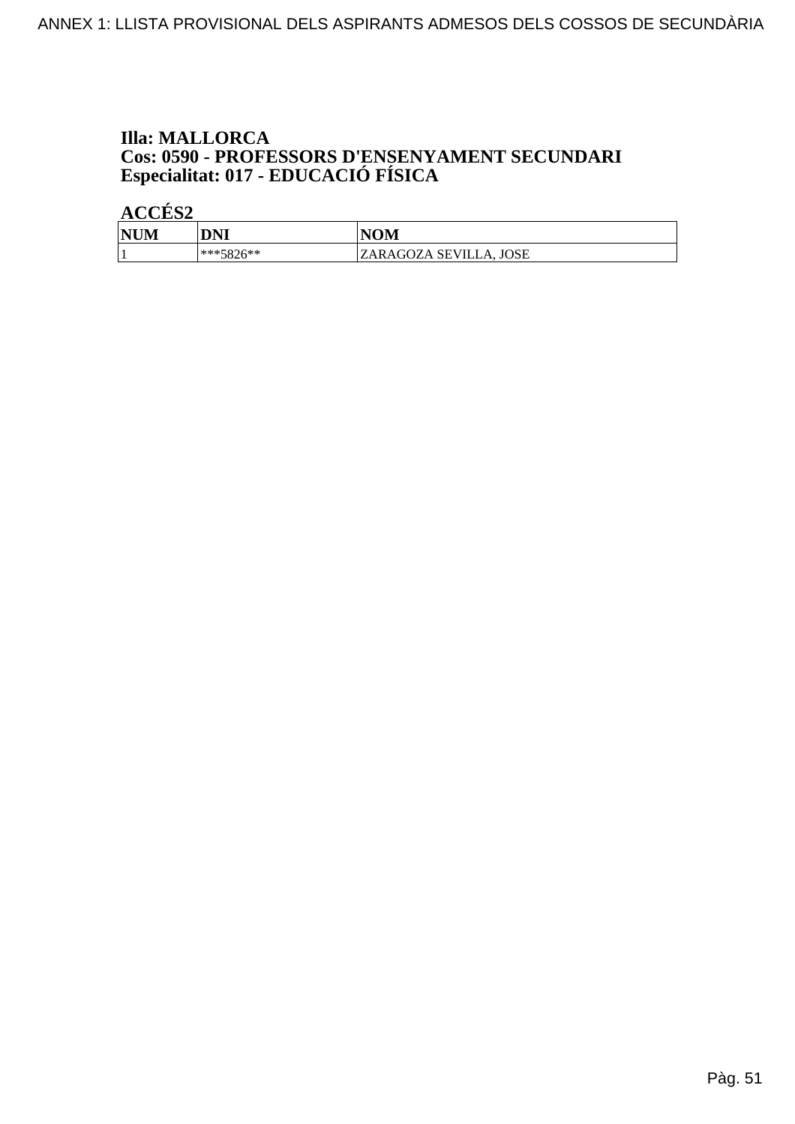# **Illa: MALLORCA Cos: 0590 - PROFESSORS D'ENSENYAMENT SECUNDARI<br>Especialitat: 017 - EDUCACIÓ FÍSICA**

| <b>NUM</b> | DNI         | NOM                    |
|------------|-------------|------------------------|
|            | $***5876**$ | ZARAGOZA SEVILLA, JOSE |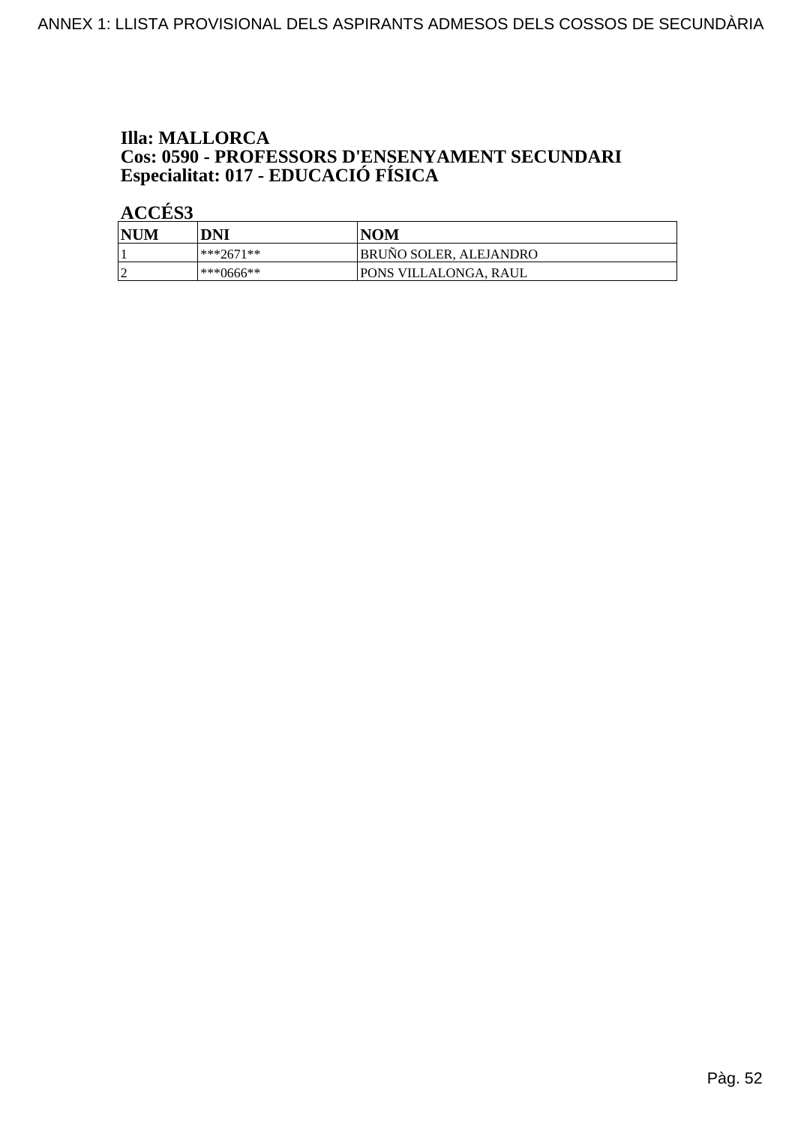# **Illa: MALLORCA Cos: 0590 - PROFESSORS D'ENSENYAMENT SECUNDARI<br>Especialitat: 017 - EDUCACIÓ FÍSICA**

| <b>NUM</b> | DNI          | <b>NOM</b>                    |
|------------|--------------|-------------------------------|
|            | $ ***2671**$ | <b>BRUNO SOLER, ALEJANDRO</b> |
|            | ***0666**    | IPONS VILLALONGA. RAUL        |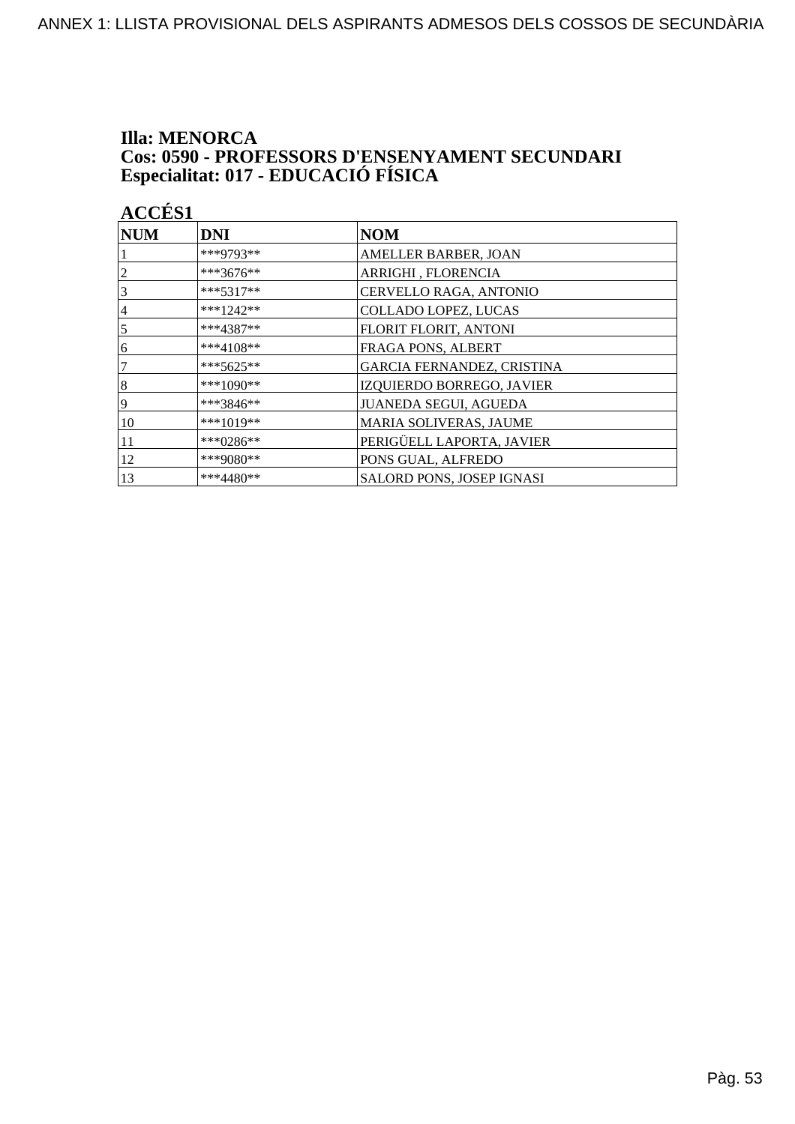## **Illa: MENORCA Cos: 0590 - PROFESSORS D'ENSENYAMENT SECUNDARI<br>Especialitat: 017 - EDUCACIÓ FÍSICA**

| <b>ACCÉS 1</b> |             |                             |
|----------------|-------------|-----------------------------|
| <b>NUM</b>     | <b>DNI</b>  | <b>NOM</b>                  |
|                | ***9793**   | AMELLER BARBER, JOAN        |
| 2              | ***3676**   | ARRIGHI, FLORENCIA          |
| 3              | $***5317**$ | CERVELLO RAGA, ANTONIO      |
| 4              | $***1242**$ | <b>COLLADO LOPEZ, LUCAS</b> |
| 5              | ***4387**   | FLORIT FLORIT, ANTONI       |
| 6              | $***4108**$ | FRAGA PONS, ALBERT          |
| 7              | $***5625**$ | GARCIA FERNANDEZ, CRISTINA  |
| 8              | ***1090**   | IZQUIERDO BORREGO, JAVIER   |
| 9              | ***3846**   | JUANEDA SEGUI, AGUEDA       |
| 10             | ***1019**   | MARIA SOLIVERAS, JAUME      |
| 11             | $***0286**$ | PERIGÜELL LAPORTA, JAVIER   |
| 12             | ***9080**   | PONS GUAL, ALFREDO          |
| 13             | $***4480**$ | SALORD PONS, JOSEP IGNASI   |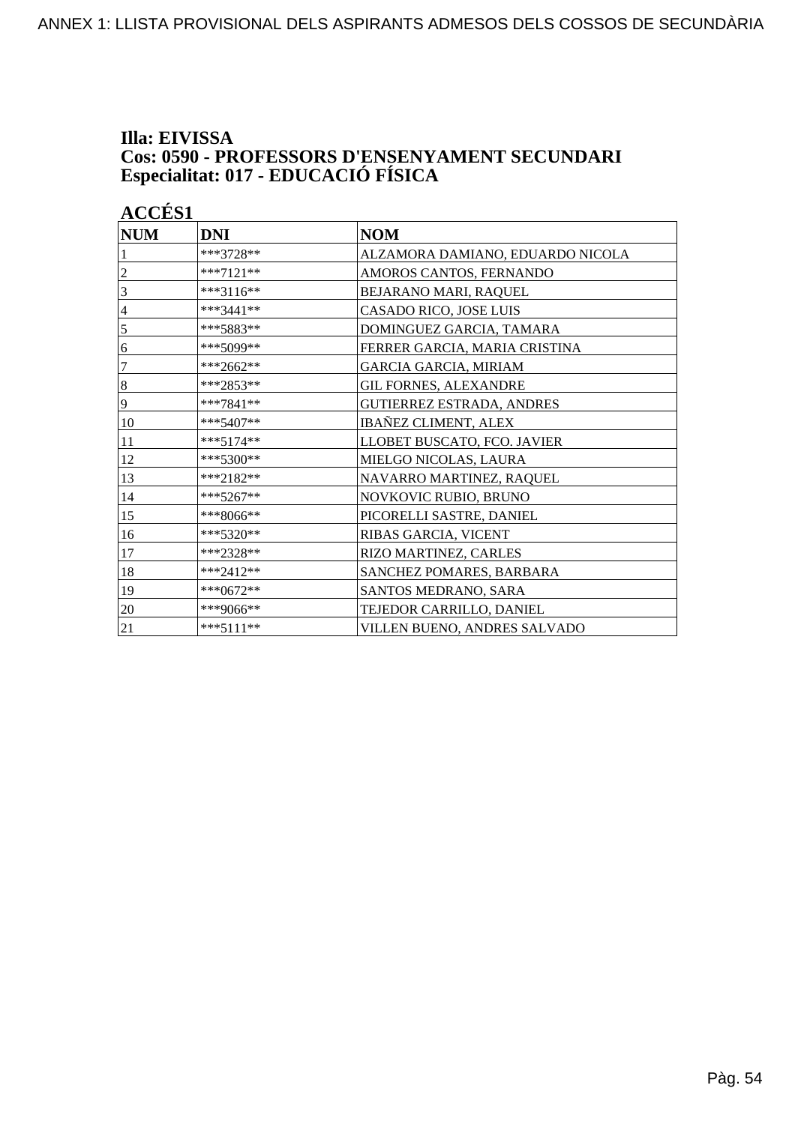### **Illa: EIVISSA Cos: 0590 - PROFESSORS D'ENSENYAMENT SECUNDARI Especialitat: 017 - EDUCACIÓ FÍSICA**

| <b>NUM</b> | <b>DNI</b>  | <b>NOM</b>                       |
|------------|-------------|----------------------------------|
|            | ***3728**   | ALZAMORA DAMIANO, EDUARDO NICOLA |
| 2          | $***7121**$ | AMOROS CANTOS, FERNANDO          |
| 3          | ***3116**   | BEJARANO MARI, RAQUEL            |
| 4          | ***3441**   | CASADO RICO, JOSE LUIS           |
| 5          | ***5883**   | DOMINGUEZ GARCIA, TAMARA         |
| 6          | ***5099**   | FERRER GARCIA, MARIA CRISTINA    |
| 7          | $***2662**$ | GARCIA GARCIA, MIRIAM            |
| 8          | ***2853**   | <b>GIL FORNES, ALEXANDRE</b>     |
| 9          | ***7841**   | GUTIERREZ ESTRADA, ANDRES        |
| 10         | ***5407**   | <b>IBAÑEZ CLIMENT, ALEX</b>      |
| 11         | $***5174**$ | LLOBET BUSCATO, FCO. JAVIER      |
| 12         | ***5300**   | MIELGO NICOLAS, LAURA            |
| 13         | ***2182**   | NAVARRO MARTINEZ, RAQUEL         |
| 14         | ***5267**   | NOVKOVIC RUBIO, BRUNO            |
| 15         | ***8066**   | PICORELLI SASTRE, DANIEL         |
| 16         | ***5320**   | RIBAS GARCIA, VICENT             |
| 17         | ***2328**   | RIZO MARTINEZ, CARLES            |
| 18         | ***2412**   | SANCHEZ POMARES, BARBARA         |
| 19         | $***0672**$ | SANTOS MEDRANO, SARA             |
| 20         | ***9066**   | TEJEDOR CARRILLO, DANIEL         |
| 21         | $***5111**$ | VILLEN BUENO, ANDRES SALVADO     |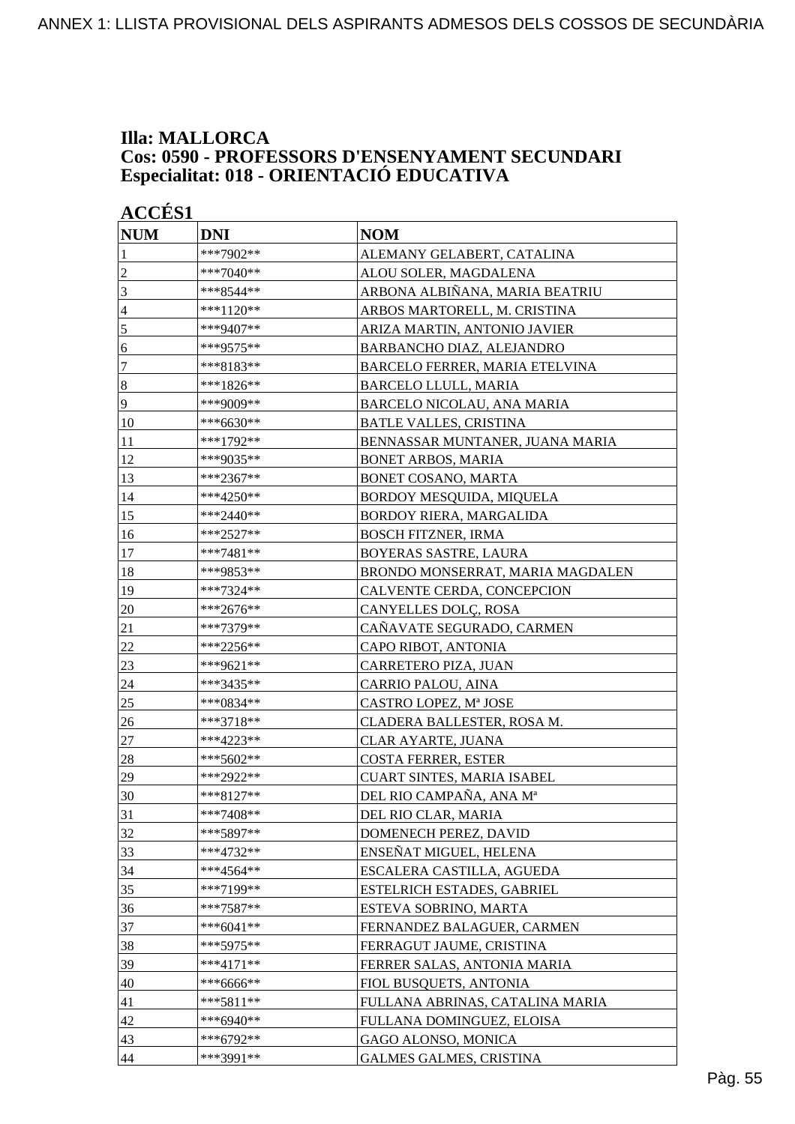### **Illa: MALLORCA Cos: 0590 - PROFESSORS D'ENSENYAMENT SECUNDARI Especialitat: 018 - ORIENTACIÓ EDUCATIVA**

| <b>ACCÉS 1</b> |             |                                  |
|----------------|-------------|----------------------------------|
| <b>NUM</b>     | <b>DNI</b>  | <b>NOM</b>                       |
| 1              | ***7902**   | ALEMANY GELABERT, CATALINA       |
| $\overline{c}$ | ***7040**   | ALOU SOLER, MAGDALENA            |
| 3              | ***8544**   | ARBONA ALBIÑANA, MARIA BEATRIU   |
| $\overline{4}$ | ***1120**   | ARBOS MARTORELL, M. CRISTINA     |
| 5              | ***9407**   | ARIZA MARTIN, ANTONIO JAVIER     |
| 6              | ***9575**   | BARBANCHO DIAZ, ALEJANDRO        |
| 7              | ***8183**   | BARCELO FERRER, MARIA ETELVINA   |
| $\bf 8$        | ***1826**   | <b>BARCELO LLULL, MARIA</b>      |
| 9              | ***9009**   | BARCELO NICOLAU, ANA MARIA       |
| 10             | ***6630**   | <b>BATLE VALLES, CRISTINA</b>    |
| 11             | ***1792**   | BENNASSAR MUNTANER, JUANA MARIA  |
| 12             | ***9035**   | <b>BONET ARBOS, MARIA</b>        |
| 13             | ***2367**   | BONET COSANO, MARTA              |
| 14             | ***4250**   | BORDOY MESQUIDA, MIQUELA         |
| 15             | ***2440**   | BORDOY RIERA, MARGALIDA          |
| 16             | ***2527**   | <b>BOSCH FITZNER, IRMA</b>       |
| 17             | ***7481**   | BOYERAS SASTRE, LAURA            |
| 18             | ***9853**   | BRONDO MONSERRAT, MARIA MAGDALEN |
| 19             | ***7324**   | CALVENTE CERDA, CONCEPCION       |
| 20             | ***2676**   | CANYELLES DOLÇ, ROSA             |
| 21             | ***7379**   | CAÑAVATE SEGURADO, CARMEN        |
| 22             | ***2256**   | CAPO RIBOT, ANTONIA              |
| 23             | ***9621**   | CARRETERO PIZA, JUAN             |
| 24             | ***3435**   | CARRIO PALOU, AINA               |
| 25             | ***0834**   | CASTRO LOPEZ, Mª JOSE            |
| 26             | ***3718**   | CLADERA BALLESTER, ROSA M.       |
| $27\,$         | ***4223**   | CLAR AYARTE, JUANA               |
| 28             | $***5602**$ | <b>COSTA FERRER, ESTER</b>       |
| 29             | ***2922**   | CUART SINTES, MARIA ISABEL       |
| 30             | ***8127**   | DEL RIO CAMPAÑA, ANA Mª          |
| 31             | ***7408**   | DEL RIO CLAR, MARIA              |
| 32             | ***5897**   | DOMENECH PEREZ, DAVID            |
| 33             | ***4732**   | ENSEÑAT MIGUEL, HELENA           |
| 34             | ***4564**   | ESCALERA CASTILLA, AGUEDA        |
| 35             | ***7199**   | ESTELRICH ESTADES, GABRIEL       |
| 36             | $***7587**$ | ESTEVA SOBRINO, MARTA            |
| 37             | ***6041**   | FERNANDEZ BALAGUER, CARMEN       |
| 38             | ***5975**   | FERRAGUT JAUME, CRISTINA         |
| 39             | $***4171**$ | FERRER SALAS, ANTONIA MARIA      |
| 40             | ***6666**   | FIOL BUSQUETS, ANTONIA           |
| 41             | ***5811**   | FULLANA ABRINAS, CATALINA MARIA  |
| 42             | ***6940**   | FULLANA DOMINGUEZ, ELOISA        |
| 43             | ***6792**   | GAGO ALONSO, MONICA              |
| 44             | ***3991**   | <b>GALMES GALMES, CRISTINA</b>   |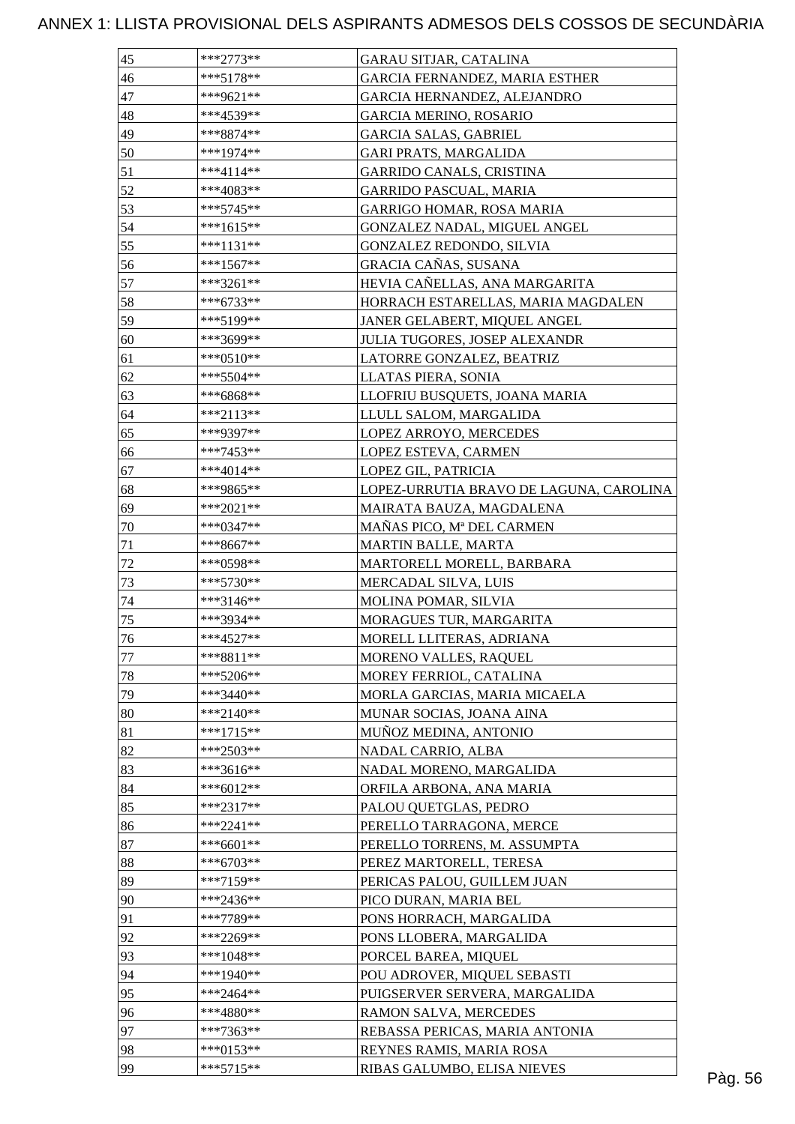| 45     | ***2773**   | GARAU SITJAR, CATALINA                  |  |
|--------|-------------|-----------------------------------------|--|
| 46     | $***5178**$ | GARCIA FERNANDEZ, MARIA ESTHER          |  |
| 47     | ***9621**   | GARCIA HERNANDEZ, ALEJANDRO             |  |
| 48     | ***4539**   | <b>GARCIA MERINO, ROSARIO</b>           |  |
| 49     | ***8874**   | <b>GARCIA SALAS, GABRIEL</b>            |  |
| 50     | ***1974**   | <b>GARI PRATS, MARGALIDA</b>            |  |
| 51     | ***4114**   | <b>GARRIDO CANALS, CRISTINA</b>         |  |
| 52     | ***4083**   | GARRIDO PASCUAL, MARIA                  |  |
| 53     | ***5745**   | GARRIGO HOMAR, ROSA MARIA               |  |
| 54     | $***1615**$ | GONZALEZ NADAL, MIGUEL ANGEL            |  |
| 55     | ***1131**   | GONZALEZ REDONDO, SILVIA                |  |
| 56     | $***1567**$ | GRACIA CAÑAS, SUSANA                    |  |
| 57     | ***3261**   | HEVIA CAÑELLAS, ANA MARGARITA           |  |
| 58     | $***6733**$ | HORRACH ESTARELLAS, MARIA MAGDALEN      |  |
| 59     | ***5199**   | JANER GELABERT, MIQUEL ANGEL            |  |
| 60     | ***3699**   | <b>JULIA TUGORES, JOSEP ALEXANDR</b>    |  |
| 61     | ***0510**   | LATORRE GONZALEZ, BEATRIZ               |  |
| 62     | ***5504**   | LLATAS PIERA, SONIA                     |  |
| 63     | ***6868**   | LLOFRIU BUSQUETS, JOANA MARIA           |  |
| 64     | $***2113**$ | LLULL SALOM, MARGALIDA                  |  |
| 65     | ***9397**   | LOPEZ ARROYO, MERCEDES                  |  |
|        | $***7453**$ |                                         |  |
| 66     |             | LOPEZ ESTEVA, CARMEN                    |  |
| 67     | ***4014**   | LOPEZ GIL, PATRICIA                     |  |
| 68     | ***9865**   | LOPEZ-URRUTIA BRAVO DE LAGUNA, CAROLINA |  |
| 69     | ***2021**   | MAIRATA BAUZA, MAGDALENA                |  |
| 70     | ***0347**   | MAÑAS PICO, Mª DEL CARMEN               |  |
| 71     | ***8667**   | MARTIN BALLE, MARTA                     |  |
| $72\,$ | ***0598**   | MARTORELL MORELL, BARBARA               |  |
| 73     | ***5730**   | MERCADAL SILVA, LUIS                    |  |
| $74\,$ | ***3146**   | MOLINA POMAR, SILVIA                    |  |
| 75     | ***3934**   | MORAGUES TUR, MARGARITA                 |  |
| 76     | $***4527**$ | MORELL LLITERAS, ADRIANA                |  |
| 77     | $***8811**$ | MORENO VALLES, RAQUEL                   |  |
| $78\,$ | ***5206**   | MOREY FERRIOL, CATALINA                 |  |
| 79     | ***3440**   | MORLA GARCIAS, MARIA MICAELA            |  |
| 80     | $***2140**$ | MUNAR SOCIAS, JOANA AINA                |  |
| 81     | $***1715**$ | MUÑOZ MEDINA, ANTONIO                   |  |
| 82     | $***2503**$ | NADAL CARRIO, ALBA                      |  |
| 83     | ***3616**   | NADAL MORENO, MARGALIDA                 |  |
| 84     | ***6012**   | ORFILA ARBONA, ANA MARIA                |  |
| 85     | $***2317**$ | PALOU QUETGLAS, PEDRO                   |  |
| 86     | $***2241**$ | PERELLO TARRAGONA, MERCE                |  |
| 87     | $***6601**$ | PERELLO TORRENS, M. ASSUMPTA            |  |
| 88     | $***6703**$ | PEREZ MARTORELL, TERESA                 |  |
| 89     | ***7159**   | PERICAS PALOU, GUILLEM JUAN             |  |
| 90     | ***2436**   | PICO DURAN, MARIA BEL                   |  |
| 91     | ***7789**   | PONS HORRACH, MARGALIDA                 |  |
| 92     | ***2269**   | PONS LLOBERA, MARGALIDA                 |  |
| 93     | $***1048**$ | PORCEL BAREA, MIQUEL                    |  |
| 94     | ***1940**   | POU ADROVER, MIQUEL SEBASTI             |  |
| 95     | ***2464**   | PUIGSERVER SERVERA, MARGALIDA           |  |
| 96     | ***4880**   | RAMON SALVA, MERCEDES                   |  |
| 97     | ***7363**   | REBASSA PERICAS, MARIA ANTONIA          |  |
|        | $***0153**$ |                                         |  |
| 98     |             | REYNES RAMIS, MARIA ROSA                |  |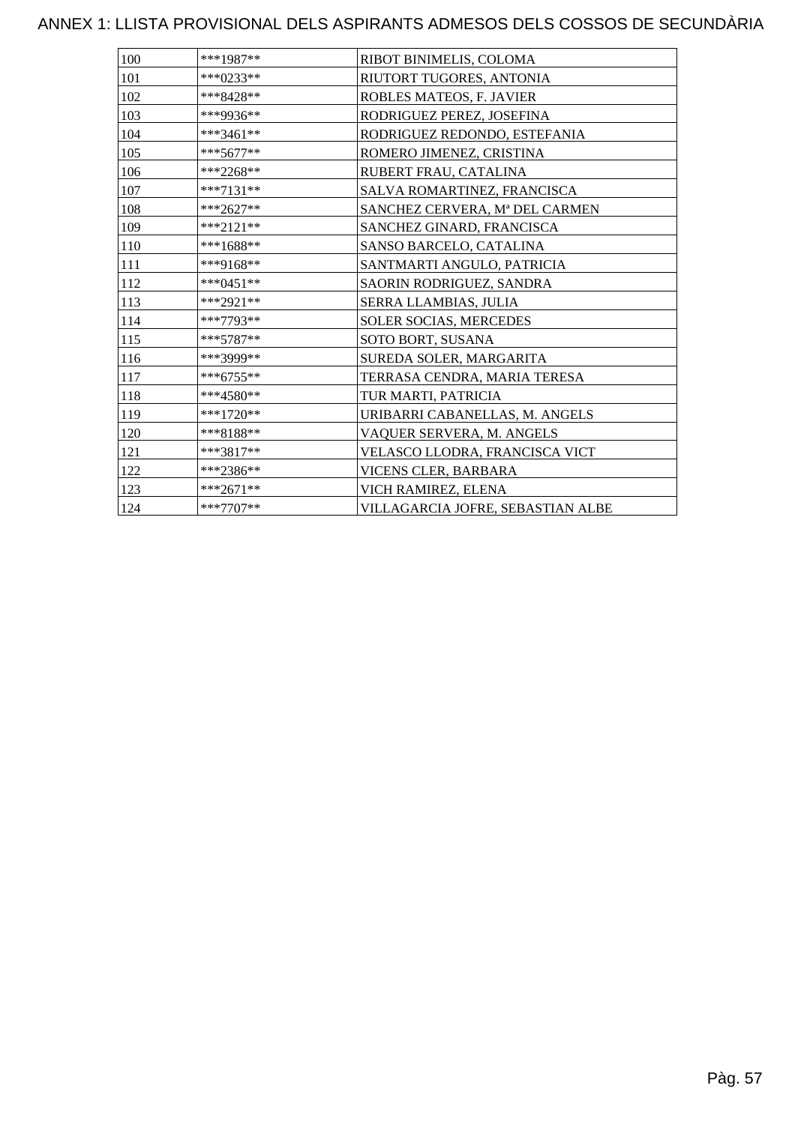| 100 | ***1987**   | RIBOT BINIMELIS, COLOMA           |
|-----|-------------|-----------------------------------|
| 101 | ***0233**   | RIUTORT TUGORES, ANTONIA          |
| 102 | ***8428**   | ROBLES MATEOS, F. JAVIER          |
| 103 | ***9936**   | RODRIGUEZ PEREZ, JOSEFINA         |
| 104 | ***3461**   | RODRIGUEZ REDONDO, ESTEFANIA      |
| 105 | ***5677**   | ROMERO JIMENEZ, CRISTINA          |
| 106 | ***2268**   | RUBERT FRAU, CATALINA             |
| 107 | ***7131**   | SALVA ROMARTINEZ, FRANCISCA       |
| 108 | ***2627**   | SANCHEZ CERVERA, Mª DEL CARMEN    |
| 109 | ***2121**   | SANCHEZ GINARD, FRANCISCA         |
| 110 | ***1688**   | SANSO BARCELO, CATALINA           |
| 111 | ***9168**   | SANTMARTI ANGULO, PATRICIA        |
| 112 | $***0451**$ | SAORIN RODRIGUEZ, SANDRA          |
| 113 | ***2921**   | SERRA LLAMBIAS, JULIA             |
| 114 | ***7793**   | SOLER SOCIAS, MERCEDES            |
| 115 | ***5787**   | SOTO BORT, SUSANA                 |
| 116 | ***3999**   | SUREDA SOLER, MARGARITA           |
| 117 | ***6755**   | TERRASA CENDRA, MARIA TERESA      |
| 118 | ***4580**   | TUR MARTI, PATRICIA               |
| 119 | $***1720**$ | URIBARRI CABANELLAS, M. ANGELS    |
| 120 | ***8188**   | VAQUER SERVERA, M. ANGELS         |
| 121 | ***3817**   | VELASCO LLODRA, FRANCISCA VICT    |
| 122 | ***2386**   | VICENS CLER, BARBARA              |
| 123 | ***2671**   | VICH RAMIREZ, ELENA               |
| 124 | $***7707**$ | VILLAGARCIA JOFRE, SEBASTIAN ALBE |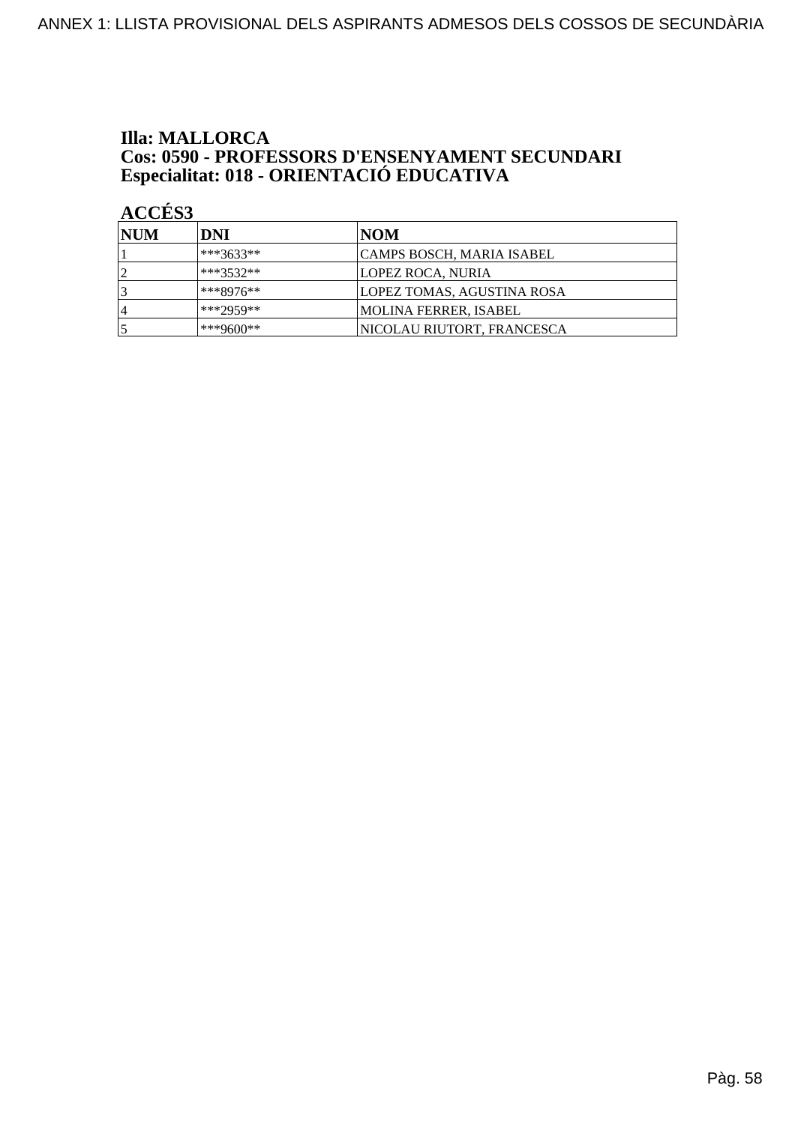## **Illa: MALLORCA Cos: 0590 - PROFESSORS D'ENSENYAMENT SECUNDARI<br>Especialitat: 018 - ORIENTACIÓ EDUCATIVA**

| <b>INUM</b> | DNI          | NOM                        |
|-------------|--------------|----------------------------|
|             | $ ***3633**$ | CAMPS BOSCH, MARIA ISABEL  |
|             | $***3532**$  | LOPEZ ROCA, NURIA          |
|             | $***8976**$  | LOPEZ TOMAS, AGUSTINA ROSA |
| 4           | ***2959**    | MOLINA FERRER, ISABEL      |
|             | ***9600**    | NICOLAU RIUTORT, FRANCESCA |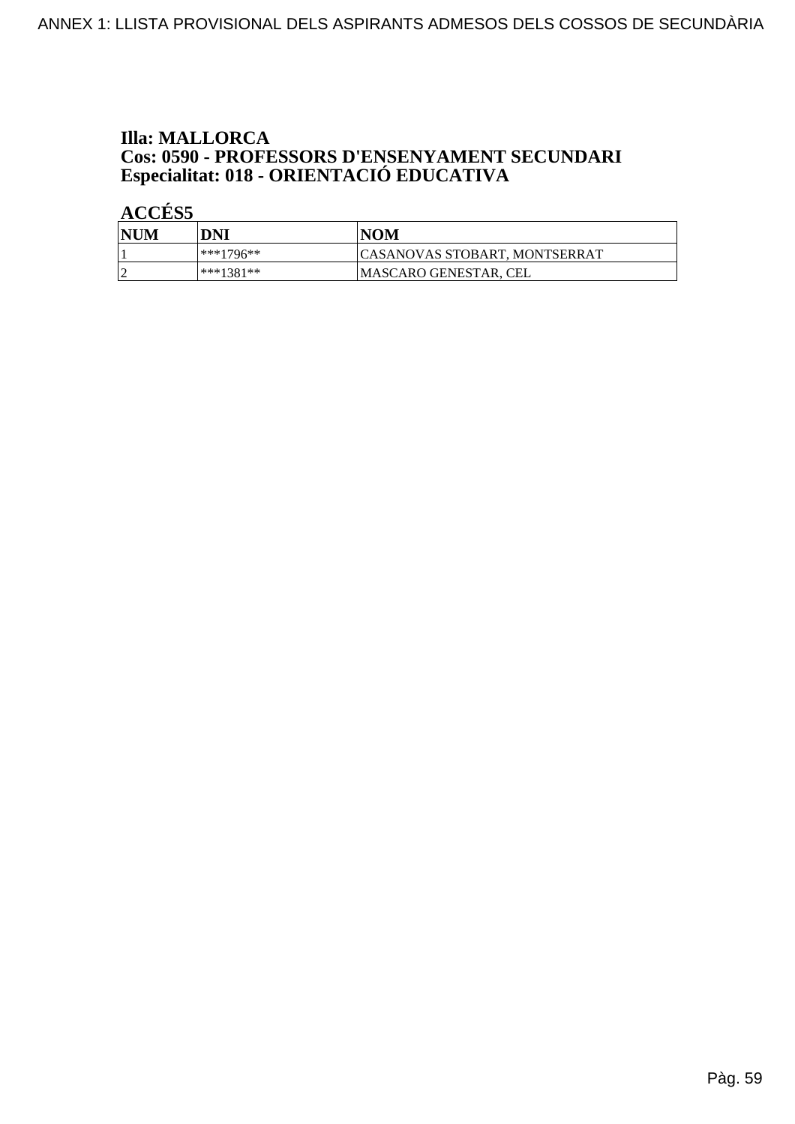## **Illa: MALLORCA Cos: 0590 - PROFESSORS D'ENSENYAMENT SECUNDARI<br>Especialitat: 018 - ORIENTACIÓ EDUCATIVA**

| NUM | DNI       | <b>NOM</b>                           |
|-----|-----------|--------------------------------------|
|     | ***1796** | <b>CASANOVAS STOBART, MONTSERRAT</b> |
|     | ***1381** | MASCARO GENESTAR, CEL                |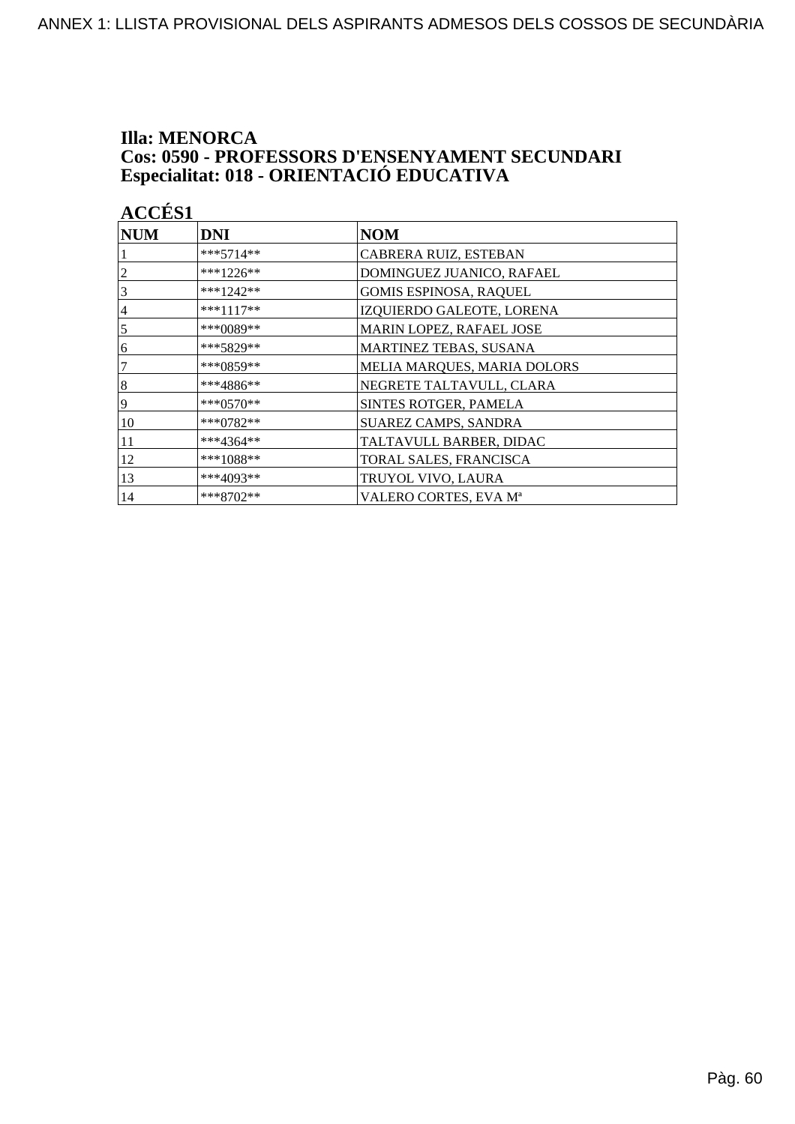## **Illa: MENORCA Cos: 0590 - PROFESSORS D'ENSENYAMENT SECUNDARI<br>Especialitat: 018 - ORIENTACIÓ EDUCATIVA**

| <b>ACCES 1</b> |             |                               |
|----------------|-------------|-------------------------------|
| <b>NUM</b>     | DNI         | <b>NOM</b>                    |
|                | $***5714**$ | CABRERA RUIZ, ESTEBAN         |
| $\overline{c}$ | ***1226**   | DOMINGUEZ JUANICO, RAFAEL     |
| 3              | ***1242**   | <b>GOMIS ESPINOSA, RAQUEL</b> |
| $\overline{4}$ | ***1117**   | IZQUIERDO GALEOTE, LORENA     |
| 5              | ***0089**   | MARIN LOPEZ, RAFAEL JOSE      |
| 6              | ***5829**   | MARTINEZ TEBAS, SUSANA        |
| 7              | ***0859**   | MELIA MARQUES, MARIA DOLORS   |
| $\sqrt{8}$     | ***4886**   | NEGRETE TALTAVULL, CLARA      |
| 9              | ***0570**   | SINTES ROTGER, PAMELA         |
| 10             | ***0782**   | <b>SUAREZ CAMPS, SANDRA</b>   |
| 11             | ***4364**   | TALTAVULL BARBER, DIDAC       |
| 12             | ***1088**   | TORAL SALES, FRANCISCA        |
| 13             | ***4093**   | TRUYOL VIVO, LAURA            |
| 14             | ***8702**   | VALERO CORTES, EVA Mª         |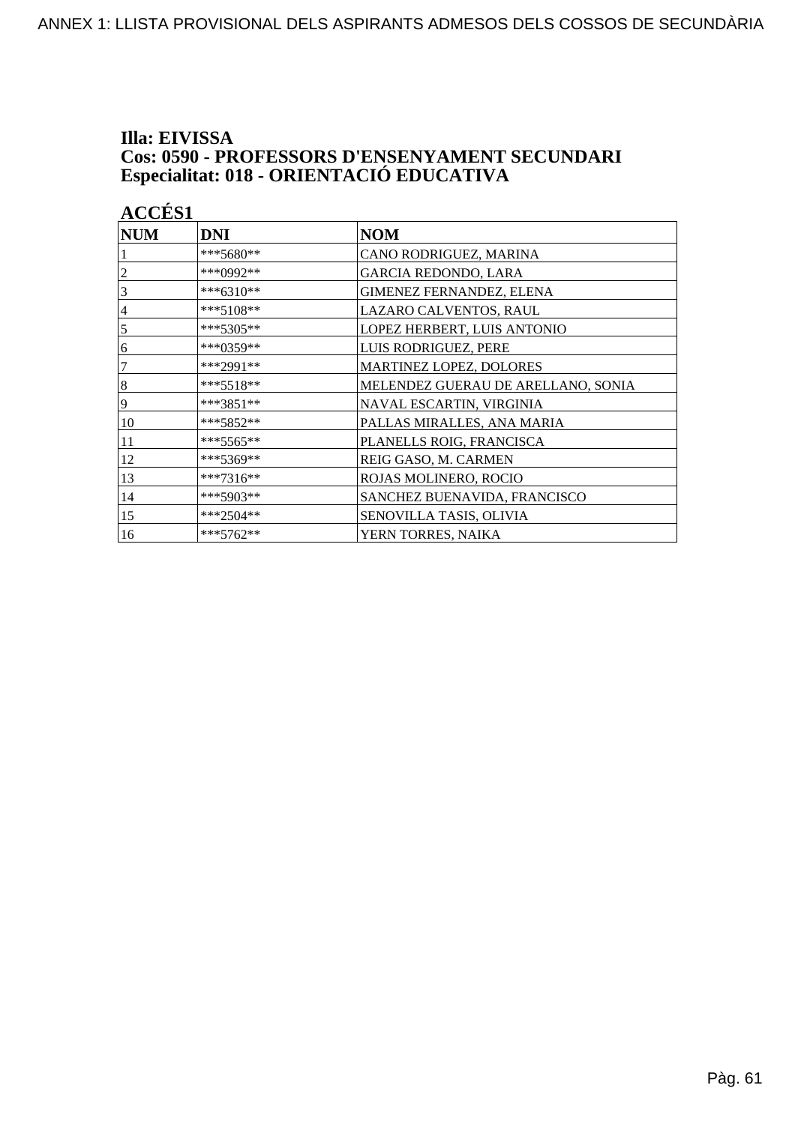## Illa: EIVISSA **Cos: 0590 - PROFESSORS D'ENSENYAMENT SECUNDARI<br>Especialitat: 018 - ORIENTACIÓ EDUCATIVA**

| <b>ACCÉS 1</b> |             |                                    |  |
|----------------|-------------|------------------------------------|--|
| <b>NUM</b>     | <b>DNI</b>  | <b>NOM</b>                         |  |
|                | ***5680**   | CANO RODRIGUEZ, MARINA             |  |
| $\overline{2}$ | ***0992**   | <b>GARCIA REDONDO, LARA</b>        |  |
| 3              | ***6310**   | GIMENEZ FERNANDEZ, ELENA           |  |
| $\overline{4}$ | ***5108**   | LAZARO CALVENTOS, RAUL             |  |
| 5              | ***5305**   | LOPEZ HERBERT, LUIS ANTONIO        |  |
| 6              | ***0359**   | LUIS RODRIGUEZ, PERE               |  |
| 7              | ***2991**   | MARTINEZ LOPEZ, DOLORES            |  |
| $\overline{8}$ | ***5518**   | MELENDEZ GUERAU DE ARELLANO, SONIA |  |
| 9              | ***3851**   | NAVAL ESCARTIN, VIRGINIA           |  |
| 10             | ***5852**   | PALLAS MIRALLES, ANA MARIA         |  |
| 11             | ***5565**   | PLANELLS ROIG, FRANCISCA           |  |
| 12             | ***5369**   | REIG GASO, M. CARMEN               |  |
| 13             | ***7316**   | ROJAS MOLINERO, ROCIO              |  |
| 14             | ***5903**   | SANCHEZ BUENAVIDA, FRANCISCO       |  |
| 15             | $***2504**$ | SENOVILLA TASIS, OLIVIA            |  |
| 16             | $***5762**$ | YERN TORRES, NAIKA                 |  |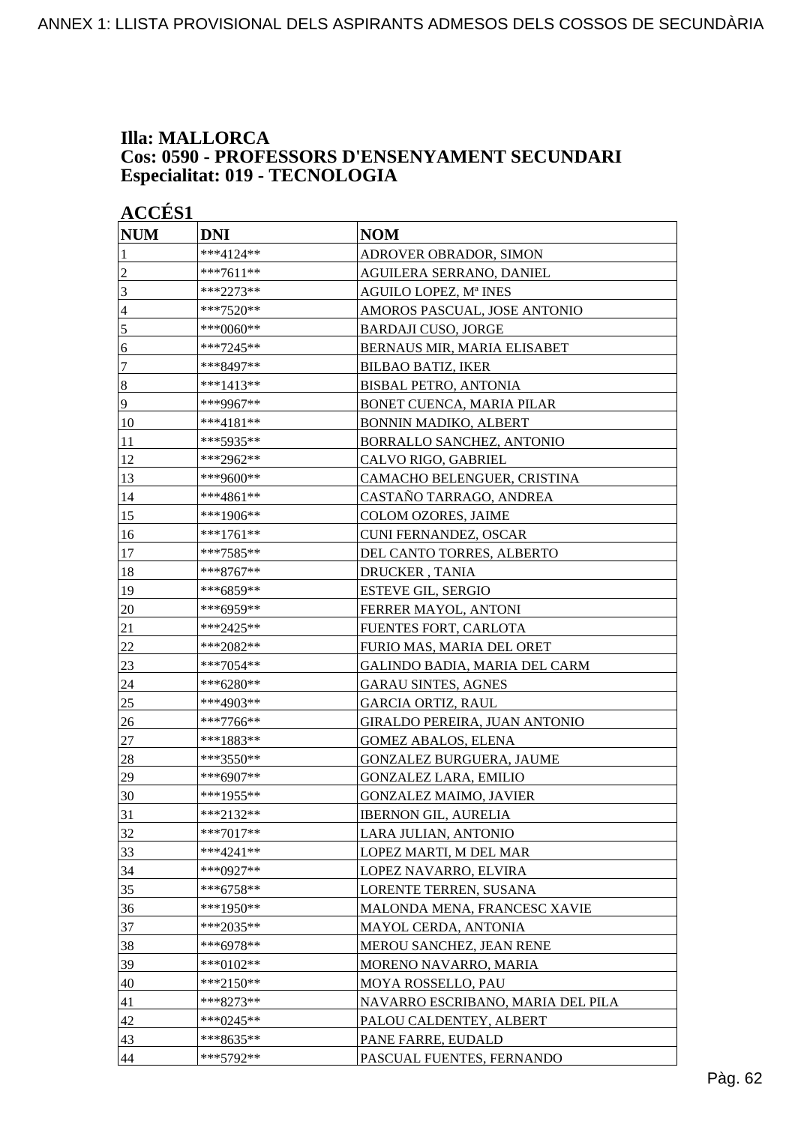### **Illa: MALLORCA Cos: 0590 - PROFESSORS D'ENSENYAMENT SECUNDARI Especialitat: 019 - TECNOLOGIA**

| <b>ACCÉS 1</b>   |             |                                   |
|------------------|-------------|-----------------------------------|
| <b>NUM</b>       | <b>DNI</b>  | <b>NOM</b>                        |
| 1                | ***4124**   | ADROVER OBRADOR, SIMON            |
| $\overline{2}$   | ***7611**   | AGUILERA SERRANO, DANIEL          |
| 3                | ***2273**   | AGUILO LOPEZ, Mª INES             |
| $\overline{4}$   | ***7520**   | AMOROS PASCUAL, JOSE ANTONIO      |
| $\sqrt{5}$       | ***0060**   | <b>BARDAJI CUSO, JORGE</b>        |
| 6                | ***7245**   | BERNAUS MIR, MARIA ELISABET       |
| $\boldsymbol{7}$ | ***8497**   | <b>BILBAO BATIZ, IKER</b>         |
| $\bf 8$          | ***1413**   | <b>BISBAL PETRO, ANTONIA</b>      |
| 9                | ***9967**   | BONET CUENCA, MARIA PILAR         |
| 10               | $***4181**$ | BONNIN MADIKO, ALBERT             |
| 11               | ***5935**   | BORRALLO SANCHEZ, ANTONIO         |
| 12               | ***2962**   | CALVO RIGO, GABRIEL               |
| 13               | ***9600**   | CAMACHO BELENGUER, CRISTINA       |
| 14               | ***4861**   | CASTAÑO TARRAGO, ANDREA           |
| 15               | ***1906**   | COLOM OZORES, JAIME               |
| 16               | $***1761**$ | CUNI FERNANDEZ, OSCAR             |
| 17               | ***7585**   | DEL CANTO TORRES, ALBERTO         |
| 18               | ***8767**   | <b>DRUCKER, TANIA</b>             |
| 19               | ***6859**   | <b>ESTEVE GIL, SERGIO</b>         |
| 20               | ***6959**   | FERRER MAYOL, ANTONI              |
| 21               | ***2425**   | FUENTES FORT, CARLOTA             |
| 22               | ***2082**   | FURIO MAS, MARIA DEL ORET         |
| 23               | ***7054**   | GALINDO BADIA, MARIA DEL CARM     |
| 24               | ***6280**   | <b>GARAU SINTES, AGNES</b>        |
| 25               | ***4903**   | <b>GARCIA ORTIZ, RAUL</b>         |
| 26               | ***7766**   | GIRALDO PEREIRA, JUAN ANTONIO     |
| $27\,$           | ***1883**   | <b>GOMEZ ABALOS, ELENA</b>        |
| 28               | ***3550**   | GONZALEZ BURGUERA, JAUME          |
| 29               | ***6907**   | <b>GONZALEZ LARA, EMILIO</b>      |
| 30               | ***1955**   | GONZALEZ MAIMO, JAVIER            |
| 31               | ***2132**   | <b>IBERNON GIL, AURELIA</b>       |
| 32               | ***7017**   | LARA JULIAN, ANTONIO              |
| 33               | ***4241**   | LOPEZ MARTI, M DEL MAR            |
| 34               | ***0927**   | LOPEZ NAVARRO, ELVIRA             |
| 35               | ***6758**   | LORENTE TERREN, SUSANA            |
| 36               | ***1950**   | MALONDA MENA, FRANCESC XAVIE      |
| 37               | ***2035**   | MAYOL CERDA, ANTONIA              |
| 38               | ***6978**   | MEROU SANCHEZ, JEAN RENE          |
| 39               | ***0102**   | MORENO NAVARRO, MARIA             |
| 40               | ***2150**   | MOYA ROSSELLO, PAU                |
| 41               | ***8273**   | NAVARRO ESCRIBANO, MARIA DEL PILA |
| 42               | ***0245**   | PALOU CALDENTEY, ALBERT           |
| 43               | ***8635**   | PANE FARRE, EUDALD                |
| 44               | ***5792**   | PASCUAL FUENTES, FERNANDO         |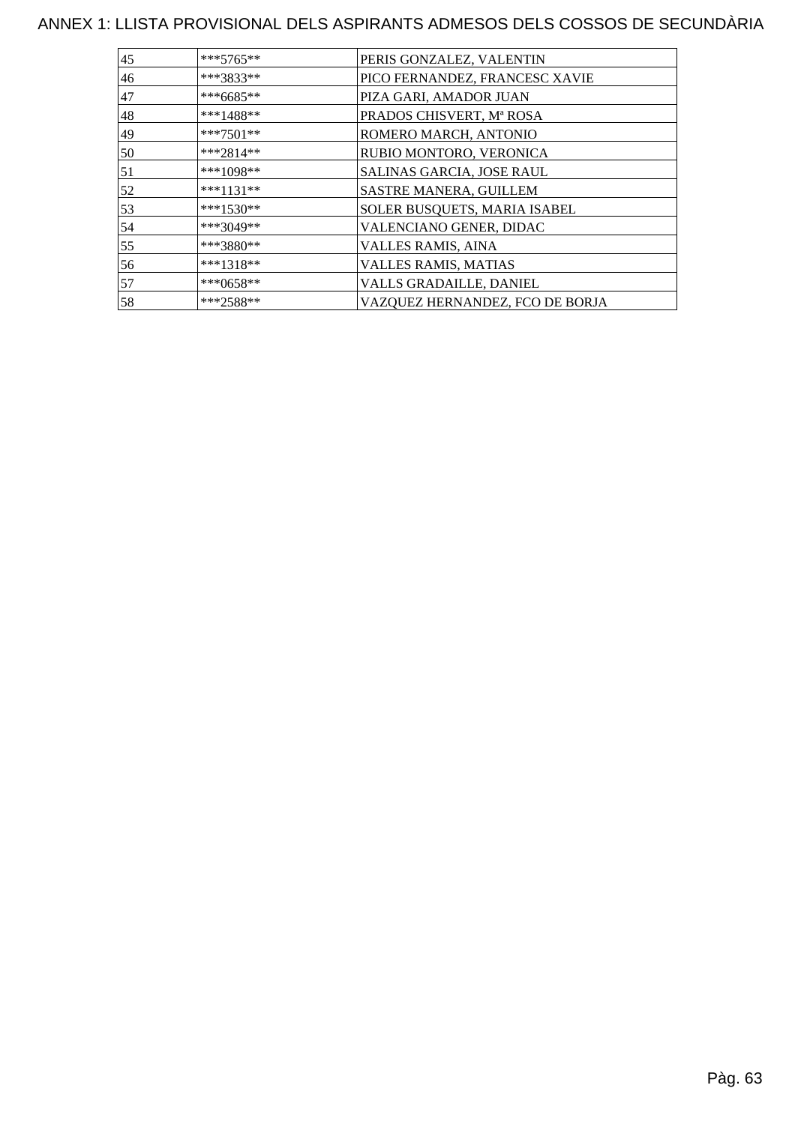| 45 | $***5765**$ | PERIS GONZALEZ, VALENTIN        |
|----|-------------|---------------------------------|
| 46 | ***3833**   | PICO FERNANDEZ, FRANCESC XAVIE  |
| 47 | ***6685**   | PIZA GARI, AMADOR JUAN          |
| 48 | ***1488**   | PRADOS CHISVERT, Mª ROSA        |
| 49 | $***7501**$ | ROMERO MARCH, ANTONIO           |
| 50 | $***2814**$ | RUBIO MONTORO, VERONICA         |
| 51 | ***1098**   | SALINAS GARCIA, JOSE RAUL       |
| 52 | $***1131**$ | SASTRE MANERA, GUILLEM          |
| 53 | ***1530**   | SOLER BUSQUETS, MARIA ISABEL    |
| 54 | ***3049**   | VALENCIANO GENER, DIDAC         |
| 55 | ***3880**   | VALLES RAMIS, AINA              |
| 56 | $***1318**$ | <b>VALLES RAMIS, MATIAS</b>     |
| 57 | ***0658**   | VALLS GRADAILLE, DANIEL         |
| 58 | $***2588**$ | VAZQUEZ HERNANDEZ, FCO DE BORJA |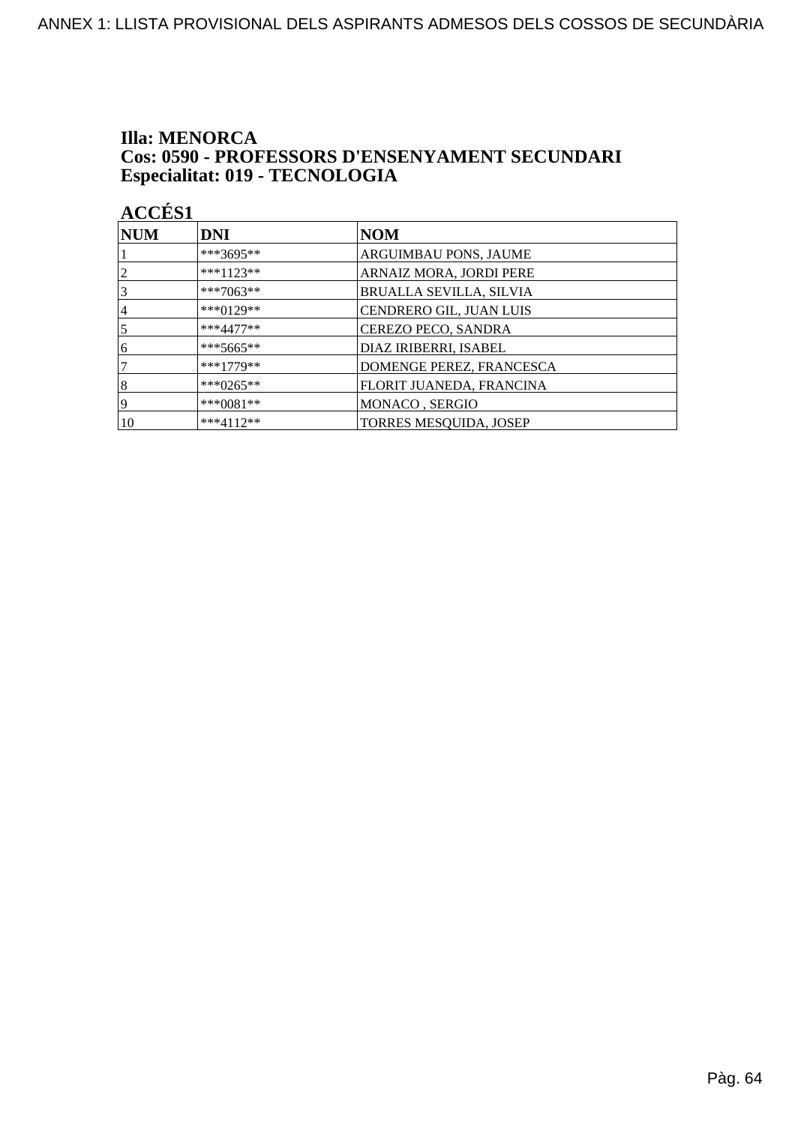### **Illa: MENORCA** Cos: 0590 - PROFESSORS D'ENSENYAMENT SECUNDARI Especialitat: 019 - TECNOLOGIA

| NUM            | <b>DNI</b>   | <b>NOM</b>                     |
|----------------|--------------|--------------------------------|
|                | ***3695**    | <b>ARGUIMBAU PONS, JAUME</b>   |
| $\overline{2}$ | $***1123**$  | ARNAIZ MORA, JORDI PERE        |
| 3              | ***7063**    | <b>BRUALLA SEVILLA, SILVIA</b> |
| 4              | $***0129**$  | CENDRERO GIL, JUAN LUIS        |
| 5              | $***4477**$  | CEREZO PECO, SANDRA            |
| 6              | ***5665**    | DIAZ IRIBERRI, ISABEL          |
|                | $***1779**$  | DOMENGE PEREZ, FRANCESCA       |
| 8              | ***0265**    | FLORIT JUANEDA, FRANCINA       |
| 19             | *** $0081**$ | MONACO, SERGIO                 |
| 10             | $***4112**$  | <b>TORRES MESQUIDA, JOSEP</b>  |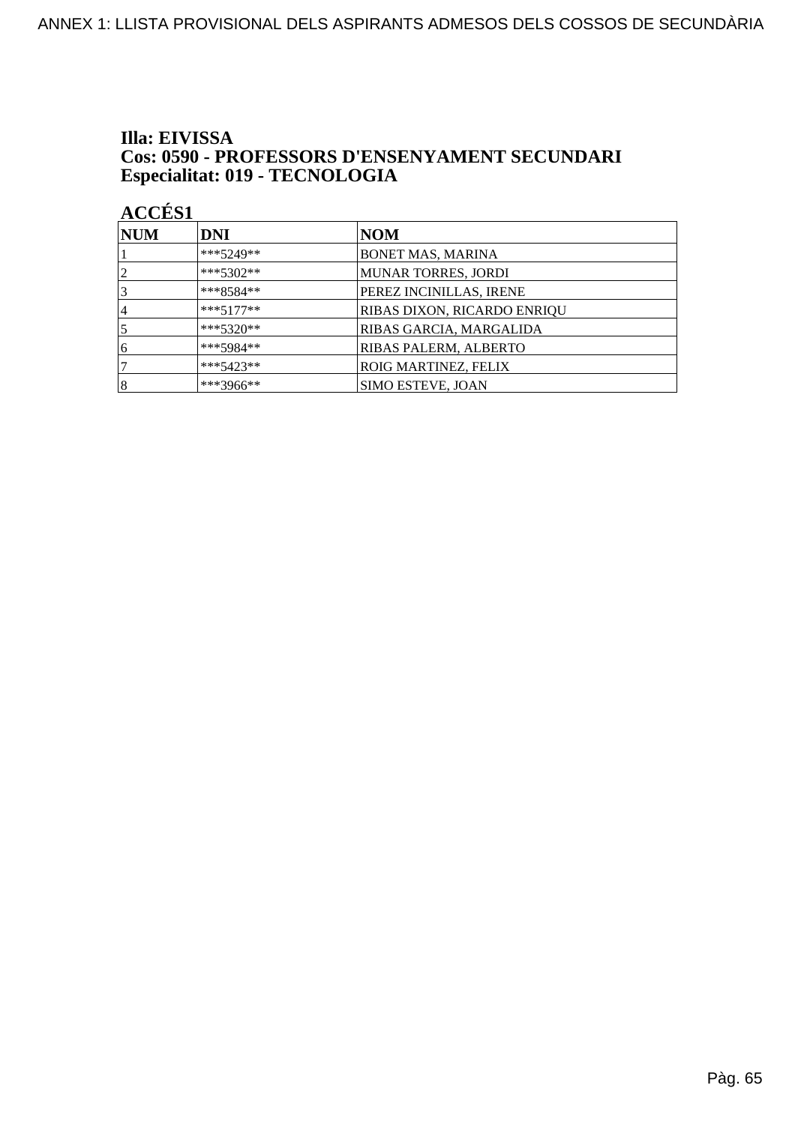### Illa: EIVISSA **Cos: 0590 - PROFESSORS D'ENSENYAMENT SECUNDARI** Especialitat: 019 - TECNOLOGIA

| <b>NUM</b>     | <b>DNI</b>  | NOM                                |
|----------------|-------------|------------------------------------|
|                | ***5249**   | <b>BONET MAS, MARINA</b>           |
| $\overline{2}$ | $***5302**$ | <b>MUNAR TORRES, JORDI</b>         |
| 3              | $***8584**$ | PEREZ INCINILLAS, IRENE            |
| 4              | $***5177**$ | <b>RIBAS DIXON, RICARDO ENRIQU</b> |
|                | $***5320**$ | RIBAS GARCIA, MARGALIDA            |
| 6              | ***5984**   | RIBAS PALERM, ALBERTO              |
|                | ***5423**   | <b>ROIG MARTINEZ, FELIX</b>        |
| $\vert 8$      | ***3966**   | <b>SIMO ESTEVE, JOAN</b>           |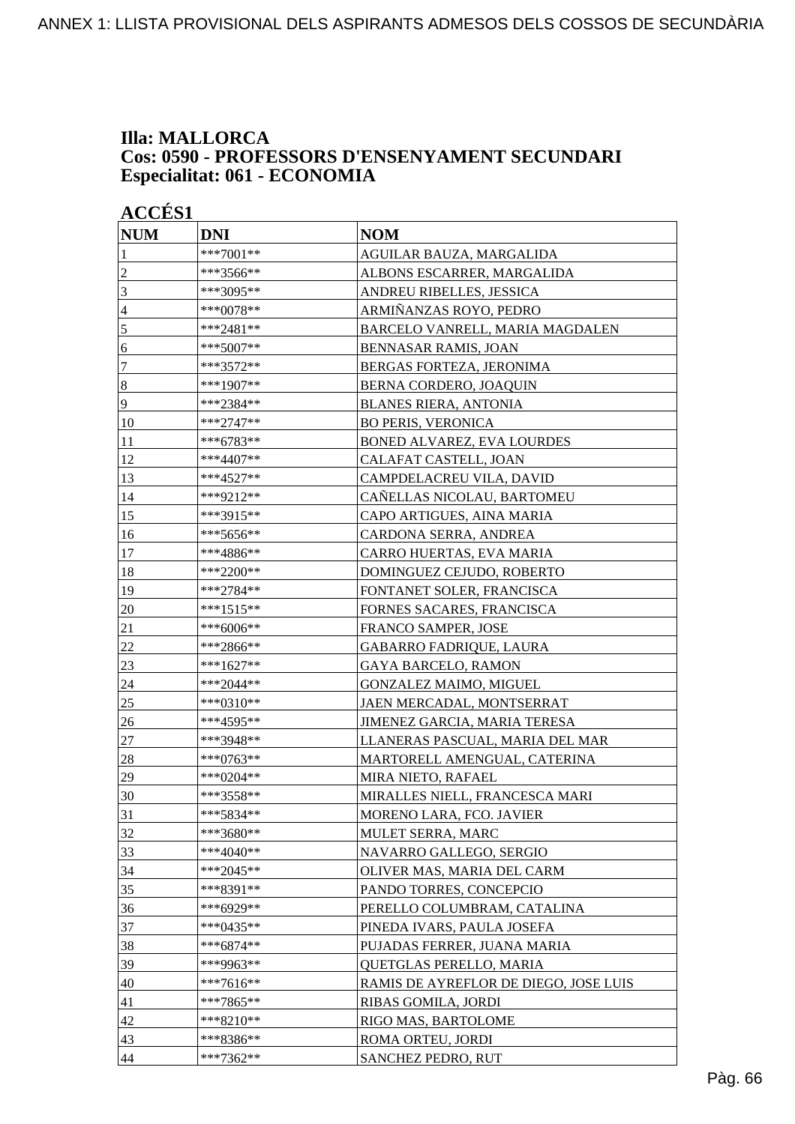### **Illa: MALLORCA Cos: 0590 - PROFESSORS D'ENSENYAMENT SECUNDARI Especialitat: 061 - ECONOMIA**

| <b>ACCÉS 1</b>   |             |                                       |
|------------------|-------------|---------------------------------------|
| <b>NUM</b>       | <b>DNI</b>  | <b>NOM</b>                            |
| 1                | ***7001**   | AGUILAR BAUZA, MARGALIDA              |
| 2                | ***3566**   | ALBONS ESCARRER, MARGALIDA            |
| 3                | ***3095**   | ANDREU RIBELLES, JESSICA              |
| 4                | ***0078**   | ARMIÑANZAS ROYO, PEDRO                |
| $\mathfrak s$    | ***2481**   | BARCELO VANRELL, MARIA MAGDALEN       |
| 6                | ***5007**   | BENNASAR RAMIS, JOAN                  |
| 7                | ***3572**   | BERGAS FORTEZA, JERONIMA              |
| $\boldsymbol{8}$ | ***1907**   | BERNA CORDERO, JOAQUIN                |
| 9                | ***2384**   | <b>BLANES RIERA, ANTONIA</b>          |
| 10               | ***2747**   | <b>BO PERIS, VERONICA</b>             |
| 11               | ***6783**   | BONED ALVAREZ, EVA LOURDES            |
| 12               | ***4407**   | CALAFAT CASTELL, JOAN                 |
| 13               | ***4527**   | CAMPDELACREU VILA, DAVID              |
| 14               | ***9212**   | CAÑELLAS NICOLAU, BARTOMEU            |
| 15               | ***3915**   | CAPO ARTIGUES, AINA MARIA             |
| 16               | ***5656**   | CARDONA SERRA, ANDREA                 |
| 17               | ***4886**   | CARRO HUERTAS, EVA MARIA              |
| 18               | ***2200**   | DOMINGUEZ CEJUDO, ROBERTO             |
| 19               | ***2784**   | FONTANET SOLER, FRANCISCA             |
| 20               | ***1515**   | FORNES SACARES, FRANCISCA             |
| 21               | ***6006**   | FRANCO SAMPER, JOSE                   |
| 22               | ***2866**   | <b>GABARRO FADRIQUE, LAURA</b>        |
| 23               | ***1627**   | <b>GAYA BARCELO, RAMON</b>            |
| 24               | ***2044**   | <b>GONZALEZ MAIMO, MIGUEL</b>         |
| 25               | ***0310**   | JAEN MERCADAL, MONTSERRAT             |
| 26               | ***4595**   | JIMENEZ GARCIA, MARIA TERESA          |
| 27               | ***3948**   | LLANERAS PASCUAL, MARIA DEL MAR       |
| 28               | ***0763**   | MARTORELL AMENGUAL, CATERINA          |
| 29               | ***0204**   | MIRA NIETO, RAFAEL                    |
| 30               | ***3558**   | MIRALLES NIELL, FRANCESCA MARI        |
| 31               | ***5834**   | MORENO LARA, FCO. JAVIER              |
| 32               | ***3680**   | MULET SERRA, MARC                     |
| 33               | ***4040**   | NAVARRO GALLEGO, SERGIO               |
| 34               | ***2045**   | OLIVER MAS, MARIA DEL CARM            |
| 35               | ***8391**   | PANDO TORRES, CONCEPCIO               |
| 36               | ***6929**   | PERELLO COLUMBRAM, CATALINA           |
| 37               | $***0435**$ | PINEDA IVARS, PAULA JOSEFA            |
| 38               | $***6874**$ | PUJADAS FERRER, JUANA MARIA           |
| 39               | ***9963**   | QUETGLAS PERELLO, MARIA               |
| 40               | ***7616**   | RAMIS DE AYREFLOR DE DIEGO, JOSE LUIS |
| 41               | ***7865**   | RIBAS GOMILA, JORDI                   |
| 42               | ***8210**   | RIGO MAS, BARTOLOME                   |
| 43               | ***8386**   | ROMA ORTEU, JORDI                     |
| 44               | ***7362**   | SANCHEZ PEDRO, RUT                    |
|                  |             |                                       |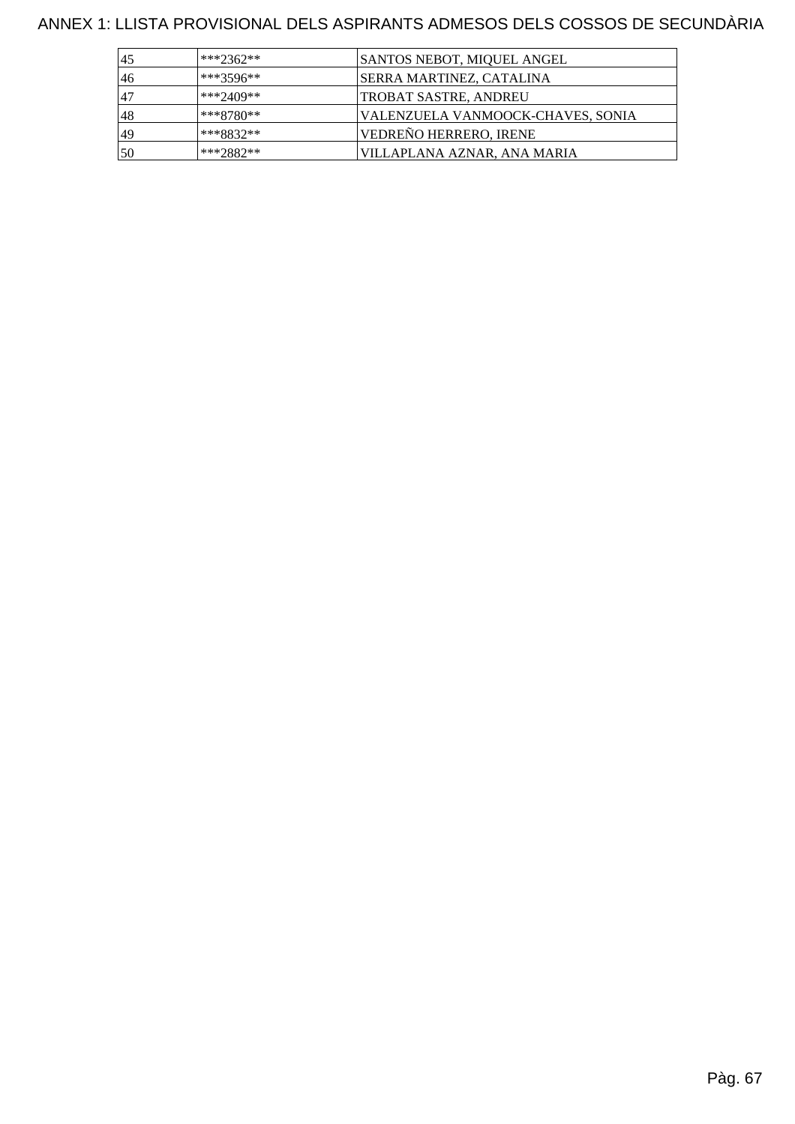| 45  | $***2362**$ | SANTOS NEBOT, MIQUEL ANGEL        |
|-----|-------------|-----------------------------------|
| 46  | ***3596**   | SERRA MARTINEZ, CATALINA          |
| .47 | ***2409**   | TROBAT SASTRE, ANDREU             |
| 48  | $***8780**$ | VALENZUELA VANMOOCK-CHAVES, SONIA |
| 49  | $***8832**$ | VEDREÑO HERRERO, IRENE            |
| 50  | $***2882**$ | VILLAPLANA AZNAR, ANA MARIA       |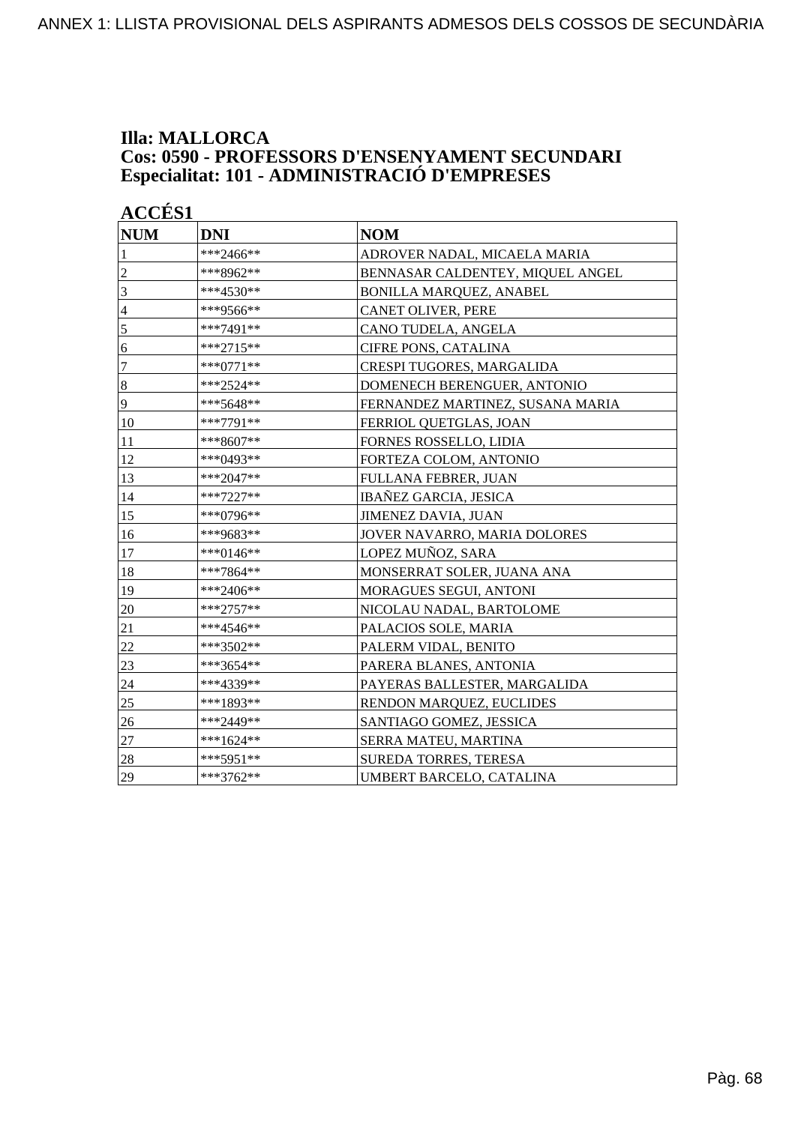### **Illa: MALLORCA Cos: 0590 - PROFESSORS D'ENSENYAMENT SECUNDARI Especialitat: 101 - ADMINISTRACIÓ D'EMPRESES**

| <b>ACCÉS 1</b>   |             |                                  |  |
|------------------|-------------|----------------------------------|--|
| <b>NUM</b>       | <b>DNI</b>  | <b>NOM</b>                       |  |
| 1                | ***2466**   | ADROVER NADAL, MICAELA MARIA     |  |
| $\overline{c}$   | ***8962**   | BENNASAR CALDENTEY, MIQUEL ANGEL |  |
| $\overline{3}$   | ***4530**   | <b>BONILLA MARQUEZ, ANABEL</b>   |  |
| $\overline{4}$   | ***9566**   | <b>CANET OLIVER, PERE</b>        |  |
| 5                | ***7491**   | CANO TUDELA, ANGELA              |  |
| 6                | ***2715**   | <b>CIFRE PONS, CATALINA</b>      |  |
| $\boldsymbol{7}$ | ***0771**   | CRESPI TUGORES, MARGALIDA        |  |
| $\vert 8$        | ***2524**   | DOMENECH BERENGUER, ANTONIO      |  |
| 9                | ***5648**   | FERNANDEZ MARTINEZ, SUSANA MARIA |  |
| 10               | ***7791**   | FERRIOL QUETGLAS, JOAN           |  |
| 11               | ***8607**   | FORNES ROSSELLO, LIDIA           |  |
| 12               | ***0493**   | FORTEZA COLOM, ANTONIO           |  |
| 13               | ***2047**   | FULLANA FEBRER, JUAN             |  |
| 14               | $***7227**$ | <b>IBAÑEZ GARCIA, JESICA</b>     |  |
| 15               | ***0796**   | <b>JIMENEZ DAVIA, JUAN</b>       |  |
| 16               | ***9683**   | JOVER NAVARRO, MARIA DOLORES     |  |
| 17               | ***0146**   | LOPEZ MUÑOZ, SARA                |  |
| 18               | ***7864**   | MONSERRAT SOLER, JUANA ANA       |  |
| 19               | ***2406**   | MORAGUES SEGUI, ANTONI           |  |
| 20               | $***2757**$ | NICOLAU NADAL, BARTOLOME         |  |
| 21               | ***4546**   | PALACIOS SOLE, MARIA             |  |
| 22               | ***3502**   | PALERM VIDAL, BENITO             |  |
| 23               | ***3654**   | PARERA BLANES, ANTONIA           |  |
| 24               | ***4339**   | PAYERAS BALLESTER, MARGALIDA     |  |
| 25               | ***1893**   | RENDON MARQUEZ, EUCLIDES         |  |
| 26               | ***2449**   | SANTIAGO GOMEZ, JESSICA          |  |
| 27               | $***1624**$ | SERRA MATEU, MARTINA             |  |
| 28               | ***5951**   | <b>SUREDA TORRES, TERESA</b>     |  |
| 29               | ***3762**   | UMBERT BARCELO, CATALINA         |  |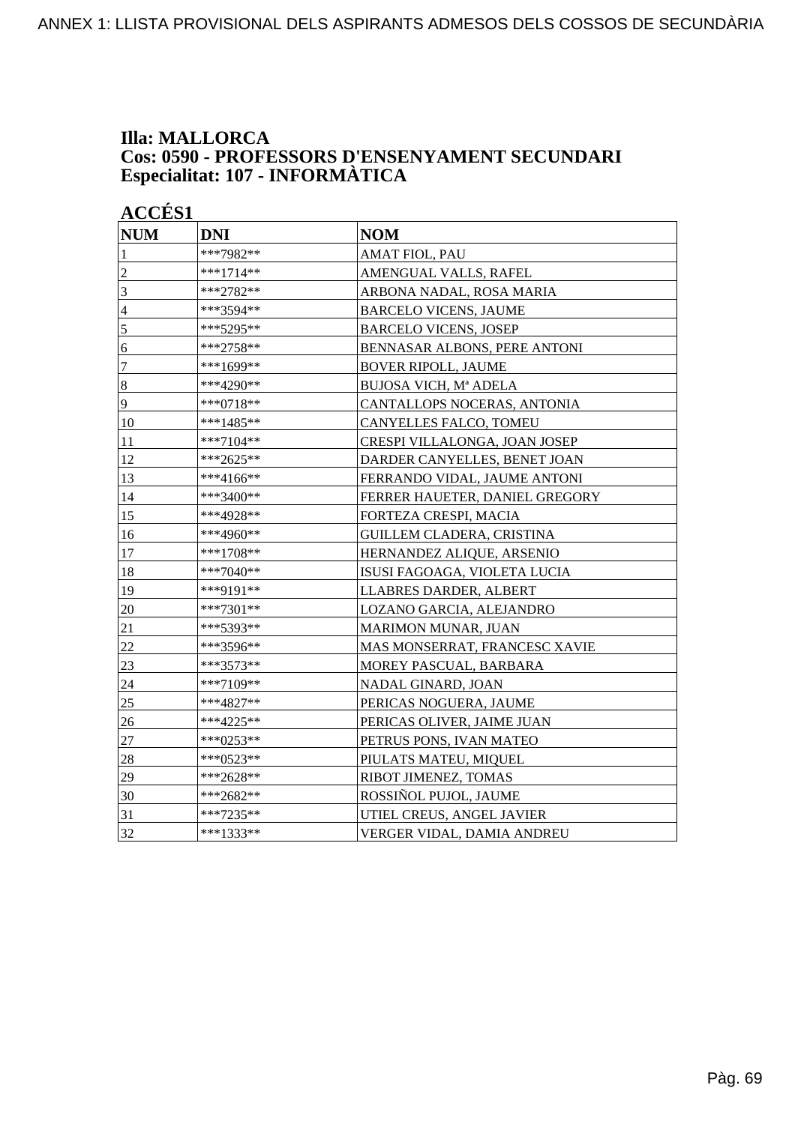### **Illa: MALLORCA Cos: 0590 - PROFESSORS D'ENSENYAMENT SECUNDARI Especialitat: 107 - INFORMÀTICA**

| <b>NUM</b>       | <b>DNI</b> | <b>NOM</b>                       |
|------------------|------------|----------------------------------|
| 1                | ***7982**  | <b>AMAT FIOL, PAU</b>            |
| $\overline{c}$   | ***1714**  | AMENGUAL VALLS, RAFEL            |
| $\overline{3}$   | ***2782**  | ARBONA NADAL, ROSA MARIA         |
| $\overline{4}$   | ***3594**  | <b>BARCELO VICENS, JAUME</b>     |
| 5                | ***5295**  | <b>BARCELO VICENS, JOSEP</b>     |
| 6                | ***2758**  | BENNASAR ALBONS, PERE ANTONI     |
| $\boldsymbol{7}$ | ***1699**  | <b>BOVER RIPOLL, JAUME</b>       |
| $\sqrt{8}$       | ***4290**  | BUJOSA VICH, Mª ADELA            |
| 9                | ***0718**  | CANTALLOPS NOCERAS, ANTONIA      |
| 10               | ***1485**  | CANYELLES FALCO, TOMEU           |
| 11               | ***7104**  | CRESPI VILLALONGA, JOAN JOSEP    |
| 12               | ***2625**  | DARDER CANYELLES, BENET JOAN     |
| 13               | ***4166**  | FERRANDO VIDAL, JAUME ANTONI     |
| 14               | ***3400**  | FERRER HAUETER, DANIEL GREGORY   |
| 15               | ***4928**  | FORTEZA CRESPI, MACIA            |
| 16               | ***4960**  | <b>GUILLEM CLADERA, CRISTINA</b> |
| 17               | ***1708**  | HERNANDEZ ALIQUE, ARSENIO        |
| 18               | ***7040**  | ISUSI FAGOAGA, VIOLETA LUCIA     |
| 19               | ***9191**  | LLABRES DARDER, ALBERT           |
| 20               | ***7301**  | LOZANO GARCIA, ALEJANDRO         |
| 21               | ***5393**  | MARIMON MUNAR, JUAN              |
| 22               | ***3596**  | MAS MONSERRAT, FRANCESC XAVIE    |
| 23               | ***3573**  | MOREY PASCUAL, BARBARA           |
| 24               | ***7109**  | NADAL GINARD, JOAN               |
| 25               | ***4827**  | PERICAS NOGUERA, JAUME           |
| 26               | ***4225**  | PERICAS OLIVER, JAIME JUAN       |
| 27               | ***0253**  | PETRUS PONS, IVAN MATEO          |
| 28               | ***0523**  | PIULATS MATEU, MIQUEL            |
| 29               | ***2628**  | RIBOT JIMENEZ, TOMAS             |
| 30               | ***2682**  | ROSSIÑOL PUJOL, JAUME            |
| 31               | ***7235**  | UTIEL CREUS, ANGEL JAVIER        |
| 32               | ***1333**  | VERGER VIDAL, DAMIA ANDREU       |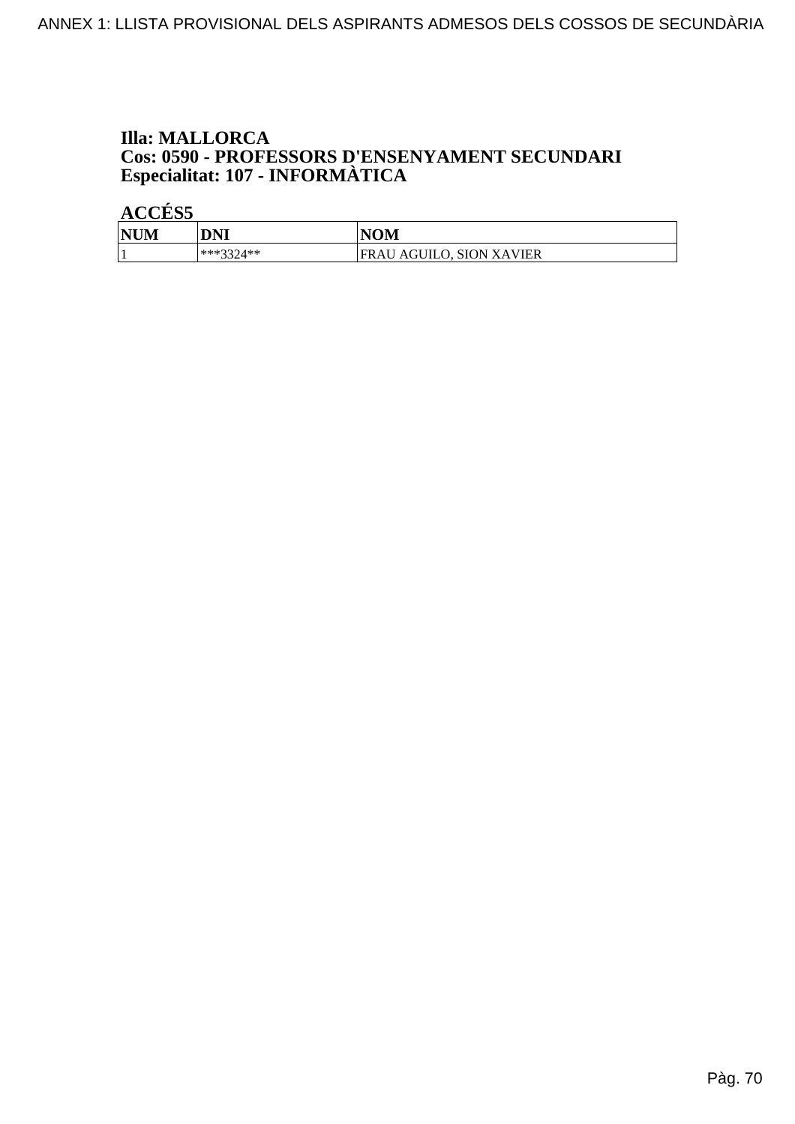## **Illa: MALLORCA Cos: 0590 - PROFESSORS D'ENSENYAMENT SECUNDARI<br>Especialitat: 107 - INFORMÀTICA**

| <b>NUM</b> | <b>DNI</b>  | <b>NOM</b>                      |
|------------|-------------|---------------------------------|
|            | $***3374**$ | <b>FRAU AGUILO, SION XAVIER</b> |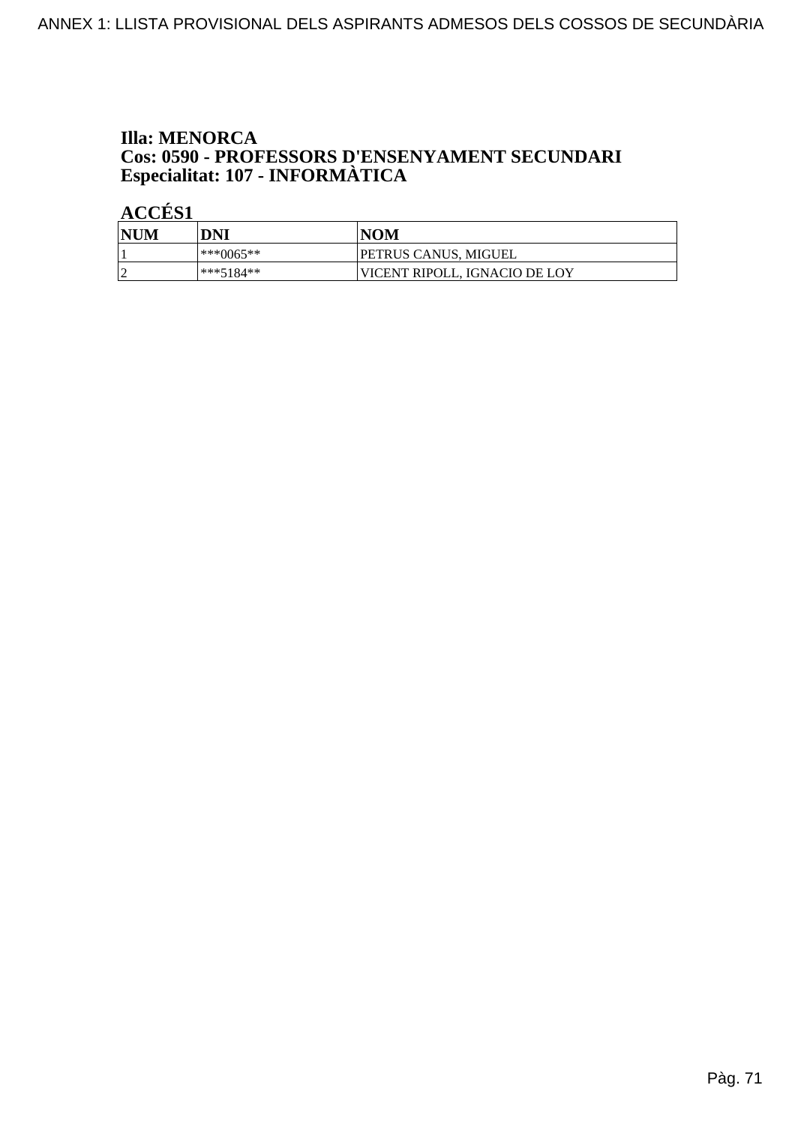### **Illa: MENORCA** Cos: 0590 - PROFESSORS D'ENSENYAMENT SECUNDARI Especialitat: 107 - INFORMÀTICA

| <b>NUM</b> | DNI       | <b>NOM</b>                    |
|------------|-----------|-------------------------------|
|            | ***0065** | PETRUS CANUS, MIGUEL          |
| $\sim$     | ***5184** | VICENT RIPOLL. IGNACIO DE LOY |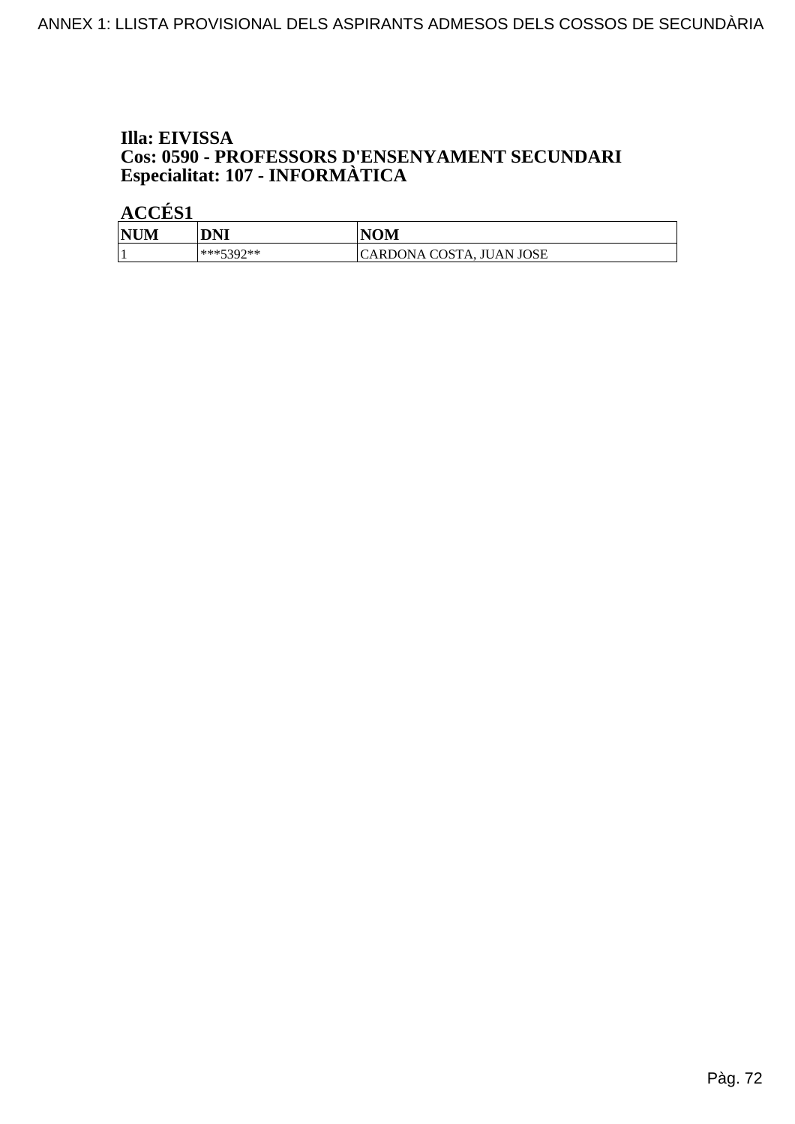### Illa: EIVISSA Cos: 0590 - PROFESSORS D'ENSENYAMENT SECUNDARI Especialitat: 107 - INFORMÀTICA

| <b>NUM</b> | DNI       | <b>NOM</b>               |
|------------|-----------|--------------------------|
|            | ***5307** | CARDONA COSTA, JUAN JOSE |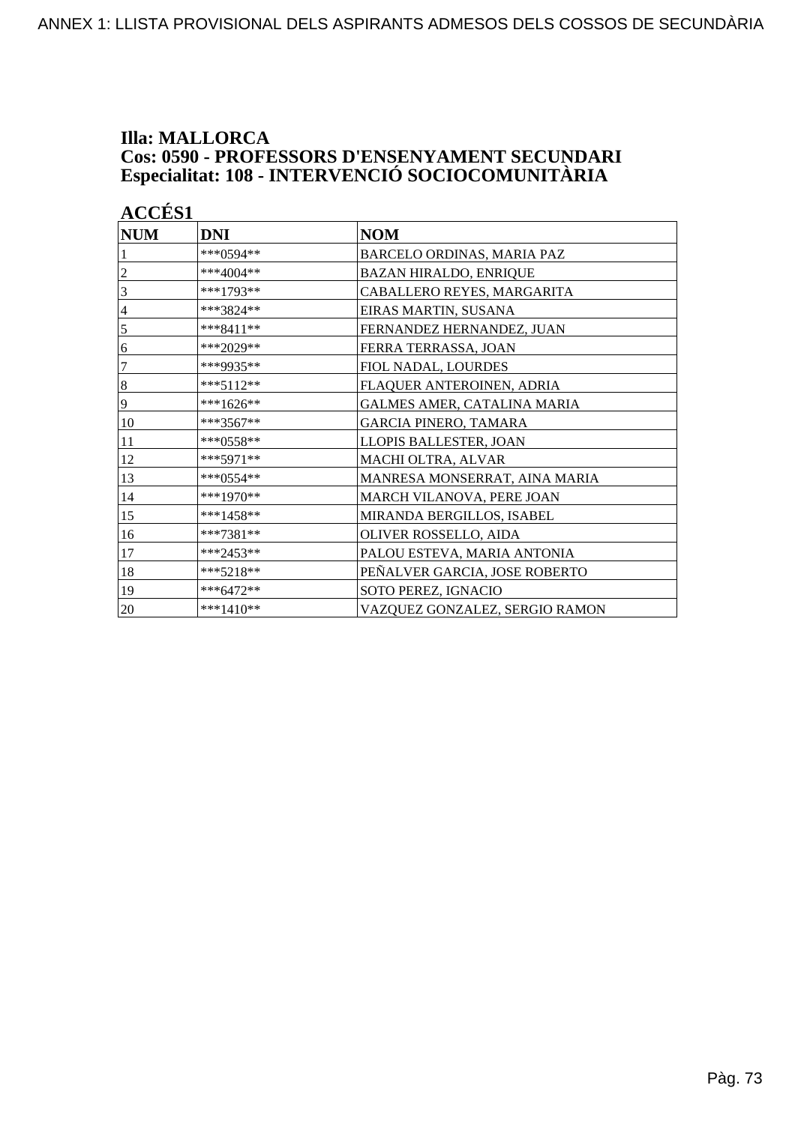## **Illa: MALLORCA Cos: 0590 - PROFESSORS D'ENSENYAMENT SECUNDARI<br>Especialitat: 108 - INTERVENCIÓ SOCIOCOMUNITÀRIA**

| <b>NUM</b>       | <b>DNI</b>   | <b>NOM</b>                     |
|------------------|--------------|--------------------------------|
|                  | $***0.594**$ | BARCELO ORDINAS, MARIA PAZ     |
|                  | ***4004**    | <b>BAZAN HIRALDO, ENRIQUE</b>  |
| 3                | ***1793**    | CABALLERO REYES, MARGARITA     |
| $\overline{4}$   | ***3824**    | EIRAS MARTIN, SUSANA           |
| 5                | $***8411**$  | FERNANDEZ HERNANDEZ, JUAN      |
| 6                | ***2029**    | FERRA TERRASSA, JOAN           |
| 7                | ***9935**    | FIOL NADAL, LOURDES            |
| $\boldsymbol{8}$ | $***5112**$  | FLAQUER ANTEROINEN, ADRIA      |
| 9                | ***1626**    | GALMES AMER, CATALINA MARIA    |
| 10               | $***3567**$  | <b>GARCIA PINERO, TAMARA</b>   |
| 11               | ***0558**    | LLOPIS BALLESTER, JOAN         |
| 12               | ***5971**    | MACHI OLTRA, ALVAR             |
| 13               | ***0554**    | MANRESA MONSERRAT, AINA MARIA  |
| 14               | $***1970**$  | MARCH VILANOVA, PERE JOAN      |
| 15               | $***1458**$  | MIRANDA BERGILLOS, ISABEL      |
| 16               | $***7381**$  | OLIVER ROSSELLO, AIDA          |
| 17               | $***2453**$  | PALOU ESTEVA, MARIA ANTONIA    |
| 18               | $***5218**$  | PEÑALVER GARCIA, JOSE ROBERTO  |
| 19               | $***6472**$  | SOTO PEREZ, IGNACIO            |
| 20               | $***1410**$  | VAZQUEZ GONZALEZ, SERGIO RAMON |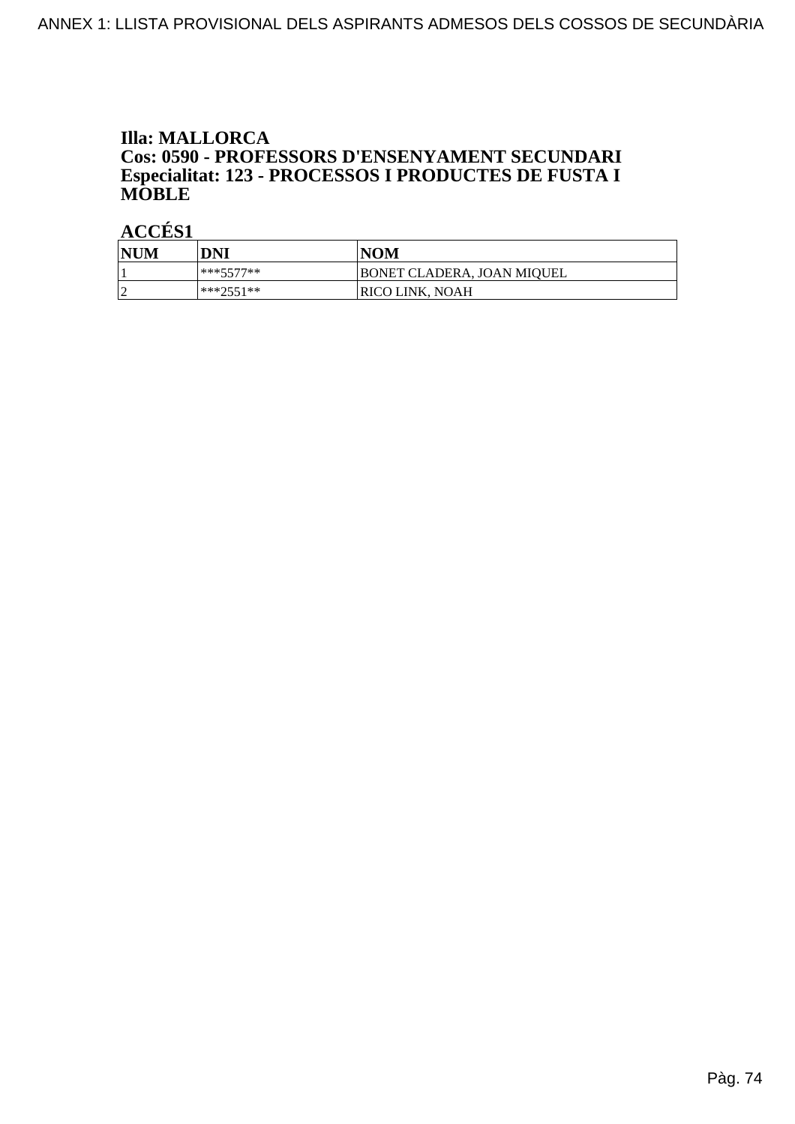### **Illa: MALLORCA Cos: 0590 - PROFESSORS D'ENSENYAMENT SECUNDARI<br>Especialitat: 123 - PROCESSOS I PRODUCTES DE FUSTA I MOBLE**

| NUM | DNI       | <b>NOM</b>                 |
|-----|-----------|----------------------------|
|     | ***5577** | BONET CLADERA, JOAN MIOUEL |
| 2   | ***7551** | <b>RICO LINK, NOAH</b>     |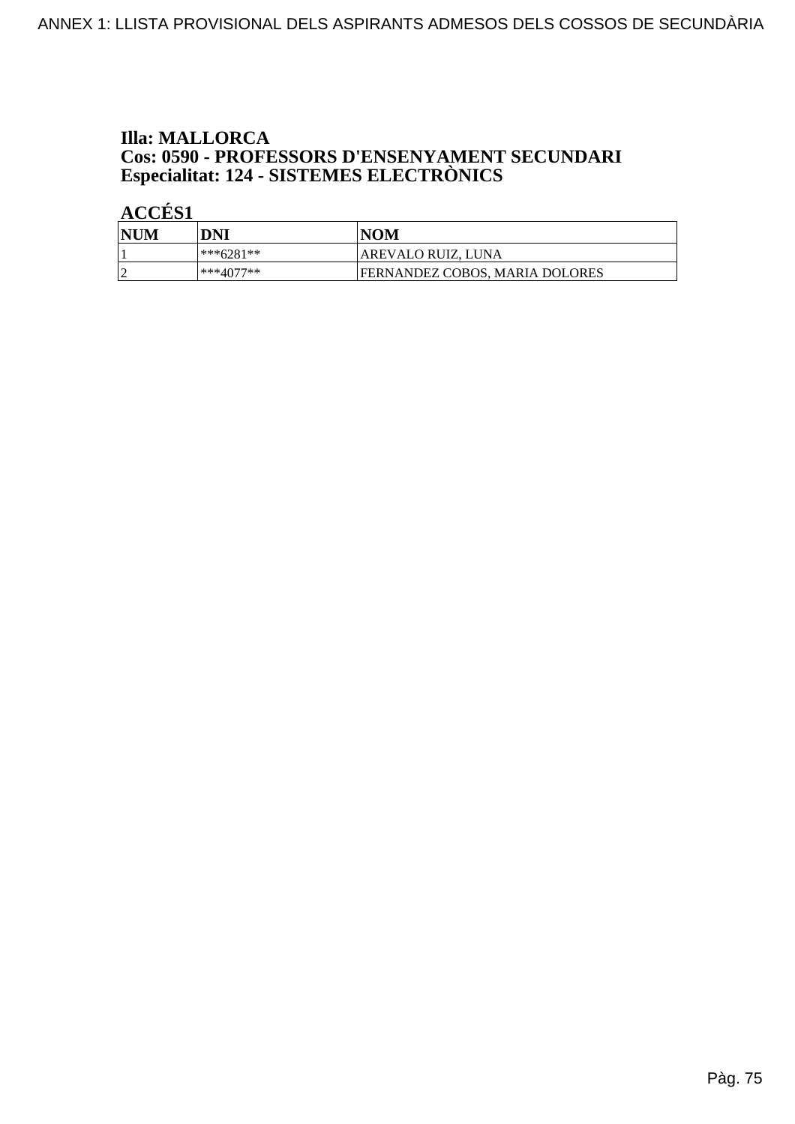## **Illa: MALLORCA Cos: 0590 - PROFESSORS D'ENSENYAMENT SECUNDARI<br>Especialitat: 124 - SISTEMES ELECTRÒNICS**

| <b>NUM</b> | DNI       | 'NOM                           |
|------------|-----------|--------------------------------|
|            | ***6281** | AREVALO RUIZ, LUNA             |
|            | ***4077** | FERNANDEZ COBOS, MARIA DOLORES |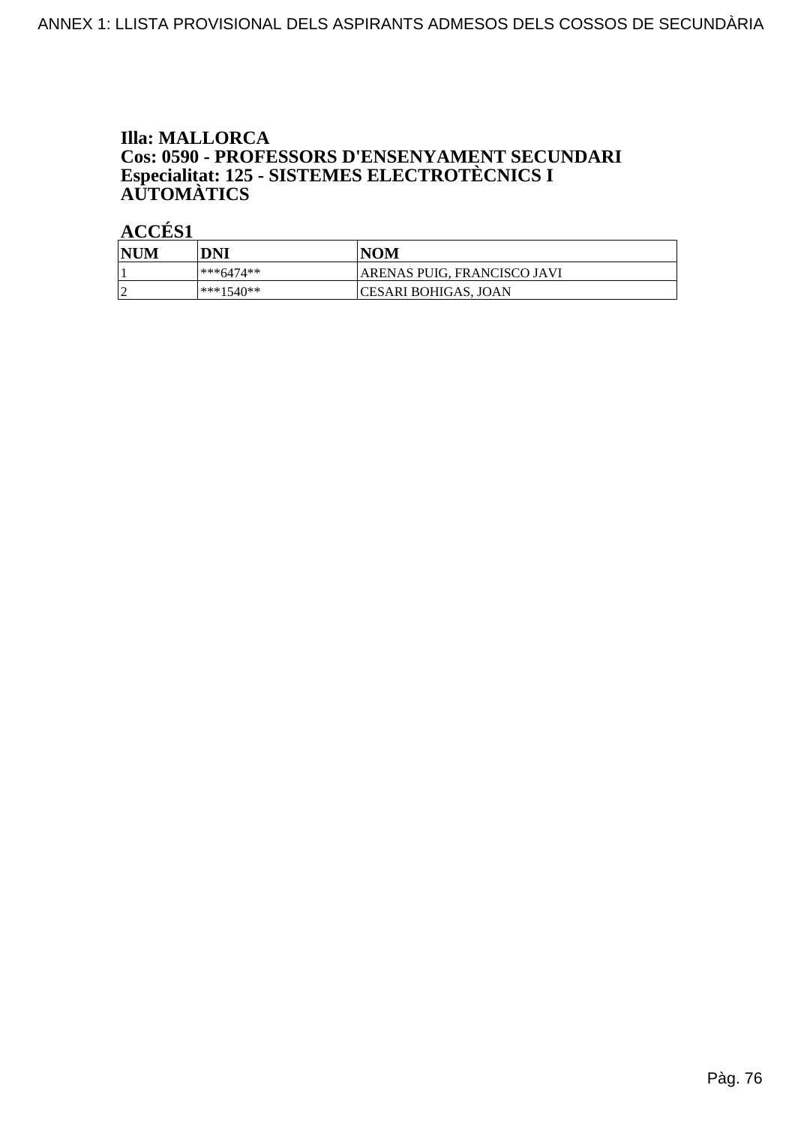# **Illa: MALLORCA** Cos: 0590 - PROFESSORS D'ENSENYAMENT SECUNDARI<br>Especialitat: 125 - SISTEMES ELECTROTÈCNICS I<br>AUTOMÀTICS

| <b>NUM</b> | DNI       | NOM                         |
|------------|-----------|-----------------------------|
|            | ***6474** | ARENAS PUIG, FRANCISCO JAVI |
|            | ***1540** | CESARI BOHIGAS, JOAN        |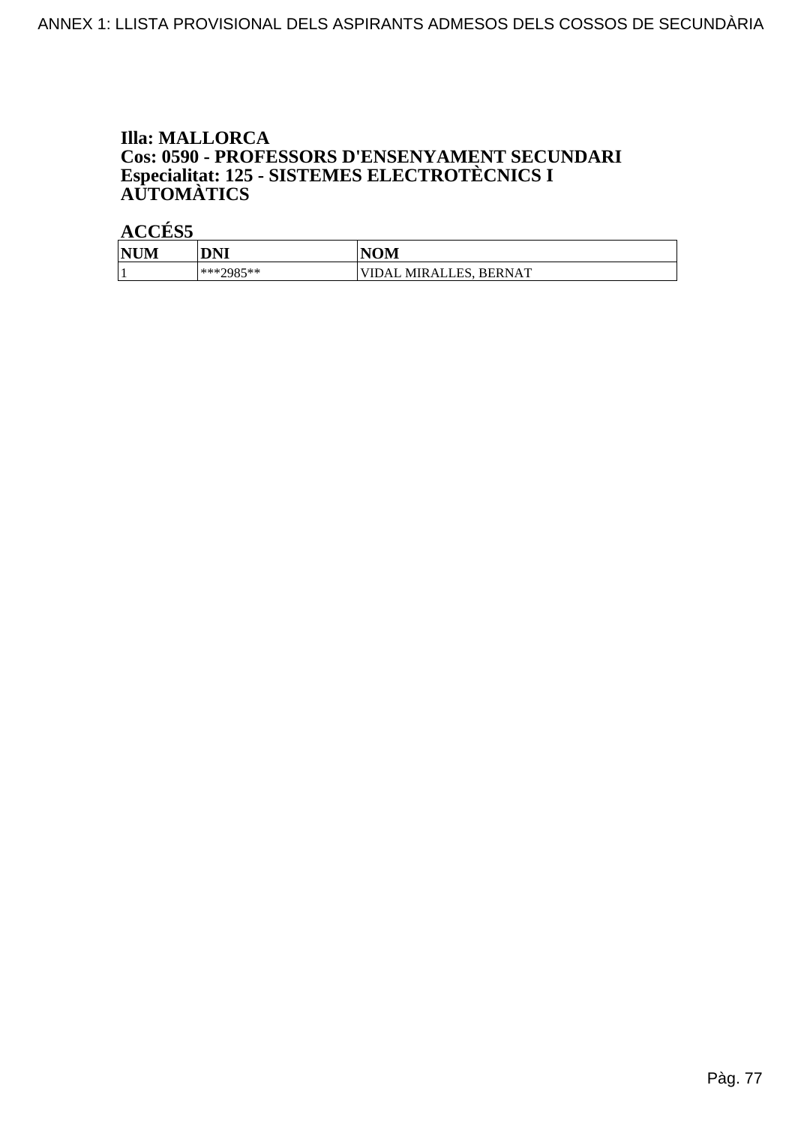# **Illa: MALLORCA** Cos: 0590 - PROFESSORS D'ENSENYAMENT SECUNDARI<br>Especialitat: 125 - SISTEMES ELECTROTÈCNICS I<br>AUTOMÀTICS

| <b>NIN</b><br>INUM | DNI                 | $\mathbf{IOM}$                      |
|--------------------|---------------------|-------------------------------------|
|                    | $***7985**$<br>رن ر | MIRALLES.<br><b>BERNAT</b><br>'IDAL |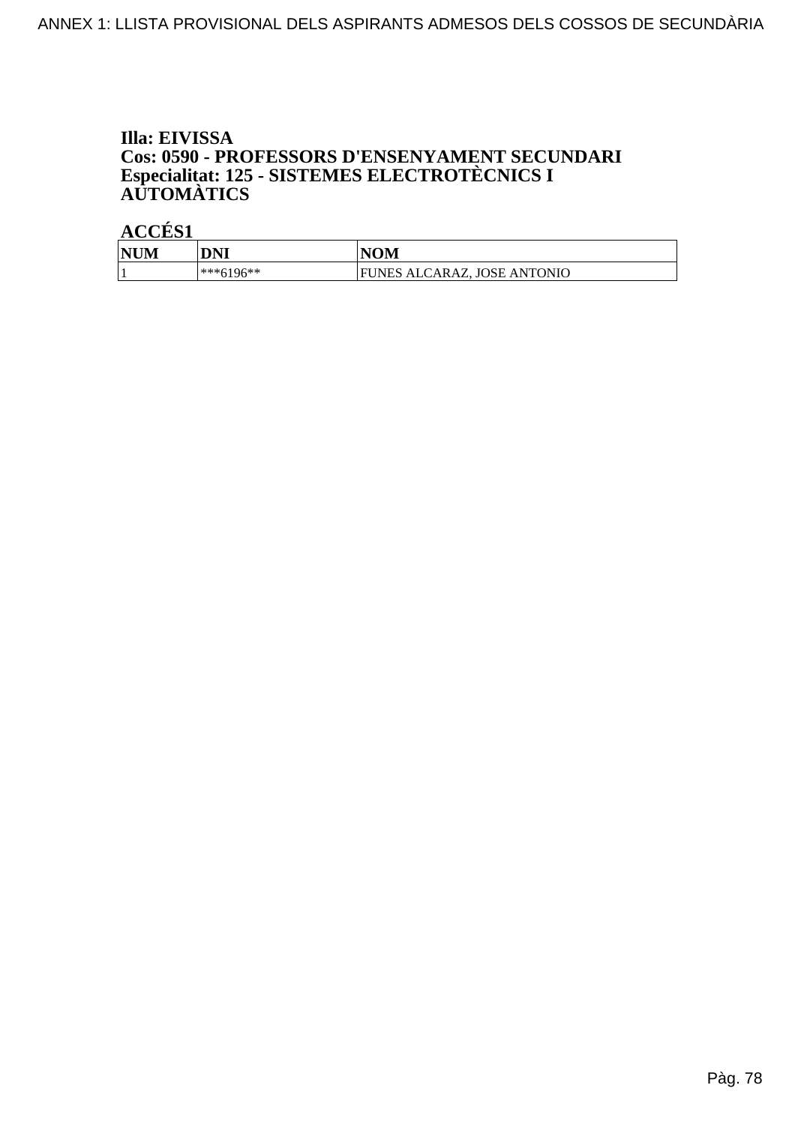# Illa: EIVISSA Cos: 0590 - PROFESSORS D'ENSENYAMENT SECUNDARI<br>Especialitat: 125 - SISTEMES ELECTROTÈCNICS I<br>AUTOMÀTICS

| <b>NUM</b> | DNI         | <b>NOM</b>                       |
|------------|-------------|----------------------------------|
|            | $***6196**$ | UNES ALCARAZ, JOSE ANTONIO<br>ЕI |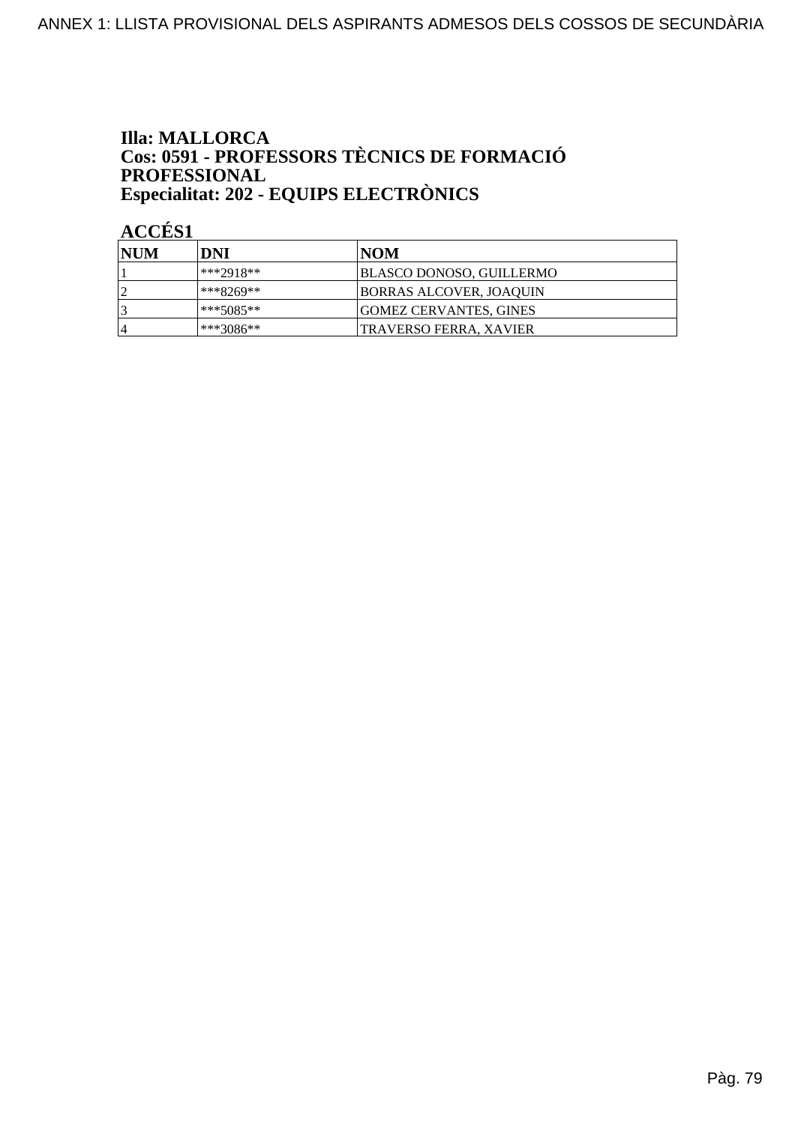### **Illa: MALLORCA Cos: 0591 - PROFESSORS TÈCNICS DE FORMACIÓ<br>PROFESSIONAL** Especialitat: 202 - EQUIPS ELECTRÒNICS

| NUM | DNI         | INOM                           |
|-----|-------------|--------------------------------|
|     | ***2918**   | BLASCO DONOSO, GUILLERMO       |
|     | ***8269**   | <b>BORRAS ALCOVER, JOAQUIN</b> |
|     | ***5085**   | <b>GOMEZ CERVANTES, GINES</b>  |
| 4   | $***3086**$ | TRAVERSO FERRA, XAVIER         |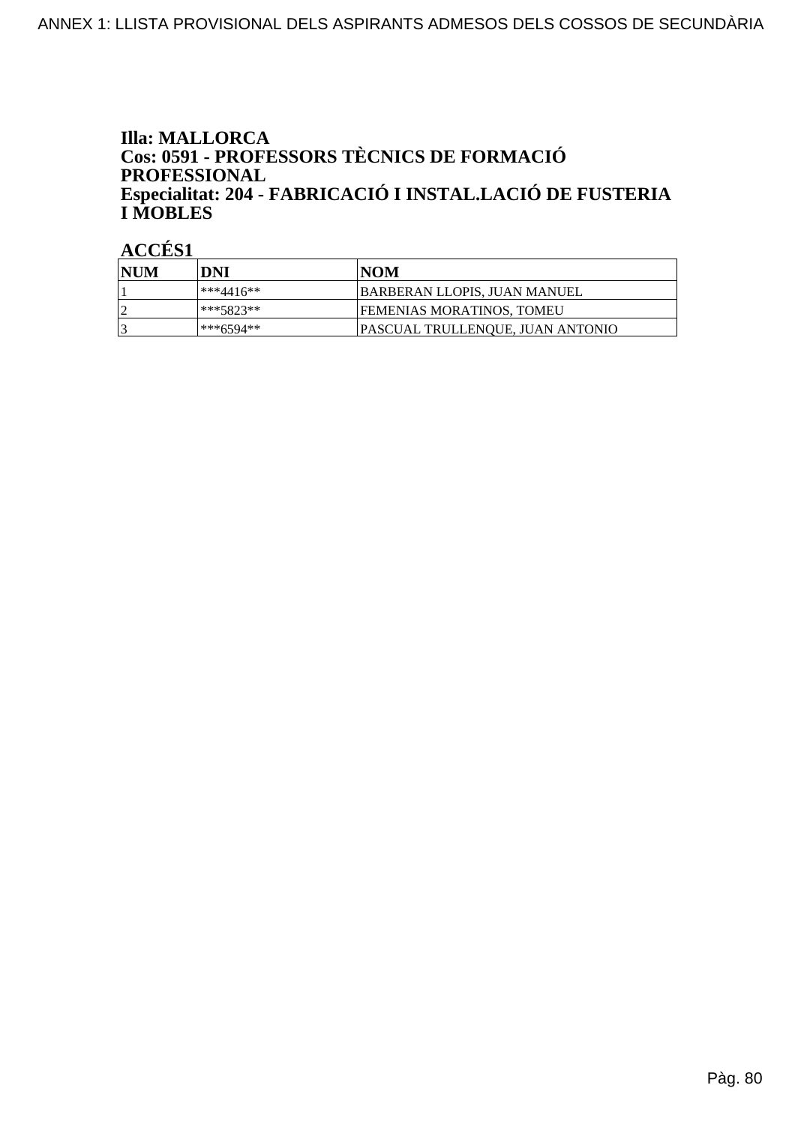### **Illa: MALLORCA** Cos: 0591 - PROFESSORS TÈCNICS DE FORMACIÓ **PROFESSIONAL** Especialitat: 204 - FABRICACIÓ I INSTAL.LACIÓ DE FUSTERIA **I MOBLES**

| <b>INUM</b> | DNI       | NOM                              |
|-------------|-----------|----------------------------------|
|             | ***4416** | BARBERAN LLOPIS, JUAN MANUEL     |
|             | ***5823** | FEMENIAS MORATINOS, TOMEU        |
|             | ***6594** | PASCUAL TRULLENOUE, JUAN ANTONIO |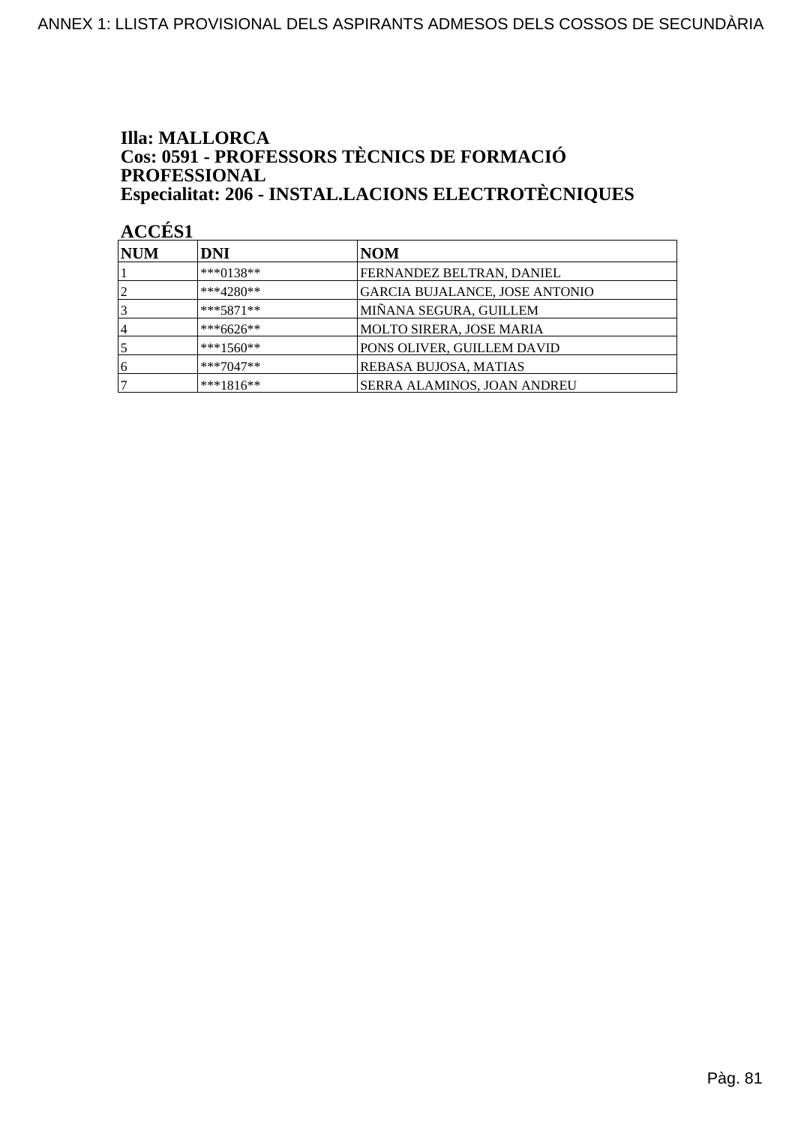### **Illa: MALLORCA** Cos: 0591 - PROFESSORS TÈCNICS DE FORMACIÓ PROFESSIONAL Especialitat: 206 - INSTAL.LACIONS ELECTROTÈCNIQUES

| <b>NUM</b>     | DNI         | NOM                            |
|----------------|-------------|--------------------------------|
|                | ***0138**   | FERNANDEZ BELTRAN, DANIEL      |
| $\overline{2}$ | $***4280**$ | GARCIA BUJALANCE, JOSE ANTONIO |
| 3              | $***5871**$ | MIÑANA SEGURA, GUILLEM         |
| 14             | ***6626**   | MOLTO SIRERA, JOSE MARIA       |
|                | ***1560**   | PONS OLIVER, GUILLEM DAVID     |
| 6              | $***7047**$ | <b>REBASA BUJOSA, MATIAS</b>   |
|                | $***1816**$ | SERRA ALAMINOS, JOAN ANDREU    |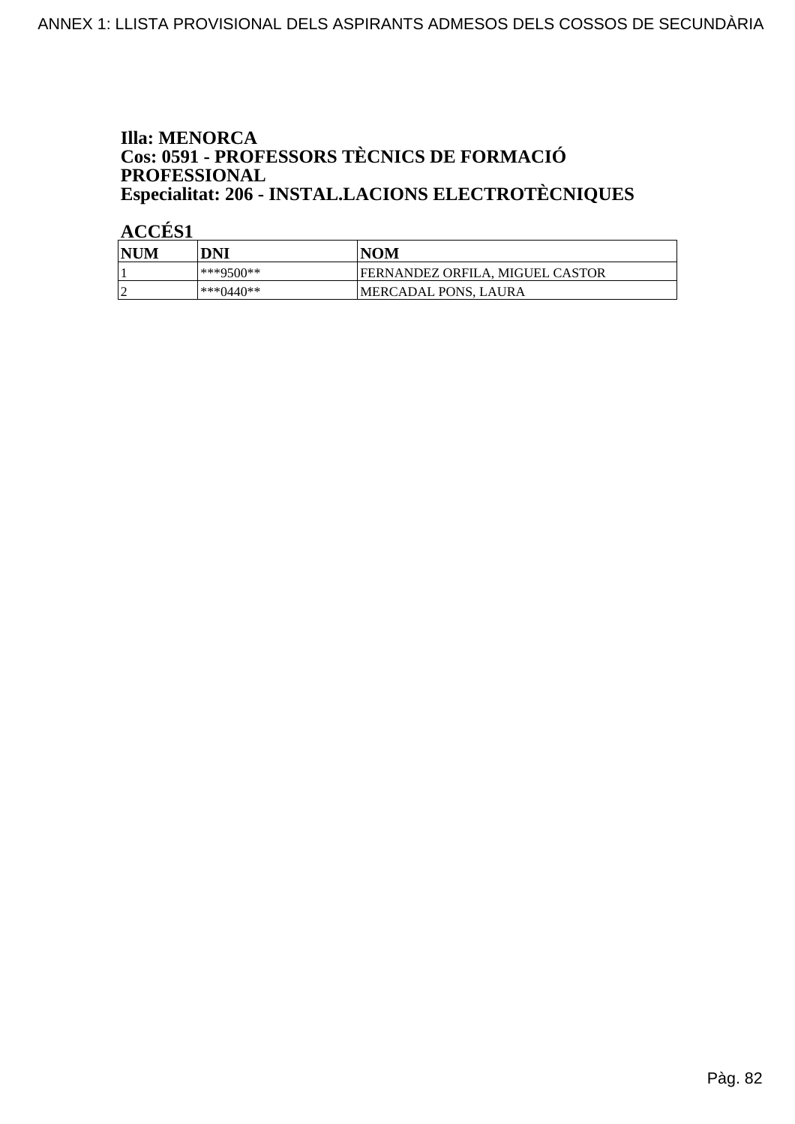### **Illa: MENORCA** Cos: 0591 - PROFESSORS TÈCNICS DE FORMACIÓ PROFESSIONAL Especialitat: 206 - INSTAL.LACIONS ELECTROTÈCNIQUES

| NUM        | DNI          | <b>NOM</b>                      |
|------------|--------------|---------------------------------|
|            | ***9500**    | FERNANDEZ ORFILA. MIGUEL CASTOR |
| $\sqrt{ }$ | *** $0440**$ | MERCADAL PONS, LAURA            |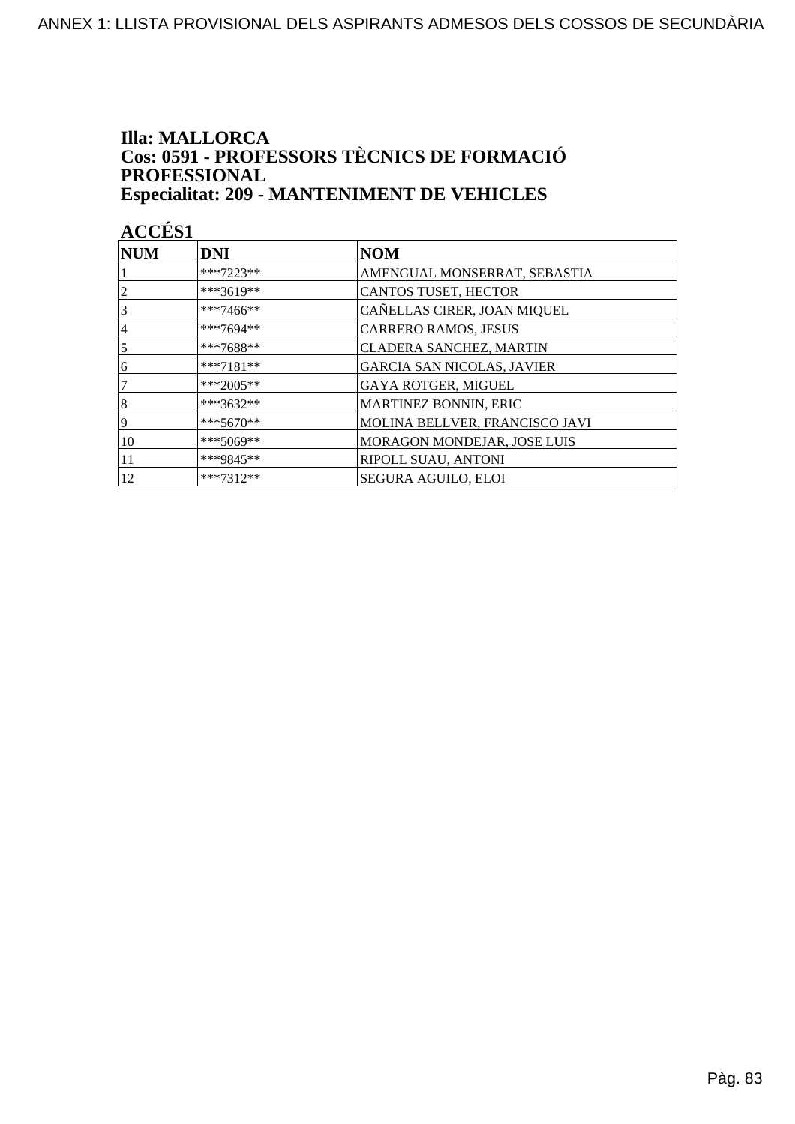#### **Illa: MALLORCA** Cos: 0591 - PROFESSORS TÈCNICS DE FORMACIÓ PROFESSIONAL **Especialitat: 209 - MANTENIMENT DE VEHICLES**

| NUM | <b>DNI</b>  | <b>NOM</b>                        |
|-----|-------------|-----------------------------------|
|     | $***7223**$ | AMENGUAL MONSERRAT, SEBASTIA      |
| 2   | ***3619**   | CANTOS TUSET, HECTOR              |
| 3   | ***7466**   | CAÑELLAS CIRER, JOAN MIQUEL       |
| 4   | ***7694**   | <b>CARRERO RAMOS, JESUS</b>       |
| 5   | ***7688**   | CLADERA SANCHEZ, MARTIN           |
| 6   | $***7181**$ | <b>GARCIA SAN NICOLAS, JAVIER</b> |
| 7   | $***2005**$ | GAYA ROTGER, MIGUEL               |
| 8   | ***3632**   | <b>MARTINEZ BONNIN, ERIC</b>      |
| 9   | $***5670**$ | MOLINA BELLVER, FRANCISCO JAVI    |
| 10  | $***5069**$ | MORAGON MONDEJAR, JOSE LUIS       |
| 11  | ***9845**   | RIPOLL SUAU, ANTONI               |
| 12  | $***7312**$ | SEGURA AGUILO, ELOI               |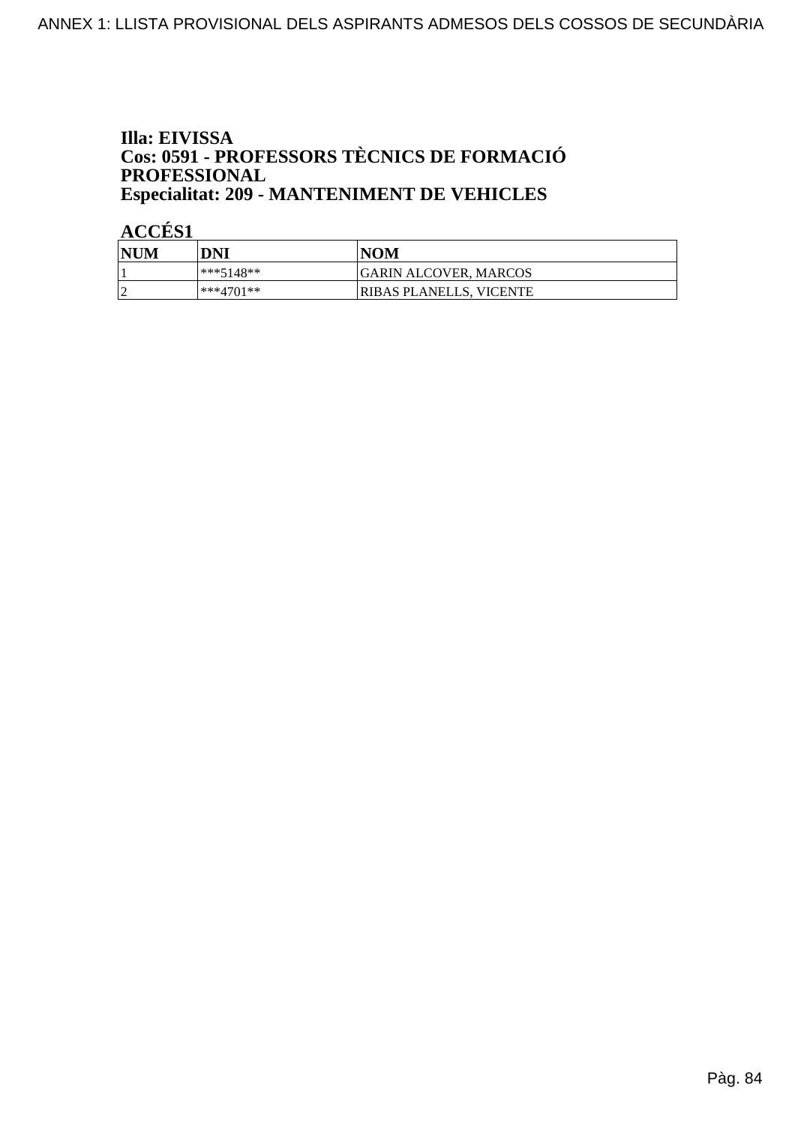### Illa: EIVISSA **Cos: 0591 - PROFESSORS TÈCNICS DE FORMACIÓ<br>PROFESSIONAL Especialitat: 209 - MANTENIMENT DE VEHICLES**

| <b>NUM</b> | DNI         | <b>NOM</b>              |
|------------|-------------|-------------------------|
|            | $***5148**$ | GARIN ALCOVER, MARCOS   |
| h          | $***4701**$ | RIBAS PLANELLS, VICENTE |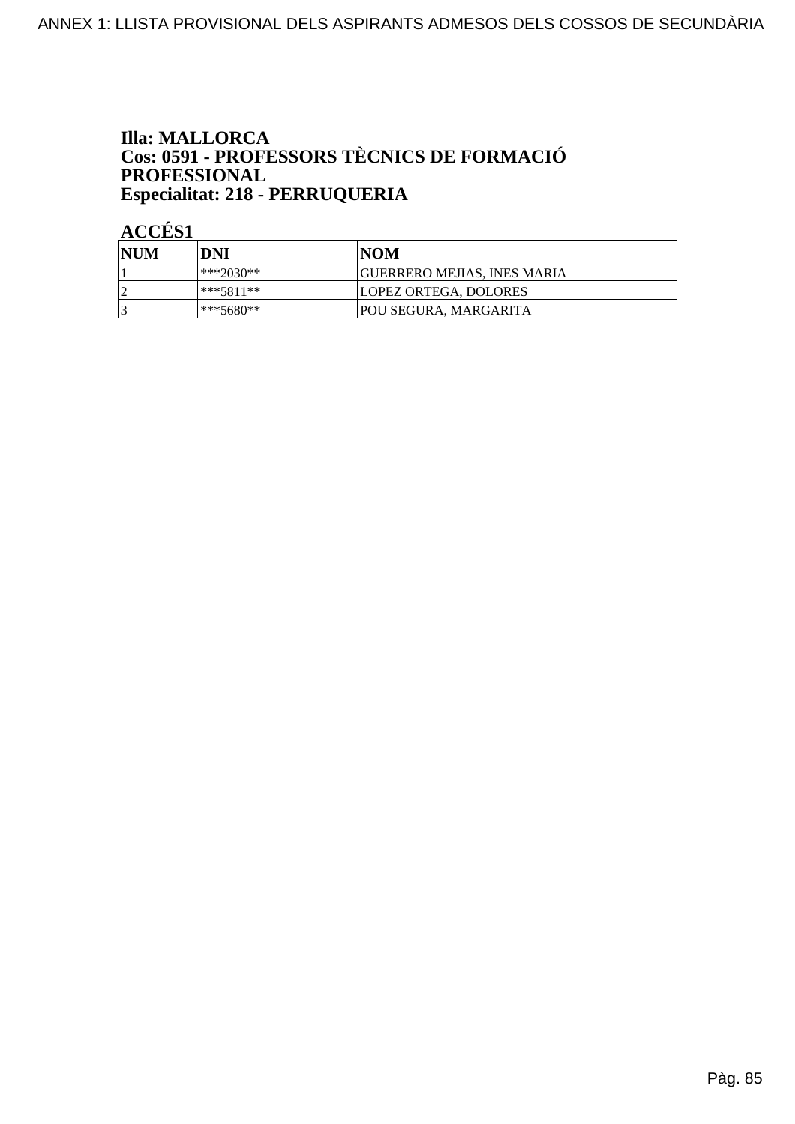### **Illa: MALLORCA Cos: 0591 - PROFESSORS TÈCNICS DE FORMACIÓ<br>PROFESSIONAL** Especialitat: 218 - PERRUQUERIA

| <b>NUM</b> | DNI       | NOM                                |
|------------|-----------|------------------------------------|
|            | ***2030** | <b>GUERRERO MEJIAS, INES MARIA</b> |
|            | ***5811** | LOPEZ ORTEGA, DOLORES              |
|            | ***5680** | POU SEGURA, MARGARITA              |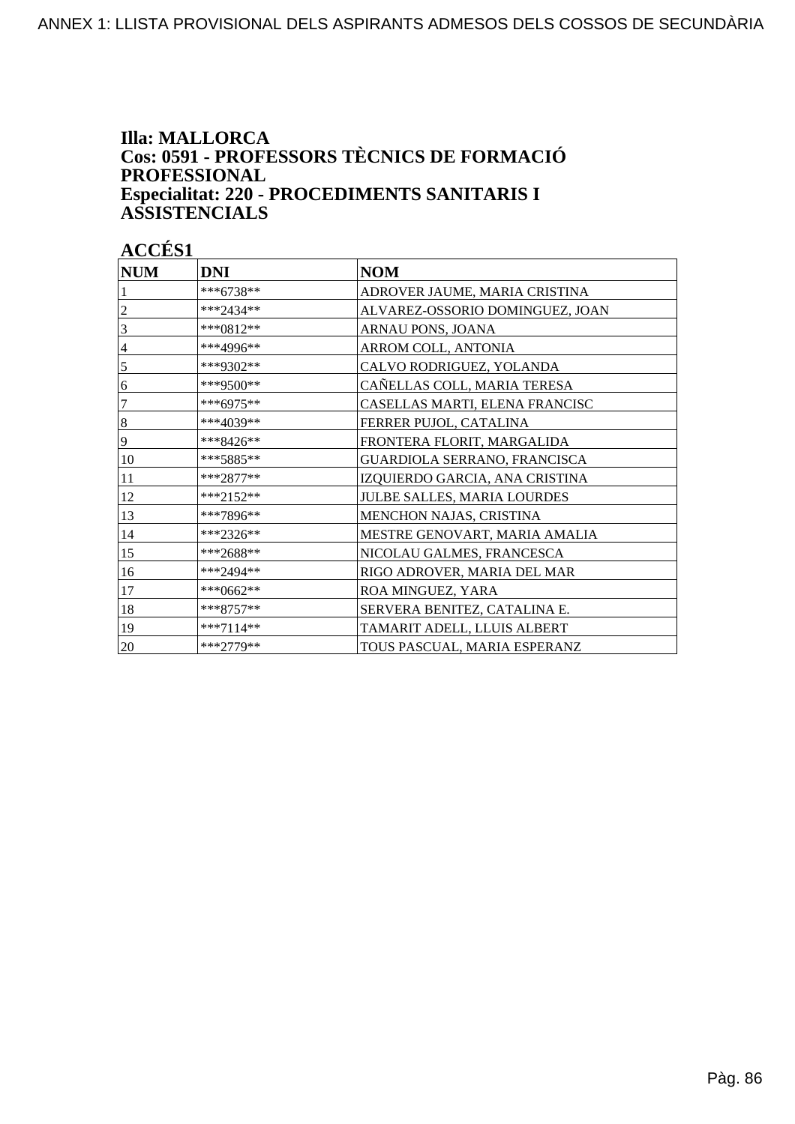### **Illa: MALLORCA Cos: 0591 - PROFESSORS TÈCNICS DE FORMACIÓ PROFESSIONAL Especialitat: 220 - PROCEDIMENTS SANITARIS I ASSISTENCIALS**

| <b>NUM</b>     | <b>DNI</b>  | <b>NOM</b>                      |
|----------------|-------------|---------------------------------|
|                | ***6738**   | ADROVER JAUME, MARIA CRISTINA   |
| 2              | $***2434**$ | ALVAREZ-OSSORIO DOMINGUEZ, JOAN |
| 3              | $***0812**$ | ARNAU PONS, JOANA               |
| $\overline{4}$ | ***4996**   | ARROM COLL, ANTONIA             |
| 5              | ***9302**   | CALVO RODRIGUEZ, YOLANDA        |
| 6              | ***9500**   | CAÑELLAS COLL, MARIA TERESA     |
| 7              | $***6975**$ | CASELLAS MARTI, ELENA FRANCISC  |
| 8              | ***4039**   | FERRER PUJOL, CATALINA          |
| 9              | ***8426**   | FRONTERA FLORIT, MARGALIDA      |
| 10             | ***5885**   | GUARDIOLA SERRANO, FRANCISCA    |
| 11             | $***2877**$ | IZQUIERDO GARCIA, ANA CRISTINA  |
| 12             | ***2152**   | JULBE SALLES, MARIA LOURDES     |
| 13             | ***7896**   | MENCHON NAJAS, CRISTINA         |
| 14             | ***2326**   | MESTRE GENOVART, MARIA AMALIA   |
| 15             | ***2688**   | NICOLAU GALMES, FRANCESCA       |
| 16             | ***2494**   | RIGO ADROVER, MARIA DEL MAR     |
| 17             | ***0662**   | ROA MINGUEZ, YARA               |
| 18             | ***8757**   | SERVERA BENITEZ, CATALINA E.    |
| 19             | $***7114**$ | TAMARIT ADELL, LLUIS ALBERT     |
| 20             | ***2779**   | TOUS PASCUAL, MARIA ESPERANZ    |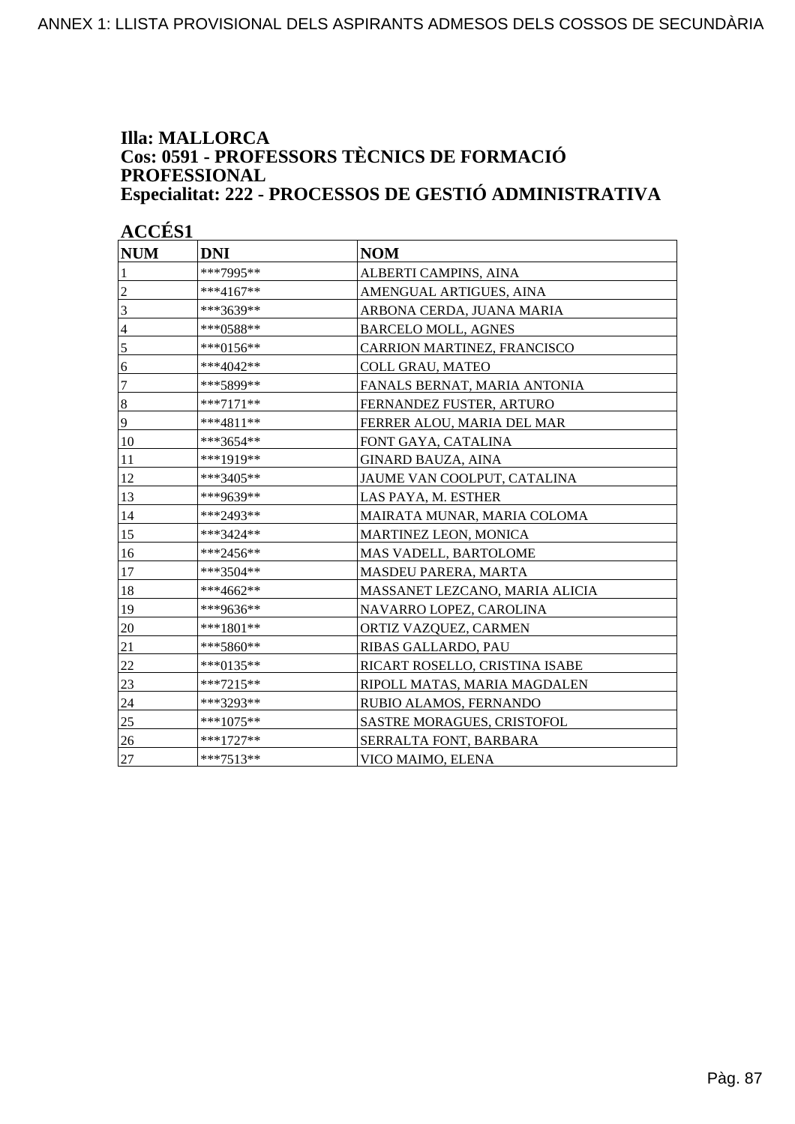#### **Illa: MALLORCA Cos: 0591 - PROFESSORS TÈCNICS DE FORMACIÓ PROFESSIONAL Especialitat: 222 - PROCESSOS DE GESTIÓ ADMINISTRATIVA**

| <b>NUM</b>       | <b>DNI</b>  | <b>NOM</b>                        |
|------------------|-------------|-----------------------------------|
| 1                | ***7995**   | ALBERTI CAMPINS, AINA             |
| $\overline{c}$   | ***4167**   | AMENGUAL ARTIGUES, AINA           |
| 3                | ***3639**   | ARBONA CERDA, JUANA MARIA         |
| $\overline{4}$   | ***0588**   | <b>BARCELO MOLL, AGNES</b>        |
| 5                | ***0156**   | CARRION MARTINEZ, FRANCISCO       |
| 6                | ***4042**   | <b>COLL GRAU, MATEO</b>           |
| $\overline{7}$   | ***5899**   | FANALS BERNAT, MARIA ANTONIA      |
| $\boldsymbol{8}$ | ***7171**   | FERNANDEZ FUSTER, ARTURO          |
| $\overline{9}$   | ***4811**   | FERRER ALOU, MARIA DEL MAR        |
| 10               | ***3654**   | FONT GAYA, CATALINA               |
| 11               | ***1919**   | <b>GINARD BAUZA, AINA</b>         |
| 12               | ***3405**   | JAUME VAN COOLPUT, CATALINA       |
| 13               | ***9639**   | LAS PAYA, M. ESTHER               |
| 14               | ***2493**   | MAIRATA MUNAR, MARIA COLOMA       |
| 15               | ***3424**   | MARTINEZ LEON, MONICA             |
| 16               | ***2456**   | MAS VADELL, BARTOLOME             |
| 17               | ***3504**   | MASDEU PARERA, MARTA              |
| 18               | ***4662**   | MASSANET LEZCANO, MARIA ALICIA    |
| 19               | ***9636**   | NAVARRO LOPEZ, CAROLINA           |
| 20               | ***1801**   | ORTIZ VAZQUEZ, CARMEN             |
| 21               | ***5860**   | RIBAS GALLARDO, PAU               |
| 22               | ***0135**   | RICART ROSELLO, CRISTINA ISABE    |
| 23               | ***7215**   | RIPOLL MATAS, MARIA MAGDALEN      |
| 24               | ***3293**   | RUBIO ALAMOS, FERNANDO            |
| 25               | $***1075**$ | <b>SASTRE MORAGUES, CRISTOFOL</b> |
| 26               | ***1727**   | SERRALTA FONT, BARBARA            |
| 27               | $***7513**$ | VICO MAIMO, ELENA                 |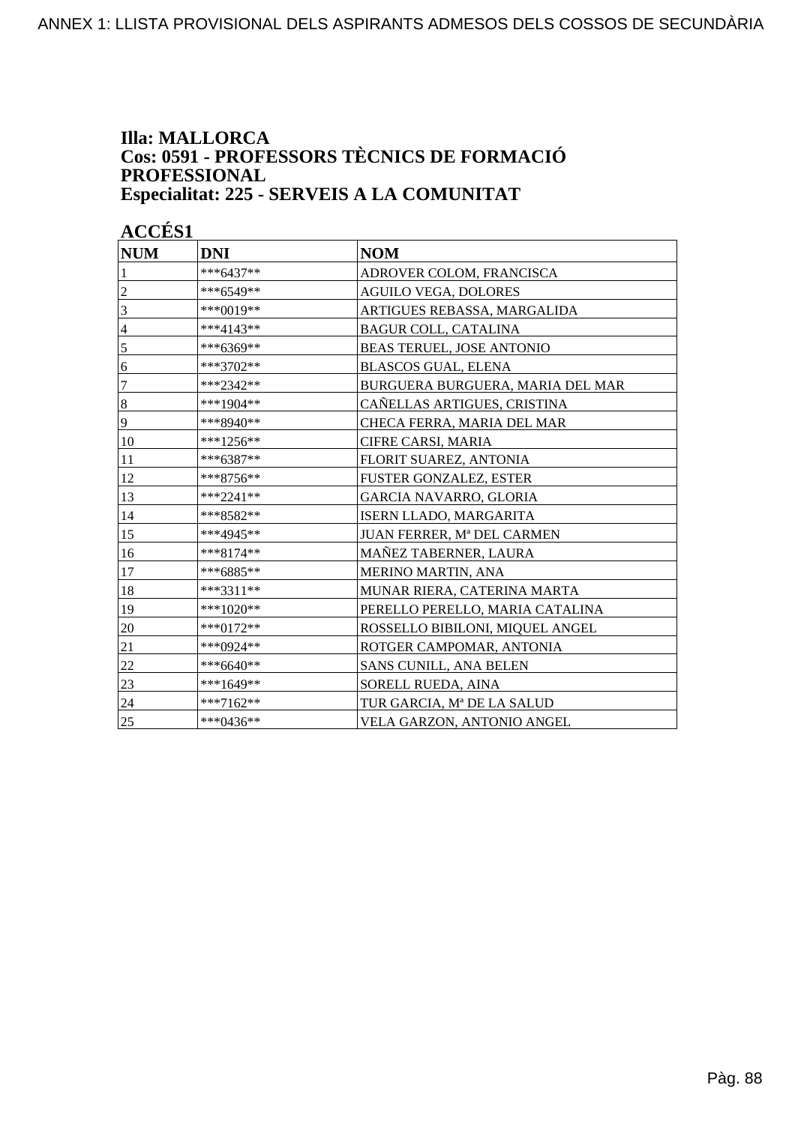#### **Illa: MALLORCA Cos: 0591 - PROFESSORS TÈCNICS DE FORMACIÓ PROFESSIONAL Especialitat: 225 - SERVEIS A LA COMUNITAT**

| <b>NUM</b>     | <b>DNI</b>  | <b>NOM</b>                       |
|----------------|-------------|----------------------------------|
| 1              | ***6437**   | ADROVER COLOM, FRANCISCA         |
| $\overline{c}$ | ***6549**   | <b>AGUILO VEGA, DOLORES</b>      |
| 3              | ***0019**   | ARTIGUES REBASSA, MARGALIDA      |
| $\overline{4}$ | ***4143**   | <b>BAGUR COLL, CATALINA</b>      |
| 5              | ***6369**   | BEAS TERUEL, JOSE ANTONIO        |
| 6              | ***3702**   | <b>BLASCOS GUAL, ELENA</b>       |
| $\overline{7}$ | ***2342**   | BURGUERA BURGUERA, MARIA DEL MAR |
| $\bf 8$        | ***1904**   | CAÑELLAS ARTIGUES, CRISTINA      |
| 9              | ***8940**   | CHECA FERRA, MARIA DEL MAR       |
| 10             | ***1256**   | CIFRE CARSI, MARIA               |
| 11             | $***6387**$ | FLORIT SUAREZ, ANTONIA           |
| 12             | ***8756**   | FUSTER GONZALEZ, ESTER           |
| 13             | ***2241**   | GARCIA NAVARRO, GLORIA           |
| 14             | ***8582**   | ISERN LLADO, MARGARITA           |
| 15             | ***4945**   | JUAN FERRER, Mª DEL CARMEN       |
| 16             | ***8174**   | MAÑEZ TABERNER, LAURA            |
| 17             | ***6885**   | MERINO MARTIN, ANA               |
| 18             | $***3311**$ | MUNAR RIERA, CATERINA MARTA      |
| 19             | ***1020**   | PERELLO PERELLO, MARIA CATALINA  |
| 20             | ***0172**   | ROSSELLO BIBILONI, MIQUEL ANGEL  |
| 21             | ***0924**   | ROTGER CAMPOMAR, ANTONIA         |
| 22             | ***6640**   | SANS CUNILL, ANA BELEN           |
| 23             | ***1649**   | SORELL RUEDA, AINA               |
| 24             | ***7162**   | TUR GARCIA, Mª DE LA SALUD       |
| 25             | ***0436**   | VELA GARZON, ANTONIO ANGEL       |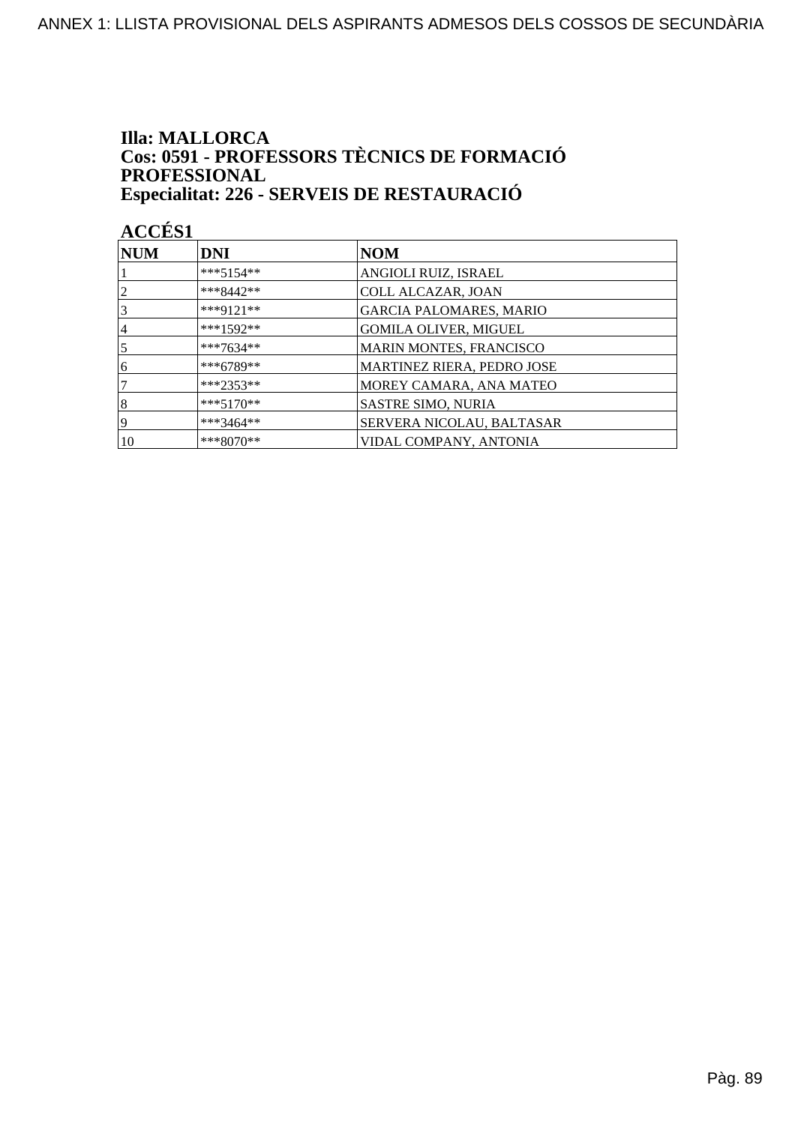### **Illa: MALLORCA** Cos: 0591 - PROFESSORS TÈCNICS DE FORMACIÓ PROFESSIONAL Especialitat: 226 - SERVEIS DE RESTAURACIÓ

| <b>NUM</b>      | DNI         | <b>NOM</b>                        |
|-----------------|-------------|-----------------------------------|
|                 | $***5154**$ | ANGIOLI RUIZ, ISRAEL              |
| $\overline{2}$  | $***8442**$ | <b>COLL ALCAZAR, JOAN</b>         |
| $\vert 3 \vert$ | ***9121**   | <b>GARCIA PALOMARES, MARIO</b>    |
| 4               | $***1592**$ | <b>GOMILA OLIVER, MIGUEL</b>      |
| $\overline{5}$  | ***7634**   | <b>MARIN MONTES, FRANCISCO</b>    |
| 6               | ***6789**   | <b>MARTINEZ RIERA, PEDRO JOSE</b> |
| 7               | $***2353**$ | MOREY CAMARA, ANA MATEO           |
| 8               | $***5170**$ | SASTRE SIMO, NURIA                |
| 19              | ***3464**   | SERVERA NICOLAU, BALTASAR         |
| 10              | $***8070**$ | VIDAL COMPANY, ANTONIA            |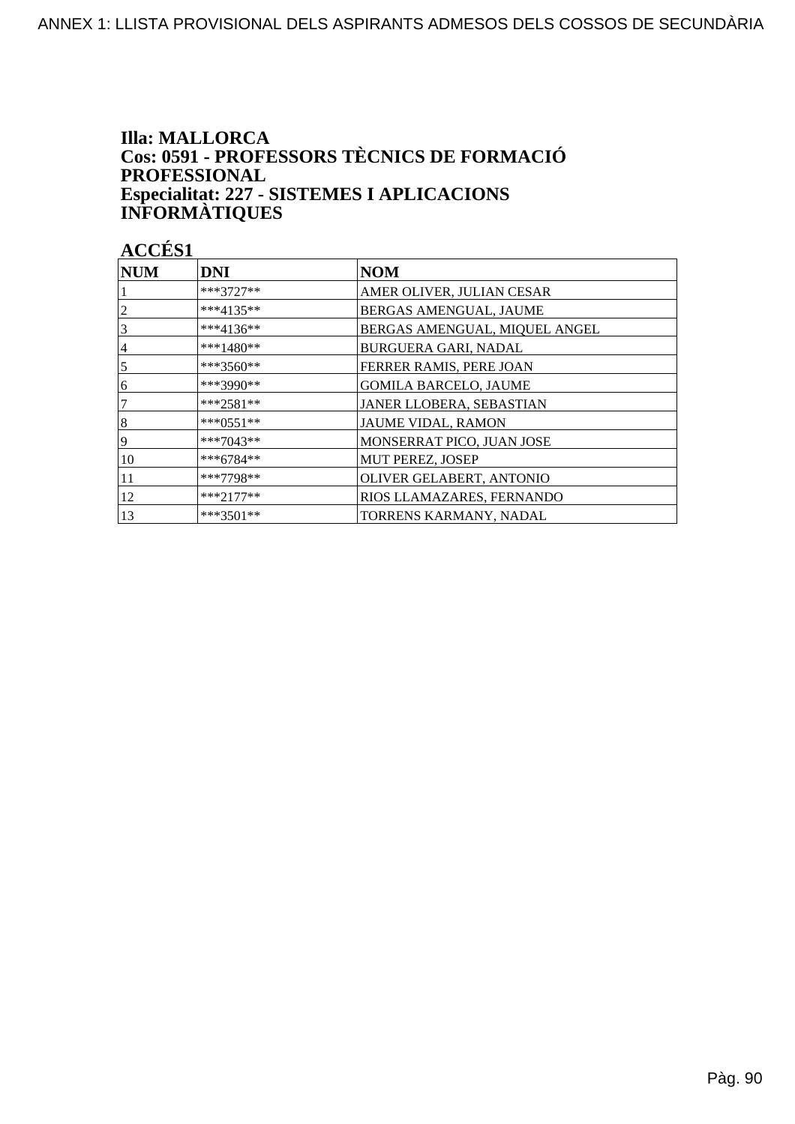### **Illa: MALLORCA** Cos: 0591 - PROFESSORS TÈCNICS DE FORMACIÓ **PROFESSIONAL** Especialitat: 227 - SISTEMES I APLICACIONS<br>INFORMÀTIQUES

| <b>NUM</b>     | <b>DNI</b>  | <b>NOM</b>                    |
|----------------|-------------|-------------------------------|
|                | ***3727**   | AMER OLIVER, JULIAN CESAR     |
|                | ***4135**   | BERGAS AMENGUAL, JAUME        |
| $\overline{3}$ | ***4136**   | BERGAS AMENGUAL, MIQUEL ANGEL |
| 4              | ***1480**   | BURGUERA GARI, NADAL          |
| $\overline{5}$ | $***3560**$ | FERRER RAMIS, PERE JOAN       |
| 16             | ***3990**   | <b>GOMILA BARCELO, JAUME</b>  |
| 7              | $***2581**$ | JANER LLOBERA, SEBASTIAN      |
| 8              | $***0551**$ | JAUME VIDAL, RAMON            |
| 19             | ***7043**   | MONSERRAT PICO, JUAN JOSE     |
| 10             | $***6784**$ | MUT PEREZ, JOSEP              |
| 11             | ***7798**   | OLIVER GELABERT, ANTONIO      |
| 12             | $***2177**$ | RIOS LLAMAZARES, FERNANDO     |
| 13             | $***3501**$ | TORRENS KARMANY, NADAL        |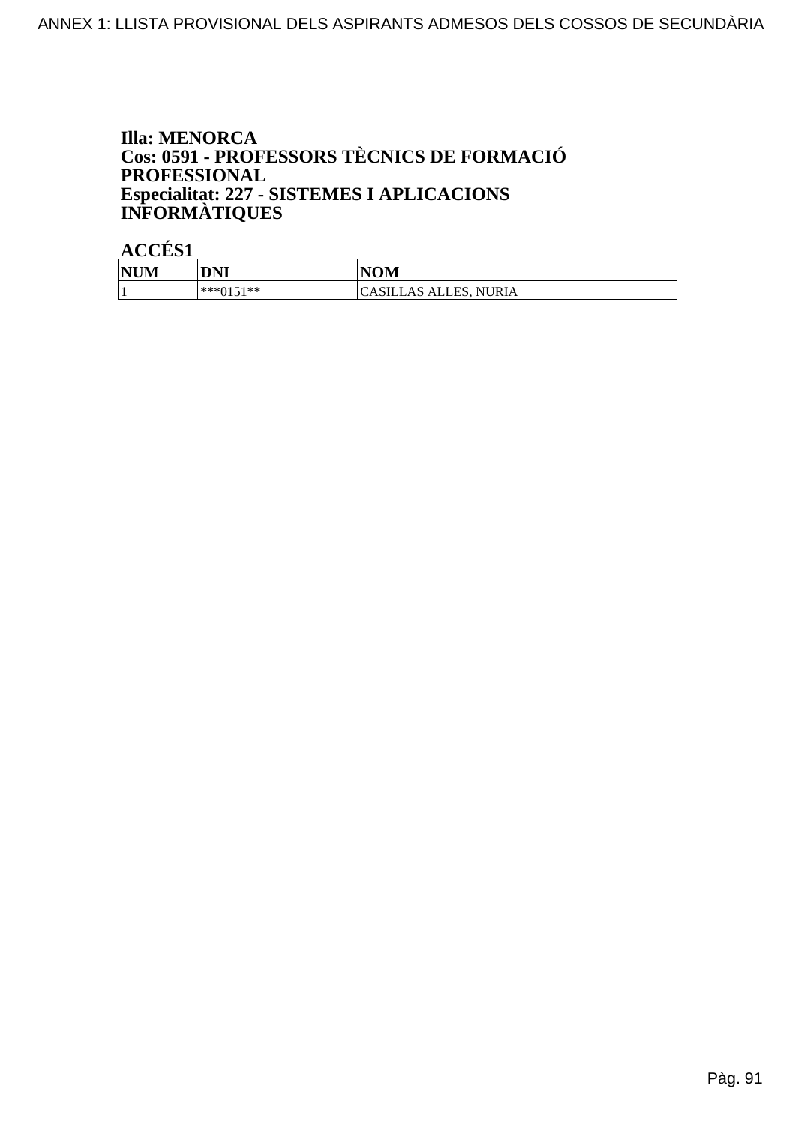### **Illa: MENORCA** Cos: 0591 - PROFESSORS TÈCNICS DE FORMACIÓ PROFESSIONAL Especialitat: 227 - SISTEMES I APLICACIONS<br>INFORMÀTIQUES

| <b>NUM</b> | <b>DNI</b> | <b>NOM</b>                   |
|------------|------------|------------------------------|
| л.         | ***0151**  | <b>CASILLAS ALLES, NURIA</b> |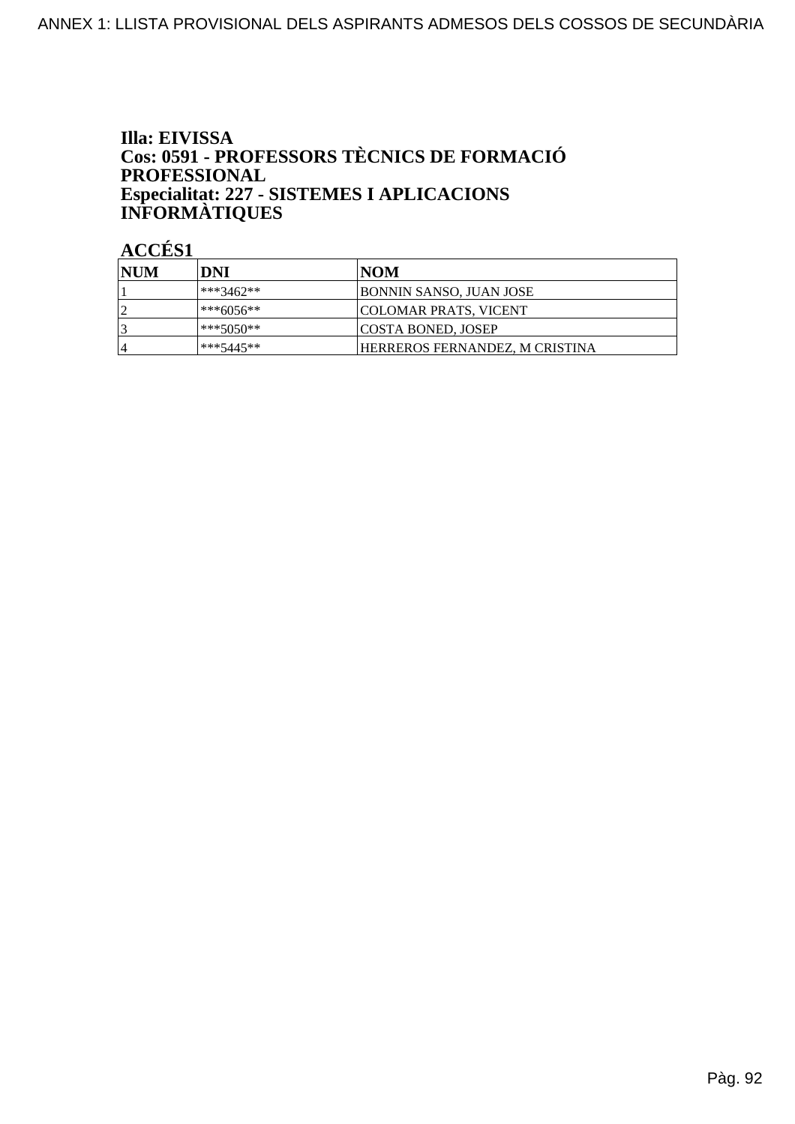### Illa: EIVISSA Cos: 0591 - PROFESSORS TÈCNICS DE FORMACIÓ PROFESSIONAL Especialitat: 227 - SISTEMES I APLICACIONS<br>INFORMÀTIQUES

| <b>INUM</b>    | DNI        | INOM                           |
|----------------|------------|--------------------------------|
|                | ***3462**  | <b>BONNIN SANSO, JUAN JOSE</b> |
|                | l***6056** | <b>COLOMAR PRATS, VICENT</b>   |
|                | ***5050**  | <b>COSTA BONED, JOSEP</b>      |
| $\overline{4}$ | ***5445**  | HERREROS FERNANDEZ, M CRISTINA |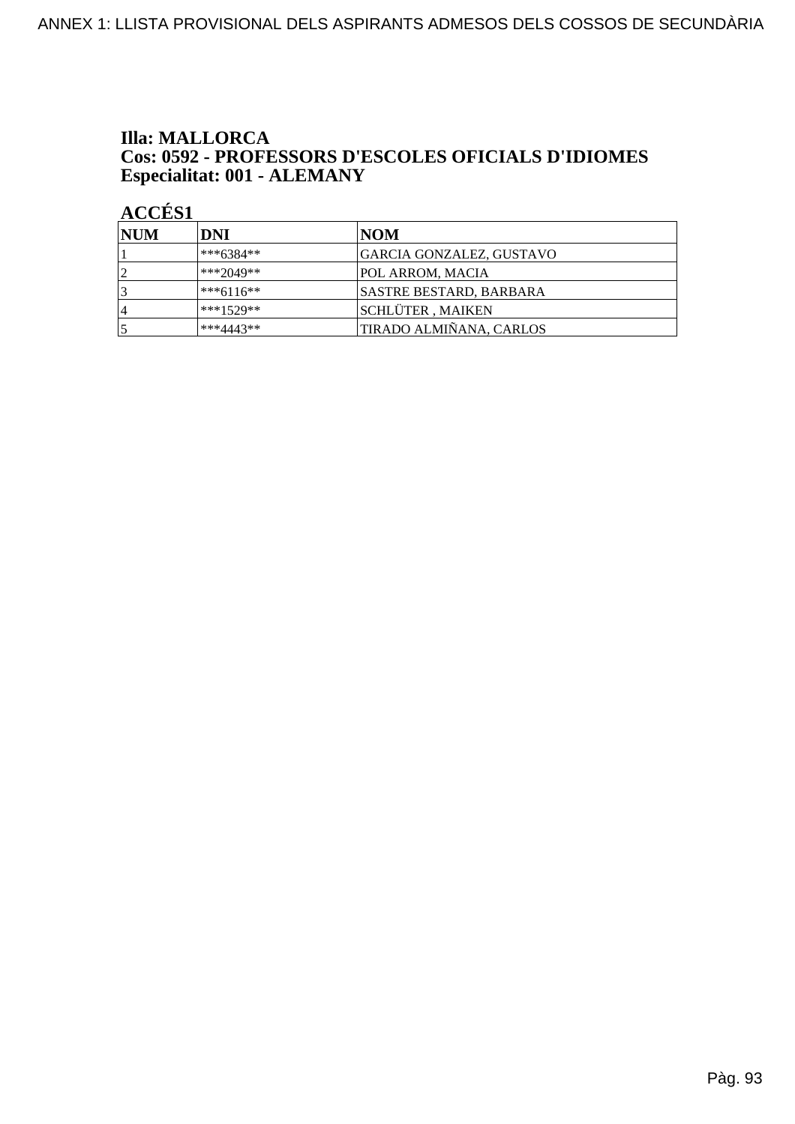#### **Illa: MALLORCA** Cos: 0592 - PROFESSORS D'ESCOLES OFICIALS D'IDIOMES Especialitat: 001 - ALEMANY

| <b>NUM</b>     | DNI         | NOM                      |
|----------------|-------------|--------------------------|
|                | $***6384**$ | GARCIA GONZALEZ, GUSTAVO |
| $\overline{2}$ | ***2049**   | POL ARROM, MACIA         |
| 3              | $***6116**$ | SASTRE BESTARD, BARBARA  |
| 14             | $***1529**$ | <b>SCHLÜTER, MAIKEN</b>  |
|                | $***4443**$ | TIRADO ALMIÑANA, CARLOS  |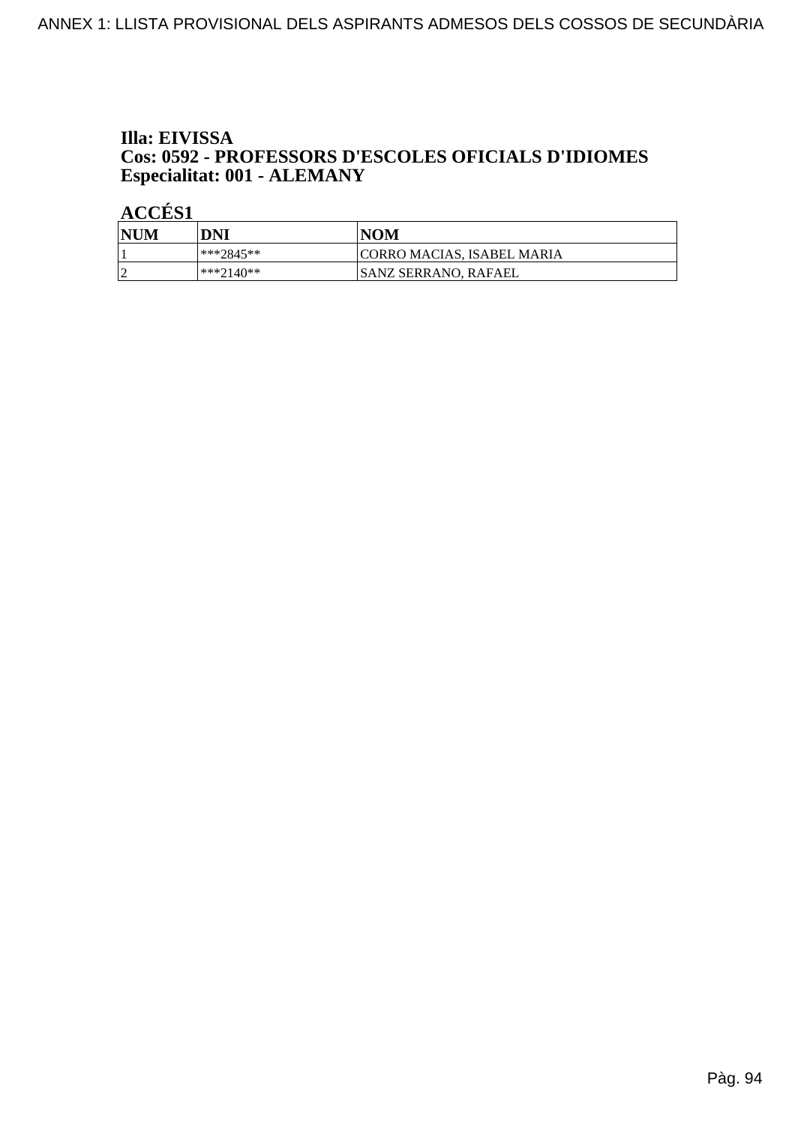### Illa: EIVISSA Cos: 0592 - PROFESSORS D'ESCOLES OFICIALS D'IDIOMES Especialitat: 001 - ALEMANY

| <b>NUM</b> | DNI       | <b>NOM</b>                        |
|------------|-----------|-----------------------------------|
|            | ***2845** | <b>CORRO MACIAS, ISABEL MARIA</b> |
| $\sqrt{ }$ | ***2140** | ISANZ SERRANO. RAFAEL             |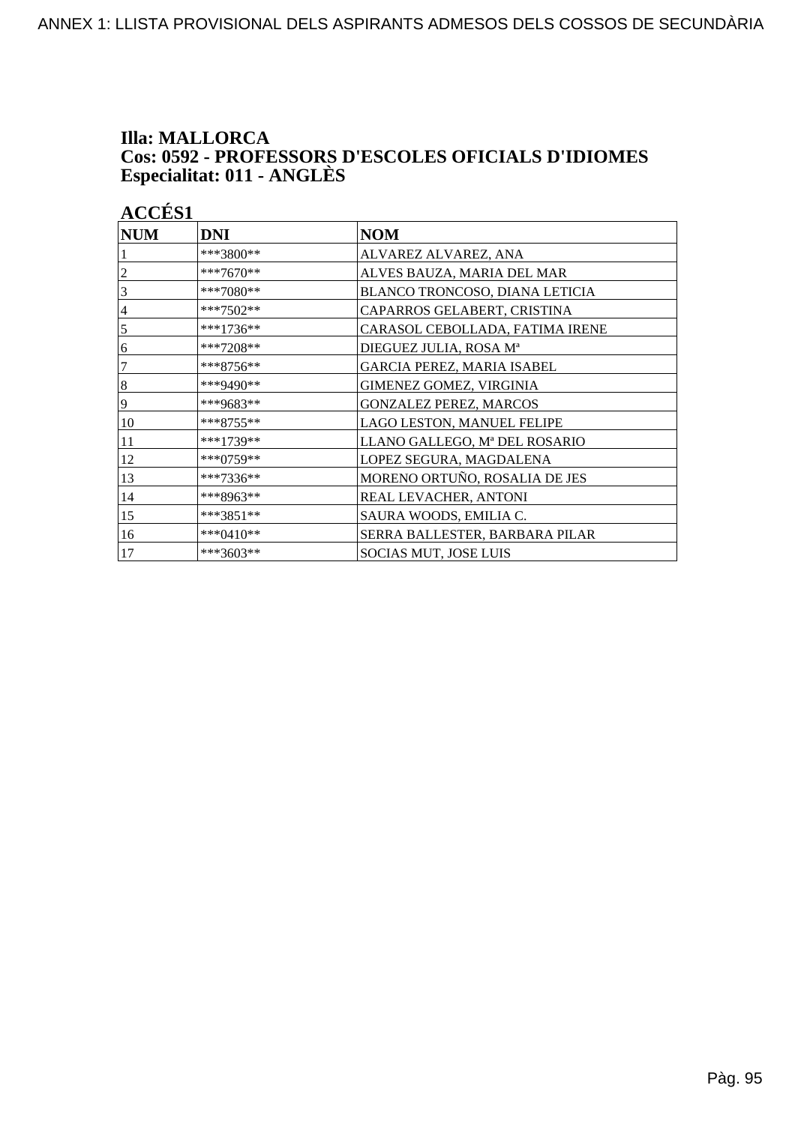# Illa: MALLORCA Cos: 0592 - PROFESSORS D'ESCOLES OFICIALS D'IDIOMES<br>Especialitat: 011 - ANGLÈS

| <b>ACCÉS 1</b> |            |
|----------------|------------|
| $\bf NUM$      | <b>DNI</b> |

| <b>NUM</b> | <b>DNI</b>  | <b>NOM</b>                      |
|------------|-------------|---------------------------------|
|            | ***3800**   | ALVAREZ ALVAREZ, ANA            |
|            | ***7670**   | ALVES BAUZA, MARIA DEL MAR      |
| 3          | ***7080**   | BLANCO TRONCOSO, DIANA LETICIA  |
| 4          | ***7502**   | CAPARROS GELABERT, CRISTINA     |
| 5          | ***1736**   | CARASOL CEBOLLADA, FATIMA IRENE |
| 6          | ***7208**   | DIEGUEZ JULIA, ROSA Mª          |
| 7          | $***8756**$ | GARCIA PEREZ, MARIA ISABEL      |
| 8          | ***9490**   | GIMENEZ GOMEZ, VIRGINIA         |
| 9          | ***9683**   | <b>GONZALEZ PEREZ, MARCOS</b>   |
| 10         | ***8755**   | LAGO LESTON, MANUEL FELIPE      |
| 11         | ***1739**   | LLANO GALLEGO, Mª DEL ROSARIO   |
| 12         | $***0759**$ | LOPEZ SEGURA, MAGDALENA         |
| 13         | ***7336**   | MORENO ORTUÑO, ROSALIA DE JES   |
| 14         | ***8963**   | REAL LEVACHER, ANTONI           |
| 15         | $***3851**$ | SAURA WOODS, EMILIA C.          |
| 16         | $***0410**$ | SERRA BALLESTER, BARBARA PILAR  |
| 17         | ***3603**   | SOCIAS MUT, JOSE LUIS           |

 $\overline{\phantom{a}}$